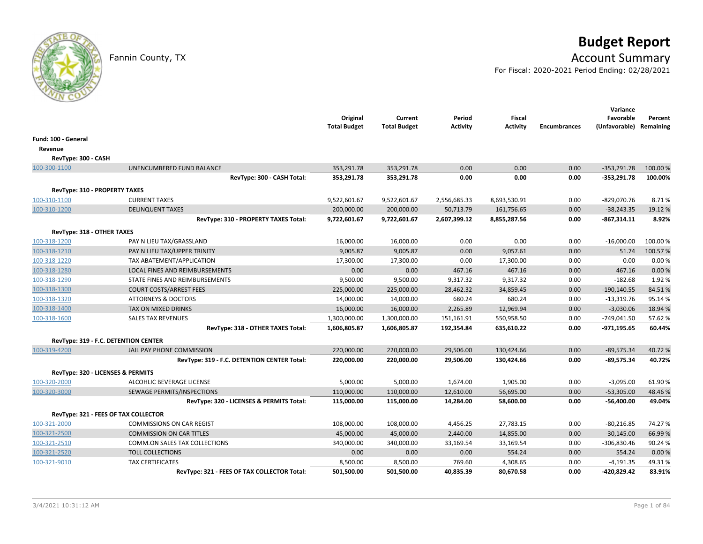# **Budget Report**

## Fannin County, TX **Account Summary**

For Fiscal: 2020-2021 Period Ending: 02/28/2021

|                               |                                             | Original<br><b>Total Budget</b> | Current<br><b>Total Budget</b> | Period<br><b>Activity</b> | <b>Fiscal</b><br><b>Activity</b> | <b>Encumbrances</b> | Variance<br>Favorable<br>(Unfavorable) Remaining | Percent  |
|-------------------------------|---------------------------------------------|---------------------------------|--------------------------------|---------------------------|----------------------------------|---------------------|--------------------------------------------------|----------|
| Fund: 100 - General           |                                             |                                 |                                |                           |                                  |                     |                                                  |          |
| Revenue                       |                                             |                                 |                                |                           |                                  |                     |                                                  |          |
| RevType: 300 - CASH           |                                             |                                 |                                |                           |                                  |                     |                                                  |          |
| 100-300-1100                  | UNENCUMBERED FUND BALANCE                   | 353,291.78                      | 353,291.78                     | 0.00                      | 0.00                             | 0.00                | $-353,291.78$                                    | 100.00 % |
|                               | RevType: 300 - CASH Total:                  | 353,291.78                      | 353,291.78                     | 0.00                      | 0.00                             | 0.00                | $-353,291.78$                                    | 100.00%  |
| RevType: 310 - PROPERTY TAXES |                                             |                                 |                                |                           |                                  |                     |                                                  |          |
| 100-310-1100                  | <b>CURRENT TAXES</b>                        | 9,522,601.67                    | 9,522,601.67                   | 2,556,685.33              | 8,693,530.91                     | 0.00                | $-829,070.76$                                    | 8.71%    |
| 100-310-1200                  | <b>DELINQUENT TAXES</b>                     | 200,000.00                      | 200,000.00                     | 50,713.79                 | 161,756.65                       | 0.00                | $-38,243.35$                                     | 19.12 %  |
|                               | RevType: 310 - PROPERTY TAXES Total:        | 9,722,601.67                    | 9,722,601.67                   | 2,607,399.12              | 8,855,287.56                     | 0.00                | $-867,314.11$                                    | 8.92%    |
| RevType: 318 - OTHER TAXES    |                                             |                                 |                                |                           |                                  |                     |                                                  |          |
| 100-318-1200                  | PAY N LIEU TAX/GRASSLAND                    | 16,000.00                       | 16,000.00                      | 0.00                      | 0.00                             | 0.00                | $-16,000.00$                                     | 100.00 % |
| 100-318-1210                  | PAY N LIEU TAX/UPPER TRINITY                | 9,005.87                        | 9,005.87                       | 0.00                      | 9,057.61                         | 0.00                | 51.74                                            | 100.57%  |
| 100-318-1220                  | TAX ABATEMENT/APPLICATION                   | 17,300.00                       | 17,300.00                      | 0.00                      | 17,300.00                        | 0.00                | 0.00                                             | 0.00%    |
| 100-318-1280                  | LOCAL FINES AND REIMBURSEMENTS              | 0.00                            | 0.00                           | 467.16                    | 467.16                           | 0.00                | 467.16                                           | 0.00 %   |
| 100-318-1290                  | STATE FINES AND REIMBURSEMENTS              | 9,500.00                        | 9,500.00                       | 9,317.32                  | 9,317.32                         | 0.00                | $-182.68$                                        | 1.92%    |
| 100-318-1300                  | <b>COURT COSTS/ARREST FEES</b>              | 225,000.00                      | 225,000.00                     | 28,462.32                 | 34,859.45                        | 0.00                | $-190, 140.55$                                   | 84.51%   |
| 100-318-1320                  | <b>ATTORNEYS &amp; DOCTORS</b>              | 14,000.00                       | 14,000.00                      | 680.24                    | 680.24                           | 0.00                | $-13,319.76$                                     | 95.14%   |
| 100-318-1400                  | TAX ON MIXED DRINKS                         | 16,000.00                       | 16,000.00                      | 2,265.89                  | 12,969.94                        | 0.00                | $-3,030.06$                                      | 18.94 %  |
| 100-318-1600                  | <b>SALES TAX REVENUES</b>                   | 1,300,000.00                    | 1,300,000.00                   | 151,161.91                | 550,958.50                       | 0.00                | $-749,041.50$                                    | 57.62%   |
|                               | RevType: 318 - OTHER TAXES Total:           | 1,606,805.87                    | 1,606,805.87                   | 192,354.84                | 635,610.22                       | 0.00                | $-971, 195.65$                                   | 60.44%   |
|                               | RevType: 319 - F.C. DETENTION CENTER        |                                 |                                |                           |                                  |                     |                                                  |          |
| 100-319-4200                  | JAIL PAY PHONE COMMISSION                   | 220,000.00                      | 220,000.00                     | 29,506.00                 | 130,424.66                       | 0.00                | $-89,575.34$                                     | 40.72%   |
|                               | RevType: 319 - F.C. DETENTION CENTER Total: | 220,000.00                      | 220,000.00                     | 29,506.00                 | 130,424.66                       | 0.00                | $-89,575.34$                                     | 40.72%   |
|                               | RevType: 320 - LICENSES & PERMITS           |                                 |                                |                           |                                  |                     |                                                  |          |
| 100-320-2000                  | ALCOHLIC BEVERAGE LICENSE                   | 5,000.00                        | 5,000.00                       | 1,674.00                  | 1,905.00                         | 0.00                | $-3,095.00$                                      | 61.90%   |
| 100-320-3000                  | SEWAGE PERMITS/INSPECTIONS                  | 110,000.00                      | 110,000.00                     | 12,610.00                 | 56,695.00                        | 0.00                | $-53,305.00$                                     | 48.46%   |
|                               | RevType: 320 - LICENSES & PERMITS Total:    | 115,000.00                      | 115,000.00                     | 14,284.00                 | 58,600.00                        | 0.00                | -56,400.00                                       | 49.04%   |
|                               | RevType: 321 - FEES OF TAX COLLECTOR        |                                 |                                |                           |                                  |                     |                                                  |          |
| 100-321-2000                  | <b>COMMISSIONS ON CAR REGIST</b>            | 108,000.00                      | 108,000.00                     | 4,456.25                  | 27,783.15                        | 0.00                | $-80,216.85$                                     | 74.27%   |
| 100-321-2500                  | <b>COMMISSION ON CAR TITLES</b>             | 45,000.00                       | 45,000.00                      | 2,440.00                  | 14,855.00                        | 0.00                | $-30,145.00$                                     | 66.99%   |
| 100-321-2510                  | COMM.ON SALES TAX COLLECTIONS               | 340,000.00                      | 340,000.00                     | 33,169.54                 | 33,169.54                        | 0.00                | $-306,830.46$                                    | 90.24%   |
| 100-321-2520                  | <b>TOLL COLLECTIONS</b>                     | 0.00                            | 0.00                           | 0.00                      | 554.24                           | 0.00                | 554.24                                           | 0.00%    |
| 100-321-9010                  | <b>TAX CERTIFICATES</b>                     | 8,500.00                        | 8,500.00                       | 769.60                    | 4,308.65                         | 0.00                | $-4,191.35$                                      | 49.31%   |
|                               | RevType: 321 - FEES OF TAX COLLECTOR Total: | 501,500.00                      | 501,500.00                     | 40,835.39                 | 80,670.58                        | 0.00                | -420,829.42                                      | 83.91%   |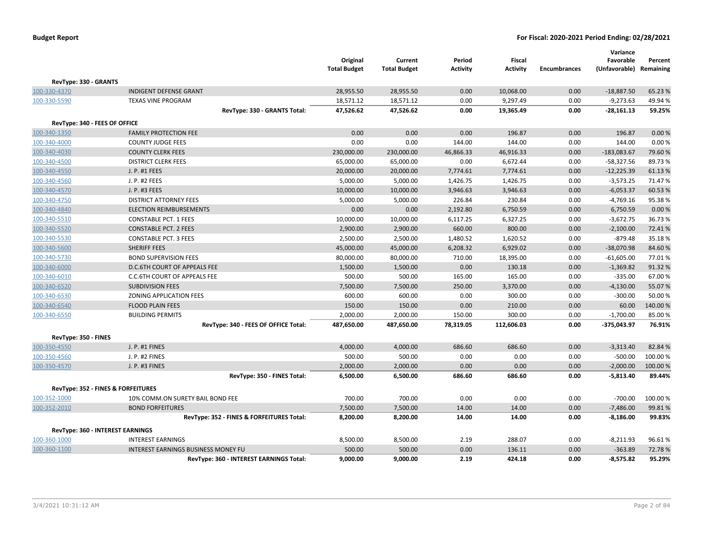|                                         |                                            | Original<br><b>Total Budget</b> | Current<br><b>Total Budget</b> | Period<br><b>Activity</b> | Fiscal<br><b>Activity</b> | <b>Encumbrances</b> | Variance<br>Favorable<br>(Unfavorable) Remaining | Percent |
|-----------------------------------------|--------------------------------------------|---------------------------------|--------------------------------|---------------------------|---------------------------|---------------------|--------------------------------------------------|---------|
| RevType: 330 - GRANTS                   |                                            |                                 |                                |                           |                           |                     |                                                  |         |
| 100-330-4370                            | <b>INDIGENT DEFENSE GRANT</b>              | 28,955.50                       | 28,955.50                      | 0.00                      | 10,068.00                 | 0.00                | $-18,887.50$                                     | 65.23 % |
| 100-330-5590                            | <b>TEXAS VINE PROGRAM</b>                  | 18,571.12                       | 18,571.12                      | 0.00                      | 9,297.49                  | 0.00                | $-9,273.63$                                      | 49.94 % |
|                                         | RevType: 330 - GRANTS Total:               | 47,526.62                       | 47,526.62                      | 0.00                      | 19,365.49                 | 0.00                | $-28,161.13$                                     | 59.25%  |
| RevType: 340 - FEES OF OFFICE           |                                            |                                 |                                |                           |                           |                     |                                                  |         |
| 100-340-1350                            | <b>FAMILY PROTECTION FEE</b>               | 0.00                            | 0.00                           | 0.00                      | 196.87                    | 0.00                | 196.87                                           | 0.00 %  |
| 100-340-4000                            | <b>COUNTY JUDGE FEES</b>                   | 0.00                            | 0.00                           | 144.00                    | 144.00                    | 0.00                | 144.00                                           | 0.00%   |
| 100-340-4030                            | <b>COUNTY CLERK FEES</b>                   | 230,000.00                      | 230,000.00                     | 46,866.33                 | 46,916.33                 | 0.00                | $-183,083.67$                                    | 79.60%  |
| 100-340-4500                            | <b>DISTRICT CLERK FEES</b>                 | 65,000.00                       | 65,000.00                      | 0.00                      | 6,672.44                  | 0.00                | $-58,327.56$                                     | 89.73%  |
| 100-340-4550                            | J. P. #1 FEES                              | 20,000.00                       | 20,000.00                      | 7,774.61                  | 7,774.61                  | 0.00                | $-12,225.39$                                     | 61.13%  |
| 100-340-4560                            | J. P. #2 FEES                              | 5,000.00                        | 5,000.00                       | 1,426.75                  | 1,426.75                  | 0.00                | $-3,573.25$                                      | 71.47%  |
| 100-340-4570                            | J. P. #3 FEES                              | 10,000.00                       | 10,000.00                      | 3,946.63                  | 3,946.63                  | 0.00                | $-6,053.37$                                      | 60.53%  |
| 100-340-4750                            | <b>DISTRICT ATTORNEY FEES</b>              | 5,000.00                        | 5,000.00                       | 226.84                    | 230.84                    | 0.00                | $-4,769.16$                                      | 95.38%  |
| 100-340-4840                            | <b>ELECTION REIMBURSEMENTS</b>             | 0.00                            | 0.00                           | 2,192.80                  | 6,750.59                  | 0.00                | 6,750.59                                         | 0.00%   |
| 100-340-5510                            | <b>CONSTABLE PCT. 1 FEES</b>               | 10,000.00                       | 10,000.00                      | 6,117.25                  | 6,327.25                  | 0.00                | $-3,672.75$                                      | 36.73%  |
| 100-340-5520                            | <b>CONSTABLE PCT. 2 FEES</b>               | 2,900.00                        | 2,900.00                       | 660.00                    | 800.00                    | 0.00                | $-2,100.00$                                      | 72.41%  |
| 100-340-5530                            | <b>CONSTABLE PCT. 3 FEES</b>               | 2,500.00                        | 2,500.00                       | 1,480.52                  | 1,620.52                  | 0.00                | $-879.48$                                        | 35.18%  |
| 100-340-5600                            | SHERIFF FEES                               | 45,000.00                       | 45,000.00                      | 6,208.32                  | 6,929.02                  | 0.00                | $-38,070.98$                                     | 84.60%  |
| 100-340-5730                            | <b>BOND SUPERVISION FEES</b>               | 80,000.00                       | 80,000.00                      | 710.00                    | 18,395.00                 | 0.00                | $-61,605.00$                                     | 77.01%  |
| 100-340-6000                            | D.C.6TH COURT OF APPEALS FEE               | 1,500.00                        | 1,500.00                       | 0.00                      | 130.18                    | 0.00                | $-1,369.82$                                      | 91.32%  |
| 100-340-6010                            | C.C.6TH COURT OF APPEALS FEE               | 500.00                          | 500.00                         | 165.00                    | 165.00                    | 0.00                | $-335.00$                                        | 67.00%  |
| 100-340-6520                            | <b>SUBDIVISION FEES</b>                    | 7,500.00                        | 7,500.00                       | 250.00                    | 3,370.00                  | 0.00                | $-4,130.00$                                      | 55.07%  |
| 100-340-6530                            | ZONING APPLICATION FEES                    | 600.00                          | 600.00                         | 0.00                      | 300.00                    | 0.00                | $-300.00$                                        | 50.00%  |
| 100-340-6540                            | <b>FLOOD PLAIN FEES</b>                    | 150.00                          | 150.00                         | 0.00                      | 210.00                    | 0.00                | 60.00                                            | 140.00% |
| 100-340-6550                            | <b>BUILDING PERMITS</b>                    | 2,000.00                        | 2,000.00                       | 150.00                    | 300.00                    | 0.00                | $-1,700.00$                                      | 85.00%  |
|                                         | RevType: 340 - FEES OF OFFICE Total:       | 487,650.00                      | 487,650.00                     | 78,319.05                 | 112,606.03                | 0.00                | $-375,043.97$                                    | 76.91%  |
| RevType: 350 - FINES                    |                                            |                                 |                                |                           |                           |                     |                                                  |         |
| 100-350-4550                            | J. P. #1 FINES                             | 4,000.00                        | 4,000.00                       | 686.60                    | 686.60                    | 0.00                | $-3,313.40$                                      | 82.84%  |
| 100-350-4560                            | J. P. #2 FINES                             | 500.00                          | 500.00                         | 0.00                      | 0.00                      | 0.00                | $-500.00$                                        | 100.00% |
| 100-350-4570                            | J. P. #3 FINES                             | 2,000.00                        | 2,000.00                       | 0.00                      | 0.00                      | 0.00                | $-2,000.00$                                      | 100.00% |
|                                         | RevType: 350 - FINES Total:                | 6,500.00                        | 6,500.00                       | 686.60                    | 686.60                    | 0.00                | $-5,813.40$                                      | 89.44%  |
| RevType: 352 - FINES & FORFEITURES      |                                            |                                 |                                |                           |                           |                     |                                                  |         |
| 100-352-1000                            | 10% COMM.ON SURETY BAIL BOND FEE           | 700.00                          | 700.00                         | 0.00                      | 0.00                      | 0.00                | $-700.00$                                        | 100.00% |
| 100-352-2010                            | <b>BOND FORFEITURES</b>                    | 7,500.00                        | 7,500.00                       | 14.00                     | 14.00                     | 0.00                | $-7,486.00$                                      | 99.81%  |
|                                         | RevType: 352 - FINES & FORFEITURES Total:  | 8,200.00                        | 8,200.00                       | 14.00                     | 14.00                     | 0.00                | $-8,186.00$                                      | 99.83%  |
| <b>RevType: 360 - INTEREST EARNINGS</b> |                                            |                                 |                                |                           |                           |                     |                                                  |         |
| 100-360-1000                            | <b>INTEREST EARNINGS</b>                   | 8,500.00                        | 8,500.00                       | 2.19                      | 288.07                    | 0.00                | $-8,211.93$                                      | 96.61%  |
| 100-360-1100                            | <b>INTEREST EARNINGS BUSINESS MONEY FU</b> | 500.00                          | 500.00                         | 0.00                      | 136.11                    | 0.00                | $-363.89$                                        | 72.78%  |
|                                         | RevType: 360 - INTEREST EARNINGS Total:    | 9.000.00                        | 9,000.00                       | 2.19                      | 424.18                    | 0.00                | $-8,575.82$                                      | 95.29%  |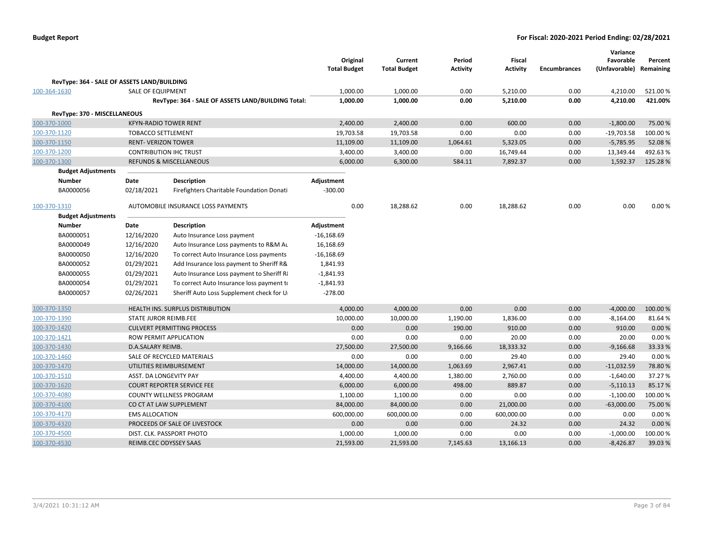|                                             |                              |                                                    | Original<br><b>Total Budget</b> | Current<br><b>Total Budget</b> | Period<br><b>Activity</b> | <b>Fiscal</b><br><b>Activity</b> | <b>Encumbrances</b> | Variance<br>Favorable<br>(Unfavorable) | Percent<br>Remaining |
|---------------------------------------------|------------------------------|----------------------------------------------------|---------------------------------|--------------------------------|---------------------------|----------------------------------|---------------------|----------------------------------------|----------------------|
| RevType: 364 - SALE OF ASSETS LAND/BUILDING |                              |                                                    |                                 |                                |                           |                                  |                     |                                        |                      |
| 100-364-1630                                | <b>SALE OF EQUIPMENT</b>     |                                                    | 1,000.00                        | 1,000.00                       | 0.00                      | 5,210.00                         | 0.00                | 4,210.00                               | 521.00%              |
|                                             |                              | RevType: 364 - SALE OF ASSETS LAND/BUILDING Total: | 1,000.00                        | 1,000.00                       | 0.00                      | 5,210.00                         | 0.00                | 4,210.00                               | 421.00%              |
| RevType: 370 - MISCELLANEOUS                |                              |                                                    |                                 |                                |                           |                                  |                     |                                        |                      |
| 100-370-1000                                |                              | <b>KFYN-RADIO TOWER RENT</b>                       | 2,400.00                        | 2,400.00                       | 0.00                      | 600.00                           | 0.00                | $-1,800.00$                            | 75.00 %              |
| 100-370-1120                                | <b>TOBACCO SETTLEMENT</b>    |                                                    | 19,703.58                       | 19,703.58                      | 0.00                      | 0.00                             | 0.00                | $-19,703.58$                           | 100.00%              |
| 100-370-1150                                | <b>RENT- VERIZON TOWER</b>   |                                                    | 11,109.00                       | 11,109.00                      | 1,064.61                  | 5,323.05                         | 0.00                | $-5,785.95$                            | 52.08%               |
| 100-370-1200                                |                              | <b>CONTRIBUTION IHC TRUST</b>                      | 3,400.00                        | 3,400.00                       | 0.00                      | 16,749.44                        | 0.00                | 13,349.44                              | 492.63%              |
| 100-370-1300                                |                              | <b>REFUNDS &amp; MISCELLANEOUS</b>                 | 6,000.00                        | 6,300.00                       | 584.11                    | 7,892.37                         | 0.00                | 1,592.37                               | 125.28%              |
| <b>Budget Adjustments</b>                   |                              |                                                    |                                 |                                |                           |                                  |                     |                                        |                      |
| <b>Number</b>                               | Date                         | <b>Description</b>                                 | Adjustment                      |                                |                           |                                  |                     |                                        |                      |
| BA0000056                                   | 02/18/2021                   | Firefighters Charitable Foundation Donati          | $-300.00$                       |                                |                           |                                  |                     |                                        |                      |
| 100-370-1310                                |                              | AUTOMOBILE INSURANCE LOSS PAYMENTS                 | 0.00                            | 18,288.62                      | 0.00                      | 18,288.62                        | 0.00                | 0.00                                   | 0.00%                |
| <b>Budget Adjustments</b>                   |                              |                                                    |                                 |                                |                           |                                  |                     |                                        |                      |
| <b>Number</b>                               | Date                         | <b>Description</b>                                 | Adjustment                      |                                |                           |                                  |                     |                                        |                      |
| BA0000051                                   | 12/16/2020                   | Auto Insurance Loss payment                        | $-16,168.69$                    |                                |                           |                                  |                     |                                        |                      |
| BA0000049                                   | 12/16/2020                   | Auto Insurance Loss payments to R&M Au             | 16,168.69                       |                                |                           |                                  |                     |                                        |                      |
| BA0000050                                   | 12/16/2020                   | To correct Auto Insurance Loss payments            | $-16,168.69$                    |                                |                           |                                  |                     |                                        |                      |
| BA0000052                                   | 01/29/2021                   | Add Insurance loss payment to Sheriff R&           | 1,841.93                        |                                |                           |                                  |                     |                                        |                      |
| BA0000055                                   | 01/29/2021                   | Auto Insurance Loss payment to Sheriff Ri          | $-1,841.93$                     |                                |                           |                                  |                     |                                        |                      |
| BA0000054                                   | 01/29/2021                   | To correct Auto Insurance loss payment to          | $-1,841.93$                     |                                |                           |                                  |                     |                                        |                      |
| BA0000057                                   | 02/26/2021                   | Sheriff Auto Loss Supplement check for U           | $-278.00$                       |                                |                           |                                  |                     |                                        |                      |
| 100-370-1350                                |                              | HEALTH INS. SURPLUS DISTRIBUTION                   | 4,000.00                        | 4,000.00                       | 0.00                      | 0.00                             | 0.00                | $-4,000.00$                            | 100.00 %             |
| 100-370-1390                                | <b>STATE JUROR REIMB.FEE</b> |                                                    | 10,000.00                       | 10,000.00                      | 1,190.00                  | 1,836.00                         | 0.00                | $-8,164.00$                            | 81.64%               |
| 100-370-1420                                |                              | <b>CULVERT PERMITTING PROCESS</b>                  | 0.00                            | 0.00                           | 190.00                    | 910.00                           | 0.00                | 910.00                                 | 0.00%                |
| 100-370-1421                                |                              | <b>ROW PERMIT APPLICATION</b>                      | 0.00                            | 0.00                           | 0.00                      | 20.00                            | 0.00                | 20.00                                  | 0.00%                |
| 100-370-1430                                | D.A.SALARY REIMB.            |                                                    | 27,500.00                       | 27,500.00                      | 9,166.66                  | 18,333.32                        | 0.00                | $-9,166.68$                            | 33.33 %              |
| 100-370-1460                                |                              | SALE OF RECYCLED MATERIALS                         | 0.00                            | 0.00                           | 0.00                      | 29.40                            | 0.00                | 29.40                                  | 0.00%                |
| 100-370-1470                                |                              | UTILITIES REIMBURSEMENT                            | 14,000.00                       | 14,000.00                      | 1,063.69                  | 2,967.41                         | 0.00                | $-11,032.59$                           | 78.80%               |
| 100-370-1510                                | ASST. DA LONGEVITY PAY       |                                                    | 4,400.00                        | 4,400.00                       | 1,380.00                  | 2,760.00                         | 0.00                | $-1,640.00$                            | 37.27 %              |
| 100-370-1620                                |                              | <b>COURT REPORTER SERVICE FEE</b>                  | 6,000.00                        | 6,000.00                       | 498.00                    | 889.87                           | 0.00                | $-5,110.13$                            | 85.17%               |
| 100-370-4080                                |                              | COUNTY WELLNESS PROGRAM                            | 1,100.00                        | 1,100.00                       | 0.00                      | 0.00                             | 0.00                | $-1,100.00$                            | 100.00%              |
| 100-370-4100                                |                              | CO CT AT LAW SUPPLEMENT                            | 84,000.00                       | 84,000.00                      | 0.00                      | 21,000.00                        | 0.00                | $-63,000.00$                           | 75.00 %              |
| 100-370-4170                                | <b>EMS ALLOCATION</b>        |                                                    | 600,000.00                      | 600,000.00                     | 0.00                      | 600,000.00                       | 0.00                | 0.00                                   | 0.00%                |
| 100-370-4320                                |                              | PROCEEDS OF SALE OF LIVESTOCK                      | 0.00                            | 0.00                           | 0.00                      | 24.32                            | 0.00                | 24.32                                  | 0.00%                |
| 100-370-4500                                |                              | DIST. CLK. PASSPORT PHOTO                          | 1,000.00                        | 1,000.00                       | 0.00                      | 0.00                             | 0.00                | $-1,000.00$                            | 100.00%              |
| 100-370-4530                                |                              | REIMB.CEC ODYSSEY SAAS                             | 21,593.00                       | 21,593.00                      | 7,145.63                  | 13,166.13                        | 0.00                | $-8,426.87$                            | 39.03 %              |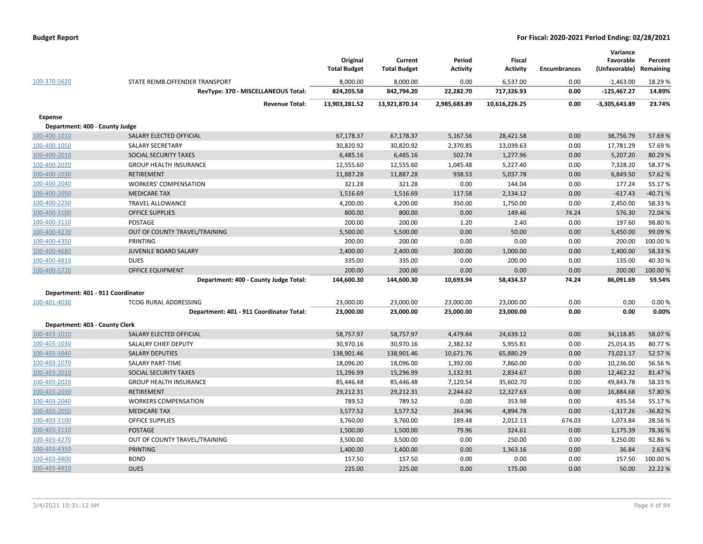| 100-370-5620                      | STATE REIMB.OFFENDER TRANSPORT           | Original<br><b>Total Budget</b><br>8,000.00 | Current<br><b>Total Budget</b><br>8,000.00 | Period<br><b>Activity</b><br>0.00 | <b>Fiscal</b><br><b>Activity</b><br>6,537.00 | <b>Encumbrances</b><br>0.00 | Variance<br>Favorable<br>(Unfavorable)<br>$-1,463.00$ | Percent<br>Remaining<br>18.29 % |
|-----------------------------------|------------------------------------------|---------------------------------------------|--------------------------------------------|-----------------------------------|----------------------------------------------|-----------------------------|-------------------------------------------------------|---------------------------------|
|                                   | RevType: 370 - MISCELLANEOUS Total:      | 824,205.58                                  | 842,794.20                                 | 22,282.70                         | 717,326.93                                   | 0.00                        | $-125,467.27$                                         | 14.89%                          |
|                                   | <b>Revenue Total:</b>                    | 13,903,281.52                               | 13,921,870.14                              | 2,985,683.89                      | 10,616,226.25                                | 0.00                        | $-3,305,643.89$                                       | 23.74%                          |
| Expense                           |                                          |                                             |                                            |                                   |                                              |                             |                                                       |                                 |
| Department: 400 - County Judge    |                                          |                                             |                                            |                                   |                                              |                             |                                                       |                                 |
| 100-400-1010                      | SALARY ELECTED OFFICIAL                  | 67,178.37                                   | 67,178.37                                  | 5,167.56                          | 28,421.58                                    | 0.00                        | 38,756.79                                             | 57.69%                          |
| 100-400-1050                      | <b>SALARY SECRETARY</b>                  | 30,820.92                                   | 30,820.92                                  | 2,370.85                          | 13,039.63                                    | 0.00                        | 17,781.29                                             | 57.69%                          |
| 100-400-2010                      | SOCIAL SECURITY TAXES                    | 6,485.16                                    | 6,485.16                                   | 502.74                            | 1,277.96                                     | 0.00                        | 5,207.20                                              | 80.29%                          |
| 100-400-2020                      | <b>GROUP HEALTH INSURANCE</b>            | 12,555.60                                   | 12,555.60                                  | 1,045.48                          | 5,227.40                                     | 0.00                        | 7,328.20                                              | 58.37%                          |
| 100-400-2030                      | <b>RETIREMENT</b>                        | 11,887.28                                   | 11,887.28                                  | 938.53                            | 5,037.78                                     | 0.00                        | 6,849.50                                              | 57.62%                          |
| 100-400-2040                      | <b>WORKERS' COMPENSATION</b>             | 321.28                                      | 321.28                                     | 0.00                              | 144.04                                       | 0.00                        | 177.24                                                | 55.17%                          |
| 100-400-2050                      | <b>MEDICARE TAX</b>                      | 1,516.69                                    | 1,516.69                                   | 117.58                            | 2,134.12                                     | 0.00                        | $-617.43$                                             | $-40.71%$                       |
| 100-400-2250                      | <b>TRAVEL ALLOWANCE</b>                  | 4,200.00                                    | 4,200.00                                   | 350.00                            | 1,750.00                                     | 0.00                        | 2,450.00                                              | 58.33%                          |
| 100-400-3100                      | <b>OFFICE SUPPLIES</b>                   | 800.00                                      | 800.00                                     | 0.00                              | 149.46                                       | 74.24                       | 576.30                                                | 72.04 %                         |
| 100-400-3110                      | POSTAGE                                  | 200.00                                      | 200.00                                     | 1.20                              | 2.40                                         | 0.00                        | 197.60                                                | 98.80%                          |
| 100-400-4270                      | OUT OF COUNTY TRAVEL/TRAINING            | 5,500.00                                    | 5,500.00                                   | 0.00                              | 50.00                                        | 0.00                        | 5,450.00                                              | 99.09%                          |
| 100-400-4350                      | PRINTING                                 | 200.00                                      | 200.00                                     | 0.00                              | 0.00                                         | 0.00                        | 200.00                                                | 100.00%                         |
| 100-400-4680                      | JUVENILE BOARD SALARY                    | 2,400.00                                    | 2,400.00                                   | 200.00                            | 1,000.00                                     | 0.00                        | 1,400.00                                              | 58.33%                          |
| 100-400-4810                      | <b>DUES</b>                              | 335.00                                      | 335.00                                     | 0.00                              | 200.00                                       | 0.00                        | 135.00                                                | 40.30%                          |
| 100-400-5720                      | <b>OFFICE EQUIPMENT</b>                  | 200.00                                      | 200.00                                     | 0.00                              | 0.00                                         | 0.00                        | 200.00                                                | 100.00%                         |
|                                   | Department: 400 - County Judge Total:    | 144,600.30                                  | 144,600.30                                 | 10,693.94                         | 58,434.37                                    | 74.24                       | 86,091.69                                             | 59.54%                          |
| Department: 401 - 911 Coordinator |                                          |                                             |                                            |                                   |                                              |                             |                                                       |                                 |
| 100-401-4030                      | TCOG RURAL ADDRESSING                    | 23,000.00                                   | 23,000.00                                  | 23,000.00                         | 23,000.00                                    | 0.00                        | 0.00                                                  | 0.00%                           |
|                                   | Department: 401 - 911 Coordinator Total: | 23,000.00                                   | 23,000.00                                  | 23,000.00                         | 23,000.00                                    | 0.00                        | 0.00                                                  | 0.00%                           |
| Department: 403 - County Clerk    |                                          |                                             |                                            |                                   |                                              |                             |                                                       |                                 |
| 100-403-1010                      | SALARY ELECTED OFFICIAL                  | 58,757.97                                   | 58,757.97                                  | 4,479.84                          | 24,639.12                                    | 0.00                        | 34,118.85                                             | 58.07%                          |
| 100-403-1030                      | SALALRY CHIEF DEPUTY                     | 30,970.16                                   | 30,970.16                                  | 2,382.32                          | 5,955.81                                     | 0.00                        | 25,014.35                                             | 80.77%                          |
| 100-403-1040                      | <b>SALARY DEPUTIES</b>                   | 138,901.46                                  | 138,901.46                                 | 10,671.76                         | 65,880.29                                    | 0.00                        | 73,021.17                                             | 52.57%                          |
| 100-403-1070                      | <b>SALARY PART-TIME</b>                  | 18,096.00                                   | 18,096.00                                  | 1,392.00                          | 7,860.00                                     | 0.00                        | 10,236.00                                             | 56.56%                          |
| 100-403-2010                      | SOCIAL SECURITY TAXES                    | 15,296.99                                   | 15,296.99                                  | 1,132.91                          | 2,834.67                                     | 0.00                        | 12,462.32                                             | 81.47%                          |
| 100-403-2020                      | <b>GROUP HEALTH INSURANCE</b>            | 85,446.48                                   | 85,446.48                                  | 7,120.54                          | 35,602.70                                    | 0.00                        | 49,843.78                                             | 58.33%                          |
| 100-403-2030                      | RETIREMENT                               | 29,212.31                                   | 29,212.31                                  | 2,244.62                          | 12,327.63                                    | 0.00                        | 16,884.68                                             | 57.80%                          |
| 100-403-2040                      | <b>WORKERS COMPENSATION</b>              | 789.52                                      | 789.52                                     | 0.00                              | 353.98                                       | 0.00                        | 435.54                                                | 55.17%                          |
| 100-403-2050                      | <b>MEDICARE TAX</b>                      | 3,577.52                                    | 3,577.52                                   | 264.96                            | 4,894.78                                     | 0.00                        | $-1,317.26$                                           | $-36.82%$                       |
| 100-403-3100                      | <b>OFFICE SUPPLIES</b>                   | 3,760.00                                    | 3,760.00                                   | 189.48                            | 2,012.13                                     | 674.03                      | 1,073.84                                              | 28.56%                          |
| 100-403-3110                      | POSTAGE                                  | 1,500.00                                    | 1,500.00                                   | 79.96                             | 324.61                                       | 0.00                        | 1,175.39                                              | 78.36%                          |
| 100-403-4270                      | OUT OF COUNTY TRAVEL/TRAINING            | 3,500.00                                    | 3,500.00                                   | 0.00                              | 250.00                                       | 0.00                        | 3,250.00                                              | 92.86%                          |
| 100-403-4350                      | <b>PRINTING</b>                          | 1,400.00                                    | 1,400.00                                   | 0.00                              | 1,363.16                                     | 0.00                        | 36.84                                                 | 2.63%                           |
| 100-403-4800                      | <b>BOND</b>                              | 157.50                                      | 157.50                                     | 0.00                              | 0.00                                         | 0.00                        | 157.50                                                | 100.00%                         |
| 100-403-4810                      | <b>DUES</b>                              | 225.00                                      | 225.00                                     | 0.00                              | 175.00                                       | 0.00                        | 50.00                                                 | 22.22 %                         |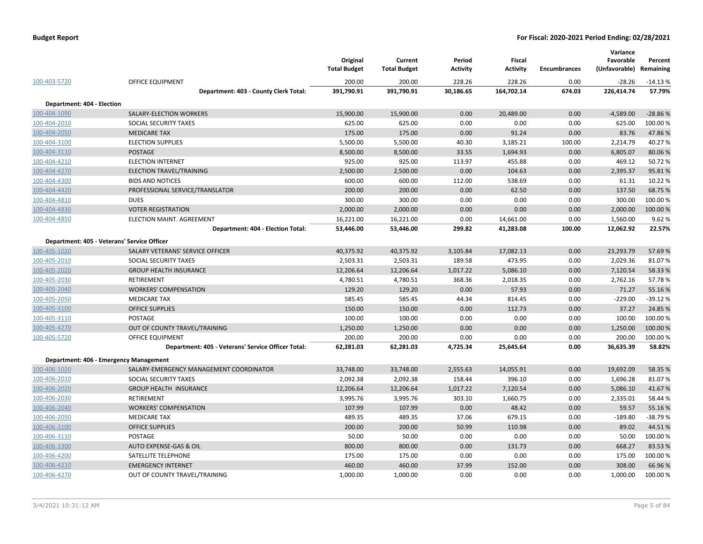|                            |                                                    | Original<br><b>Total Budget</b> | Current<br><b>Total Budget</b> | Period<br><b>Activity</b> | Fiscal<br><b>Activity</b> | <b>Encumbrances</b> | Variance<br>Favorable<br>(Unfavorable) | Percent<br>Remaining |
|----------------------------|----------------------------------------------------|---------------------------------|--------------------------------|---------------------------|---------------------------|---------------------|----------------------------------------|----------------------|
| 100-403-5720               | <b>OFFICE EQUIPMENT</b>                            | 200.00                          | 200.00                         | 228.26                    | 228.26                    | 0.00                | $-28.26$                               | $-14.13%$            |
|                            | Department: 403 - County Clerk Total:              | 391,790.91                      | 391,790.91                     | 30,186.65                 | 164,702.14                | 674.03              | 226,414.74                             | 57.79%               |
| Department: 404 - Election |                                                    |                                 |                                |                           |                           |                     |                                        |                      |
| 100-404-1090               | SALARY-ELECTION WORKERS                            | 15,900.00                       | 15,900.00                      | 0.00                      | 20,489.00                 | 0.00                | $-4,589.00$                            | $-28.86%$            |
| 100-404-2010               | SOCIAL SECURITY TAXES                              | 625.00                          | 625.00                         | 0.00                      | 0.00                      | 0.00                | 625.00                                 | 100.00%              |
| 100-404-2050               | <b>MEDICARE TAX</b>                                | 175.00                          | 175.00                         | 0.00                      | 91.24                     | 0.00                | 83.76                                  | 47.86%               |
| 100-404-3100               | <b>ELECTION SUPPLIES</b>                           | 5,500.00                        | 5,500.00                       | 40.30                     | 3,185.21                  | 100.00              | 2,214.79                               | 40.27%               |
| 100-404-3110               | POSTAGE                                            | 8,500.00                        | 8,500.00                       | 33.55                     | 1,694.93                  | 0.00                | 6,805.07                               | 80.06%               |
| 100-404-4210               | <b>ELECTION INTERNET</b>                           | 925.00                          | 925.00                         | 113.97                    | 455.88                    | 0.00                | 469.12                                 | 50.72%               |
| 100-404-4270               | ELECTION TRAVEL/TRAINING                           | 2,500.00                        | 2,500.00                       | 0.00                      | 104.63                    | 0.00                | 2,395.37                               | 95.81%               |
| 100-404-4300               | <b>BIDS AND NOTICES</b>                            | 600.00                          | 600.00                         | 112.00                    | 538.69                    | 0.00                | 61.31                                  | 10.22 %              |
| 100-404-4420               | PROFESSIONAL SERVICE/TRANSLATOR                    | 200.00                          | 200.00                         | 0.00                      | 62.50                     | 0.00                | 137.50                                 | 68.75 %              |
| 100-404-4810               | <b>DUES</b>                                        | 300.00                          | 300.00                         | 0.00                      | 0.00                      | 0.00                | 300.00                                 | 100.00 %             |
| 100-404-4830               | <b>VOTER REGISTRATION</b>                          | 2,000.00                        | 2,000.00                       | 0.00                      | 0.00                      | 0.00                | 2,000.00                               | 100.00%              |
| 100-404-4850               | ELECTION MAINT. AGREEMENT                          | 16,221.00                       | 16,221.00                      | 0.00                      | 14,661.00                 | 0.00                | 1,560.00                               | 9.62%                |
|                            | Department: 404 - Election Total:                  | 53,446.00                       | 53,446.00                      | 299.82                    | 41,283.08                 | 100.00              | 12,062.92                              | 22.57%               |
|                            | Department: 405 - Veterans' Service Officer        |                                 |                                |                           |                           |                     |                                        |                      |
| 100-405-1020               | SALARY VETERANS' SERVICE OFFICER                   | 40,375.92                       | 40,375.92                      | 3,105.84                  | 17,082.13                 | 0.00                | 23,293.79                              | 57.69%               |
| 100-405-2010               | SOCIAL SECURITY TAXES                              | 2,503.31                        | 2,503.31                       | 189.58                    | 473.95                    | 0.00                | 2,029.36                               | 81.07%               |
| 100-405-2020               | <b>GROUP HEALTH INSURANCE</b>                      | 12,206.64                       | 12,206.64                      | 1,017.22                  | 5,086.10                  | 0.00                | 7,120.54                               | 58.33 %              |
| 100-405-2030               | RETIREMENT                                         | 4,780.51                        | 4,780.51                       | 368.36                    | 2,018.35                  | 0.00                | 2,762.16                               | 57.78%               |
| 100-405-2040               | <b>WORKERS' COMPENSATION</b>                       | 129.20                          | 129.20                         | 0.00                      | 57.93                     | 0.00                | 71.27                                  | 55.16%               |
| 100-405-2050               | <b>MEDICARE TAX</b>                                | 585.45                          | 585.45                         | 44.34                     | 814.45                    | 0.00                | $-229.00$                              | $-39.12%$            |
| 100-405-3100               | <b>OFFICE SUPPLIES</b>                             | 150.00                          | 150.00                         | 0.00                      | 112.73                    | 0.00                | 37.27                                  | 24.85 %              |
| 100-405-3110               | POSTAGE                                            | 100.00                          | 100.00                         | 0.00                      | 0.00                      | 0.00                | 100.00                                 | 100.00 %             |
| 100-405-4270               | OUT OF COUNTY TRAVEL/TRAINING                      | 1,250.00                        | 1,250.00                       | 0.00                      | 0.00                      | 0.00                | 1,250.00                               | 100.00 %             |
| 100-405-5720               | <b>OFFICE EQUIPMENT</b>                            | 200.00                          | 200.00                         | 0.00                      | 0.00                      | 0.00                | 200.00                                 | 100.00%              |
|                            | Department: 405 - Veterans' Service Officer Total: | 62,281.03                       | 62,281.03                      | 4,725.34                  | 25,645.64                 | 0.00                | 36,635.39                              | 58.82%               |
|                            | Department: 406 - Emergency Management             |                                 |                                |                           |                           |                     |                                        |                      |
| 100-406-1020               | SALARY-EMERGENCY MANAGEMENT COORDINATOR            | 33,748.00                       | 33,748.00                      | 2,555.63                  | 14,055.91                 | 0.00                | 19,692.09                              | 58.35 %              |
| 100-406-2010               | SOCIAL SECURITY TAXES                              | 2,092.38                        | 2,092.38                       | 158.44                    | 396.10                    | 0.00                | 1,696.28                               | 81.07%               |
| 100-406-2020               | <b>GROUP HEALTH INSURANCE</b>                      | 12,206.64                       | 12,206.64                      | 1,017.22                  | 7,120.54                  | 0.00                | 5,086.10                               | 41.67%               |
| 100-406-2030               | <b>RETIREMENT</b>                                  | 3,995.76                        | 3,995.76                       | 303.10                    | 1,660.75                  | 0.00                | 2,335.01                               | 58.44 %              |
| 100-406-2040               | <b>WORKERS' COMPENSATION</b>                       | 107.99                          | 107.99                         | 0.00                      | 48.42                     | 0.00                | 59.57                                  | 55.16%               |
| 100-406-2050               | <b>MEDICARE TAX</b>                                | 489.35                          | 489.35                         | 37.06                     | 679.15                    | 0.00                | $-189.80$                              | $-38.79%$            |
| 100-406-3100               | <b>OFFICE SUPPLIES</b>                             | 200.00                          | 200.00                         | 50.99                     | 110.98                    | 0.00                | 89.02                                  | 44.51%               |
| 100-406-3110               | POSTAGE                                            | 50.00                           | 50.00                          | 0.00                      | 0.00                      | 0.00                | 50.00                                  | 100.00 %             |
| 100-406-3300               | AUTO EXPENSE-GAS & OIL                             | 800.00                          | 800.00                         | 0.00                      | 131.73                    | 0.00                | 668.27                                 | 83.53%               |
| 100-406-4200               | SATELLITE TELEPHONE                                | 175.00                          | 175.00                         | 0.00                      | 0.00                      | 0.00                | 175.00                                 | 100.00 %             |
| 100-406-4210               | <b>EMERGENCY INTERNET</b>                          | 460.00                          | 460.00                         | 37.99                     | 152.00                    | 0.00                | 308.00                                 | 66.96%               |
| 100-406-4270               | OUT OF COUNTY TRAVEL/TRAINING                      | 1,000.00                        | 1,000.00                       | 0.00                      | 0.00                      | 0.00                | 1,000.00                               | 100.00 %             |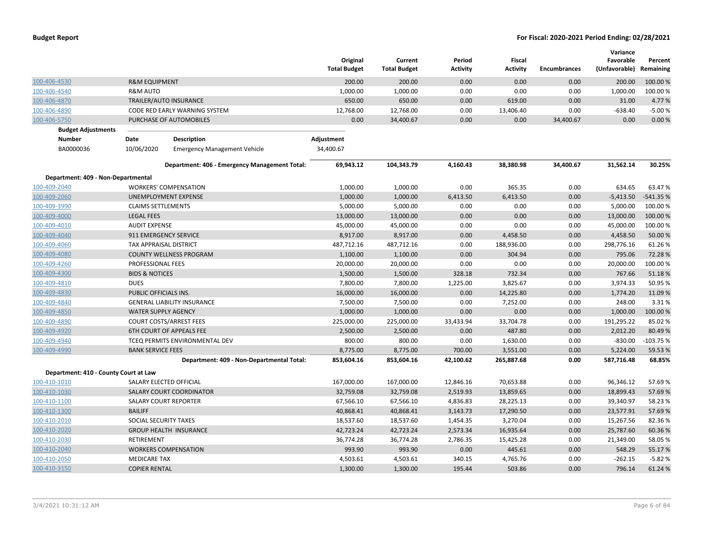|                                       |                            |                                               | Original<br><b>Total Budget</b> | Current<br><b>Total Budget</b> | Period<br>Activity | <b>Fiscal</b><br><b>Activity</b> | <b>Encumbrances</b> | Variance<br>Favorable<br>(Unfavorable) | Percent<br>Remaining |
|---------------------------------------|----------------------------|-----------------------------------------------|---------------------------------|--------------------------------|--------------------|----------------------------------|---------------------|----------------------------------------|----------------------|
| 100-406-4530                          | <b>R&amp;M EQUIPMENT</b>   |                                               | 200.00                          | 200.00                         | 0.00               | 0.00                             | 0.00                | 200.00                                 | 100.00 %             |
| 100-406-4540                          | <b>R&amp;M AUTO</b>        |                                               | 1,000.00                        | 1,000.00                       | 0.00               | 0.00                             | 0.00                | 1,000.00                               | 100.00%              |
| 100-406-4870                          |                            | TRAILER/AUTO INSURANCE                        | 650.00                          | 650.00                         | 0.00               | 619.00                           | 0.00                | 31.00                                  | 4.77 %               |
| 100-406-4890                          |                            | CODE RED EARLY WARNING SYSTEM                 | 12,768.00                       | 12,768.00                      | 0.00               | 13,406.40                        | 0.00                | $-638.40$                              | $-5.00%$             |
| 100-406-5750                          |                            | PURCHASE OF AUTOMOBILES                       | 0.00                            | 34,400.67                      | 0.00               | 0.00                             | 34,400.67           | 0.00                                   | 0.00%                |
| <b>Budget Adjustments</b>             |                            |                                               |                                 |                                |                    |                                  |                     |                                        |                      |
| Number                                | Date                       | <b>Description</b>                            | Adjustment                      |                                |                    |                                  |                     |                                        |                      |
| BA0000036                             | 10/06/2020                 | <b>Emergency Management Vehicle</b>           | 34,400.67                       |                                |                    |                                  |                     |                                        |                      |
|                                       |                            | Department: 406 - Emergency Management Total: | 69,943.12                       | 104,343.79                     | 4,160.43           | 38,380.98                        | 34,400.67           | 31,562.14                              | 30.25%               |
| Department: 409 - Non-Departmental    |                            |                                               |                                 |                                |                    |                                  |                     |                                        |                      |
| 100-409-2040                          |                            | <b>WORKERS' COMPENSATION</b>                  | 1,000.00                        | 1,000.00                       | 0.00               | 365.35                           | 0.00                | 634.65                                 | 63.47%               |
| 100-409-2060                          |                            | UNEMPLOYMENT EXPENSE                          | 1,000.00                        | 1,000.00                       | 6,413.50           | 6,413.50                         | 0.00                | $-5,413.50$                            | -541.35 %            |
| 100-409-3990                          | <b>CLAIMS SETTLEMENTS</b>  |                                               | 5,000.00                        | 5,000.00                       | 0.00               | 0.00                             | 0.00                | 5,000.00                               | 100.00 %             |
| 100-409-4000                          | <b>LEGAL FEES</b>          |                                               | 13,000.00                       | 13,000.00                      | 0.00               | 0.00                             | 0.00                | 13,000.00                              | 100.00 %             |
| 100-409-4010                          | <b>AUDIT EXPENSE</b>       |                                               | 45,000.00                       | 45,000.00                      | 0.00               | 0.00                             | 0.00                | 45,000.00                              | 100.00%              |
| 100-409-4040                          |                            | 911 EMERGENCY SERVICE                         | 8,917.00                        | 8,917.00                       | 0.00               | 4,458.50                         | 0.00                | 4,458.50                               | 50.00 %              |
| 100-409-4060                          | TAX APPRAISAL DISTRICT     |                                               | 487,712.16                      | 487,712.16                     | 0.00               | 188,936.00                       | 0.00                | 298,776.16                             | 61.26%               |
| 100-409-4080                          |                            | <b>COUNTY WELLNESS PROGRAM</b>                | 1,100.00                        | 1,100.00                       | 0.00               | 304.94                           | 0.00                | 795.06                                 | 72.28%               |
| 100-409-4260                          | PROFESSIONAL FEES          |                                               | 20,000.00                       | 20,000.00                      | 0.00               | 0.00                             | 0.00                | 20,000.00                              | 100.00%              |
| 100-409-4300                          | <b>BIDS &amp; NOTICES</b>  |                                               | 1,500.00                        | 1,500.00                       | 328.18             | 732.34                           | 0.00                | 767.66                                 | 51.18%               |
| 100-409-4810                          | <b>DUES</b>                |                                               | 7,800.00                        | 7,800.00                       | 1,225.00           | 3,825.67                         | 0.00                | 3,974.33                               | 50.95 %              |
| 100-409-4830                          | PUBLIC OFFICIALS INS.      |                                               | 16,000.00                       | 16,000.00                      | 0.00               | 14,225.80                        | 0.00                | 1,774.20                               | 11.09 %              |
| 100-409-4840                          |                            | <b>GENERAL LIABILITY INSURANCE</b>            | 7,500.00                        | 7,500.00                       | 0.00               | 7,252.00                         | 0.00                | 248.00                                 | 3.31%                |
| 100-409-4850                          | <b>WATER SUPPLY AGENCY</b> |                                               | 1,000.00                        | 1,000.00                       | 0.00               | 0.00                             | 0.00                | 1,000.00                               | 100.00%              |
| 100-409-4890                          |                            | <b>COURT COSTS/ARREST FEES</b>                | 225,000.00                      | 225,000.00                     | 33,433.94          | 33,704.78                        | 0.00                | 191,295.22                             | 85.02%               |
| 100-409-4920                          |                            | <b>6TH COURT OF APPEALS FEE</b>               | 2,500.00                        | 2,500.00                       | 0.00               | 487.80                           | 0.00                | 2,012.20                               | 80.49%               |
| 100-409-4940                          |                            | TCEQ PERMITS ENVIRONMENTAL DEV                | 800.00                          | 800.00                         | 0.00               | 1,630.00                         | 0.00                | $-830.00$                              | $-103.75%$           |
| 100-409-4990                          | <b>BANK SERVICE FEES</b>   |                                               | 8,775.00                        | 8,775.00                       | 700.00             | 3,551.00                         | 0.00                | 5,224.00                               | 59.53 %              |
|                                       |                            | Department: 409 - Non-Departmental Total:     | 853,604.16                      | 853,604.16                     | 42,100.62          | 265,887.68                       | 0.00                | 587,716.48                             | 68.85%               |
| Department: 410 - County Court at Law |                            |                                               |                                 |                                |                    |                                  |                     |                                        |                      |
| 100-410-1010                          |                            | SALARY ELECTED OFFICIAL                       | 167,000.00                      | 167,000.00                     | 12,846.16          | 70,653.88                        | 0.00                | 96,346.12                              | 57.69%               |
| 100-410-1030                          |                            | SALARY COURT COORDINATOR                      | 32,759.08                       | 32,759.08                      | 2,519.93           | 13,859.65                        | 0.00                | 18,899.43                              | 57.69%               |
| 100-410-1100                          |                            | <b>SALARY COURT REPORTER</b>                  | 67,566.10                       | 67,566.10                      | 4,836.83           | 28,225.13                        | 0.00                | 39,340.97                              | 58.23%               |
| 100-410-1300                          | <b>BAILIFF</b>             |                                               | 40,868.41                       | 40,868.41                      | 3,143.73           | 17,290.50                        | 0.00                | 23,577.91                              | 57.69%               |
| 100-410-2010                          | SOCIAL SECURITY TAXES      |                                               | 18,537.60                       | 18,537.60                      | 1,454.35           | 3,270.04                         | 0.00                | 15,267.56                              | 82.36%               |
| 100-410-2020                          |                            | <b>GROUP HEALTH INSURANCE</b>                 | 42,723.24                       | 42,723.24                      | 2,573.34           | 16,935.64                        | 0.00                | 25,787.60                              | 60.36%               |
| 100-410-2030                          | RETIREMENT                 |                                               | 36,774.28                       | 36,774.28                      | 2,786.35           | 15,425.28                        | 0.00                | 21,349.00                              | 58.05 %              |
| 100-410-2040                          |                            | <b>WORKERS COMPENSATION</b>                   | 993.90                          | 993.90                         | 0.00               | 445.61                           | 0.00                | 548.29                                 | 55.17%               |
| 100-410-2050                          | <b>MEDICARE TAX</b>        |                                               | 4,503.61                        | 4,503.61                       | 340.15             | 4,765.76                         | 0.00                | $-262.15$                              | $-5.82%$             |
| 100-410-3150                          | <b>COPIER RENTAL</b>       |                                               | 1,300.00                        | 1,300.00                       | 195.44             | 503.86                           | 0.00                | 796.14                                 | 61.24%               |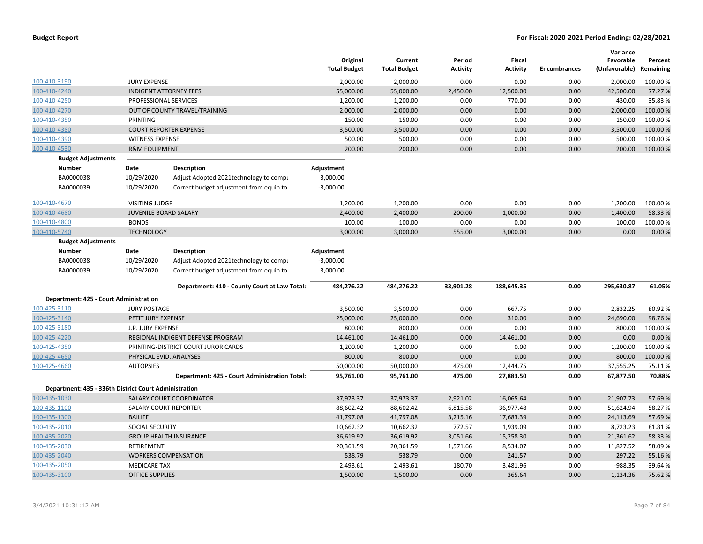|                                                       |                               |                                               | Original<br><b>Total Budget</b> | Current<br><b>Total Budget</b> | Period<br>Activity | Fiscal<br>Activity | <b>Encumbrances</b> | Variance<br>Favorable<br>(Unfavorable) Remaining | Percent   |
|-------------------------------------------------------|-------------------------------|-----------------------------------------------|---------------------------------|--------------------------------|--------------------|--------------------|---------------------|--------------------------------------------------|-----------|
| 100-410-3190                                          | <b>JURY EXPENSE</b>           |                                               | 2,000.00                        | 2,000.00                       | 0.00               | 0.00               | 0.00                | 2,000.00                                         | 100.00%   |
| 100-410-4240                                          | <b>INDIGENT ATTORNEY FEES</b> |                                               | 55,000.00                       | 55,000.00                      | 2,450.00           | 12,500.00          | 0.00                | 42,500.00                                        | 77.27 %   |
| 100-410-4250                                          | PROFESSIONAL SERVICES         |                                               | 1,200.00                        | 1,200.00                       | 0.00               | 770.00             | 0.00                | 430.00                                           | 35.83%    |
| 100-410-4270                                          |                               | OUT OF COUNTY TRAVEL/TRAINING                 | 2,000.00                        | 2,000.00                       | 0.00               | 0.00               | 0.00                | 2,000.00                                         | 100.00 %  |
| 100-410-4350                                          | PRINTING                      |                                               | 150.00                          | 150.00                         | 0.00               | 0.00               | 0.00                | 150.00                                           | 100.00%   |
| 100-410-4380                                          |                               | <b>COURT REPORTER EXPENSE</b>                 | 3,500.00                        | 3,500.00                       | 0.00               | 0.00               | 0.00                | 3,500.00                                         | 100.00%   |
| 100-410-4390                                          | <b>WITNESS EXPENSE</b>        |                                               | 500.00                          | 500.00                         | 0.00               | 0.00               | 0.00                | 500.00                                           | 100.00%   |
| 100-410-4530                                          | <b>R&amp;M EQUIPMENT</b>      |                                               | 200.00                          | 200.00                         | 0.00               | 0.00               | 0.00                | 200.00                                           | 100.00%   |
| <b>Budget Adjustments</b>                             |                               |                                               |                                 |                                |                    |                    |                     |                                                  |           |
| <b>Number</b>                                         | Date                          | <b>Description</b>                            | Adjustment                      |                                |                    |                    |                     |                                                  |           |
| BA0000038                                             | 10/29/2020                    | Adjust Adopted 2021 technology to compu       | 3,000.00                        |                                |                    |                    |                     |                                                  |           |
| BA0000039                                             | 10/29/2020                    | Correct budget adjustment from equip to       | $-3,000.00$                     |                                |                    |                    |                     |                                                  |           |
| 100-410-4670                                          | <b>VISITING JUDGE</b>         |                                               | 1,200.00                        | 1,200.00                       | 0.00               | 0.00               | 0.00                | 1,200.00                                         | 100.00%   |
| 100-410-4680                                          | <b>JUVENILE BOARD SALARY</b>  |                                               | 2,400.00                        | 2,400.00                       | 200.00             | 1,000.00           | 0.00                | 1,400.00                                         | 58.33 %   |
| 100-410-4800                                          | <b>BONDS</b>                  |                                               | 100.00                          | 100.00                         | 0.00               | 0.00               | 0.00                | 100.00                                           | 100.00%   |
| 100-410-5740                                          | <b>TECHNOLOGY</b>             |                                               | 3,000.00                        | 3,000.00                       | 555.00             | 3,000.00           | 0.00                | 0.00                                             | 0.00%     |
| <b>Budget Adjustments</b>                             |                               |                                               |                                 |                                |                    |                    |                     |                                                  |           |
| <b>Number</b>                                         | Date                          | <b>Description</b>                            | Adjustment                      |                                |                    |                    |                     |                                                  |           |
| BA0000038                                             | 10/29/2020                    | Adjust Adopted 2021technology to compi        | $-3,000.00$                     |                                |                    |                    |                     |                                                  |           |
| BA0000039                                             | 10/29/2020                    | Correct budget adjustment from equip to       | 3,000.00                        |                                |                    |                    |                     |                                                  |           |
|                                                       |                               |                                               |                                 |                                |                    |                    |                     |                                                  |           |
|                                                       |                               | Department: 410 - County Court at Law Total:  | 484,276.22                      | 484,276.22                     | 33,901.28          | 188,645.35         | 0.00                | 295,630.87                                       | 61.05%    |
| Department: 425 - Court Administration                |                               |                                               |                                 |                                |                    |                    |                     |                                                  |           |
| 100-425-3110                                          | <b>JURY POSTAGE</b>           |                                               | 3,500.00                        | 3,500.00                       | 0.00               | 667.75             | 0.00                | 2,832.25                                         | 80.92%    |
| 100-425-3140                                          | PETIT JURY EXPENSE            |                                               | 25,000.00                       | 25,000.00                      | 0.00               | 310.00             | 0.00                | 24,690.00                                        | 98.76%    |
| 100-425-3180                                          | J.P. JURY EXPENSE             |                                               | 800.00                          | 800.00                         | 0.00               | 0.00               | 0.00                | 800.00                                           | 100.00%   |
| 100-425-4220                                          |                               | REGIONAL INDIGENT DEFENSE PROGRAM             | 14,461.00                       | 14,461.00                      | 0.00               | 14,461.00          | 0.00                | 0.00                                             | 0.00%     |
| 100-425-4350                                          |                               | PRINTING-DISTRICT COURT JUROR CARDS           | 1,200.00                        | 1,200.00                       | 0.00               | 0.00               | 0.00                | 1,200.00                                         | 100.00%   |
| 100-425-4650                                          | PHYSICAL EVID. ANALYSES       |                                               | 800.00                          | 800.00                         | 0.00               | 0.00               | 0.00                | 800.00                                           | 100.00%   |
| 100-425-4660                                          | <b>AUTOPSIES</b>              |                                               | 50,000.00                       | 50,000.00                      | 475.00             | 12,444.75          | 0.00                | 37,555.25                                        | 75.11%    |
|                                                       |                               | Department: 425 - Court Administration Total: | 95,761.00                       | 95,761.00                      | 475.00             | 27,883.50          | 0.00                | 67,877.50                                        | 70.88%    |
| Department: 435 - 336th District Court Administration |                               |                                               |                                 |                                |                    |                    |                     |                                                  |           |
| 100-435-1030                                          |                               | <b>SALARY COURT COORDINATOR</b>               | 37,973.37                       | 37,973.37                      | 2,921.02           | 16,065.64          | 0.00                | 21,907.73                                        | 57.69%    |
| 100-435-1100                                          | <b>SALARY COURT REPORTER</b>  |                                               | 88,602.42                       | 88,602.42                      | 6,815.58           | 36,977.48          | 0.00                | 51,624.94                                        | 58.27%    |
| 100-435-1300                                          | <b>BAILIFF</b>                |                                               | 41,797.08                       | 41,797.08                      | 3,215.16           | 17,683.39          | 0.00                | 24,113.69                                        | 57.69%    |
| 100-435-2010                                          | SOCIAL SECURITY               |                                               | 10,662.32                       | 10,662.32                      | 772.57             | 1,939.09           | 0.00                | 8,723.23                                         | 81.81%    |
| 100-435-2020                                          |                               | <b>GROUP HEALTH INSURANCE</b>                 | 36,619.92                       | 36,619.92                      | 3,051.66           | 15,258.30          | 0.00                | 21,361.62                                        | 58.33 %   |
| 100-435-2030                                          | RETIREMENT                    |                                               | 20,361.59                       | 20,361.59                      | 1,571.66           | 8,534.07           | 0.00                | 11,827.52                                        | 58.09%    |
| 100-435-2040                                          |                               | <b>WORKERS COMPENSATION</b>                   | 538.79                          | 538.79                         | 0.00               | 241.57             | 0.00                | 297.22                                           | 55.16%    |
| 100-435-2050                                          | <b>MEDICARE TAX</b>           |                                               | 2,493.61                        | 2,493.61                       | 180.70             | 3,481.96           | 0.00                | $-988.35$                                        | $-39.64%$ |
| 100-435-3100                                          | <b>OFFICE SUPPLIES</b>        |                                               | 1,500.00                        | 1,500.00                       | 0.00               | 365.64             | 0.00                | 1,134.36                                         | 75.62 %   |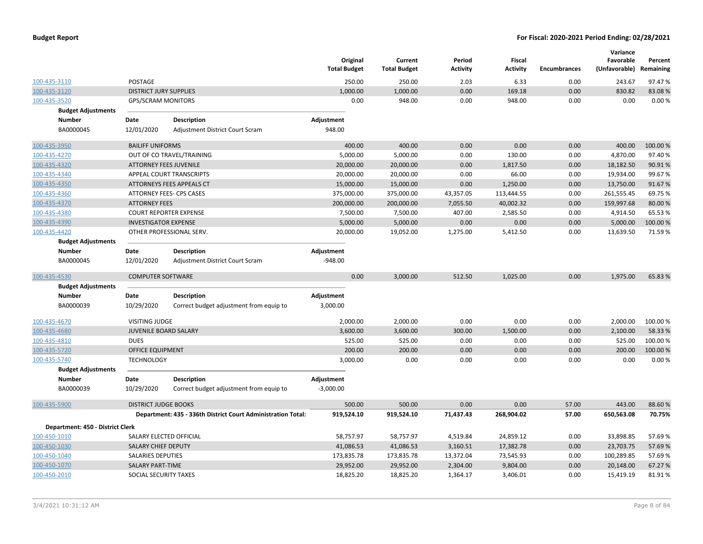|                                  |                               |                                                              | Original<br><b>Total Budget</b> | Current<br><b>Total Budget</b> | Period<br><b>Activity</b> | Fiscal<br><b>Activity</b> | <b>Encumbrances</b> | Variance<br>Favorable<br>(Unfavorable) Remaining | Percent  |
|----------------------------------|-------------------------------|--------------------------------------------------------------|---------------------------------|--------------------------------|---------------------------|---------------------------|---------------------|--------------------------------------------------|----------|
| 100-435-3110                     | POSTAGE                       |                                                              | 250.00                          | 250.00                         | 2.03                      | 6.33                      | 0.00                | 243.67                                           | 97.47%   |
| 100-435-3120                     | <b>DISTRICT JURY SUPPLIES</b> |                                                              | 1,000.00                        | 1,000.00                       | 0.00                      | 169.18                    | 0.00                | 830.82                                           | 83.08%   |
| 100-435-3520                     | <b>GPS/SCRAM MONITORS</b>     |                                                              | 0.00                            | 948.00                         | 0.00                      | 948.00                    | 0.00                | 0.00                                             | 0.00%    |
| <b>Budget Adjustments</b>        |                               |                                                              |                                 |                                |                           |                           |                     |                                                  |          |
| <b>Number</b>                    | Date                          | Description                                                  | Adjustment                      |                                |                           |                           |                     |                                                  |          |
| BA0000045                        | 12/01/2020                    | Adjustment District Court Scram                              | 948.00                          |                                |                           |                           |                     |                                                  |          |
| 100-435-3950                     | <b>BAILIFF UNIFORMS</b>       |                                                              | 400.00                          | 400.00                         | 0.00                      | 0.00                      | 0.00                | 400.00                                           | 100.00%  |
| 100-435-4270                     |                               | OUT OF CO TRAVEL/TRAINING                                    | 5,000.00                        | 5,000.00                       | 0.00                      | 130.00                    | 0.00                | 4,870.00                                         | 97.40%   |
| 100-435-4320                     | <b>ATTORNEY FEES JUVENILE</b> |                                                              | 20,000.00                       | 20,000.00                      | 0.00                      | 1,817.50                  | 0.00                | 18,182.50                                        | 90.91%   |
| 100-435-4340                     |                               | APPEAL COURT TRANSCRIPTS                                     | 20,000.00                       | 20,000.00                      | 0.00                      | 66.00                     | 0.00                | 19,934.00                                        | 99.67%   |
| 100-435-4350                     |                               | ATTORNEYS FEES APPEALS CT                                    | 15,000.00                       | 15,000.00                      | 0.00                      | 1,250.00                  | 0.00                | 13,750.00                                        | 91.67%   |
| 100-435-4360                     |                               | ATTORNEY FEES- CPS CASES                                     | 375,000.00                      | 375,000.00                     | 43,357.05                 | 113,444.55                | 0.00                | 261,555.45                                       | 69.75 %  |
| 100-435-4370                     | <b>ATTORNEY FEES</b>          |                                                              | 200,000.00                      | 200,000.00                     | 7,055.50                  | 40,002.32                 | 0.00                | 159,997.68                                       | 80.00%   |
| 100-435-4380                     |                               | <b>COURT REPORTER EXPENSE</b>                                | 7,500.00                        | 7,500.00                       | 407.00                    | 2,585.50                  | 0.00                | 4,914.50                                         | 65.53%   |
| 100-435-4390                     | <b>INVESTIGATOR EXPENSE</b>   |                                                              | 5,000.00                        | 5,000.00                       | 0.00                      | 0.00                      | 0.00                | 5,000.00                                         | 100.00%  |
| 100-435-4420                     |                               | OTHER PROFESSIONAL SERV.                                     | 20,000.00                       | 19,052.00                      | 1,275.00                  | 5,412.50                  | 0.00                | 13,639.50                                        | 71.59%   |
| <b>Budget Adjustments</b>        |                               |                                                              |                                 |                                |                           |                           |                     |                                                  |          |
| <b>Number</b>                    | Date                          | <b>Description</b>                                           | Adjustment                      |                                |                           |                           |                     |                                                  |          |
| BA0000045                        | 12/01/2020                    | Adjustment District Court Scram                              | $-948.00$                       |                                |                           |                           |                     |                                                  |          |
| 100-435-4530                     | <b>COMPUTER SOFTWARE</b>      |                                                              | 0.00                            | 3,000.00                       | 512.50                    | 1,025.00                  | 0.00                | 1,975.00                                         | 65.83 %  |
| <b>Budget Adjustments</b>        |                               |                                                              |                                 |                                |                           |                           |                     |                                                  |          |
| Number                           | Date                          | <b>Description</b>                                           | Adjustment                      |                                |                           |                           |                     |                                                  |          |
| BA0000039                        | 10/29/2020                    | Correct budget adjustment from equip to                      | 3,000.00                        |                                |                           |                           |                     |                                                  |          |
| 100-435-4670                     | <b>VISITING JUDGE</b>         |                                                              | 2,000.00                        | 2,000.00                       | 0.00                      | 0.00                      | 0.00                | 2,000.00                                         | 100.00 % |
| 100-435-4680                     | <b>JUVENILE BOARD SALARY</b>  |                                                              | 3,600.00                        | 3,600.00                       | 300.00                    | 1,500.00                  | 0.00                | 2,100.00                                         | 58.33%   |
| 100-435-4810                     | <b>DUES</b>                   |                                                              | 525.00                          | 525.00                         | 0.00                      | 0.00                      | 0.00                | 525.00                                           | 100.00%  |
| 100-435-5720                     | <b>OFFICE EQUIPMENT</b>       |                                                              | 200.00                          | 200.00                         | 0.00                      | 0.00                      | 0.00                | 200.00                                           | 100.00%  |
| 100-435-5740                     | <b>TECHNOLOGY</b>             |                                                              | 3,000.00                        | 0.00                           | 0.00                      | 0.00                      | 0.00                | 0.00                                             | 0.00%    |
| <b>Budget Adjustments</b>        |                               |                                                              |                                 |                                |                           |                           |                     |                                                  |          |
| <b>Number</b>                    | Date                          | <b>Description</b>                                           | Adjustment                      |                                |                           |                           |                     |                                                  |          |
| BA0000039                        | 10/29/2020                    | Correct budget adjustment from equip to                      | $-3,000.00$                     |                                |                           |                           |                     |                                                  |          |
| 100-435-5900                     | <b>DISTRICT JUDGE BOOKS</b>   |                                                              | 500.00                          | 500.00                         | 0.00                      | 0.00                      | 57.00               | 443.00                                           | 88.60%   |
|                                  |                               | Department: 435 - 336th District Court Administration Total: | 919,524.10                      | 919,524.10                     | 71,437.43                 | 268,904.02                | 57.00               | 650,563.08                                       | 70.75%   |
| Department: 450 - District Clerk |                               |                                                              |                                 |                                |                           |                           |                     |                                                  |          |
| 100-450-1010                     | SALARY ELECTED OFFICIAL       |                                                              | 58,757.97                       | 58,757.97                      | 4,519.84                  | 24,859.12                 | 0.00                | 33,898.85                                        | 57.69%   |
| 100-450-1030                     | <b>SALARY CHIEF DEPUTY</b>    |                                                              | 41,086.53                       | 41,086.53                      | 3,160.51                  | 17,382.78                 | 0.00                | 23,703.75                                        | 57.69%   |
| 100-450-1040                     | <b>SALARIES DEPUTIES</b>      |                                                              | 173,835.78                      | 173,835.78                     | 13,372.04                 | 73,545.93                 | 0.00                | 100,289.85                                       | 57.69%   |
| 100-450-1070                     | <b>SALARY PART-TIME</b>       |                                                              | 29,952.00                       | 29,952.00                      | 2,304.00                  | 9,804.00                  | 0.00                | 20,148.00                                        | 67.27 %  |
| 100-450-2010                     | SOCIAL SECURITY TAXES         |                                                              | 18,825.20                       | 18,825.20                      | 1,364.17                  | 3,406.01                  | 0.00                | 15,419.19                                        | 81.91%   |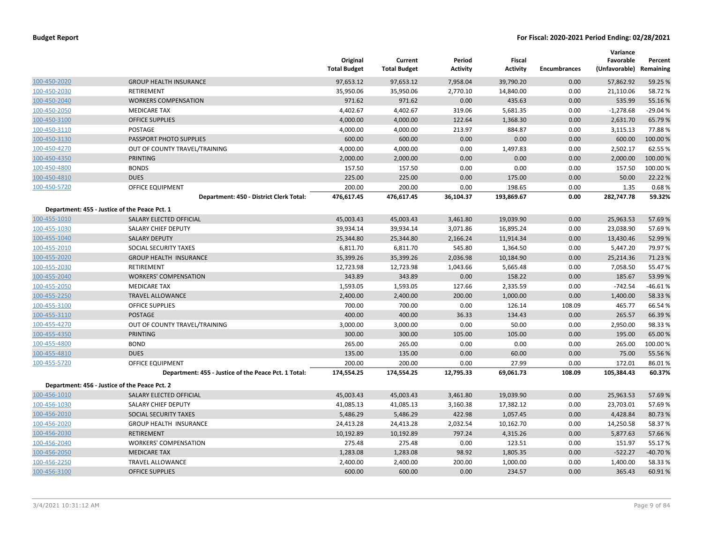|              |                                                      | Original<br><b>Total Budget</b> | Current<br><b>Total Budget</b> | Period<br><b>Activity</b> | <b>Fiscal</b><br><b>Activity</b> | <b>Encumbrances</b> | Variance<br>Favorable<br>(Unfavorable) | Percent<br>Remaining |
|--------------|------------------------------------------------------|---------------------------------|--------------------------------|---------------------------|----------------------------------|---------------------|----------------------------------------|----------------------|
| 100-450-2020 | <b>GROUP HEALTH INSURANCE</b>                        | 97,653.12                       | 97,653.12                      | 7,958.04                  | 39,790.20                        | 0.00                | 57,862.92                              | 59.25 %              |
| 100-450-2030 | <b>RETIREMENT</b>                                    | 35,950.06                       | 35,950.06                      | 2,770.10                  | 14,840.00                        | 0.00                | 21,110.06                              | 58.72 %              |
| 100-450-2040 | <b>WORKERS COMPENSATION</b>                          | 971.62                          | 971.62                         | 0.00                      | 435.63                           | 0.00                | 535.99                                 | 55.16%               |
| 100-450-2050 | <b>MEDICARE TAX</b>                                  | 4,402.67                        | 4,402.67                       | 319.06                    | 5,681.35                         | 0.00                | $-1,278.68$                            | $-29.04%$            |
| 100-450-3100 | <b>OFFICE SUPPLIES</b>                               | 4,000.00                        | 4,000.00                       | 122.64                    | 1,368.30                         | 0.00                | 2,631.70                               | 65.79 %              |
| 100-450-3110 | POSTAGE                                              | 4,000.00                        | 4,000.00                       | 213.97                    | 884.87                           | 0.00                | 3,115.13                               | 77.88%               |
| 100-450-3130 | PASSPORT PHOTO SUPPLIES                              | 600.00                          | 600.00                         | 0.00                      | 0.00                             | 0.00                | 600.00                                 | 100.00 %             |
| 100-450-4270 | OUT OF COUNTY TRAVEL/TRAINING                        | 4,000.00                        | 4,000.00                       | 0.00                      | 1,497.83                         | 0.00                | 2,502.17                               | 62.55 %              |
| 100-450-4350 | <b>PRINTING</b>                                      | 2,000.00                        | 2,000.00                       | 0.00                      | 0.00                             | 0.00                | 2,000.00                               | 100.00%              |
| 100-450-4800 | <b>BONDS</b>                                         | 157.50                          | 157.50                         | 0.00                      | 0.00                             | 0.00                | 157.50                                 | 100.00%              |
| 100-450-4810 | <b>DUES</b>                                          | 225.00                          | 225.00                         | 0.00                      | 175.00                           | 0.00                | 50.00                                  | 22.22 %              |
| 100-450-5720 | OFFICE EQUIPMENT                                     | 200.00                          | 200.00                         | 0.00                      | 198.65                           | 0.00                | 1.35                                   | 0.68%                |
|              | Department: 450 - District Clerk Total:              | 476,617.45                      | 476,617.45                     | 36,104.37                 | 193,869.67                       | 0.00                | 282,747.78                             | 59.32%               |
|              | Department: 455 - Justice of the Peace Pct. 1        |                                 |                                |                           |                                  |                     |                                        |                      |
| 100-455-1010 | SALARY ELECTED OFFICIAL                              | 45,003.43                       | 45,003.43                      | 3,461.80                  | 19,039.90                        | 0.00                | 25,963.53                              | 57.69%               |
| 100-455-1030 | SALARY CHIEF DEPUTY                                  | 39,934.14                       | 39,934.14                      | 3,071.86                  | 16,895.24                        | 0.00                | 23,038.90                              | 57.69%               |
| 100-455-1040 | <b>SALARY DEPUTY</b>                                 | 25,344.80                       | 25,344.80                      | 2,166.24                  | 11,914.34                        | 0.00                | 13,430.46                              | 52.99 %              |
| 100-455-2010 | SOCIAL SECURITY TAXES                                | 6,811.70                        | 6,811.70                       | 545.80                    | 1,364.50                         | 0.00                | 5,447.20                               | 79.97%               |
| 100-455-2020 | <b>GROUP HEALTH INSURANCE</b>                        | 35,399.26                       | 35,399.26                      | 2,036.98                  | 10,184.90                        | 0.00                | 25,214.36                              | 71.23 %              |
| 100-455-2030 | RETIREMENT                                           | 12,723.98                       | 12,723.98                      | 1,043.66                  | 5,665.48                         | 0.00                | 7,058.50                               | 55.47%               |
| 100-455-2040 | <b>WORKERS' COMPENSATION</b>                         | 343.89                          | 343.89                         | 0.00                      | 158.22                           | 0.00                | 185.67                                 | 53.99 %              |
| 100-455-2050 | <b>MEDICARE TAX</b>                                  | 1,593.05                        | 1,593.05                       | 127.66                    | 2,335.59                         | 0.00                | $-742.54$                              | $-46.61%$            |
| 100-455-2250 | <b>TRAVEL ALLOWANCE</b>                              | 2,400.00                        | 2,400.00                       | 200.00                    | 1,000.00                         | 0.00                | 1,400.00                               | 58.33 %              |
| 100-455-3100 | <b>OFFICE SUPPLIES</b>                               | 700.00                          | 700.00                         | 0.00                      | 126.14                           | 108.09              | 465.77                                 | 66.54 %              |
| 100-455-3110 | <b>POSTAGE</b>                                       | 400.00                          | 400.00                         | 36.33                     | 134.43                           | 0.00                | 265.57                                 | 66.39 %              |
| 100-455-4270 | OUT OF COUNTY TRAVEL/TRAINING                        | 3,000.00                        | 3,000.00                       | 0.00                      | 50.00                            | 0.00                | 2,950.00                               | 98.33%               |
| 100-455-4350 | <b>PRINTING</b>                                      | 300.00                          | 300.00                         | 105.00                    | 105.00                           | 0.00                | 195.00                                 | 65.00 %              |
| 100-455-4800 | <b>BOND</b>                                          | 265.00                          | 265.00                         | 0.00                      | 0.00                             | 0.00                | 265.00                                 | 100.00%              |
| 100-455-4810 | <b>DUES</b>                                          | 135.00                          | 135.00                         | 0.00                      | 60.00                            | 0.00                | 75.00                                  | 55.56 %              |
| 100-455-5720 | <b>OFFICE EQUIPMENT</b>                              | 200.00                          | 200.00                         | 0.00                      | 27.99                            | 0.00                | 172.01                                 | 86.01%               |
|              | Department: 455 - Justice of the Peace Pct. 1 Total: | 174,554.25                      | 174,554.25                     | 12,795.33                 | 69,061.73                        | 108.09              | 105,384.43                             | 60.37%               |
|              | Department: 456 - Justice of the Peace Pct. 2        |                                 |                                |                           |                                  |                     |                                        |                      |
| 100-456-1010 | SALARY ELECTED OFFICIAL                              | 45,003.43                       | 45,003.43                      | 3,461.80                  | 19,039.90                        | 0.00                | 25,963.53                              | 57.69 %              |
| 100-456-1030 | SALARY CHIEF DEPUTY                                  | 41,085.13                       | 41,085.13                      | 3,160.38                  | 17,382.12                        | 0.00                | 23,703.01                              | 57.69%               |
| 100-456-2010 | SOCIAL SECURITY TAXES                                | 5,486.29                        | 5,486.29                       | 422.98                    | 1,057.45                         | 0.00                | 4,428.84                               | 80.73%               |
| 100-456-2020 | <b>GROUP HEALTH INSURANCE</b>                        | 24,413.28                       | 24,413.28                      | 2,032.54                  | 10,162.70                        | 0.00                | 14,250.58                              | 58.37%               |
| 100-456-2030 | <b>RETIREMENT</b>                                    | 10,192.89                       | 10,192.89                      | 797.24                    | 4,315.26                         | 0.00                | 5,877.63                               | 57.66%               |
| 100-456-2040 | <b>WORKERS' COMPENSATION</b>                         | 275.48                          | 275.48                         | 0.00                      | 123.51                           | 0.00                | 151.97                                 | 55.17%               |
| 100-456-2050 | <b>MEDICARE TAX</b>                                  | 1,283.08                        | 1,283.08                       | 98.92                     | 1,805.35                         | 0.00                | $-522.27$                              | $-40.70%$            |
| 100-456-2250 | <b>TRAVEL ALLOWANCE</b>                              | 2,400.00                        | 2,400.00                       | 200.00                    | 1,000.00                         | 0.00                | 1,400.00                               | 58.33 %              |
| 100-456-3100 | <b>OFFICE SUPPLIES</b>                               | 600.00                          | 600.00                         | 0.00                      | 234.57                           | 0.00                | 365.43                                 | 60.91%               |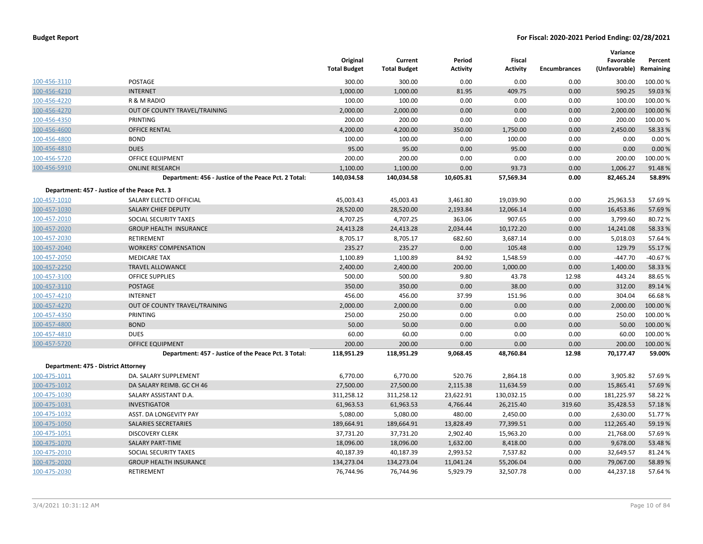|                                               |                                                      |                                 |                                |                           |                           |                     | Variance                   |                      |
|-----------------------------------------------|------------------------------------------------------|---------------------------------|--------------------------------|---------------------------|---------------------------|---------------------|----------------------------|----------------------|
|                                               |                                                      | Original<br><b>Total Budget</b> | Current<br><b>Total Budget</b> | Period<br><b>Activity</b> | Fiscal<br><b>Activity</b> | <b>Encumbrances</b> | Favorable<br>(Unfavorable) | Percent<br>Remaining |
| 100-456-3110                                  | <b>POSTAGE</b>                                       | 300.00                          | 300.00                         | 0.00                      | 0.00                      | 0.00                | 300.00                     | 100.00 %             |
| 100-456-4210                                  | <b>INTERNET</b>                                      | 1,000.00                        | 1,000.00                       | 81.95                     | 409.75                    | 0.00                | 590.25                     | 59.03 %              |
| 100-456-4220                                  | R & M RADIO                                          | 100.00                          | 100.00                         | 0.00                      | 0.00                      | 0.00                | 100.00                     | 100.00%              |
| 100-456-4270                                  | OUT OF COUNTY TRAVEL/TRAINING                        | 2,000.00                        | 2,000.00                       | 0.00                      | 0.00                      | 0.00                | 2,000.00                   | 100.00%              |
| 100-456-4350                                  | PRINTING                                             | 200.00                          | 200.00                         | 0.00                      | 0.00                      | 0.00                | 200.00                     | 100.00%              |
| 100-456-4600                                  | <b>OFFICE RENTAL</b>                                 | 4,200.00                        | 4,200.00                       | 350.00                    | 1,750.00                  | 0.00                | 2,450.00                   | 58.33 %              |
| 100-456-4800                                  | <b>BOND</b>                                          | 100.00                          | 100.00                         | 0.00                      | 100.00                    | 0.00                | 0.00                       | 0.00%                |
| 100-456-4810                                  | <b>DUES</b>                                          | 95.00                           | 95.00                          | 0.00                      | 95.00                     | 0.00                | 0.00                       | 0.00 %               |
| 100-456-5720                                  | OFFICE EQUIPMENT                                     | 200.00                          | 200.00                         | 0.00                      | 0.00                      | 0.00                | 200.00                     | 100.00%              |
| 100-456-5910                                  | <b>ONLINE RESEARCH</b>                               | 1,100.00                        | 1,100.00                       | 0.00                      | 93.73                     | 0.00                | 1,006.27                   | 91.48%               |
|                                               | Department: 456 - Justice of the Peace Pct. 2 Total: | 140,034.58                      | 140,034.58                     | 10,605.81                 | 57,569.34                 | 0.00                | 82,465.24                  | 58.89%               |
| Department: 457 - Justice of the Peace Pct. 3 |                                                      |                                 |                                |                           |                           |                     |                            |                      |
| 100-457-1010                                  | SALARY ELECTED OFFICIAL                              | 45,003.43                       | 45,003.43                      | 3,461.80                  | 19,039.90                 | 0.00                | 25,963.53                  | 57.69%               |
| 100-457-1030                                  | SALARY CHIEF DEPUTY                                  | 28,520.00                       | 28,520.00                      | 2,193.84                  | 12,066.14                 | 0.00                | 16,453.86                  | 57.69%               |
| 100-457-2010                                  | SOCIAL SECURITY TAXES                                | 4,707.25                        | 4,707.25                       | 363.06                    | 907.65                    | 0.00                | 3,799.60                   | 80.72%               |
| 100-457-2020                                  | <b>GROUP HEALTH INSURANCE</b>                        | 24,413.28                       | 24,413.28                      | 2,034.44                  | 10,172.20                 | 0.00                | 14,241.08                  | 58.33 %              |
| 100-457-2030                                  | RETIREMENT                                           | 8,705.17                        | 8,705.17                       | 682.60                    | 3,687.14                  | 0.00                | 5,018.03                   | 57.64%               |
| 100-457-2040                                  | <b>WORKERS' COMPENSATION</b>                         | 235.27                          | 235.27                         | 0.00                      | 105.48                    | 0.00                | 129.79                     | 55.17%               |
| 100-457-2050                                  | <b>MEDICARE TAX</b>                                  | 1,100.89                        | 1,100.89                       | 84.92                     | 1,548.59                  | 0.00                | $-447.70$                  | $-40.67%$            |
| 100-457-2250                                  | <b>TRAVEL ALLOWANCE</b>                              | 2,400.00                        | 2,400.00                       | 200.00                    | 1,000.00                  | 0.00                | 1,400.00                   | 58.33 %              |
| 100-457-3100                                  | <b>OFFICE SUPPLIES</b>                               | 500.00                          | 500.00                         | 9.80                      | 43.78                     | 12.98               | 443.24                     | 88.65 %              |
| 100-457-3110                                  | POSTAGE                                              | 350.00                          | 350.00                         | 0.00                      | 38.00                     | 0.00                | 312.00                     | 89.14 %              |
| 100-457-4210                                  | <b>INTERNET</b>                                      | 456.00                          | 456.00                         | 37.99                     | 151.96                    | 0.00                | 304.04                     | 66.68%               |
| 100-457-4270                                  | OUT OF COUNTY TRAVEL/TRAINING                        | 2,000.00                        | 2,000.00                       | 0.00                      | 0.00                      | 0.00                | 2,000.00                   | 100.00 %             |
| 100-457-4350                                  | PRINTING                                             | 250.00                          | 250.00                         | 0.00                      | 0.00                      | 0.00                | 250.00                     | 100.00%              |
| 100-457-4800                                  | <b>BOND</b>                                          | 50.00                           | 50.00                          | 0.00                      | 0.00                      | 0.00                | 50.00                      | 100.00 %             |
| 100-457-4810                                  | <b>DUES</b>                                          | 60.00                           | 60.00                          | 0.00                      | 0.00                      | 0.00                | 60.00                      | 100.00%              |
| 100-457-5720                                  | <b>OFFICE EQUIPMENT</b>                              | 200.00                          | 200.00                         | 0.00                      | 0.00                      | 0.00                | 200.00                     | 100.00 %             |
|                                               | Department: 457 - Justice of the Peace Pct. 3 Total: | 118,951.29                      | 118,951.29                     | 9,068.45                  | 48,760.84                 | 12.98               | 70,177.47                  | 59.00%               |
| Department: 475 - District Attorney           |                                                      |                                 |                                |                           |                           |                     |                            |                      |
| 100-475-1011                                  | DA. SALARY SUPPLEMENT                                | 6,770.00                        | 6,770.00                       | 520.76                    | 2,864.18                  | 0.00                | 3,905.82                   | 57.69%               |
| 100-475-1012                                  | DA SALARY REIMB. GC CH 46                            | 27,500.00                       | 27,500.00                      | 2,115.38                  | 11,634.59                 | 0.00                | 15,865.41                  | 57.69%               |
| 100-475-1030                                  | SALARY ASSISTANT D.A.                                | 311,258.12                      | 311,258.12                     | 23,622.91                 | 130,032.15                | 0.00                | 181,225.97                 | 58.22 %              |
| 100-475-1031                                  | <b>INVESTIGATOR</b>                                  | 61,963.53                       | 61,963.53                      | 4,766.44                  | 26,215.40                 | 319.60              | 35,428.53                  | 57.18%               |
| 100-475-1032                                  | ASST. DA LONGEVITY PAY                               | 5,080.00                        | 5,080.00                       | 480.00                    | 2,450.00                  | 0.00                | 2,630.00                   | 51.77%               |
| 100-475-1050                                  | SALARIES SECRETARIES                                 | 189,664.91                      | 189,664.91                     | 13,828.49                 | 77,399.51                 | 0.00                | 112,265.40                 | 59.19%               |
| 100-475-1051                                  | <b>DISCOVERY CLERK</b>                               | 37,731.20                       | 37,731.20                      | 2,902.40                  | 15,963.20                 | 0.00                | 21,768.00                  | 57.69%               |
| 100-475-1070                                  | <b>SALARY PART-TIME</b>                              | 18,096.00                       | 18,096.00                      | 1,632.00                  | 8,418.00                  | 0.00                | 9,678.00                   | 53.48 %              |
| 100-475-2010                                  | SOCIAL SECURITY TAXES                                | 40,187.39                       | 40,187.39                      | 2,993.52                  | 7,537.82                  | 0.00                | 32,649.57                  | 81.24 %              |
| 100-475-2020                                  | <b>GROUP HEALTH INSURANCE</b>                        | 134,273.04                      | 134,273.04                     | 11,041.24                 | 55,206.04                 | 0.00                | 79,067.00                  | 58.89 %              |
| 100-475-2030                                  | RETIREMENT                                           | 76,744.96                       | 76,744.96                      | 5,929.79                  | 32,507.78                 | 0.00                | 44,237.18                  | 57.64%               |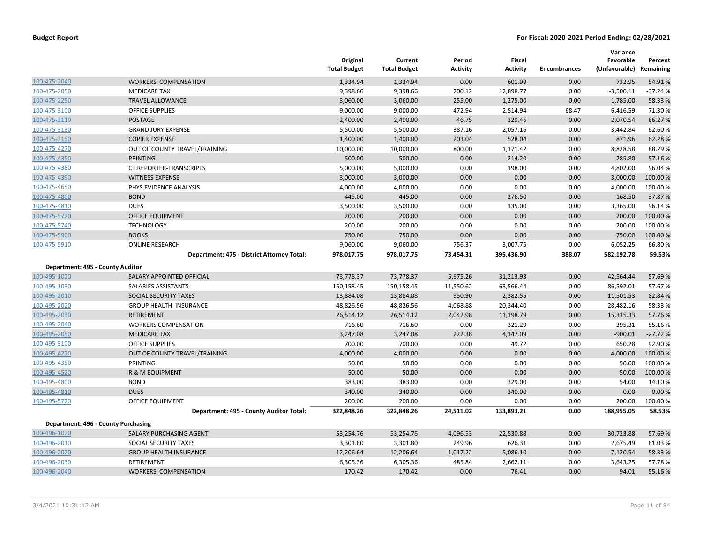|                                  |                                            | Original<br><b>Total Budget</b> | Current<br><b>Total Budget</b> | Period<br><b>Activity</b> | Fiscal<br><b>Activity</b> | <b>Encumbrances</b> | Variance<br>Favorable<br>(Unfavorable) | Percent<br>Remaining |
|----------------------------------|--------------------------------------------|---------------------------------|--------------------------------|---------------------------|---------------------------|---------------------|----------------------------------------|----------------------|
| 100-475-2040                     | <b>WORKERS' COMPENSATION</b>               | 1,334.94                        | 1,334.94                       | 0.00                      | 601.99                    | 0.00                | 732.95                                 | 54.91%               |
| 100-475-2050                     | <b>MEDICARE TAX</b>                        | 9,398.66                        | 9,398.66                       | 700.12                    | 12,898.77                 | 0.00                | $-3,500.11$                            | $-37.24%$            |
| 100-475-2250                     | <b>TRAVEL ALLOWANCE</b>                    | 3,060.00                        | 3,060.00                       | 255.00                    | 1,275.00                  | 0.00                | 1,785.00                               | 58.33 %              |
| 100-475-3100                     | OFFICE SUPPLIES                            | 9,000.00                        | 9,000.00                       | 472.94                    | 2,514.94                  | 68.47               | 6,416.59                               | 71.30%               |
| 100-475-3110                     | <b>POSTAGE</b>                             | 2,400.00                        | 2,400.00                       | 46.75                     | 329.46                    | 0.00                | 2,070.54                               | 86.27 %              |
| 100-475-3130                     | <b>GRAND JURY EXPENSE</b>                  | 5,500.00                        | 5,500.00                       | 387.16                    | 2,057.16                  | 0.00                | 3,442.84                               | 62.60%               |
| 100-475-3150                     | <b>COPIER EXPENSE</b>                      | 1,400.00                        | 1,400.00                       | 203.04                    | 528.04                    | 0.00                | 871.96                                 | 62.28%               |
| 100-475-4270                     | OUT OF COUNTY TRAVEL/TRAINING              | 10,000.00                       | 10,000.00                      | 800.00                    | 1,171.42                  | 0.00                | 8,828.58                               | 88.29%               |
| 100-475-4350                     | <b>PRINTING</b>                            | 500.00                          | 500.00                         | 0.00                      | 214.20                    | 0.00                | 285.80                                 | 57.16 %              |
| 100-475-4380                     | CT.REPORTER-TRANSCRIPTS                    | 5,000.00                        | 5,000.00                       | 0.00                      | 198.00                    | 0.00                | 4,802.00                               | 96.04%               |
| 100-475-4390                     | <b>WITNESS EXPENSE</b>                     | 3,000.00                        | 3,000.00                       | 0.00                      | 0.00                      | 0.00                | 3,000.00                               | 100.00 %             |
| 100-475-4650                     | PHYS.EVIDENCE ANALYSIS                     | 4,000.00                        | 4,000.00                       | 0.00                      | 0.00                      | 0.00                | 4,000.00                               | 100.00%              |
| 100-475-4800                     | <b>BOND</b>                                | 445.00                          | 445.00                         | 0.00                      | 276.50                    | 0.00                | 168.50                                 | 37.87 %              |
| 100-475-4810                     | <b>DUES</b>                                | 3,500.00                        | 3,500.00                       | 0.00                      | 135.00                    | 0.00                | 3,365.00                               | 96.14%               |
| 100-475-5720                     | OFFICE EQUIPMENT                           | 200.00                          | 200.00                         | 0.00                      | 0.00                      | 0.00                | 200.00                                 | 100.00 %             |
| 100-475-5740                     | <b>TECHNOLOGY</b>                          | 200.00                          | 200.00                         | 0.00                      | 0.00                      | 0.00                | 200.00                                 | 100.00 %             |
| 100-475-5900                     | <b>BOOKS</b>                               | 750.00                          | 750.00                         | 0.00                      | 0.00                      | 0.00                | 750.00                                 | 100.00 %             |
| 100-475-5910                     | <b>ONLINE RESEARCH</b>                     | 9,060.00                        | 9,060.00                       | 756.37                    | 3,007.75                  | 0.00                | 6,052.25                               | 66.80%               |
|                                  | Department: 475 - District Attorney Total: | 978,017.75                      | 978,017.75                     | 73,454.31                 | 395,436.90                | 388.07              | 582,192.78                             | 59.53%               |
| Department: 495 - County Auditor |                                            |                                 |                                |                           |                           |                     |                                        |                      |
| 100-495-1020                     | SALARY APPOINTED OFFICIAL                  | 73,778.37                       | 73,778.37                      | 5,675.26                  | 31,213.93                 | 0.00                | 42,564.44                              | 57.69%               |
| 100-495-1030                     | SALARIES ASSISTANTS                        | 150,158.45                      | 150,158.45                     | 11,550.62                 | 63,566.44                 | 0.00                | 86,592.01                              | 57.67%               |
| 100-495-2010                     | SOCIAL SECURITY TAXES                      | 13,884.08                       | 13,884.08                      | 950.90                    | 2,382.55                  | 0.00                | 11,501.53                              | 82.84 %              |
| 100-495-2020                     | <b>GROUP HEALTH INSURANCE</b>              | 48,826.56                       | 48,826.56                      | 4,068.88                  | 20,344.40                 | 0.00                | 28,482.16                              | 58.33 %              |
| 100-495-2030                     | <b>RETIREMENT</b>                          | 26,514.12                       | 26,514.12                      | 2,042.98                  | 11,198.79                 | 0.00                | 15,315.33                              | 57.76 %              |
| 100-495-2040                     | <b>WORKERS COMPENSATION</b>                | 716.60                          | 716.60                         | 0.00                      | 321.29                    | 0.00                | 395.31                                 | 55.16%               |
| 100-495-2050                     | <b>MEDICARE TAX</b>                        | 3,247.08                        | 3,247.08                       | 222.38                    | 4,147.09                  | 0.00                | $-900.01$                              | $-27.72%$            |
| 100-495-3100                     | <b>OFFICE SUPPLIES</b>                     | 700.00                          | 700.00                         | 0.00                      | 49.72                     | 0.00                | 650.28                                 | 92.90%               |
| 100-495-4270                     | OUT OF COUNTY TRAVEL/TRAINING              | 4,000.00                        | 4,000.00                       | 0.00                      | 0.00                      | 0.00                | 4,000.00                               | 100.00 %             |
| 100-495-4350                     | PRINTING                                   | 50.00                           | 50.00                          | 0.00                      | 0.00                      | 0.00                | 50.00                                  | 100.00%              |
| 100-495-4520                     | R & M EQUIPMENT                            | 50.00                           | 50.00                          | 0.00                      | 0.00                      | 0.00                | 50.00                                  | 100.00 %             |
| 100-495-4800                     | <b>BOND</b>                                | 383.00                          | 383.00                         | 0.00                      | 329.00                    | 0.00                | 54.00                                  | 14.10%               |
| 100-495-4810                     | <b>DUES</b>                                | 340.00                          | 340.00                         | 0.00                      | 340.00                    | 0.00                | 0.00                                   | 0.00%                |
| 100-495-5720                     | OFFICE EQUIPMENT                           | 200.00                          | 200.00                         | 0.00                      | 0.00                      | 0.00                | 200.00                                 | 100.00 %             |
|                                  | Department: 495 - County Auditor Total:    | 322,848.26                      | 322,848.26                     | 24,511.02                 | 133,893.21                | 0.00                | 188,955.05                             | 58.53%               |
|                                  | Department: 496 - County Purchasing        |                                 |                                |                           |                           |                     |                                        |                      |
| 100-496-1020                     | SALARY PURCHASING AGENT                    | 53,254.76                       | 53,254.76                      | 4,096.53                  | 22,530.88                 | 0.00                | 30,723.88                              | 57.69%               |
| 100-496-2010                     | SOCIAL SECURITY TAXES                      | 3,301.80                        | 3,301.80                       | 249.96                    | 626.31                    | 0.00                | 2,675.49                               | 81.03%               |
| 100-496-2020                     | <b>GROUP HEALTH INSURANCE</b>              | 12,206.64                       | 12,206.64                      | 1,017.22                  | 5,086.10                  | 0.00                | 7,120.54                               | 58.33 %              |
| 100-496-2030                     | <b>RETIREMENT</b>                          | 6,305.36                        | 6,305.36                       | 485.84                    | 2,662.11                  | 0.00                | 3,643.25                               | 57.78%               |
| 100-496-2040                     | <b>WORKERS' COMPENSATION</b>               | 170.42                          | 170.42                         | 0.00                      | 76.41                     | 0.00                | 94.01                                  | 55.16%               |
|                                  |                                            |                                 |                                |                           |                           |                     |                                        |                      |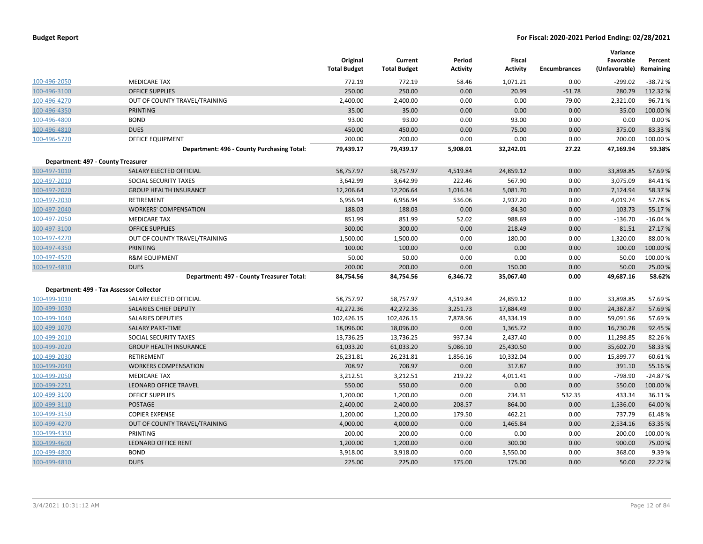|                                    |                                            | Original<br><b>Total Budget</b> | Current<br><b>Total Budget</b> | Period<br>Activity | Fiscal<br><b>Activity</b> | <b>Encumbrances</b> | Variance<br>Favorable<br>(Unfavorable) | Percent<br>Remaining |
|------------------------------------|--------------------------------------------|---------------------------------|--------------------------------|--------------------|---------------------------|---------------------|----------------------------------------|----------------------|
| 100-496-2050                       | <b>MEDICARE TAX</b>                        | 772.19                          | 772.19                         | 58.46              | 1,071.21                  | 0.00                | $-299.02$                              | $-38.72%$            |
| 100-496-3100                       | <b>OFFICE SUPPLIES</b>                     | 250.00                          | 250.00                         | 0.00               | 20.99                     | $-51.78$            | 280.79                                 | 112.32 %             |
| 100-496-4270                       | OUT OF COUNTY TRAVEL/TRAINING              | 2,400.00                        | 2,400.00                       | 0.00               | 0.00                      | 79.00               | 2,321.00                               | 96.71%               |
| 100-496-4350                       | <b>PRINTING</b>                            | 35.00                           | 35.00                          | 0.00               | 0.00                      | 0.00                | 35.00                                  | 100.00%              |
| 100-496-4800                       | <b>BOND</b>                                | 93.00                           | 93.00                          | 0.00               | 93.00                     | 0.00                | 0.00                                   | 0.00%                |
| 100-496-4810                       | <b>DUES</b>                                | 450.00                          | 450.00                         | 0.00               | 75.00                     | 0.00                | 375.00                                 | 83.33 %              |
| 100-496-5720                       | <b>OFFICE EQUIPMENT</b>                    | 200.00                          | 200.00                         | 0.00               | 0.00                      | 0.00                | 200.00                                 | 100.00%              |
|                                    | Department: 496 - County Purchasing Total: | 79,439.17                       | 79,439.17                      | 5,908.01           | 32,242.01                 | 27.22               | 47,169.94                              | 59.38%               |
| Department: 497 - County Treasurer |                                            |                                 |                                |                    |                           |                     |                                        |                      |
| 100-497-1010                       | SALARY ELECTED OFFICIAL                    | 58,757.97                       | 58,757.97                      | 4,519.84           | 24,859.12                 | 0.00                | 33,898.85                              | 57.69%               |
| 100-497-2010                       | SOCIAL SECURITY TAXES                      | 3,642.99                        | 3,642.99                       | 222.46             | 567.90                    | 0.00                | 3,075.09                               | 84.41%               |
| 100-497-2020                       | <b>GROUP HEALTH INSURANCE</b>              | 12,206.64                       | 12,206.64                      | 1,016.34           | 5,081.70                  | 0.00                | 7,124.94                               | 58.37 %              |
| 100-497-2030                       | RETIREMENT                                 | 6,956.94                        | 6,956.94                       | 536.06             | 2,937.20                  | 0.00                | 4,019.74                               | 57.78%               |
| 100-497-2040                       | <b>WORKERS' COMPENSATION</b>               | 188.03                          | 188.03                         | 0.00               | 84.30                     | 0.00                | 103.73                                 | 55.17 %              |
| 100-497-2050                       | <b>MEDICARE TAX</b>                        | 851.99                          | 851.99                         | 52.02              | 988.69                    | 0.00                | $-136.70$                              | $-16.04%$            |
| 100-497-3100                       | <b>OFFICE SUPPLIES</b>                     | 300.00                          | 300.00                         | 0.00               | 218.49                    | 0.00                | 81.51                                  | 27.17%               |
| 100-497-4270                       | OUT OF COUNTY TRAVEL/TRAINING              | 1,500.00                        | 1,500.00                       | 0.00               | 180.00                    | 0.00                | 1,320.00                               | 88.00%               |
| 100-497-4350                       | <b>PRINTING</b>                            | 100.00                          | 100.00                         | 0.00               | 0.00                      | 0.00                | 100.00                                 | 100.00%              |
| 100-497-4520                       | <b>R&amp;M EQUIPMENT</b>                   | 50.00                           | 50.00                          | 0.00               | 0.00                      | 0.00                | 50.00                                  | 100.00%              |
| 100-497-4810                       | <b>DUES</b>                                | 200.00                          | 200.00                         | 0.00               | 150.00                    | 0.00                | 50.00                                  | 25.00 %              |
|                                    | Department: 497 - County Treasurer Total:  | 84,754.56                       | 84,754.56                      | 6,346.72           | 35,067.40                 | 0.00                | 49,687.16                              | 58.62%               |
|                                    | Department: 499 - Tax Assessor Collector   |                                 |                                |                    |                           |                     |                                        |                      |
| 100-499-1010                       | SALARY ELECTED OFFICIAL                    | 58,757.97                       | 58,757.97                      | 4,519.84           | 24,859.12                 | 0.00                | 33,898.85                              | 57.69%               |
| 100-499-1030                       | SALARIES CHIEF DEPUTY                      | 42,272.36                       | 42,272.36                      | 3,251.73           | 17,884.49                 | 0.00                | 24,387.87                              | 57.69%               |
| 100-499-1040                       | <b>SALARIES DEPUTIES</b>                   | 102,426.15                      | 102,426.15                     | 7,878.96           | 43,334.19                 | 0.00                | 59,091.96                              | 57.69%               |
| 100-499-1070                       | <b>SALARY PART-TIME</b>                    | 18,096.00                       | 18,096.00                      | 0.00               | 1,365.72                  | 0.00                | 16,730.28                              | 92.45 %              |
| 100-499-2010                       | SOCIAL SECURITY TAXES                      | 13,736.25                       | 13,736.25                      | 937.34             | 2,437.40                  | 0.00                | 11,298.85                              | 82.26%               |
| 100-499-2020                       | <b>GROUP HEALTH INSURANCE</b>              | 61,033.20                       | 61,033.20                      | 5,086.10           | 25,430.50                 | 0.00                | 35,602.70                              | 58.33 %              |
| 100-499-2030                       | RETIREMENT                                 | 26,231.81                       | 26,231.81                      | 1,856.16           | 10,332.04                 | 0.00                | 15,899.77                              | 60.61%               |
| 100-499-2040                       | <b>WORKERS COMPENSATION</b>                | 708.97                          | 708.97                         | 0.00               | 317.87                    | 0.00                | 391.10                                 | 55.16%               |
| 100-499-2050                       | <b>MEDICARE TAX</b>                        | 3,212.51                        | 3,212.51                       | 219.22             | 4,011.41                  | 0.00                | $-798.90$                              | $-24.87%$            |
| 100-499-2251                       | <b>LEONARD OFFICE TRAVEL</b>               | 550.00                          | 550.00                         | 0.00               | 0.00                      | 0.00                | 550.00                                 | 100.00%              |
| 100-499-3100                       | <b>OFFICE SUPPLIES</b>                     | 1,200.00                        | 1,200.00                       | 0.00               | 234.31                    | 532.35              | 433.34                                 | 36.11%               |
| 100-499-3110                       | POSTAGE                                    | 2,400.00                        | 2,400.00                       | 208.57             | 864.00                    | 0.00                | 1,536.00                               | 64.00 %              |
| 100-499-3150                       | <b>COPIER EXPENSE</b>                      | 1,200.00                        | 1,200.00                       | 179.50             | 462.21                    | 0.00                | 737.79                                 | 61.48%               |
| 100-499-4270                       | OUT OF COUNTY TRAVEL/TRAINING              | 4,000.00                        | 4,000.00                       | 0.00               | 1,465.84                  | 0.00                | 2,534.16                               | 63.35 %              |
| 100-499-4350                       | PRINTING                                   | 200.00                          | 200.00                         | 0.00               | 0.00                      | 0.00                | 200.00                                 | 100.00 %             |
| 100-499-4600                       | <b>LEONARD OFFICE RENT</b>                 | 1,200.00                        | 1,200.00                       | 0.00               | 300.00                    | 0.00                | 900.00                                 | 75.00 %              |
| 100-499-4800                       | <b>BOND</b>                                | 3,918.00                        | 3,918.00                       | 0.00               | 3,550.00                  | 0.00                | 368.00                                 | 9.39%                |
| 100-499-4810                       | <b>DUES</b>                                | 225.00                          | 225.00                         | 175.00             | 175.00                    | 0.00                | 50.00                                  | 22.22 %              |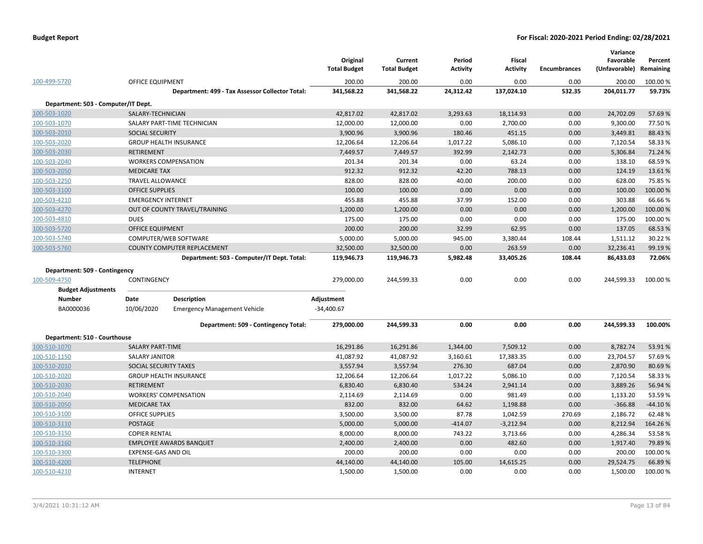|                                     |                           |                                                 | Original<br><b>Total Budget</b> | Current<br><b>Total Budget</b> | Period<br><b>Activity</b> | <b>Fiscal</b><br><b>Activity</b> | <b>Encumbrances</b> | Variance<br>Favorable<br>(Unfavorable) | Percent<br>Remaining |
|-------------------------------------|---------------------------|-------------------------------------------------|---------------------------------|--------------------------------|---------------------------|----------------------------------|---------------------|----------------------------------------|----------------------|
| 100-499-5720                        | <b>OFFICE EQUIPMENT</b>   |                                                 | 200.00                          | 200.00                         | 0.00                      | 0.00                             | 0.00                | 200.00                                 | 100.00 %             |
|                                     |                           | Department: 499 - Tax Assessor Collector Total: | 341,568.22                      | 341,568.22                     | 24,312.42                 | 137,024.10                       | 532.35              | 204,011.77                             | 59.73%               |
| Department: 503 - Computer/IT Dept. |                           |                                                 |                                 |                                |                           |                                  |                     |                                        |                      |
| 100-503-1020                        | SALARY-TECHNICIAN         |                                                 | 42,817.02                       | 42,817.02                      | 3,293.63                  | 18,114.93                        | 0.00                | 24,702.09                              | 57.69%               |
| 100-503-1070                        |                           | SALARY PART-TIME TECHNICIAN                     | 12,000.00                       | 12,000.00                      | 0.00                      | 2,700.00                         | 0.00                | 9,300.00                               | 77.50%               |
| 100-503-2010                        | <b>SOCIAL SECURITY</b>    |                                                 | 3,900.96                        | 3,900.96                       | 180.46                    | 451.15                           | 0.00                | 3,449.81                               | 88.43%               |
| 100-503-2020                        |                           | <b>GROUP HEALTH INSURANCE</b>                   | 12,206.64                       | 12,206.64                      | 1,017.22                  | 5,086.10                         | 0.00                | 7,120.54                               | 58.33%               |
| 100-503-2030                        | <b>RETIREMENT</b>         |                                                 | 7,449.57                        | 7,449.57                       | 392.99                    | 2,142.73                         | 0.00                | 5,306.84                               | 71.24 %              |
| 100-503-2040                        |                           | <b>WORKERS COMPENSATION</b>                     | 201.34                          | 201.34                         | 0.00                      | 63.24                            | 0.00                | 138.10                                 | 68.59%               |
| 100-503-2050                        | <b>MEDICARE TAX</b>       |                                                 | 912.32                          | 912.32                         | 42.20                     | 788.13                           | 0.00                | 124.19                                 | 13.61%               |
| 100-503-2250                        | <b>TRAVEL ALLOWANCE</b>   |                                                 | 828.00                          | 828.00                         | 40.00                     | 200.00                           | 0.00                | 628.00                                 | 75.85%               |
| 100-503-3100                        | <b>OFFICE SUPPLIES</b>    |                                                 | 100.00                          | 100.00                         | 0.00                      | 0.00                             | 0.00                | 100.00                                 | 100.00%              |
| 100-503-4210                        | <b>EMERGENCY INTERNET</b> |                                                 | 455.88                          | 455.88                         | 37.99                     | 152.00                           | 0.00                | 303.88                                 | 66.66%               |
| 100-503-4270                        |                           | OUT OF COUNTY TRAVEL/TRAINING                   | 1,200.00                        | 1,200.00                       | 0.00                      | 0.00                             | 0.00                | 1,200.00                               | 100.00%              |
| 100-503-4810                        | <b>DUES</b>               |                                                 | 175.00                          | 175.00                         | 0.00                      | 0.00                             | 0.00                | 175.00                                 | 100.00%              |
| 100-503-5720                        | <b>OFFICE EQUIPMENT</b>   |                                                 | 200.00                          | 200.00                         | 32.99                     | 62.95                            | 0.00                | 137.05                                 | 68.53%               |
| 100-503-5740                        |                           | COMPUTER/WEB SOFTWARE                           | 5,000.00                        | 5,000.00                       | 945.00                    | 3,380.44                         | 108.44              | 1,511.12                               | 30.22 %              |
| 100-503-5760                        |                           | <b>COUNTY COMPUTER REPLACEMENT</b>              | 32,500.00                       | 32,500.00                      | 0.00                      | 263.59                           | 0.00                | 32,236.41                              | 99.19%               |
|                                     |                           | Department: 503 - Computer/IT Dept. Total:      | 119,946.73                      | 119,946.73                     | 5,982.48                  | 33,405.26                        | 108.44              | 86,433.03                              | 72.06%               |
| Department: 509 - Contingency       |                           |                                                 |                                 |                                |                           |                                  |                     |                                        |                      |
| 100-509-4750                        | CONTINGENCY               |                                                 | 279,000.00                      | 244,599.33                     | 0.00                      | 0.00                             | 0.00                | 244,599.33                             | 100.00 %             |
| <b>Budget Adjustments</b>           |                           |                                                 |                                 |                                |                           |                                  |                     |                                        |                      |
| <b>Number</b>                       | Date                      | <b>Description</b>                              | Adjustment                      |                                |                           |                                  |                     |                                        |                      |
| BA0000036                           | 10/06/2020                | <b>Emergency Management Vehicle</b>             | $-34,400.67$                    |                                |                           |                                  |                     |                                        |                      |
|                                     |                           | Department: 509 - Contingency Total:            | 279,000.00                      | 244,599.33                     | 0.00                      | 0.00                             | 0.00                | 244,599.33                             | 100.00%              |
| Department: 510 - Courthouse        |                           |                                                 |                                 |                                |                           |                                  |                     |                                        |                      |
| 100-510-1070                        | SALARY PART-TIME          |                                                 | 16,291.86                       | 16,291.86                      | 1,344.00                  | 7,509.12                         | 0.00                | 8,782.74                               | 53.91%               |
| 100-510-1150                        | <b>SALARY JANITOR</b>     |                                                 | 41,087.92                       | 41,087.92                      | 3,160.61                  | 17,383.35                        | 0.00                | 23,704.57                              | 57.69%               |
| 100-510-2010                        | SOCIAL SECURITY TAXES     |                                                 | 3,557.94                        | 3,557.94                       | 276.30                    | 687.04                           | 0.00                | 2,870.90                               | 80.69%               |
| 100-510-2020                        |                           | <b>GROUP HEALTH INSURANCE</b>                   | 12,206.64                       | 12,206.64                      | 1,017.22                  | 5,086.10                         | 0.00                | 7,120.54                               | 58.33%               |
| 100-510-2030                        | <b>RETIREMENT</b>         |                                                 | 6,830.40                        | 6,830.40                       | 534.24                    | 2,941.14                         | 0.00                | 3,889.26                               | 56.94 %              |
| 100-510-2040                        |                           | <b>WORKERS' COMPENSATION</b>                    | 2,114.69                        | 2,114.69                       | 0.00                      | 981.49                           | 0.00                | 1,133.20                               | 53.59%               |
| 100-510-2050                        | <b>MEDICARE TAX</b>       |                                                 | 832.00                          | 832.00                         | 64.62                     | 1,198.88                         | 0.00                | $-366.88$                              | $-44.10%$            |
| 100-510-3100                        | <b>OFFICE SUPPLIES</b>    |                                                 | 3,500.00                        | 3,500.00                       | 87.78                     | 1,042.59                         | 270.69              | 2,186.72                               | 62.48%               |
| 100-510-3110                        | <b>POSTAGE</b>            |                                                 | 5,000.00                        | 5,000.00                       | $-414.07$                 | $-3,212.94$                      | 0.00                | 8,212.94                               | 164.26%              |
| 100-510-3150                        | <b>COPIER RENTAL</b>      |                                                 | 8,000.00                        | 8,000.00                       | 743.22                    | 3,713.66                         | 0.00                | 4,286.34                               | 53.58%               |
| 100-510-3160                        |                           | <b>EMPLOYEE AWARDS BANQUET</b>                  | 2,400.00                        | 2,400.00                       | 0.00                      | 482.60                           | 0.00                | 1,917.40                               | 79.89%               |
| 100-510-3300                        | EXPENSE-GAS AND OIL       |                                                 | 200.00                          | 200.00                         | 0.00                      | 0.00                             | 0.00                | 200.00                                 | 100.00 %             |
| 100-510-4200                        | <b>TELEPHONE</b>          |                                                 | 44,140.00                       | 44,140.00                      | 105.00                    | 14,615.25                        | 0.00                | 29,524.75                              | 66.89%               |
| 100-510-4210                        | <b>INTERNET</b>           |                                                 | 1,500.00                        | 1,500.00                       | 0.00                      | 0.00                             | 0.00                | 1,500.00                               | 100.00 %             |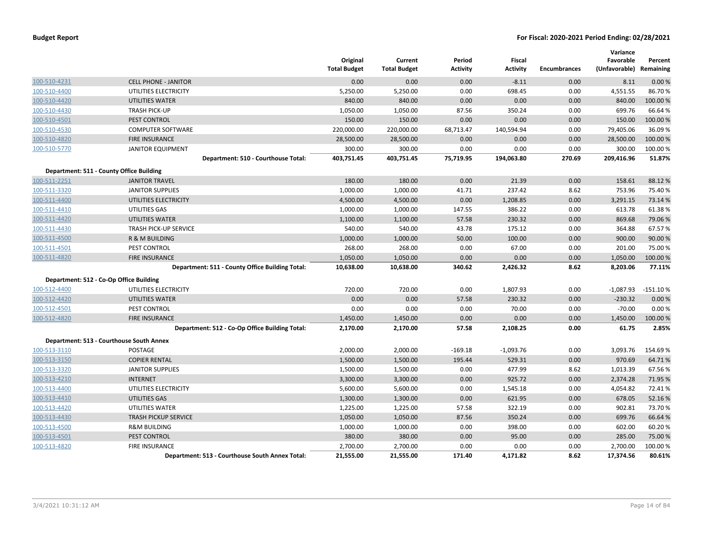|              |                                                 | Original<br><b>Total Budget</b> | Current<br><b>Total Budget</b> | Period<br><b>Activity</b> | <b>Fiscal</b><br><b>Activity</b> | <b>Encumbrances</b> | Variance<br>Favorable<br>(Unfavorable) Remaining | Percent    |
|--------------|-------------------------------------------------|---------------------------------|--------------------------------|---------------------------|----------------------------------|---------------------|--------------------------------------------------|------------|
| 100-510-4231 | <b>CELL PHONE - JANITOR</b>                     | 0.00                            | 0.00                           | 0.00                      | $-8.11$                          | 0.00                | 8.11                                             | 0.00%      |
| 100-510-4400 | UTILITIES ELECTRICITY                           | 5,250.00                        | 5,250.00                       | 0.00                      | 698.45                           | 0.00                | 4,551.55                                         | 86.70%     |
| 100-510-4420 | <b>UTILITIES WATER</b>                          | 840.00                          | 840.00                         | 0.00                      | 0.00                             | 0.00                | 840.00                                           | 100.00%    |
| 100-510-4430 | <b>TRASH PICK-UP</b>                            | 1,050.00                        | 1,050.00                       | 87.56                     | 350.24                           | 0.00                | 699.76                                           | 66.64 %    |
| 100-510-4501 | PEST CONTROL                                    | 150.00                          | 150.00                         | 0.00                      | 0.00                             | 0.00                | 150.00                                           | 100.00%    |
| 100-510-4530 | <b>COMPUTER SOFTWARE</b>                        | 220,000.00                      | 220,000.00                     | 68,713.47                 | 140,594.94                       | 0.00                | 79,405.06                                        | 36.09%     |
| 100-510-4820 | <b>FIRE INSURANCE</b>                           | 28,500.00                       | 28,500.00                      | 0.00                      | 0.00                             | 0.00                | 28,500.00                                        | 100.00%    |
| 100-510-5770 | <b>JANITOR EQUIPMENT</b>                        | 300.00                          | 300.00                         | 0.00                      | 0.00                             | 0.00                | 300.00                                           | 100.00 %   |
|              | Department: 510 - Courthouse Total:             | 403,751.45                      | 403,751.45                     | 75,719.95                 | 194,063.80                       | 270.69              | 209,416.96                                       | 51.87%     |
|              | Department: 511 - County Office Building        |                                 |                                |                           |                                  |                     |                                                  |            |
| 100-511-2251 | <b>JANITOR TRAVEL</b>                           | 180.00                          | 180.00                         | 0.00                      | 21.39                            | 0.00                | 158.61                                           | 88.12%     |
| 100-511-3320 | <b>JANITOR SUPPLIES</b>                         | 1,000.00                        | 1,000.00                       | 41.71                     | 237.42                           | 8.62                | 753.96                                           | 75.40%     |
| 100-511-4400 | UTILITIES ELECTRICITY                           | 4,500.00                        | 4,500.00                       | 0.00                      | 1,208.85                         | 0.00                | 3,291.15                                         | 73.14 %    |
| 100-511-4410 | UTILITIES GAS                                   | 1,000.00                        | 1,000.00                       | 147.55                    | 386.22                           | 0.00                | 613.78                                           | 61.38%     |
| 100-511-4420 | <b>UTILITIES WATER</b>                          | 1,100.00                        | 1,100.00                       | 57.58                     | 230.32                           | 0.00                | 869.68                                           | 79.06%     |
| 100-511-4430 | <b>TRASH PICK-UP SERVICE</b>                    | 540.00                          | 540.00                         | 43.78                     | 175.12                           | 0.00                | 364.88                                           | 67.57%     |
| 100-511-4500 | R & M BUILDING                                  | 1,000.00                        | 1,000.00                       | 50.00                     | 100.00                           | 0.00                | 900.00                                           | 90.00 %    |
| 100-511-4501 | PEST CONTROL                                    | 268.00                          | 268.00                         | 0.00                      | 67.00                            | 0.00                | 201.00                                           | 75.00 %    |
| 100-511-4820 | <b>FIRE INSURANCE</b>                           | 1,050.00                        | 1,050.00                       | 0.00                      | 0.00                             | 0.00                | 1,050.00                                         | 100.00%    |
|              | Department: 511 - County Office Building Total: | 10,638.00                       | 10,638.00                      | 340.62                    | 2,426.32                         | 8.62                | 8,203.06                                         | 77.11%     |
|              | Department: 512 - Co-Op Office Building         |                                 |                                |                           |                                  |                     |                                                  |            |
| 100-512-4400 | UTILITIES ELECTRICITY                           | 720.00                          | 720.00                         | 0.00                      | 1,807.93                         | 0.00                | $-1,087.93$                                      | $-151.10%$ |
| 100-512-4420 | <b>UTILITIES WATER</b>                          | 0.00                            | 0.00                           | 57.58                     | 230.32                           | 0.00                | $-230.32$                                        | 0.00%      |
| 100-512-4501 | PEST CONTROL                                    | 0.00                            | 0.00                           | 0.00                      | 70.00                            | 0.00                | $-70.00$                                         | 0.00%      |
| 100-512-4820 | <b>FIRE INSURANCE</b>                           | 1,450.00                        | 1,450.00                       | 0.00                      | 0.00                             | 0.00                | 1,450.00                                         | 100.00 %   |
|              | Department: 512 - Co-Op Office Building Total:  | 2,170.00                        | 2,170.00                       | 57.58                     | 2,108.25                         | 0.00                | 61.75                                            | 2.85%      |
|              | Department: 513 - Courthouse South Annex        |                                 |                                |                           |                                  |                     |                                                  |            |
| 100-513-3110 | <b>POSTAGE</b>                                  | 2,000.00                        | 2,000.00                       | $-169.18$                 | $-1,093.76$                      | 0.00                | 3,093.76                                         | 154.69%    |
| 100-513-3150 | <b>COPIER RENTAL</b>                            | 1,500.00                        | 1,500.00                       | 195.44                    | 529.31                           | 0.00                | 970.69                                           | 64.71%     |
| 100-513-3320 | <b>JANITOR SUPPLIES</b>                         | 1,500.00                        | 1,500.00                       | 0.00                      | 477.99                           | 8.62                | 1,013.39                                         | 67.56%     |
| 100-513-4210 | <b>INTERNET</b>                                 | 3,300.00                        | 3,300.00                       | 0.00                      | 925.72                           | 0.00                | 2,374.28                                         | 71.95 %    |
| 100-513-4400 | UTILITIES ELECTRICITY                           | 5,600.00                        | 5,600.00                       | 0.00                      | 1,545.18                         | 0.00                | 4,054.82                                         | 72.41%     |
| 100-513-4410 | <b>UTILITIES GAS</b>                            | 1,300.00                        | 1,300.00                       | 0.00                      | 621.95                           | 0.00                | 678.05                                           | 52.16%     |
| 100-513-4420 | UTILITIES WATER                                 | 1,225.00                        | 1,225.00                       | 57.58                     | 322.19                           | 0.00                | 902.81                                           | 73.70%     |
| 100-513-4430 | <b>TRASH PICKUP SERVICE</b>                     | 1,050.00                        | 1,050.00                       | 87.56                     | 350.24                           | 0.00                | 699.76                                           | 66.64 %    |
| 100-513-4500 | <b>R&amp;M BUILDING</b>                         | 1,000.00                        | 1,000.00                       | 0.00                      | 398.00                           | 0.00                | 602.00                                           | 60.20%     |
| 100-513-4501 | PEST CONTROL                                    | 380.00                          | 380.00                         | 0.00                      | 95.00                            | 0.00                | 285.00                                           | 75.00 %    |
| 100-513-4820 | <b>FIRE INSURANCE</b>                           | 2,700.00                        | 2,700.00                       | 0.00                      | 0.00                             | 0.00                | 2,700.00                                         | 100.00 %   |
|              | Department: 513 - Courthouse South Annex Total: | 21,555.00                       | 21,555.00                      | 171.40                    | 4,171.82                         | 8.62                | 17,374.56                                        | 80.61%     |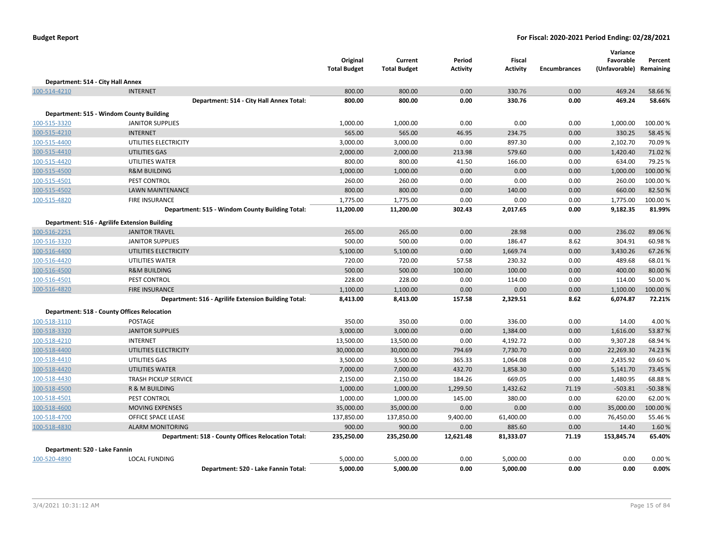|                                   |                                                      | Original            | Current             | Period          | Fiscal          |                     | Variance<br>Favorable   | Percent   |
|-----------------------------------|------------------------------------------------------|---------------------|---------------------|-----------------|-----------------|---------------------|-------------------------|-----------|
|                                   |                                                      | <b>Total Budget</b> | <b>Total Budget</b> | <b>Activity</b> | <b>Activity</b> | <b>Encumbrances</b> | (Unfavorable) Remaining |           |
| Department: 514 - City Hall Annex |                                                      |                     |                     |                 |                 |                     |                         |           |
| 100-514-4210                      | <b>INTERNET</b>                                      | 800.00              | 800.00              | 0.00            | 330.76          | 0.00                | 469.24                  | 58.66%    |
|                                   | Department: 514 - City Hall Annex Total:             | 800.00              | 800.00              | 0.00            | 330.76          | 0.00                | 469.24                  | 58.66%    |
|                                   | Department: 515 - Windom County Building             |                     |                     |                 |                 |                     |                         |           |
| 100-515-3320                      | <b>JANITOR SUPPLIES</b>                              | 1,000.00            | 1,000.00            | 0.00            | 0.00            | 0.00                | 1,000.00                | 100.00%   |
| 100-515-4210                      | <b>INTERNET</b>                                      | 565.00              | 565.00              | 46.95           | 234.75          | 0.00                | 330.25                  | 58.45 %   |
| 100-515-4400                      | UTILITIES ELECTRICITY                                | 3,000.00            | 3,000.00            | 0.00            | 897.30          | 0.00                | 2,102.70                | 70.09%    |
| 100-515-4410                      | UTILITIES GAS                                        | 2,000.00            | 2,000.00            | 213.98          | 579.60          | 0.00                | 1,420.40                | 71.02 %   |
| 100-515-4420                      | UTILITIES WATER                                      | 800.00              | 800.00              | 41.50           | 166.00          | 0.00                | 634.00                  | 79.25 %   |
| 100-515-4500                      | <b>R&amp;M BUILDING</b>                              | 1,000.00            | 1,000.00            | 0.00            | 0.00            | 0.00                | 1,000.00                | 100.00%   |
| 100-515-4501                      | PEST CONTROL                                         | 260.00              | 260.00              | 0.00            | 0.00            | 0.00                | 260.00                  | 100.00%   |
| 100-515-4502                      | <b>LAWN MAINTENANCE</b>                              | 800.00              | 800.00              | 0.00            | 140.00          | 0.00                | 660.00                  | 82.50%    |
| 100-515-4820                      | <b>FIRE INSURANCE</b>                                | 1,775.00            | 1,775.00            | 0.00            | 0.00            | 0.00                | 1,775.00                | 100.00%   |
|                                   | Department: 515 - Windom County Building Total:      | 11,200.00           | 11,200.00           | 302.43          | 2,017.65        | 0.00                | 9,182.35                | 81.99%    |
|                                   | Department: 516 - Agrilife Extension Building        |                     |                     |                 |                 |                     |                         |           |
| 100-516-2251                      | <b>JANITOR TRAVEL</b>                                | 265.00              | 265.00              | 0.00            | 28.98           | 0.00                | 236.02                  | 89.06%    |
| 100-516-3320                      | <b>JANITOR SUPPLIES</b>                              | 500.00              | 500.00              | 0.00            | 186.47          | 8.62                | 304.91                  | 60.98%    |
| 100-516-4400                      | UTILITIES ELECTRICITY                                | 5,100.00            | 5,100.00            | 0.00            | 1,669.74        | 0.00                | 3,430.26                | 67.26%    |
| 100-516-4420                      | UTILITIES WATER                                      | 720.00              | 720.00              | 57.58           | 230.32          | 0.00                | 489.68                  | 68.01%    |
| 100-516-4500                      | <b>R&amp;M BUILDING</b>                              | 500.00              | 500.00              | 100.00          | 100.00          | 0.00                | 400.00                  | 80.00 %   |
| 100-516-4501                      | PEST CONTROL                                         | 228.00              | 228.00              | 0.00            | 114.00          | 0.00                | 114.00                  | 50.00 %   |
| 100-516-4820                      | <b>FIRE INSURANCE</b>                                | 1,100.00            | 1,100.00            | 0.00            | 0.00            | 0.00                | 1,100.00                | 100.00%   |
|                                   | Department: 516 - Agrilife Extension Building Total: | 8,413.00            | 8,413.00            | 157.58          | 2,329.51        | 8.62                | 6,074.87                | 72.21%    |
|                                   | <b>Department: 518 - County Offices Relocation</b>   |                     |                     |                 |                 |                     |                         |           |
| 100-518-3110                      | <b>POSTAGE</b>                                       | 350.00              | 350.00              | 0.00            | 336.00          | 0.00                | 14.00                   | 4.00%     |
| 100-518-3320                      | <b>JANITOR SUPPLIES</b>                              | 3,000.00            | 3,000.00            | 0.00            | 1,384.00        | 0.00                | 1,616.00                | 53.87%    |
| 100-518-4210                      | <b>INTERNET</b>                                      | 13,500.00           | 13,500.00           | 0.00            | 4,192.72        | 0.00                | 9,307.28                | 68.94 %   |
| 100-518-4400                      | UTILITIES ELECTRICITY                                | 30,000.00           | 30,000.00           | 794.69          | 7,730.70        | 0.00                | 22,269.30               | 74.23 %   |
| 100-518-4410                      | UTILITIES GAS                                        | 3,500.00            | 3,500.00            | 365.33          | 1,064.08        | 0.00                | 2,435.92                | 69.60%    |
| 100-518-4420                      | UTILITIES WATER                                      | 7,000.00            | 7,000.00            | 432.70          | 1,858.30        | 0.00                | 5,141.70                | 73.45 %   |
| 100-518-4430                      | TRASH PICKUP SERVICE                                 | 2,150.00            | 2,150.00            | 184.26          | 669.05          | 0.00                | 1,480.95                | 68.88%    |
| 100-518-4500                      | R & M BUILDING                                       | 1,000.00            | 1,000.00            | 1,299.50        | 1,432.62        | 71.19               | $-503.81$               | $-50.38%$ |
| 100-518-4501                      | PEST CONTROL                                         | 1,000.00            | 1,000.00            | 145.00          | 380.00          | 0.00                | 620.00                  | 62.00 %   |
| 100-518-4600                      | <b>MOVING EXPENSES</b>                               | 35,000.00           | 35,000.00           | 0.00            | 0.00            | 0.00                | 35,000.00               | 100.00%   |
| 100-518-4700                      | OFFICE SPACE LEASE                                   | 137,850.00          | 137,850.00          | 9,400.00        | 61,400.00       | 0.00                | 76,450.00               | 55.46 %   |
| 100-518-4830                      | <b>ALARM MONITORING</b>                              | 900.00              | 900.00              | 0.00            | 885.60          | 0.00                | 14.40                   | 1.60%     |
|                                   | Department: 518 - County Offices Relocation Total:   | 235,250.00          | 235,250.00          | 12,621.48       | 81,333.07       | 71.19               | 153,845.74              | 65.40%    |
| Department: 520 - Lake Fannin     |                                                      |                     |                     |                 |                 |                     |                         |           |
| 100-520-4890                      | <b>LOCAL FUNDING</b>                                 | 5,000.00            | 5,000.00            | 0.00            | 5,000.00        | 0.00                | 0.00                    | 0.00%     |
|                                   | Department: 520 - Lake Fannin Total:                 | 5,000.00            | 5,000.00            | 0.00            | 5,000.00        | 0.00                | 0.00                    | 0.00%     |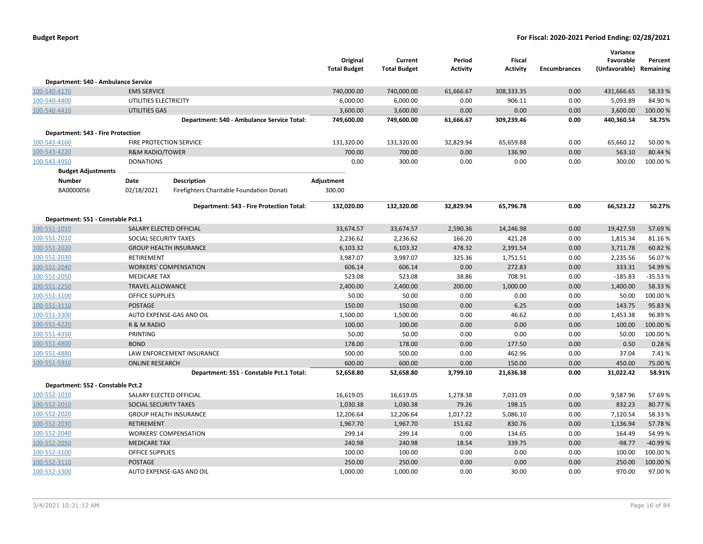|                                          |                            |                                            | Original<br><b>Total Budget</b> | Current<br><b>Total Budget</b> | Period<br><b>Activity</b> | Fiscal<br><b>Activity</b> | <b>Encumbrances</b> | Variance<br>Favorable<br>(Unfavorable) Remaining | Percent          |
|------------------------------------------|----------------------------|--------------------------------------------|---------------------------------|--------------------------------|---------------------------|---------------------------|---------------------|--------------------------------------------------|------------------|
| Department: 540 - Ambulance Service      |                            |                                            |                                 |                                |                           |                           |                     |                                                  |                  |
| 100-540-4170                             | <b>EMS SERVICE</b>         |                                            | 740,000.00                      | 740,000.00                     | 61,666.67                 | 308,333.35                | 0.00                | 431,666.65                                       | 58.33 %          |
| 100-540-4400                             | UTILITIES ELECTRICITY      |                                            | 6,000.00                        | 6,000.00                       | 0.00                      | 906.11                    | 0.00                | 5,093.89                                         | 84.90%           |
| 100-540-4410                             | <b>UTILITIES GAS</b>       |                                            | 3,600.00                        | 3,600.00                       | 0.00                      | 0.00                      | 0.00                | 3,600.00                                         | 100.00%          |
|                                          |                            | Department: 540 - Ambulance Service Total: | 749,600.00                      | 749,600.00                     | 61,666.67                 | 309,239.46                | 0.00                | 440,360.54                                       | 58.75%           |
| <b>Department: 543 - Fire Protection</b> |                            |                                            |                                 |                                |                           |                           |                     |                                                  |                  |
| 100-543-4160                             | FIRE PROTECTION SERVICE    |                                            | 131,320.00                      | 131,320.00                     | 32,829.94                 | 65,659.88                 | 0.00                | 65,660.12                                        | 50.00%           |
| 100-543-4220                             | <b>R&amp;M RADIO/TOWER</b> |                                            | 700.00                          | 700.00                         | 0.00                      | 136.90                    | 0.00                | 563.10                                           | 80.44 %          |
| 100-543-4950                             | <b>DONATIONS</b>           |                                            | 0.00                            | 300.00                         | 0.00                      | 0.00                      | 0.00                | 300.00                                           | 100.00%          |
| <b>Budget Adjustments</b>                |                            |                                            |                                 |                                |                           |                           |                     |                                                  |                  |
| <b>Number</b>                            | Date                       | <b>Description</b>                         | Adjustment                      |                                |                           |                           |                     |                                                  |                  |
| BA0000056                                | 02/18/2021                 | Firefighters Charitable Foundation Donati  | 300.00                          |                                |                           |                           |                     |                                                  |                  |
|                                          |                            | Department: 543 - Fire Protection Total:   | 132,020.00                      | 132,320.00                     | 32,829.94                 | 65,796.78                 | 0.00                | 66,523.22                                        | 50.27%           |
|                                          |                            |                                            |                                 |                                |                           |                           |                     |                                                  |                  |
| Department: 551 - Constable Pct.1        |                            |                                            |                                 |                                |                           |                           |                     |                                                  |                  |
| 100-551-1010                             | SALARY ELECTED OFFICIAL    |                                            | 33,674.57                       | 33,674.57                      | 2,590.36                  | 14,246.98                 | 0.00                | 19,427.59                                        | 57.69%           |
| 100-551-2010                             | SOCIAL SECURITY TAXES      |                                            | 2,236.62                        | 2,236.62                       | 166.20                    | 421.28                    | 0.00<br>0.00        | 1,815.34                                         | 81.16%           |
| 100-551-2020                             | RETIREMENT                 | <b>GROUP HEALTH INSURANCE</b>              | 6,103.32                        | 6,103.32                       | 478.32                    | 2,391.54                  | 0.00                | 3,711.78                                         | 60.82%<br>56.07% |
| 100-551-2030                             |                            | <b>WORKERS' COMPENSATION</b>               | 3,987.07                        | 3,987.07<br>606.14             | 325.36<br>0.00            | 1,751.51<br>272.83        | 0.00                | 2,235.56<br>333.31                               | 54.99%           |
| 100-551-2040<br>100-551-2050             | <b>MEDICARE TAX</b>        |                                            | 606.14<br>523.08                |                                |                           | 708.91                    | 0.00                | $-185.83$                                        | $-35.53%$        |
| 100-551-2250                             | <b>TRAVEL ALLOWANCE</b>    |                                            | 2,400.00                        | 523.08<br>2,400.00             | 38.86<br>200.00           | 1,000.00                  | 0.00                | 1,400.00                                         | 58.33 %          |
| 100-551-3100                             | <b>OFFICE SUPPLIES</b>     |                                            | 50.00                           | 50.00                          | 0.00                      | 0.00                      | 0.00                | 50.00                                            | 100.00 %         |
| 100-551-3110                             | <b>POSTAGE</b>             |                                            | 150.00                          | 150.00                         | 0.00                      | 6.25                      | 0.00                | 143.75                                           | 95.83 %          |
| 100-551-3300                             |                            | AUTO EXPENSE-GAS AND OIL                   | 1,500.00                        | 1,500.00                       | 0.00                      | 46.62                     | 0.00                | 1,453.38                                         | 96.89%           |
| 100-551-4220                             | R & M RADIO                |                                            | 100.00                          | 100.00                         | 0.00                      | 0.00                      | 0.00                | 100.00                                           | 100.00 %         |
| 100-551-4350                             | PRINTING                   |                                            | 50.00                           | 50.00                          | 0.00                      | 0.00                      | 0.00                | 50.00                                            | 100.00%          |
| 100-551-4800                             | <b>BOND</b>                |                                            | 178.00                          | 178.00                         | 0.00                      | 177.50                    | 0.00                | 0.50                                             | 0.28%            |
| 100-551-4880                             |                            | LAW ENFORCEMENT INSURANCE                  | 500.00                          | 500.00                         | 0.00                      | 462.96                    | 0.00                | 37.04                                            | 7.41%            |
| 100-551-5910                             | <b>ONLINE RESEARCH</b>     |                                            | 600.00                          | 600.00                         | 0.00                      | 150.00                    | 0.00                | 450.00                                           | 75.00 %          |
|                                          |                            | Department: 551 - Constable Pct.1 Total:   | 52,658.80                       | 52,658.80                      | 3,799.10                  | 21,636.38                 | 0.00                | 31,022.42                                        | 58.91%           |
| Department: 552 - Constable Pct.2        |                            |                                            |                                 |                                |                           |                           |                     |                                                  |                  |
| 100-552-1010                             | SALARY ELECTED OFFICIAL    |                                            | 16,619.05                       | 16,619.05                      | 1,278.38                  | 7,031.09                  | 0.00                | 9,587.96                                         | 57.69%           |
| 100-552-2010                             | SOCIAL SECURITY TAXES      |                                            | 1,030.38                        | 1,030.38                       | 79.26                     | 198.15                    | 0.00                | 832.23                                           | 80.77%           |
| 100-552-2020                             |                            | <b>GROUP HEALTH INSURANCE</b>              | 12,206.64                       | 12,206.64                      | 1,017.22                  | 5,086.10                  | 0.00                | 7,120.54                                         | 58.33%           |
| 100-552-2030                             | <b>RETIREMENT</b>          |                                            | 1,967.70                        | 1,967.70                       | 151.62                    | 830.76                    | 0.00                | 1,136.94                                         | 57.78%           |
| 100-552-2040                             |                            | <b>WORKERS' COMPENSATION</b>               | 299.14                          | 299.14                         | 0.00                      | 134.65                    | 0.00                | 164.49                                           | 54.99%           |
| 100-552-2050                             | <b>MEDICARE TAX</b>        |                                            | 240.98                          | 240.98                         | 18.54                     | 339.75                    | 0.00                | $-98.77$                                         | -40.99%          |
| 100-552-3100                             | <b>OFFICE SUPPLIES</b>     |                                            | 100.00                          | 100.00                         | 0.00                      | 0.00                      | 0.00                | 100.00                                           | 100.00 %         |
| 100-552-3110                             | <b>POSTAGE</b>             |                                            | 250.00                          | 250.00                         | 0.00                      | 0.00                      | 0.00                | 250.00                                           | 100.00 %         |
| 100-552-3300                             |                            | AUTO EXPENSE-GAS AND OIL                   | 1,000.00                        | 1,000.00                       | 0.00                      | 30.00                     | 0.00                | 970.00                                           | 97.00%           |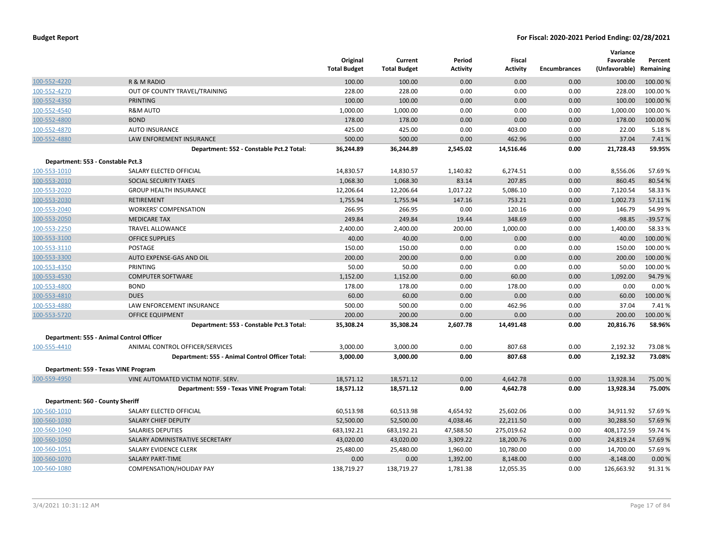|                                   |                                                 | Original<br><b>Total Budget</b> | Current<br><b>Total Budget</b> | Period<br>Activity | <b>Fiscal</b><br><b>Activity</b> | <b>Encumbrances</b> | Variance<br>Favorable<br>(Unfavorable) | Percent<br>Remaining |
|-----------------------------------|-------------------------------------------------|---------------------------------|--------------------------------|--------------------|----------------------------------|---------------------|----------------------------------------|----------------------|
| 100-552-4220                      | R & M RADIO                                     | 100.00                          | 100.00                         | 0.00               | 0.00                             | 0.00                | 100.00                                 | 100.00 %             |
| 100-552-4270                      | OUT OF COUNTY TRAVEL/TRAINING                   | 228.00                          | 228.00                         | 0.00               | 0.00                             | 0.00                | 228.00                                 | 100.00%              |
| 100-552-4350                      | <b>PRINTING</b>                                 | 100.00                          | 100.00                         | 0.00               | 0.00                             | 0.00                | 100.00                                 | 100.00%              |
| 100-552-4540                      | <b>R&amp;M AUTO</b>                             | 1,000.00                        | 1,000.00                       | 0.00               | 0.00                             | 0.00                | 1,000.00                               | 100.00%              |
| 100-552-4800                      | <b>BOND</b>                                     | 178.00                          | 178.00                         | 0.00               | 0.00                             | 0.00                | 178.00                                 | 100.00 %             |
| 100-552-4870                      | <b>AUTO INSURANCE</b>                           | 425.00                          | 425.00                         | 0.00               | 403.00                           | 0.00                | 22.00                                  | 5.18%                |
| 100-552-4880                      | LAW ENFOREMENT INSURANCE                        | 500.00                          | 500.00                         | 0.00               | 462.96                           | 0.00                | 37.04                                  | 7.41%                |
|                                   | Department: 552 - Constable Pct.2 Total:        | 36,244.89                       | 36,244.89                      | 2,545.02           | 14,516.46                        | 0.00                | 21,728.43                              | 59.95%               |
| Department: 553 - Constable Pct.3 |                                                 |                                 |                                |                    |                                  |                     |                                        |                      |
| 100-553-1010                      | SALARY ELECTED OFFICIAL                         | 14,830.57                       | 14,830.57                      | 1,140.82           | 6,274.51                         | 0.00                | 8,556.06                               | 57.69%               |
| 100-553-2010                      | SOCIAL SECURITY TAXES                           | 1,068.30                        | 1,068.30                       | 83.14              | 207.85                           | 0.00                | 860.45                                 | 80.54 %              |
| 100-553-2020                      | <b>GROUP HEALTH INSURANCE</b>                   | 12,206.64                       | 12,206.64                      | 1,017.22           | 5,086.10                         | 0.00                | 7,120.54                               | 58.33%               |
| 100-553-2030                      | <b>RETIREMENT</b>                               | 1,755.94                        | 1,755.94                       | 147.16             | 753.21                           | 0.00                | 1,002.73                               | 57.11%               |
| 100-553-2040                      | <b>WORKERS' COMPENSATION</b>                    | 266.95                          | 266.95                         | 0.00               | 120.16                           | 0.00                | 146.79                                 | 54.99%               |
| 100-553-2050                      | <b>MEDICARE TAX</b>                             | 249.84                          | 249.84                         | 19.44              | 348.69                           | 0.00                | $-98.85$                               | $-39.57%$            |
| 100-553-2250                      | <b>TRAVEL ALLOWANCE</b>                         | 2,400.00                        | 2,400.00                       | 200.00             | 1,000.00                         | 0.00                | 1,400.00                               | 58.33 %              |
| 100-553-3100                      | <b>OFFICE SUPPLIES</b>                          | 40.00                           | 40.00                          | 0.00               | 0.00                             | 0.00                | 40.00                                  | 100.00%              |
| 100-553-3110                      | POSTAGE                                         | 150.00                          | 150.00                         | 0.00               | 0.00                             | 0.00                | 150.00                                 | 100.00%              |
| 100-553-3300                      | AUTO EXPENSE-GAS AND OIL                        | 200.00                          | 200.00                         | 0.00               | 0.00                             | 0.00                | 200.00                                 | 100.00 %             |
| 100-553-4350                      | PRINTING                                        | 50.00                           | 50.00                          | 0.00               | 0.00                             | 0.00                | 50.00                                  | 100.00%              |
| 100-553-4530                      | <b>COMPUTER SOFTWARE</b>                        | 1,152.00                        | 1,152.00                       | 0.00               | 60.00                            | 0.00                | 1,092.00                               | 94.79%               |
| 100-553-4800                      | <b>BOND</b>                                     | 178.00                          | 178.00                         | 0.00               | 178.00                           | 0.00                | 0.00                                   | 0.00%                |
| 100-553-4810                      | <b>DUES</b>                                     | 60.00                           | 60.00                          | 0.00               | 0.00                             | 0.00                | 60.00                                  | 100.00%              |
| 100-553-4880                      | LAW ENFORCEMENT INSURANCE                       | 500.00                          | 500.00                         | 0.00               | 462.96                           | 0.00                | 37.04                                  | 7.41%                |
| 100-553-5720                      | <b>OFFICE EQUIPMENT</b>                         | 200.00                          | 200.00                         | 0.00               | 0.00                             | 0.00                | 200.00                                 | 100.00 %             |
|                                   | Department: 553 - Constable Pct.3 Total:        | 35,308.24                       | 35,308.24                      | 2,607.78           | 14,491.48                        | 0.00                | 20,816.76                              | 58.96%               |
|                                   | Department: 555 - Animal Control Officer        |                                 |                                |                    |                                  |                     |                                        |                      |
| 100-555-4410                      | ANIMAL CONTROL OFFICER/SERVICES                 | 3,000.00                        | 3,000.00                       | 0.00               | 807.68                           | 0.00                | 2,192.32                               | 73.08%               |
|                                   | Department: 555 - Animal Control Officer Total: | 3,000.00                        | 3,000.00                       | 0.00               | 807.68                           | 0.00                | 2,192.32                               | 73.08%               |
|                                   | Department: 559 - Texas VINE Program            |                                 |                                |                    |                                  |                     |                                        |                      |
| 100-559-4950                      | VINE AUTOMATED VICTIM NOTIF. SERV.              | 18,571.12                       | 18,571.12                      | 0.00               | 4,642.78                         | 0.00                | 13,928.34                              | 75.00 %              |
|                                   | Department: 559 - Texas VINE Program Total:     | 18,571.12                       | 18,571.12                      | 0.00               | 4,642.78                         | 0.00                | 13,928.34                              | 75.00%               |
| Department: 560 - County Sheriff  |                                                 |                                 |                                |                    |                                  |                     |                                        |                      |
| 100-560-1010                      | SALARY ELECTED OFFICIAL                         | 60,513.98                       | 60,513.98                      | 4,654.92           | 25,602.06                        | 0.00                | 34,911.92                              | 57.69%               |
| 100-560-1030                      | SALARY CHIEF DEPUTY                             | 52,500.00                       | 52,500.00                      | 4,038.46           | 22,211.50                        | 0.00                | 30,288.50                              | 57.69%               |
| 100-560-1040                      | SALARIES DEPUTIES                               | 683,192.21                      | 683,192.21                     | 47,588.50          | 275,019.62                       | 0.00                | 408,172.59                             | 59.74 %              |
| 100-560-1050                      | SALARY ADMINISTRATIVE SECRETARY                 | 43,020.00                       | 43,020.00                      | 3,309.22           | 18,200.76                        | 0.00                | 24,819.24                              | 57.69%               |
| 100-560-1051                      | SALARY EVIDENCE CLERK                           | 25,480.00                       | 25,480.00                      | 1,960.00           | 10,780.00                        | 0.00                | 14,700.00                              | 57.69%               |
| 100-560-1070                      | <b>SALARY PART-TIME</b>                         | 0.00                            | 0.00                           | 1,392.00           | 8,148.00                         | 0.00                | $-8,148.00$                            | 0.00 %               |
| 100-560-1080                      | COMPENSATION/HOLIDAY PAY                        | 138,719.27                      | 138,719.27                     | 1,781.38           | 12,055.35                        | 0.00                | 126,663.92                             | 91.31%               |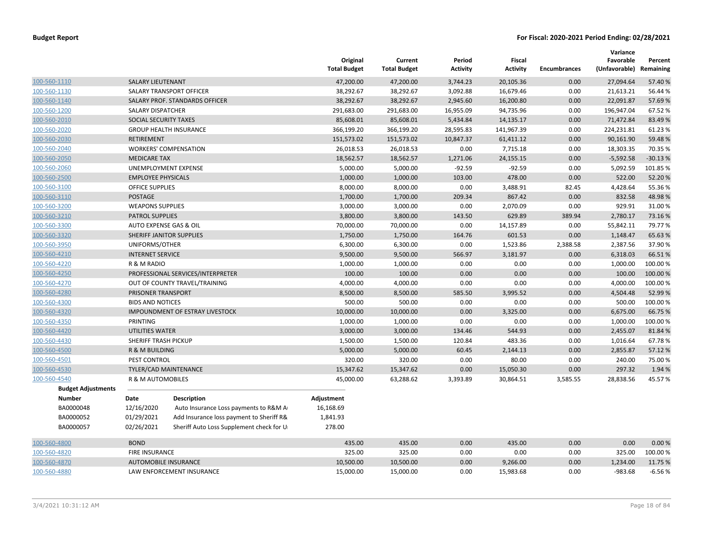|                           |                           |                                          | Original<br><b>Total Budget</b> | Current<br><b>Total Budget</b> | Period<br><b>Activity</b> | <b>Fiscal</b><br><b>Activity</b> | <b>Encumbrances</b> | Variance<br>Favorable<br>(Unfavorable) | Percent<br>Remaining |
|---------------------------|---------------------------|------------------------------------------|---------------------------------|--------------------------------|---------------------------|----------------------------------|---------------------|----------------------------------------|----------------------|
| 100-560-1110              | <b>SALARY LIEUTENANT</b>  |                                          | 47,200.00                       | 47,200.00                      | 3,744.23                  | 20,105.36                        | 0.00                | 27,094.64                              | 57.40 %              |
| 100-560-1130              |                           | SALARY TRANSPORT OFFICER                 | 38,292.67                       | 38,292.67                      | 3,092.88                  | 16,679.46                        | 0.00                | 21,613.21                              | 56.44 %              |
| 100-560-1140              |                           | SALARY PROF. STANDARDS OFFICER           | 38,292.67                       | 38,292.67                      | 2,945.60                  | 16,200.80                        | 0.00                | 22,091.87                              | 57.69%               |
| 100-560-1200              | <b>SALARY DISPATCHER</b>  |                                          | 291,683.00                      | 291,683.00                     | 16,955.09                 | 94,735.96                        | 0.00                | 196,947.04                             | 67.52 %              |
| 100-560-2010              | SOCIAL SECURITY TAXES     |                                          | 85,608.01                       | 85,608.01                      | 5,434.84                  | 14,135.17                        | 0.00                | 71,472.84                              | 83.49 %              |
| 100-560-2020              |                           | <b>GROUP HEALTH INSURANCE</b>            | 366,199.20                      | 366,199.20                     | 28,595.83                 | 141,967.39                       | 0.00                | 224,231.81                             | 61.23%               |
| 100-560-2030              | <b>RETIREMENT</b>         |                                          | 151,573.02                      | 151,573.02                     | 10,847.37                 | 61,411.12                        | 0.00                | 90,161.90                              | 59.48%               |
| 100-560-2040              |                           | <b>WORKERS' COMPENSATION</b>             | 26,018.53                       | 26,018.53                      | 0.00                      | 7,715.18                         | 0.00                | 18,303.35                              | 70.35 %              |
| 100-560-2050              | <b>MEDICARE TAX</b>       |                                          | 18,562.57                       | 18,562.57                      | 1,271.06                  | 24,155.15                        | 0.00                | $-5,592.58$                            | $-30.13%$            |
| 100-560-2060              |                           | UNEMPLOYMENT EXPENSE                     | 5,000.00                        | 5,000.00                       | $-92.59$                  | $-92.59$                         | 0.00                | 5,092.59                               | 101.85%              |
| 100-560-2500              | <b>EMPLOYEE PHYSICALS</b> |                                          | 1,000.00                        | 1,000.00                       | 103.00                    | 478.00                           | 0.00                | 522.00                                 | 52.20%               |
| 100-560-3100              | <b>OFFICE SUPPLIES</b>    |                                          | 8,000.00                        | 8,000.00                       | 0.00                      | 3,488.91                         | 82.45               | 4,428.64                               | 55.36 %              |
| 100-560-3110              | <b>POSTAGE</b>            |                                          | 1,700.00                        | 1,700.00                       | 209.34                    | 867.42                           | 0.00                | 832.58                                 | 48.98%               |
| 100-560-3200              | <b>WEAPONS SUPPLIES</b>   |                                          | 3,000.00                        | 3,000.00                       | 0.00                      | 2,070.09                         | 0.00                | 929.91                                 | 31.00%               |
| 100-560-3210              | <b>PATROL SUPPLIES</b>    |                                          | 3,800.00                        | 3,800.00                       | 143.50                    | 629.89                           | 389.94              | 2,780.17                               | 73.16%               |
| 100-560-3300              |                           | AUTO EXPENSE GAS & OIL                   | 70,000.00                       | 70,000.00                      | 0.00                      | 14,157.89                        | 0.00                | 55,842.11                              | 79.77%               |
| 100-560-3320              |                           | SHERIFF JANITOR SUPPLIES                 | 1,750.00                        | 1,750.00                       | 164.76                    | 601.53                           | 0.00                | 1,148.47                               | 65.63%               |
| 100-560-3950              | UNIFORMS/OTHER            |                                          | 6,300.00                        | 6,300.00                       | 0.00                      | 1,523.86                         | 2,388.58            | 2,387.56                               | 37.90%               |
| 100-560-4210              | <b>INTERNET SERVICE</b>   |                                          | 9,500.00                        | 9,500.00                       | 566.97                    | 3,181.97                         | 0.00                | 6,318.03                               | 66.51%               |
| 100-560-4220              | R & M RADIO               |                                          | 1,000.00                        | 1,000.00                       | 0.00                      | 0.00                             | 0.00                | 1,000.00                               | 100.00%              |
| 100-560-4250              |                           | PROFESSIONAL SERVICES/INTERPRETER        | 100.00                          | 100.00                         | 0.00                      | 0.00                             | 0.00                | 100.00                                 | 100.00%              |
| 100-560-4270              |                           | OUT OF COUNTY TRAVEL/TRAINING            | 4,000.00                        | 4,000.00                       | 0.00                      | 0.00                             | 0.00                | 4,000.00                               | 100.00%              |
| 100-560-4280              | PRISONER TRANSPORT        |                                          | 8,500.00                        | 8,500.00                       | 585.50                    | 3,995.52                         | 0.00                | 4,504.48                               | 52.99 %              |
| 100-560-4300              | <b>BIDS AND NOTICES</b>   |                                          | 500.00                          | 500.00                         | 0.00                      | 0.00                             | 0.00                | 500.00                                 | 100.00%              |
| 100-560-4320              |                           | <b>IMPOUNDMENT OF ESTRAY LIVESTOCK</b>   | 10,000.00                       | 10,000.00                      | 0.00                      | 3,325.00                         | 0.00                | 6,675.00                               | 66.75 %              |
| 100-560-4350              | PRINTING                  |                                          | 1,000.00                        | 1,000.00                       | 0.00                      | 0.00                             | 0.00                | 1,000.00                               | 100.00%              |
| 100-560-4420              | UTILITIES WATER           |                                          | 3,000.00                        | 3,000.00                       | 134.46                    | 544.93                           | 0.00                | 2,455.07                               | 81.84 %              |
| 100-560-4430              | SHERIFF TRASH PICKUP      |                                          | 1,500.00                        | 1,500.00                       | 120.84                    | 483.36                           | 0.00                | 1,016.64                               | 67.78%               |
| 100-560-4500              | R & M BUILDING            |                                          | 5,000.00                        | 5,000.00                       | 60.45                     | 2,144.13                         | 0.00                | 2,855.87                               | 57.12 %              |
| 100-560-4501              | PEST CONTROL              |                                          | 320.00                          | 320.00                         | 0.00                      | 80.00                            | 0.00                | 240.00                                 | 75.00 %              |
| 100-560-4530              |                           | TYLER/CAD MAINTENANCE                    | 15,347.62                       | 15,347.62                      | 0.00                      | 15,050.30                        | 0.00                | 297.32                                 | 1.94 %               |
| 100-560-4540              | R & M AUTOMOBILES         |                                          | 45,000.00                       | 63,288.62                      | 3,393.89                  | 30,864.51                        | 3,585.55            | 28,838.56                              | 45.57%               |
| <b>Budget Adjustments</b> |                           |                                          |                                 |                                |                           |                                  |                     |                                        |                      |
| <b>Number</b>             | Date                      | <b>Description</b>                       | Adjustment                      |                                |                           |                                  |                     |                                        |                      |
| BA0000048                 | 12/16/2020                | Auto Insurance Loss payments to R&M A    | 16,168.69                       |                                |                           |                                  |                     |                                        |                      |
| BA0000052                 | 01/29/2021                | Add Insurance loss payment to Sheriff R& | 1,841.93                        |                                |                           |                                  |                     |                                        |                      |
| BA0000057                 | 02/26/2021                | Sheriff Auto Loss Supplement check for U | 278.00                          |                                |                           |                                  |                     |                                        |                      |
| 100-560-4800              | <b>BOND</b>               |                                          | 435.00                          | 435.00                         | 0.00                      | 435.00                           | 0.00                | 0.00                                   | 0.00%                |
| 100-560-4820              | <b>FIRE INSURANCE</b>     |                                          | 325.00                          | 325.00                         | 0.00                      | 0.00                             | 0.00                | 325.00                                 | 100.00%              |
| 100-560-4870              |                           | <b>AUTOMOBILE INSURANCE</b>              | 10,500.00                       | 10,500.00                      | 0.00                      | 9,266.00                         | 0.00                | 1,234.00                               | 11.75 %              |
| 100-560-4880              |                           | LAW ENFORCEMENT INSURANCE                | 15,000.00                       | 15,000.00                      | 0.00                      | 15,983.68                        | 0.00                | $-983.68$                              | $-6.56%$             |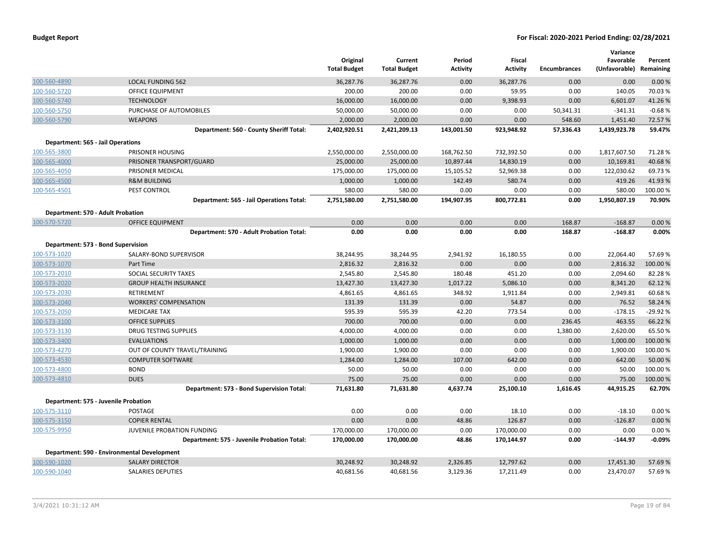|              |                                             | Original<br><b>Total Budget</b> | Current<br><b>Total Budget</b> | Period<br><b>Activity</b> | Fiscal<br><b>Activity</b> | <b>Encumbrances</b> | Variance<br>Favorable<br>(Unfavorable) Remaining | Percent   |
|--------------|---------------------------------------------|---------------------------------|--------------------------------|---------------------------|---------------------------|---------------------|--------------------------------------------------|-----------|
| 100-560-4890 | <b>LOCAL FUNDING 562</b>                    | 36,287.76                       | 36,287.76                      | 0.00                      | 36,287.76                 | 0.00                | 0.00                                             | 0.00%     |
| 100-560-5720 | <b>OFFICE EQUIPMENT</b>                     | 200.00                          | 200.00                         | 0.00                      | 59.95                     | 0.00                | 140.05                                           | 70.03%    |
| 100-560-5740 | <b>TECHNOLOGY</b>                           | 16,000.00                       | 16,000.00                      | 0.00                      | 9,398.93                  | 0.00                | 6,601.07                                         | 41.26%    |
| 100-560-5750 | PURCHASE OF AUTOMOBILES                     | 50,000.00                       | 50,000.00                      | 0.00                      | 0.00                      | 50,341.31           | $-341.31$                                        | $-0.68%$  |
| 100-560-5790 | <b>WEAPONS</b>                              | 2,000.00                        | 2,000.00                       | 0.00                      | 0.00                      | 548.60              | 1,451.40                                         | 72.57 %   |
|              | Department: 560 - County Sheriff Total:     | 2,402,920.51                    | 2,421,209.13                   | 143,001.50                | 923,948.92                | 57,336.43           | 1,439,923.78                                     | 59.47%    |
|              | <b>Department: 565 - Jail Operations</b>    |                                 |                                |                           |                           |                     |                                                  |           |
| 100-565-3800 | PRISONER HOUSING                            | 2,550,000.00                    | 2,550,000.00                   | 168,762.50                | 732,392.50                | 0.00                | 1,817,607.50                                     | 71.28%    |
| 100-565-4000 | PRISONER TRANSPORT/GUARD                    | 25,000.00                       | 25,000.00                      | 10,897.44                 | 14,830.19                 | 0.00                | 10,169.81                                        | 40.68%    |
| 100-565-4050 | PRISONER MEDICAL                            | 175,000.00                      | 175,000.00                     | 15,105.52                 | 52,969.38                 | 0.00                | 122,030.62                                       | 69.73 %   |
| 100-565-4500 | <b>R&amp;M BUILDING</b>                     | 1,000.00                        | 1,000.00                       | 142.49                    | 580.74                    | 0.00                | 419.26                                           | 41.93%    |
| 100-565-4501 | PEST CONTROL                                | 580.00                          | 580.00                         | 0.00                      | 0.00                      | 0.00                | 580.00                                           | 100.00 %  |
|              | Department: 565 - Jail Operations Total:    | 2,751,580.00                    | 2,751,580.00                   | 194,907.95                | 800,772.81                | 0.00                | 1,950,807.19                                     | 70.90%    |
|              | Department: 570 - Adult Probation           |                                 |                                |                           |                           |                     |                                                  |           |
| 100-570-5720 | <b>OFFICE EQUIPMENT</b>                     | 0.00                            | 0.00                           | 0.00                      | 0.00                      | 168.87              | $-168.87$                                        | 0.00%     |
|              | Department: 570 - Adult Probation Total:    | 0.00                            | 0.00                           | 0.00                      | 0.00                      | 168.87              | $-168.87$                                        | 0.00%     |
|              | Department: 573 - Bond Supervision          |                                 |                                |                           |                           |                     |                                                  |           |
| 100-573-1020 | SALARY-BOND SUPERVISOR                      | 38,244.95                       | 38,244.95                      | 2,941.92                  | 16,180.55                 | 0.00                | 22,064.40                                        | 57.69%    |
| 100-573-1070 | Part Time                                   | 2,816.32                        | 2,816.32                       | 0.00                      | 0.00                      | 0.00                | 2,816.32                                         | 100.00 %  |
| 100-573-2010 | SOCIAL SECURITY TAXES                       | 2,545.80                        | 2,545.80                       | 180.48                    | 451.20                    | 0.00                | 2,094.60                                         | 82.28%    |
| 100-573-2020 | <b>GROUP HEALTH INSURANCE</b>               | 13,427.30                       | 13,427.30                      | 1,017.22                  | 5,086.10                  | 0.00                | 8,341.20                                         | 62.12%    |
| 100-573-2030 | <b>RETIREMENT</b>                           | 4,861.65                        | 4,861.65                       | 348.92                    | 1,911.84                  | 0.00                | 2,949.81                                         | 60.68%    |
| 100-573-2040 | <b>WORKERS' COMPENSATION</b>                | 131.39                          | 131.39                         | 0.00                      | 54.87                     | 0.00                | 76.52                                            | 58.24 %   |
| 100-573-2050 | <b>MEDICARE TAX</b>                         | 595.39                          | 595.39                         | 42.20                     | 773.54                    | 0.00                | $-178.15$                                        | $-29.92%$ |
| 100-573-3100 | <b>OFFICE SUPPLIES</b>                      | 700.00                          | 700.00                         | 0.00                      | 0.00                      | 236.45              | 463.55                                           | 66.22 %   |
| 100-573-3130 | <b>DRUG TESTING SUPPLIES</b>                | 4,000.00                        | 4,000.00                       | 0.00                      | 0.00                      | 1,380.00            | 2,620.00                                         | 65.50 %   |
| 100-573-3400 | <b>EVALUATIONS</b>                          | 1,000.00                        | 1,000.00                       | 0.00                      | 0.00                      | 0.00                | 1,000.00                                         | 100.00 %  |
| 100-573-4270 | OUT OF COUNTY TRAVEL/TRAINING               | 1,900.00                        | 1,900.00                       | 0.00                      | 0.00                      | 0.00                | 1,900.00                                         | 100.00 %  |
| 100-573-4530 | <b>COMPUTER SOFTWARE</b>                    | 1,284.00                        | 1,284.00                       | 107.00                    | 642.00                    | 0.00                | 642.00                                           | 50.00 %   |
| 100-573-4800 | <b>BOND</b>                                 | 50.00                           | 50.00                          | 0.00                      | 0.00                      | 0.00                | 50.00                                            | 100.00 %  |
| 100-573-4810 | <b>DUES</b>                                 | 75.00                           | 75.00                          | 0.00                      | 0.00                      | 0.00                | 75.00                                            | 100.00 %  |
|              | Department: 573 - Bond Supervision Total:   | 71,631.80                       | 71,631.80                      | 4,637.74                  | 25,100.10                 | 1,616.45            | 44,915.25                                        | 62.70%    |
|              | Department: 575 - Juvenile Probation        |                                 |                                |                           |                           |                     |                                                  |           |
| 100-575-3110 | POSTAGE                                     | 0.00                            | 0.00                           | 0.00                      | 18.10                     | 0.00                | $-18.10$                                         | 0.00%     |
| 100-575-3150 | <b>COPIER RENTAL</b>                        | 0.00                            | 0.00                           | 48.86                     | 126.87                    | 0.00                | $-126.87$                                        | 0.00%     |
| 100-575-9950 | JUVENILE PROBATION FUNDING                  | 170,000.00                      | 170,000.00                     | 0.00                      | 170,000.00                | 0.00                | 0.00                                             | 0.00%     |
|              | Department: 575 - Juvenile Probation Total: | 170,000.00                      | 170,000.00                     | 48.86                     | 170,144.97                | 0.00                | $-144.97$                                        | $-0.09%$  |
|              | Department: 590 - Environmental Development |                                 |                                |                           |                           |                     |                                                  |           |
| 100-590-1020 | <b>SALARY DIRECTOR</b>                      | 30,248.92                       | 30,248.92                      | 2,326.85                  | 12,797.62                 | 0.00                | 17,451.30                                        | 57.69%    |
| 100-590-1040 | <b>SALARIES DEPUTIES</b>                    | 40,681.56                       | 40,681.56                      | 3,129.36                  | 17,211.49                 | 0.00                | 23,470.07                                        | 57.69%    |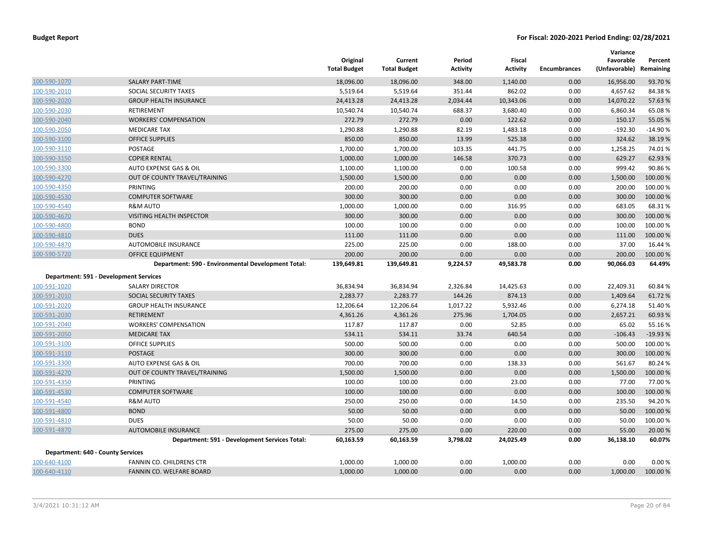|                                          |                                                    | Original<br><b>Total Budget</b> | Current<br><b>Total Budget</b> | Period<br><b>Activity</b> | <b>Fiscal</b><br><b>Activity</b> | <b>Encumbrances</b> | Variance<br>Favorable<br>(Unfavorable) | Percent<br>Remaining |
|------------------------------------------|----------------------------------------------------|---------------------------------|--------------------------------|---------------------------|----------------------------------|---------------------|----------------------------------------|----------------------|
| 100-590-1070                             | <b>SALARY PART-TIME</b>                            | 18,096.00                       | 18,096.00                      | 348.00                    | 1,140.00                         | 0.00                | 16,956.00                              | 93.70%               |
| 100-590-2010                             | SOCIAL SECURITY TAXES                              | 5,519.64                        | 5,519.64                       | 351.44                    | 862.02                           | 0.00                | 4,657.62                               | 84.38%               |
| 100-590-2020                             | <b>GROUP HEALTH INSURANCE</b>                      | 24,413.28                       | 24,413.28                      | 2,034.44                  | 10,343.06                        | 0.00                | 14,070.22                              | 57.63%               |
| 100-590-2030                             | RETIREMENT                                         | 10,540.74                       | 10,540.74                      | 688.37                    | 3,680.40                         | 0.00                | 6,860.34                               | 65.08%               |
| 100-590-2040                             | <b>WORKERS' COMPENSATION</b>                       | 272.79                          | 272.79                         | 0.00                      | 122.62                           | 0.00                | 150.17                                 | 55.05 %              |
| 100-590-2050                             | <b>MEDICARE TAX</b>                                | 1,290.88                        | 1,290.88                       | 82.19                     | 1,483.18                         | 0.00                | $-192.30$                              | $-14.90%$            |
| 100-590-3100                             | <b>OFFICE SUPPLIES</b>                             | 850.00                          | 850.00                         | 13.99                     | 525.38                           | 0.00                | 324.62                                 | 38.19%               |
| 100-590-3110                             | <b>POSTAGE</b>                                     | 1,700.00                        | 1,700.00                       | 103.35                    | 441.75                           | 0.00                | 1,258.25                               | 74.01%               |
| 100-590-3150                             | <b>COPIER RENTAL</b>                               | 1,000.00                        | 1,000.00                       | 146.58                    | 370.73                           | 0.00                | 629.27                                 | 62.93 %              |
| 100-590-3300                             | AUTO EXPENSE GAS & OIL                             | 1,100.00                        | 1,100.00                       | 0.00                      | 100.58                           | 0.00                | 999.42                                 | 90.86%               |
| 100-590-4270                             | OUT OF COUNTY TRAVEL/TRAINING                      | 1,500.00                        | 1,500.00                       | 0.00                      | 0.00                             | 0.00                | 1,500.00                               | 100.00%              |
| 100-590-4350                             | PRINTING                                           | 200.00                          | 200.00                         | 0.00                      | 0.00                             | 0.00                | 200.00                                 | 100.00%              |
| 100-590-4530                             | <b>COMPUTER SOFTWARE</b>                           | 300.00                          | 300.00                         | 0.00                      | 0.00                             | 0.00                | 300.00                                 | 100.00%              |
| 100-590-4540                             | <b>R&amp;M AUTO</b>                                | 1,000.00                        | 1,000.00                       | 0.00                      | 316.95                           | 0.00                | 683.05                                 | 68.31%               |
| 100-590-4670                             | VISITING HEALTH INSPECTOR                          | 300.00                          | 300.00                         | 0.00                      | 0.00                             | 0.00                | 300.00                                 | 100.00%              |
| 100-590-4800                             | <b>BOND</b>                                        | 100.00                          | 100.00                         | 0.00                      | 0.00                             | 0.00                | 100.00                                 | 100.00%              |
| 100-590-4810                             | <b>DUES</b>                                        | 111.00                          | 111.00                         | 0.00                      | 0.00                             | 0.00                | 111.00                                 | 100.00%              |
| 100-590-4870                             | AUTOMOBILE INSURANCE                               | 225.00                          | 225.00                         | 0.00                      | 188.00                           | 0.00                | 37.00                                  | 16.44 %              |
| 100-590-5720                             | <b>OFFICE EQUIPMENT</b>                            | 200.00                          | 200.00                         | 0.00                      | 0.00                             | 0.00                | 200.00                                 | 100.00 %             |
|                                          | Department: 590 - Environmental Development Total: | 139,649.81                      | 139,649.81                     | 9,224.57                  | 49,583.78                        | 0.00                | 90,066.03                              | 64.49%               |
|                                          | Department: 591 - Development Services             |                                 |                                |                           |                                  |                     |                                        |                      |
| 100-591-1020                             | <b>SALARY DIRECTOR</b>                             | 36,834.94                       | 36,834.94                      | 2,326.84                  | 14,425.63                        | 0.00                | 22,409.31                              | 60.84 %              |
| 100-591-2010                             | SOCIAL SECURITY TAXES                              | 2,283.77                        | 2,283.77                       | 144.26                    | 874.13                           | 0.00                | 1,409.64                               | 61.72%               |
| 100-591-2020                             | <b>GROUP HEALTH INSURANCE</b>                      | 12,206.64                       | 12,206.64                      | 1,017.22                  | 5,932.46                         | 0.00                | 6,274.18                               | 51.40%               |
| 100-591-2030                             | <b>RETIREMENT</b>                                  | 4,361.26                        | 4,361.26                       | 275.96                    | 1,704.05                         | 0.00                | 2,657.21                               | 60.93 %              |
| 100-591-2040                             | <b>WORKERS' COMPENSATION</b>                       | 117.87                          | 117.87                         | 0.00                      | 52.85                            | 0.00                | 65.02                                  | 55.16%               |
| 100-591-2050                             | <b>MEDICARE TAX</b>                                | 534.11                          | 534.11                         | 33.74                     | 640.54                           | 0.00                | $-106.43$                              | $-19.93%$            |
| 100-591-3100                             | <b>OFFICE SUPPLIES</b>                             | 500.00                          | 500.00                         | 0.00                      | 0.00                             | 0.00                | 500.00                                 | 100.00%              |
| 100-591-3110                             | <b>POSTAGE</b>                                     | 300.00                          | 300.00                         | 0.00                      | 0.00                             | 0.00                | 300.00                                 | 100.00%              |
| 100-591-3300                             | AUTO EXPENSE GAS & OIL                             | 700.00                          | 700.00                         | 0.00                      | 138.33                           | 0.00                | 561.67                                 | 80.24 %              |
| 100-591-4270                             | OUT OF COUNTY TRAVEL/TRAINING                      | 1,500.00                        | 1,500.00                       | 0.00                      | 0.00                             | 0.00                | 1,500.00                               | 100.00%              |
| 100-591-4350                             | PRINTING                                           | 100.00                          | 100.00                         | 0.00                      | 23.00                            | 0.00                | 77.00                                  | 77.00 %              |
| 100-591-4530                             | <b>COMPUTER SOFTWARE</b>                           | 100.00                          | 100.00                         | 0.00                      | 0.00                             | 0.00                | 100.00                                 | 100.00%              |
| 100-591-4540                             | <b>R&amp;M AUTO</b>                                | 250.00                          | 250.00                         | 0.00                      | 14.50                            | 0.00                | 235.50                                 | 94.20%               |
| 100-591-4800                             | <b>BOND</b>                                        | 50.00                           | 50.00                          | 0.00                      | 0.00                             | 0.00                | 50.00                                  | 100.00%              |
| 100-591-4810                             | <b>DUES</b>                                        | 50.00                           | 50.00                          | 0.00                      | 0.00                             | 0.00                | 50.00                                  | 100.00%              |
| 100-591-4870                             | <b>AUTOMOBILE INSURANCE</b>                        | 275.00                          | 275.00                         | 0.00                      | 220.00                           | 0.00                | 55.00                                  | 20.00 %              |
|                                          | Department: 591 - Development Services Total:      | 60,163.59                       | 60,163.59                      | 3,798.02                  | 24,025.49                        | 0.00                | 36,138.10                              | 60.07%               |
| <b>Department: 640 - County Services</b> |                                                    |                                 |                                |                           |                                  |                     |                                        |                      |
| 100-640-4100                             | <b>FANNIN CO. CHILDRENS CTR</b>                    | 1,000.00                        | 1,000.00                       | 0.00                      | 1,000.00                         | 0.00                | 0.00                                   | 0.00%                |
| 100-640-4110                             | <b>FANNIN CO. WELFARE BOARD</b>                    | 1,000.00                        | 1,000.00                       | 0.00                      | 0.00                             | 0.00                | 1,000.00                               | 100.00 %             |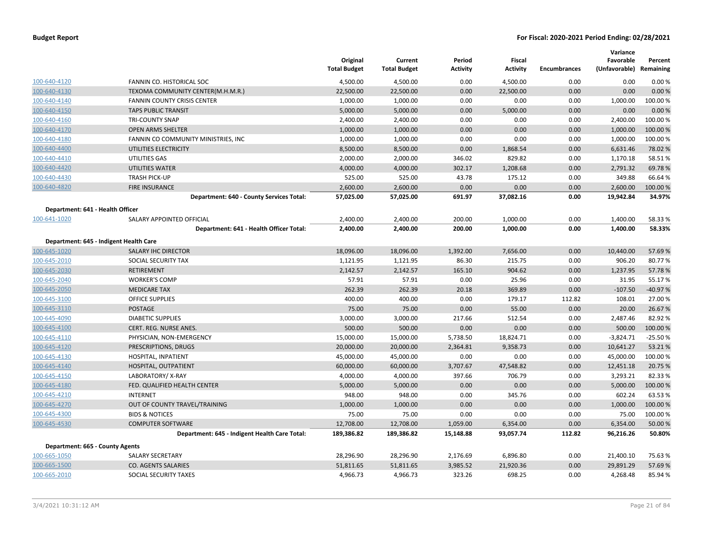|                                  |                                               | Original<br><b>Total Budget</b> | Current<br><b>Total Budget</b> | Period<br><b>Activity</b> | Fiscal<br><b>Activity</b> | <b>Encumbrances</b> | Variance<br>Favorable<br>(Unfavorable) Remaining | Percent   |
|----------------------------------|-----------------------------------------------|---------------------------------|--------------------------------|---------------------------|---------------------------|---------------------|--------------------------------------------------|-----------|
| 100-640-4120                     | FANNIN CO. HISTORICAL SOC                     | 4,500.00                        | 4,500.00                       | 0.00                      | 4,500.00                  | 0.00                | 0.00                                             | 0.00%     |
| 100-640-4130                     | TEXOMA COMMUNITY CENTER(M.H.M.R.)             | 22,500.00                       | 22,500.00                      | 0.00                      | 22,500.00                 | 0.00                | 0.00                                             | 0.00%     |
| 100-640-4140                     | <b>FANNIN COUNTY CRISIS CENTER</b>            | 1,000.00                        | 1,000.00                       | 0.00                      | 0.00                      | 0.00                | 1,000.00                                         | 100.00%   |
| 100-640-4150                     | <b>TAPS PUBLIC TRANSIT</b>                    | 5,000.00                        | 5,000.00                       | 0.00                      | 5,000.00                  | 0.00                | 0.00                                             | 0.00%     |
| 100-640-4160                     | <b>TRI-COUNTY SNAP</b>                        | 2,400.00                        | 2,400.00                       | 0.00                      | 0.00                      | 0.00                | 2,400.00                                         | 100.00%   |
| 100-640-4170                     | <b>OPEN ARMS SHELTER</b>                      | 1,000.00                        | 1,000.00                       | 0.00                      | 0.00                      | 0.00                | 1,000.00                                         | 100.00 %  |
| 100-640-4180                     | FANNIN CO COMMUNITY MINISTRIES, INC           | 1,000.00                        | 1,000.00                       | 0.00                      | 0.00                      | 0.00                | 1,000.00                                         | 100.00%   |
| 100-640-4400                     | UTILITIES ELECTRICITY                         | 8,500.00                        | 8,500.00                       | 0.00                      | 1,868.54                  | 0.00                | 6,631.46                                         | 78.02 %   |
| 100-640-4410                     | UTILITIES GAS                                 | 2,000.00                        | 2,000.00                       | 346.02                    | 829.82                    | 0.00                | 1,170.18                                         | 58.51%    |
| 100-640-4420                     | UTILITIES WATER                               | 4,000.00                        | 4,000.00                       | 302.17                    | 1,208.68                  | 0.00                | 2,791.32                                         | 69.78%    |
| 100-640-4430                     | <b>TRASH PICK-UP</b>                          | 525.00                          | 525.00                         | 43.78                     | 175.12                    | 0.00                | 349.88                                           | 66.64 %   |
| 100-640-4820                     | <b>FIRE INSURANCE</b>                         | 2,600.00                        | 2,600.00                       | 0.00                      | 0.00                      | 0.00                | 2,600.00                                         | 100.00 %  |
|                                  | Department: 640 - County Services Total:      | 57,025.00                       | 57,025.00                      | 691.97                    | 37,082.16                 | 0.00                | 19,942.84                                        | 34.97%    |
| Department: 641 - Health Officer |                                               |                                 |                                |                           |                           |                     |                                                  |           |
| 100-641-1020                     | SALARY APPOINTED OFFICIAL                     | 2,400.00                        | 2,400.00                       | 200.00                    | 1,000.00                  | 0.00                | 1,400.00                                         | 58.33 %   |
|                                  | Department: 641 - Health Officer Total:       | 2,400.00                        | 2,400.00                       | 200.00                    | 1,000.00                  | 0.00                | 1,400.00                                         | 58.33%    |
|                                  | Department: 645 - Indigent Health Care        |                                 |                                |                           |                           |                     |                                                  |           |
| 100-645-1020                     | SALARY IHC DIRECTOR                           | 18,096.00                       | 18,096.00                      | 1,392.00                  | 7,656.00                  | 0.00                | 10,440.00                                        | 57.69%    |
| 100-645-2010                     | SOCIAL SECURITY TAX                           | 1,121.95                        | 1,121.95                       | 86.30                     | 215.75                    | 0.00                | 906.20                                           | 80.77%    |
| 100-645-2030                     | <b>RETIREMENT</b>                             | 2,142.57                        | 2,142.57                       | 165.10                    | 904.62                    | 0.00                | 1,237.95                                         | 57.78%    |
| 100-645-2040                     | <b>WORKER'S COMP</b>                          | 57.91                           | 57.91                          | 0.00                      | 25.96                     | 0.00                | 31.95                                            | 55.17%    |
| 100-645-2050                     | <b>MEDICARE TAX</b>                           | 262.39                          | 262.39                         | 20.18                     | 369.89                    | 0.00                | $-107.50$                                        | $-40.97%$ |
| 100-645-3100                     | OFFICE SUPPLIES                               | 400.00                          | 400.00                         | 0.00                      | 179.17                    | 112.82              | 108.01                                           | 27.00 %   |
| 100-645-3110                     | <b>POSTAGE</b>                                | 75.00                           | 75.00                          | 0.00                      | 55.00                     | 0.00                | 20.00                                            | 26.67%    |
| 100-645-4090                     | <b>DIABETIC SUPPLIES</b>                      | 3,000.00                        | 3,000.00                       | 217.66                    | 512.54                    | 0.00                | 2,487.46                                         | 82.92 %   |
| 100-645-4100                     | CERT. REG. NURSE ANES.                        | 500.00                          | 500.00                         | 0.00                      | 0.00                      | 0.00                | 500.00                                           | 100.00 %  |
| 100-645-4110                     | PHYSICIAN, NON-EMERGENCY                      | 15,000.00                       | 15,000.00                      | 5,738.50                  | 18,824.71                 | 0.00                | $-3,824.71$                                      | $-25.50%$ |
| 100-645-4120                     | PRESCRIPTIONS, DRUGS                          | 20,000.00                       | 20,000.00                      | 2,364.81                  | 9,358.73                  | 0.00                | 10,641.27                                        | 53.21%    |
| 100-645-4130                     | HOSPITAL, INPATIENT                           | 45,000.00                       | 45,000.00                      | 0.00                      | 0.00                      | 0.00                | 45,000.00                                        | 100.00 %  |
| 100-645-4140                     | HOSPITAL, OUTPATIENT                          | 60,000.00                       | 60,000.00                      | 3,707.67                  | 47,548.82                 | 0.00                | 12,451.18                                        | 20.75 %   |
| 100-645-4150                     | LABORATORY/X-RAY                              | 4,000.00                        | 4,000.00                       | 397.66                    | 706.79                    | 0.00                | 3,293.21                                         | 82.33 %   |
| 100-645-4180                     | FED. QUALIFIED HEALTH CENTER                  | 5,000.00                        | 5,000.00                       | 0.00                      | 0.00                      | 0.00                | 5,000.00                                         | 100.00 %  |
| 100-645-4210                     | <b>INTERNET</b>                               | 948.00                          | 948.00                         | 0.00                      | 345.76                    | 0.00                | 602.24                                           | 63.53 %   |
| 100-645-4270                     | OUT OF COUNTY TRAVEL/TRAINING                 | 1,000.00                        | 1,000.00                       | 0.00                      | 0.00                      | 0.00                | 1,000.00                                         | 100.00 %  |
| 100-645-4300                     | <b>BIDS &amp; NOTICES</b>                     | 75.00                           | 75.00                          | 0.00                      | 0.00                      | 0.00                | 75.00                                            | 100.00%   |
| 100-645-4530                     | <b>COMPUTER SOFTWARE</b>                      | 12,708.00                       | 12,708.00                      | 1,059.00                  | 6,354.00                  | 0.00                | 6,354.00                                         | 50.00 %   |
|                                  | Department: 645 - Indigent Health Care Total: | 189,386.82                      | 189,386.82                     | 15,148.88                 | 93,057.74                 | 112.82              | 96,216.26                                        | 50.80%    |
| Department: 665 - County Agents  |                                               |                                 |                                |                           |                           |                     |                                                  |           |
| 100-665-1050                     | <b>SALARY SECRETARY</b>                       | 28,296.90                       | 28,296.90                      | 2,176.69                  | 6,896.80                  | 0.00                | 21,400.10                                        | 75.63 %   |
| 100-665-1500                     | <b>CO. AGENTS SALARIES</b>                    | 51,811.65                       | 51,811.65                      | 3,985.52                  | 21,920.36                 | 0.00                | 29,891.29                                        | 57.69%    |
| 100-665-2010                     | SOCIAL SECURITY TAXES                         | 4,966.73                        | 4,966.73                       | 323.26                    | 698.25                    | 0.00                | 4,268.48                                         | 85.94 %   |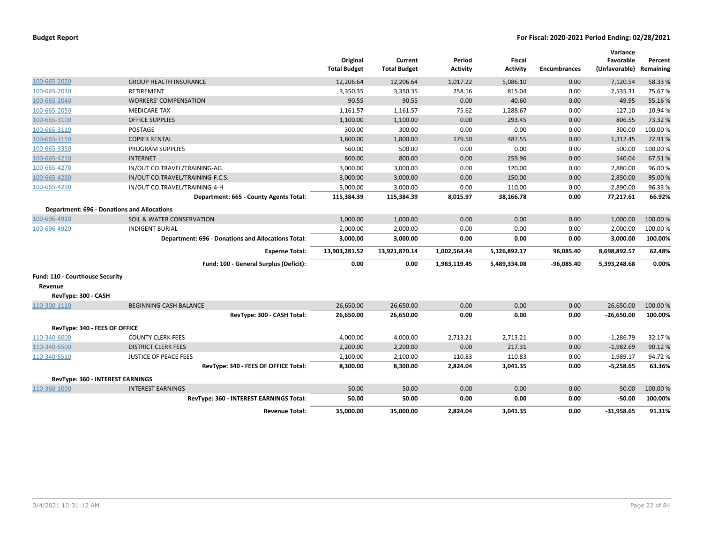| <b>Budget Report</b> |  |
|----------------------|--|
|----------------------|--|

|                                                    |                                                           | Original<br><b>Total Budget</b> | Current<br><b>Total Budget</b> | Period<br><b>Activity</b> | <b>Fiscal</b><br><b>Activity</b> | <b>Encumbrances</b> | Variance<br>Favorable<br>(Unfavorable) | Percent<br>Remaining |
|----------------------------------------------------|-----------------------------------------------------------|---------------------------------|--------------------------------|---------------------------|----------------------------------|---------------------|----------------------------------------|----------------------|
| 100-665-2020                                       | <b>GROUP HEALTH INSURANCE</b>                             | 12,206.64                       | 12,206.64                      | 1,017.22                  | 5,086.10                         | 0.00                | 7,120.54                               | 58.33 %              |
| 100-665-2030                                       | <b>RETIREMENT</b>                                         | 3,350.35                        | 3,350.35                       | 258.16                    | 815.04                           | 0.00                | 2,535.31                               | 75.67%               |
| 100-665-2040                                       | <b>WORKERS' COMPENSATION</b>                              | 90.55                           | 90.55                          | 0.00                      | 40.60                            | 0.00                | 49.95                                  | 55.16%               |
| 100-665-2050                                       | <b>MEDICARE TAX</b>                                       | 1,161.57                        | 1,161.57                       | 75.62                     | 1,288.67                         | 0.00                | $-127.10$                              | $-10.94%$            |
| 100-665-3100                                       | <b>OFFICE SUPPLIES</b>                                    | 1,100.00                        | 1,100.00                       | 0.00                      | 293.45                           | 0.00                | 806.55                                 | 73.32 %              |
| 100-665-3110                                       | <b>POSTAGE</b>                                            | 300.00                          | 300.00                         | 0.00                      | 0.00                             | 0.00                | 300.00                                 | 100.00%              |
| 100-665-3150                                       | <b>COPIER RENTAL</b>                                      | 1,800.00                        | 1,800.00                       | 179.50                    | 487.55                           | 0.00                | 1,312.45                               | 72.91%               |
| 100-665-3350                                       | <b>PROGRAM SUPPLIES</b>                                   | 500.00                          | 500.00                         | 0.00                      | 0.00                             | 0.00                | 500.00                                 | 100.00%              |
| 100-665-4210                                       | <b>INTERNET</b>                                           | 800.00                          | 800.00                         | 0.00                      | 259.96                           | 0.00                | 540.04                                 | 67.51%               |
| 100-665-4270                                       | IN/OUT CO.TRAVEL/TRAINING-AG.                             | 3,000.00                        | 3,000.00                       | 0.00                      | 120.00                           | 0.00                | 2,880.00                               | 96.00%               |
| 100-665-4280                                       | IN/OUT CO.TRAVEL/TRAINING-F.C.S.                          | 3,000.00                        | 3,000.00                       | 0.00                      | 150.00                           | 0.00                | 2,850.00                               | 95.00%               |
| 100-665-4290                                       | IN/OUT CO.TRAVEL/TRAINING-4-H                             | 3,000.00                        | 3,000.00                       | 0.00                      | 110.00                           | 0.00                | 2,890.00                               | 96.33%               |
|                                                    | Department: 665 - County Agents Total:                    | 115,384.39                      | 115,384.39                     | 8,015.97                  | 38,166.78                        | 0.00                | 77,217.61                              | 66.92%               |
| <b>Department: 696 - Donations and Allocations</b> |                                                           |                                 |                                |                           |                                  |                     |                                        |                      |
| 100-696-4910                                       | SOIL & WATER CONSERVATION                                 | 1,000.00                        | 1,000.00                       | 0.00                      | 0.00                             | 0.00                | 1,000.00                               | 100.00%              |
| 100-696-4920                                       | <b>INDIGENT BURIAL</b>                                    | 2,000.00                        | 2,000.00                       | 0.00                      | 0.00                             | 0.00                | 2,000.00                               | 100.00 %             |
|                                                    | <b>Department: 696 - Donations and Allocations Total:</b> | 3,000.00                        | 3,000.00                       | 0.00                      | 0.00                             | 0.00                | 3,000.00                               | 100.00%              |
|                                                    | <b>Expense Total:</b>                                     | 13,903,281.52                   | 13,921,870.14                  | 1,002,564.44              | 5,126,892.17                     | 96,085.40           | 8,698,892.57                           | 62.48%               |
|                                                    | Fund: 100 - General Surplus (Deficit):                    | 0.00                            | 0.00                           | 1,983,119.45              | 5,489,334.08                     | $-96,085.40$        | 5,393,248.68                           | 0.00%                |
| Fund: 110 - Courthouse Security                    |                                                           |                                 |                                |                           |                                  |                     |                                        |                      |
| Revenue                                            |                                                           |                                 |                                |                           |                                  |                     |                                        |                      |
| RevType: 300 - CASH                                |                                                           |                                 |                                |                           |                                  |                     |                                        |                      |
| 110-300-1110                                       | <b>BEGINNING CASH BALANCE</b>                             | 26,650.00                       | 26,650.00                      | 0.00                      | 0.00                             | 0.00                | $-26,650.00$                           | 100.00 %             |
|                                                    | RevType: 300 - CASH Total:                                | 26,650.00                       | 26,650.00                      | 0.00                      | 0.00                             | 0.00                | $-26,650.00$                           | 100.00%              |
| RevType: 340 - FEES OF OFFICE                      |                                                           |                                 |                                |                           |                                  |                     |                                        |                      |
| 110-340-6000                                       | <b>COUNTY CLERK FEES</b>                                  | 4,000.00                        | 4,000.00                       | 2,713.21                  | 2,713.21                         | 0.00                | $-1,286.79$                            | 32.17%               |
| 110-340-6500                                       | <b>DISTRICT CLERK FEES</b>                                | 2,200.00                        | 2,200.00                       | 0.00                      | 217.31                           | 0.00                | $-1,982.69$                            | 90.12%               |
| 110-340-6510                                       | <b>JUSTICE OF PEACE FEES</b>                              | 2,100.00                        | 2,100.00                       | 110.83                    | 110.83                           | 0.00                | $-1,989.17$                            | 94.72%               |
|                                                    | RevType: 340 - FEES OF OFFICE Total:                      | 8,300.00                        | 8,300.00                       | 2,824.04                  | 3,041.35                         | 0.00                | -5,258.65                              | 63.36%               |
| <b>RevType: 360 - INTEREST EARNINGS</b>            |                                                           |                                 |                                |                           |                                  |                     |                                        |                      |
| 110-360-1000                                       | <b>INTEREST EARNINGS</b>                                  | 50.00                           | 50.00                          | 0.00                      | 0.00                             | 0.00                | $-50.00$                               | 100.00 %             |
|                                                    | RevType: 360 - INTEREST EARNINGS Total:                   | 50.00                           | 50.00                          | 0.00                      | 0.00                             | 0.00                | $-50.00$                               | 100.00%              |
|                                                    | <b>Revenue Total:</b>                                     | 35,000.00                       | 35,000.00                      | 2,824.04                  | 3,041.35                         | 0.00                | $-31.958.65$                           | 91.31%               |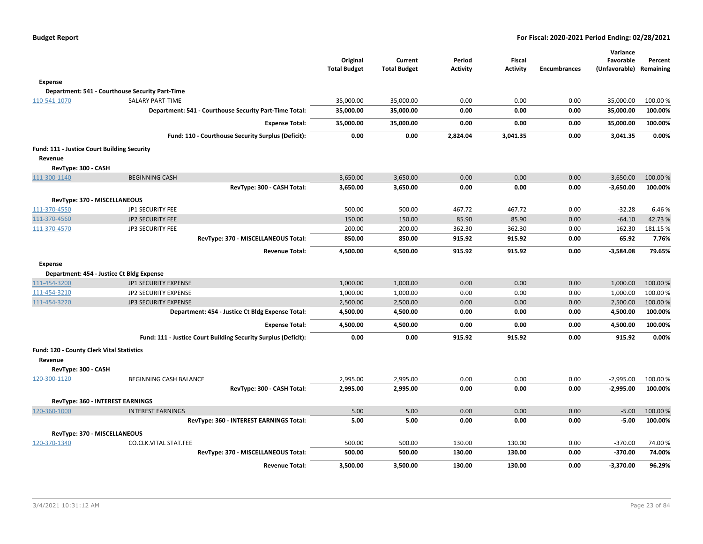|                                             |                                                                | Original<br><b>Total Budget</b> | Current<br><b>Total Budget</b> | Period<br><b>Activity</b> | <b>Fiscal</b><br><b>Activity</b> | <b>Encumbrances</b> | Variance<br>Favorable<br>(Unfavorable) | Percent<br>Remaining |
|---------------------------------------------|----------------------------------------------------------------|---------------------------------|--------------------------------|---------------------------|----------------------------------|---------------------|----------------------------------------|----------------------|
| Expense                                     |                                                                |                                 |                                |                           |                                  |                     |                                        |                      |
|                                             | Department: 541 - Courthouse Security Part-Time                |                                 |                                |                           |                                  |                     |                                        |                      |
| 110-541-1070                                | <b>SALARY PART-TIME</b>                                        | 35,000.00                       | 35,000.00                      | 0.00                      | 0.00                             | 0.00                | 35,000.00                              | 100.00 %             |
|                                             | Department: 541 - Courthouse Security Part-Time Total:         | 35,000.00                       | 35,000.00                      | 0.00                      | 0.00                             | 0.00                | 35,000.00                              | 100.00%              |
|                                             | <b>Expense Total:</b>                                          | 35,000.00                       | 35,000.00                      | 0.00                      | 0.00                             | 0.00                | 35,000.00                              | 100.00%              |
|                                             | Fund: 110 - Courthouse Security Surplus (Deficit):             | 0.00                            | 0.00                           | 2,824.04                  | 3,041.35                         | 0.00                | 3,041.35                               | 0.00%                |
| Fund: 111 - Justice Court Building Security |                                                                |                                 |                                |                           |                                  |                     |                                        |                      |
| Revenue                                     |                                                                |                                 |                                |                           |                                  |                     |                                        |                      |
| RevType: 300 - CASH                         |                                                                |                                 |                                |                           |                                  |                     |                                        |                      |
| 111-300-1140                                | <b>BEGINNING CASH</b>                                          | 3,650.00                        | 3,650.00                       | 0.00                      | 0.00                             | 0.00                | $-3,650.00$                            | 100.00 %             |
|                                             | RevType: 300 - CASH Total:                                     | 3,650.00                        | 3,650.00                       | 0.00                      | 0.00                             | 0.00                | $-3,650.00$                            | 100.00%              |
| RevType: 370 - MISCELLANEOUS                |                                                                |                                 |                                |                           |                                  |                     |                                        |                      |
| 111-370-4550                                | JP1 SECURITY FEE                                               | 500.00                          | 500.00                         | 467.72                    | 467.72                           | 0.00                | $-32.28$                               | 6.46%                |
| 111-370-4560                                | <b>JP2 SECURITY FEE</b>                                        | 150.00                          | 150.00                         | 85.90                     | 85.90                            | 0.00                | $-64.10$                               | 42.73%               |
| 111-370-4570                                | JP3 SECURITY FEE                                               | 200.00                          | 200.00                         | 362.30                    | 362.30                           | 0.00                | 162.30                                 | 181.15%              |
|                                             | RevType: 370 - MISCELLANEOUS Total:                            | 850.00                          | 850.00                         | 915.92                    | 915.92                           | 0.00                | 65.92                                  | 7.76%                |
|                                             | <b>Revenue Total:</b>                                          | 4,500.00                        | 4,500.00                       | 915.92                    | 915.92                           | 0.00                | $-3,584.08$                            | 79.65%               |
| <b>Expense</b>                              |                                                                |                                 |                                |                           |                                  |                     |                                        |                      |
|                                             | Department: 454 - Justice Ct Bldg Expense                      |                                 |                                |                           |                                  |                     |                                        |                      |
| 111-454-3200                                | JP1 SECURITY EXPENSE                                           | 1,000.00                        | 1,000.00                       | 0.00                      | 0.00                             | 0.00                | 1,000.00                               | 100.00 %             |
| 111-454-3210                                | <b>JP2 SECURITY EXPENSE</b>                                    | 1,000.00                        | 1,000.00                       | 0.00                      | 0.00                             | 0.00                | 1,000.00                               | 100.00%              |
| 111-454-3220                                | <b>JP3 SECURITY EXPENSE</b>                                    | 2,500.00                        | 2,500.00                       | 0.00                      | 0.00                             | 0.00                | 2,500.00                               | 100.00 %             |
|                                             | Department: 454 - Justice Ct Bldg Expense Total:               | 4,500.00                        | 4,500.00                       | 0.00                      | 0.00                             | 0.00                | 4,500.00                               | 100.00%              |
|                                             | <b>Expense Total:</b>                                          | 4,500.00                        | 4,500.00                       | 0.00                      | 0.00                             | 0.00                | 4,500.00                               | 100.00%              |
|                                             | Fund: 111 - Justice Court Building Security Surplus (Deficit): | 0.00                            | 0.00                           | 915.92                    | 915.92                           | 0.00                | 915.92                                 | 0.00%                |
| Fund: 120 - County Clerk Vital Statistics   |                                                                |                                 |                                |                           |                                  |                     |                                        |                      |
| Revenue                                     |                                                                |                                 |                                |                           |                                  |                     |                                        |                      |
| RevType: 300 - CASH                         |                                                                |                                 |                                |                           |                                  |                     |                                        |                      |
| 120-300-1120                                | BEGINNING CASH BALANCE                                         | 2,995.00                        | 2,995.00                       | 0.00                      | 0.00                             | 0.00                | $-2,995.00$                            | 100.00 %             |
|                                             | RevType: 300 - CASH Total:                                     | 2,995.00                        | 2,995.00                       | 0.00                      | 0.00                             | 0.00                | $-2,995.00$                            | 100.00%              |
| RevType: 360 - INTEREST EARNINGS            |                                                                |                                 |                                |                           |                                  |                     |                                        |                      |
| 120-360-1000                                | <b>INTEREST EARNINGS</b>                                       | 5.00                            | 5.00                           | 0.00                      | 0.00                             | 0.00                | $-5.00$                                | 100.00 %             |
|                                             | RevType: 360 - INTEREST EARNINGS Total:                        | 5.00                            | 5.00                           | 0.00                      | 0.00                             | 0.00                | $-5.00$                                | 100.00%              |
| RevType: 370 - MISCELLANEOUS                |                                                                |                                 |                                |                           |                                  |                     |                                        |                      |
| 120-370-1340                                | CO.CLK.VITAL STAT.FEE                                          | 500.00                          | 500.00                         | 130.00                    | 130.00                           | 0.00                | $-370.00$                              | 74.00%               |
|                                             | RevType: 370 - MISCELLANEOUS Total:                            | 500.00                          | 500.00                         | 130.00                    | 130.00                           | 0.00                | $-370.00$                              | 74.00%               |
|                                             | <b>Revenue Total:</b>                                          | 3,500.00                        | 3,500.00                       | 130.00                    | 130.00                           | 0.00                | -3,370.00                              | 96.29%               |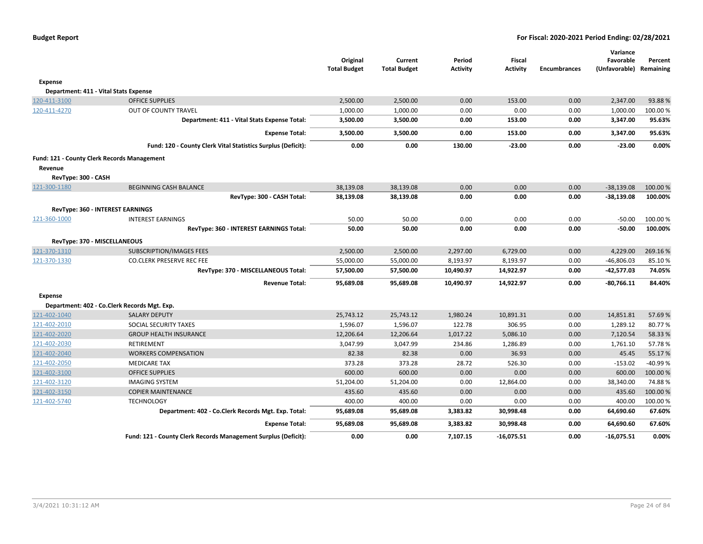|                              |                                                                | Original<br><b>Total Budget</b> | Current<br><b>Total Budget</b> | Period<br><b>Activity</b> | <b>Fiscal</b><br><b>Activity</b> | <b>Encumbrances</b> | Variance<br>Favorable<br>(Unfavorable) Remaining | Percent  |
|------------------------------|----------------------------------------------------------------|---------------------------------|--------------------------------|---------------------------|----------------------------------|---------------------|--------------------------------------------------|----------|
| Expense                      |                                                                |                                 |                                |                           |                                  |                     |                                                  |          |
|                              | Department: 411 - Vital Stats Expense                          |                                 |                                |                           |                                  |                     |                                                  |          |
| 120-411-3100                 | <b>OFFICE SUPPLIES</b>                                         | 2,500.00                        | 2,500.00                       | 0.00                      | 153.00                           | 0.00                | 2,347.00                                         | 93.88%   |
| 120-411-4270                 | OUT OF COUNTY TRAVEL                                           | 1,000.00                        | 1,000.00                       | 0.00                      | 0.00                             | 0.00                | 1,000.00                                         | 100.00%  |
|                              | Department: 411 - Vital Stats Expense Total:                   | 3,500.00                        | 3,500.00                       | 0.00                      | 153.00                           | 0.00                | 3,347.00                                         | 95.63%   |
|                              | <b>Expense Total:</b>                                          | 3,500.00                        | 3,500.00                       | 0.00                      | 153.00                           | 0.00                | 3,347.00                                         | 95.63%   |
|                              | Fund: 120 - County Clerk Vital Statistics Surplus (Deficit):   | 0.00                            | 0.00                           | 130.00                    | $-23.00$                         | 0.00                | $-23.00$                                         | 0.00%    |
|                              | Fund: 121 - County Clerk Records Management                    |                                 |                                |                           |                                  |                     |                                                  |          |
| Revenue                      |                                                                |                                 |                                |                           |                                  |                     |                                                  |          |
| RevType: 300 - CASH          |                                                                |                                 |                                |                           |                                  |                     |                                                  |          |
| 121-300-1180                 | <b>BEGINNING CASH BALANCE</b>                                  | 38,139.08                       | 38,139.08                      | 0.00                      | 0.00                             | 0.00                | $-38,139.08$                                     | 100.00 % |
|                              | RevType: 300 - CASH Total:                                     | 38,139.08                       | 38,139.08                      | 0.00                      | 0.00                             | 0.00                | $-38,139.08$                                     | 100.00%  |
|                              | RevType: 360 - INTEREST EARNINGS                               |                                 |                                |                           |                                  |                     |                                                  |          |
| 121-360-1000                 | <b>INTEREST EARNINGS</b>                                       | 50.00                           | 50.00                          | 0.00                      | 0.00                             | 0.00                | $-50.00$                                         | 100.00 % |
|                              | RevType: 360 - INTEREST EARNINGS Total:                        | 50.00                           | 50.00                          | 0.00                      | 0.00                             | 0.00                | $-50.00$                                         | 100.00%  |
| RevType: 370 - MISCELLANEOUS |                                                                |                                 |                                |                           |                                  |                     |                                                  |          |
| 121-370-1310                 | <b>SUBSCRIPTION/IMAGES FEES</b>                                | 2,500.00                        | 2,500.00                       | 2,297.00                  | 6,729.00                         | 0.00                | 4,229.00                                         | 269.16%  |
| 121-370-1330                 | <b>CO.CLERK PRESERVE REC FEE</b>                               | 55,000.00                       | 55,000.00                      | 8,193.97                  | 8,193.97                         | 0.00                | $-46,806.03$                                     | 85.10%   |
|                              | RevType: 370 - MISCELLANEOUS Total:                            | 57,500.00                       | 57,500.00                      | 10,490.97                 | 14,922.97                        | 0.00                | $-42,577.03$                                     | 74.05%   |
|                              | <b>Revenue Total:</b>                                          | 95,689.08                       | 95,689.08                      | 10,490.97                 | 14,922.97                        | 0.00                | $-80,766.11$                                     | 84.40%   |
| <b>Expense</b>               |                                                                |                                 |                                |                           |                                  |                     |                                                  |          |
|                              | Department: 402 - Co.Clerk Records Mgt. Exp.                   |                                 |                                |                           |                                  |                     |                                                  |          |
| 121-402-1040                 | <b>SALARY DEPUTY</b>                                           | 25,743.12                       | 25,743.12                      | 1,980.24                  | 10,891.31                        | 0.00                | 14,851.81                                        | 57.69%   |
| 121-402-2010                 | SOCIAL SECURITY TAXES                                          | 1,596.07                        | 1,596.07                       | 122.78                    | 306.95                           | 0.00                | 1,289.12                                         | 80.77%   |
| 121-402-2020                 | <b>GROUP HEALTH INSURANCE</b>                                  | 12,206.64                       | 12,206.64                      | 1,017.22                  | 5,086.10                         | 0.00                | 7,120.54                                         | 58.33%   |
| 121-402-2030                 | RETIREMENT                                                     | 3,047.99                        | 3,047.99                       | 234.86                    | 1,286.89                         | 0.00                | 1,761.10                                         | 57.78%   |
| 121-402-2040                 | <b>WORKERS COMPENSATION</b>                                    | 82.38                           | 82.38                          | 0.00                      | 36.93                            | 0.00                | 45.45                                            | 55.17%   |
| 121-402-2050                 | <b>MEDICARE TAX</b>                                            | 373.28                          | 373.28                         | 28.72                     | 526.30                           | 0.00                | $-153.02$                                        | -40.99%  |
| 121-402-3100                 | <b>OFFICE SUPPLIES</b>                                         | 600.00                          | 600.00                         | 0.00                      | 0.00                             | 0.00                | 600.00                                           | 100.00%  |
| 121-402-3120                 | <b>IMAGING SYSTEM</b>                                          | 51,204.00                       | 51,204.00                      | 0.00                      | 12,864.00                        | 0.00                | 38,340.00                                        | 74.88%   |
| 121-402-3150                 | <b>COPIER MAINTENANCE</b>                                      | 435.60                          | 435.60                         | 0.00                      | 0.00                             | 0.00                | 435.60                                           | 100.00%  |
| 121-402-5740                 | <b>TECHNOLOGY</b>                                              | 400.00                          | 400.00                         | 0.00                      | 0.00                             | 0.00                | 400.00                                           | 100.00 % |
|                              | Department: 402 - Co.Clerk Records Mgt. Exp. Total:            | 95,689.08                       | 95,689.08                      | 3,383.82                  | 30,998.48                        | 0.00                | 64,690.60                                        | 67.60%   |
|                              | <b>Expense Total:</b>                                          | 95,689.08                       | 95,689.08                      | 3,383.82                  | 30,998.48                        | 0.00                | 64,690.60                                        | 67.60%   |
|                              | Fund: 121 - County Clerk Records Management Surplus (Deficit): | 0.00                            | 0.00                           | 7,107.15                  | $-16,075.51$                     | 0.00                | $-16,075.51$                                     | 0.00%    |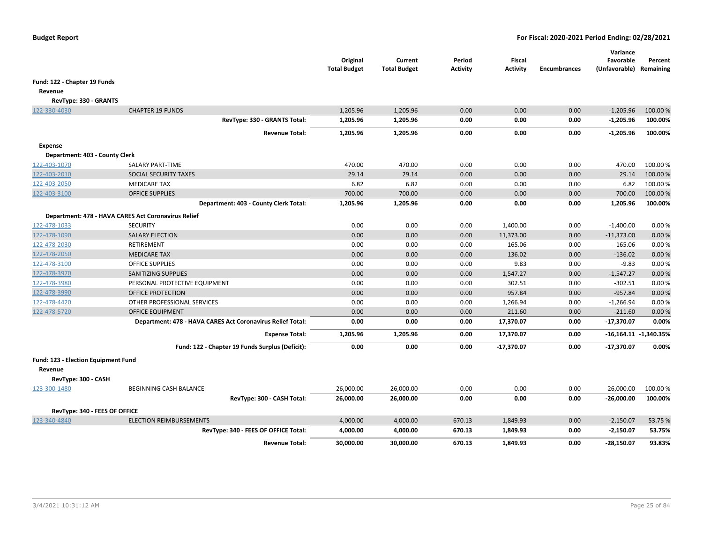|                                                |                                                            | Original<br><b>Total Budget</b> | Current<br><b>Total Budget</b> | Period<br><b>Activity</b> | Fiscal<br><b>Activity</b> | <b>Encumbrances</b> | Variance<br>Favorable<br>(Unfavorable) Remaining | Percent                   |
|------------------------------------------------|------------------------------------------------------------|---------------------------------|--------------------------------|---------------------------|---------------------------|---------------------|--------------------------------------------------|---------------------------|
| Fund: 122 - Chapter 19 Funds                   |                                                            |                                 |                                |                           |                           |                     |                                                  |                           |
| Revenue                                        |                                                            |                                 |                                |                           |                           |                     |                                                  |                           |
| RevType: 330 - GRANTS                          |                                                            |                                 |                                |                           |                           |                     |                                                  |                           |
| 122-330-4030                                   | <b>CHAPTER 19 FUNDS</b>                                    | 1,205.96                        | 1,205.96                       | 0.00                      | 0.00                      | 0.00                | $-1,205.96$                                      | 100.00 %                  |
|                                                | RevType: 330 - GRANTS Total:                               | 1,205.96                        | 1,205.96                       | 0.00                      | 0.00                      | 0.00                | $-1,205.96$                                      | 100.00%                   |
|                                                | <b>Revenue Total:</b>                                      | 1,205.96                        | 1,205.96                       | 0.00                      | 0.00                      | 0.00                | $-1,205.96$                                      | 100.00%                   |
| <b>Expense</b>                                 |                                                            |                                 |                                |                           |                           |                     |                                                  |                           |
| Department: 403 - County Clerk                 |                                                            |                                 |                                |                           |                           |                     |                                                  |                           |
| 122-403-1070                                   | SALARY PART-TIME                                           | 470.00                          | 470.00                         | 0.00                      | 0.00                      | 0.00                | 470.00                                           | 100.00%                   |
| 122-403-2010                                   | SOCIAL SECURITY TAXES                                      | 29.14                           | 29.14                          | 0.00                      | 0.00                      | 0.00                | 29.14                                            | 100.00%                   |
| 122-403-2050                                   | <b>MEDICARE TAX</b>                                        | 6.82                            | 6.82                           | 0.00                      | 0.00                      | 0.00                | 6.82                                             | 100.00 %                  |
| 122-403-3100                                   | <b>OFFICE SUPPLIES</b>                                     | 700.00                          | 700.00                         | 0.00                      | 0.00                      | 0.00                | 700.00                                           | 100.00 %                  |
|                                                | Department: 403 - County Clerk Total:                      | 1,205.96                        | 1,205.96                       | 0.00                      | 0.00                      | 0.00                | 1,205.96                                         | 100.00%                   |
|                                                | Department: 478 - HAVA CARES Act Coronavirus Relief        |                                 |                                |                           |                           |                     |                                                  |                           |
| 122-478-1033                                   | <b>SECURITY</b>                                            | 0.00                            | 0.00                           | 0.00                      | 1,400.00                  | 0.00                | $-1,400.00$                                      | 0.00%                     |
| 122-478-1090                                   | <b>SALARY ELECTION</b>                                     | 0.00                            | 0.00                           | 0.00                      | 11,373.00                 | 0.00                | $-11,373.00$                                     | 0.00%                     |
| 122-478-2030                                   | RETIREMENT                                                 | 0.00                            | 0.00                           | 0.00                      | 165.06                    | 0.00                | $-165.06$                                        | 0.00%                     |
| 122-478-2050                                   | <b>MEDICARE TAX</b>                                        | 0.00                            | 0.00                           | 0.00                      | 136.02                    | 0.00                | $-136.02$                                        | 0.00%                     |
| 122-478-3100                                   | <b>OFFICE SUPPLIES</b>                                     | 0.00                            | 0.00                           | 0.00                      | 9.83                      | 0.00                | $-9.83$                                          | 0.00%                     |
| 122-478-3970                                   | <b>SANITIZING SUPPLIES</b>                                 | 0.00                            | 0.00                           | 0.00                      | 1,547.27                  | 0.00                | $-1,547.27$                                      | 0.00%                     |
| 122-478-3980                                   | PERSONAL PROTECTIVE EQUIPMENT                              | 0.00                            | 0.00                           | 0.00                      | 302.51                    | 0.00                | $-302.51$                                        | 0.00%                     |
| 122-478-3990                                   | OFFICE PROTECTION                                          | 0.00                            | 0.00                           | 0.00                      | 957.84                    | 0.00                | $-957.84$                                        | 0.00%                     |
| 122-478-4420                                   | OTHER PROFESSIONAL SERVICES                                | 0.00                            | 0.00                           | 0.00                      | 1,266.94                  | 0.00                | $-1,266.94$                                      | 0.00%                     |
| 122-478-5720                                   | <b>OFFICE EQUIPMENT</b>                                    | 0.00                            | 0.00                           | 0.00                      | 211.60                    | 0.00                | $-211.60$                                        | 0.00%                     |
|                                                | Department: 478 - HAVA CARES Act Coronavirus Relief Total: | 0.00                            | 0.00                           | 0.00                      | 17,370.07                 | 0.00                | $-17,370.07$                                     | 0.00%                     |
|                                                | <b>Expense Total:</b>                                      | 1,205.96                        | 1,205.96                       | 0.00                      | 17,370.07                 | 0.00                |                                                  | $-16,164.11$ $-1,340.35%$ |
|                                                | Fund: 122 - Chapter 19 Funds Surplus (Deficit):            | 0.00                            | 0.00                           | 0.00                      | -17,370.07                | 0.00                | -17,370.07                                       | 0.00%                     |
| Fund: 123 - Election Equipment Fund<br>Revenue |                                                            |                                 |                                |                           |                           |                     |                                                  |                           |
| RevType: 300 - CASH                            |                                                            |                                 |                                |                           |                           |                     |                                                  |                           |
| 123-300-1480                                   | <b>BEGINNING CASH BALANCE</b>                              | 26,000.00                       | 26,000.00                      | 0.00                      | 0.00                      | 0.00                | $-26,000.00$                                     | 100.00 %                  |
|                                                | RevType: 300 - CASH Total:                                 | 26,000.00                       | 26,000.00                      | 0.00                      | 0.00                      | 0.00                | $-26,000.00$                                     | 100.00%                   |
| RevType: 340 - FEES OF OFFICE                  |                                                            |                                 |                                |                           |                           |                     |                                                  |                           |
| 123-340-4840                                   | <b>ELECTION REIMBURSEMENTS</b>                             | 4,000.00                        | 4,000.00                       | 670.13                    | 1,849.93                  | 0.00                | $-2,150.07$                                      | 53.75 %                   |
|                                                | RevType: 340 - FEES OF OFFICE Total:                       | 4,000.00                        | 4,000.00                       | 670.13                    | 1,849.93                  | 0.00                | $-2,150.07$                                      | 53.75%                    |
|                                                | <b>Revenue Total:</b>                                      | 30,000.00                       | 30,000.00                      | 670.13                    | 1.849.93                  | 0.00                | $-28,150.07$                                     | 93.83%                    |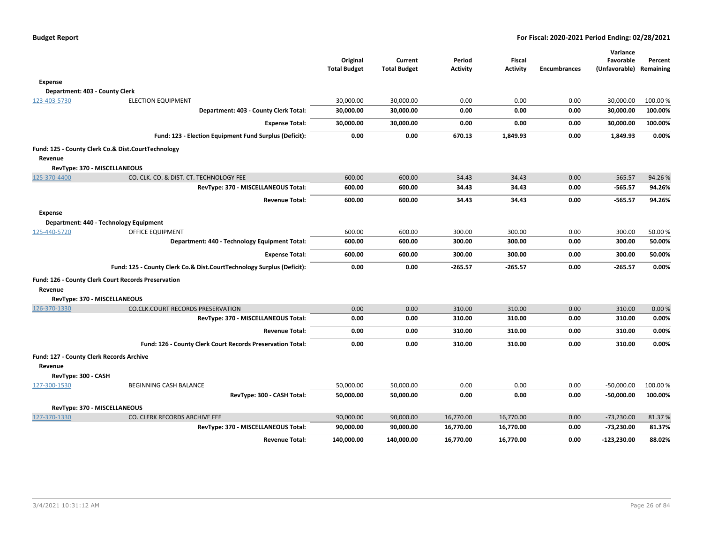|                     |                                                                       | Original<br><b>Total Budget</b> | Current<br><b>Total Budget</b> | Period<br><b>Activity</b> | <b>Fiscal</b><br><b>Activity</b> | <b>Encumbrances</b> | Variance<br>Favorable<br>(Unfavorable) Remaining | Percent  |
|---------------------|-----------------------------------------------------------------------|---------------------------------|--------------------------------|---------------------------|----------------------------------|---------------------|--------------------------------------------------|----------|
|                     |                                                                       |                                 |                                |                           |                                  |                     |                                                  |          |
| <b>Expense</b>      |                                                                       |                                 |                                |                           |                                  |                     |                                                  |          |
|                     | Department: 403 - County Clerk                                        |                                 |                                |                           |                                  |                     |                                                  |          |
| 123-403-5730        | <b>ELECTION EQUIPMENT</b>                                             | 30,000.00                       | 30,000.00                      | 0.00                      | 0.00                             | 0.00                | 30,000.00                                        | 100.00 % |
|                     | Department: 403 - County Clerk Total:                                 | 30,000.00                       | 30,000.00                      | 0.00                      | 0.00                             | 0.00                | 30,000.00                                        | 100.00%  |
|                     | <b>Expense Total:</b>                                                 | 30,000.00                       | 30,000.00                      | 0.00                      | 0.00                             | 0.00                | 30,000.00                                        | 100.00%  |
|                     | Fund: 123 - Election Equipment Fund Surplus (Deficit):                | 0.00                            | 0.00                           | 670.13                    | 1,849.93                         | 0.00                | 1,849.93                                         | 0.00%    |
|                     | Fund: 125 - County Clerk Co.& Dist.CourtTechnology                    |                                 |                                |                           |                                  |                     |                                                  |          |
| Revenue             |                                                                       |                                 |                                |                           |                                  |                     |                                                  |          |
|                     | RevType: 370 - MISCELLANEOUS                                          |                                 |                                |                           |                                  |                     |                                                  |          |
| 125-370-4400        | CO. CLK. CO. & DIST. CT. TECHNOLOGY FEE                               | 600.00                          | 600.00                         | 34.43                     | 34.43                            | 0.00                | $-565.57$                                        | 94.26%   |
|                     | RevType: 370 - MISCELLANEOUS Total:                                   | 600.00                          | 600.00                         | 34.43                     | 34.43                            | 0.00                | $-565.57$                                        | 94.26%   |
|                     | <b>Revenue Total:</b>                                                 | 600.00                          | 600.00                         | 34.43                     | 34.43                            | 0.00                | $-565.57$                                        | 94.26%   |
| <b>Expense</b>      |                                                                       |                                 |                                |                           |                                  |                     |                                                  |          |
|                     | Department: 440 - Technology Equipment                                |                                 |                                |                           |                                  |                     |                                                  |          |
| 125-440-5720        | OFFICE EQUIPMENT                                                      | 600.00                          | 600.00                         | 300.00                    | 300.00                           | 0.00                | 300.00                                           | 50.00%   |
|                     | Department: 440 - Technology Equipment Total:                         | 600.00                          | 600.00                         | 300.00                    | 300.00                           | 0.00                | 300.00                                           | 50.00%   |
|                     | <b>Expense Total:</b>                                                 | 600.00                          | 600.00                         | 300.00                    | 300.00                           | 0.00                | 300.00                                           | 50.00%   |
|                     | Fund: 125 - County Clerk Co.& Dist.CourtTechnology Surplus (Deficit): | 0.00                            | 0.00                           | $-265.57$                 | $-265.57$                        | 0.00                | $-265.57$                                        | 0.00%    |
|                     | Fund: 126 - County Clerk Court Records Preservation                   |                                 |                                |                           |                                  |                     |                                                  |          |
| Revenue             |                                                                       |                                 |                                |                           |                                  |                     |                                                  |          |
|                     | RevType: 370 - MISCELLANEOUS                                          |                                 |                                |                           |                                  |                     |                                                  |          |
| 126-370-1330        | CO.CLK.COURT RECORDS PRESERVATION                                     | 0.00                            | 0.00                           | 310.00                    | 310.00                           | 0.00                | 310.00                                           | 0.00%    |
|                     | RevType: 370 - MISCELLANEOUS Total:                                   | 0.00                            | 0.00                           | 310.00                    | 310.00                           | 0.00                | 310.00                                           | 0.00%    |
|                     | <b>Revenue Total:</b>                                                 | 0.00                            | 0.00                           | 310.00                    | 310.00                           | 0.00                | 310.00                                           | 0.00%    |
|                     | Fund: 126 - County Clerk Court Records Preservation Total:            | 0.00                            | 0.00                           | 310.00                    | 310.00                           | 0.00                | 310.00                                           | 0.00%    |
| Revenue             | Fund: 127 - County Clerk Records Archive                              |                                 |                                |                           |                                  |                     |                                                  |          |
| RevType: 300 - CASH |                                                                       |                                 |                                |                           |                                  |                     |                                                  |          |
| 127-300-1530        | <b>BEGINNING CASH BALANCE</b>                                         | 50,000.00                       | 50,000.00                      | 0.00                      | 0.00                             | 0.00                | $-50,000.00$                                     | 100.00 % |
|                     | RevType: 300 - CASH Total:                                            | 50,000.00                       | 50,000.00                      | 0.00                      | 0.00                             | 0.00                | $-50,000.00$                                     | 100.00%  |
|                     | RevType: 370 - MISCELLANEOUS                                          |                                 |                                |                           |                                  |                     |                                                  |          |
| 127-370-1330        | CO. CLERK RECORDS ARCHIVE FEE                                         | 90,000.00                       | 90,000.00                      | 16,770.00                 | 16,770.00                        | 0.00                | $-73,230.00$                                     | 81.37%   |
|                     | RevType: 370 - MISCELLANEOUS Total:                                   | 90,000.00                       | 90,000.00                      | 16,770.00                 | 16,770.00                        | 0.00                | -73,230.00                                       | 81.37%   |
|                     | <b>Revenue Total:</b>                                                 | 140,000.00                      | 140,000.00                     | 16,770.00                 | 16,770.00                        | 0.00                | $-123,230.00$                                    | 88.02%   |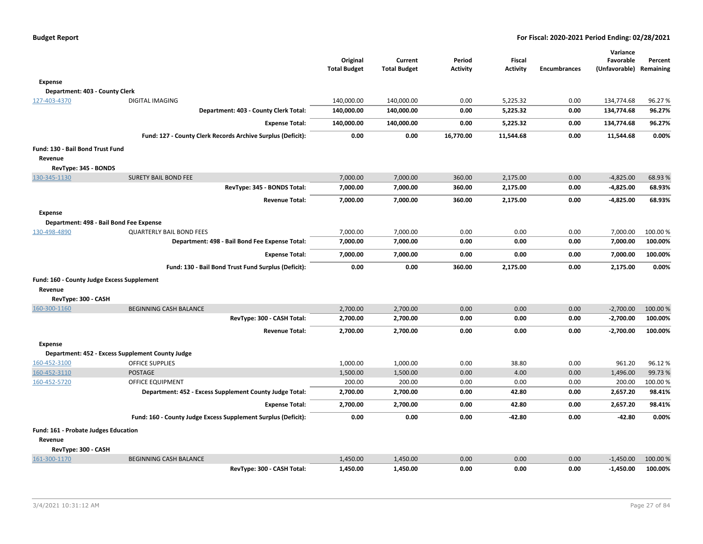|                                            |                                                               | Original<br><b>Total Budget</b> | Current<br><b>Total Budget</b> | Period<br><b>Activity</b> | <b>Fiscal</b><br><b>Activity</b> | <b>Encumbrances</b> | Variance<br>Favorable<br>(Unfavorable) Remaining | Percent  |
|--------------------------------------------|---------------------------------------------------------------|---------------------------------|--------------------------------|---------------------------|----------------------------------|---------------------|--------------------------------------------------|----------|
| Expense                                    |                                                               |                                 |                                |                           |                                  |                     |                                                  |          |
| Department: 403 - County Clerk             |                                                               |                                 |                                |                           |                                  |                     |                                                  |          |
| 127-403-4370                               | <b>DIGITAL IMAGING</b>                                        | 140,000.00                      | 140,000.00                     | 0.00                      | 5,225.32                         | 0.00                | 134,774.68                                       | 96.27%   |
|                                            | Department: 403 - County Clerk Total:                         | 140,000.00                      | 140,000.00                     | 0.00                      | 5,225.32                         | 0.00                | 134,774.68                                       | 96.27%   |
|                                            | <b>Expense Total:</b>                                         | 140,000.00                      | 140,000.00                     | 0.00                      | 5,225.32                         | 0.00                | 134,774.68                                       | 96.27%   |
|                                            | Fund: 127 - County Clerk Records Archive Surplus (Deficit):   | 0.00                            | 0.00                           | 16,770.00                 | 11,544.68                        | 0.00                | 11,544.68                                        | 0.00%    |
| Fund: 130 - Bail Bond Trust Fund           |                                                               |                                 |                                |                           |                                  |                     |                                                  |          |
| Revenue                                    |                                                               |                                 |                                |                           |                                  |                     |                                                  |          |
| RevType: 345 - BONDS                       |                                                               |                                 |                                |                           |                                  |                     |                                                  |          |
| 130-345-1130                               | <b>SURETY BAIL BOND FEE</b>                                   | 7,000.00                        | 7,000.00                       | 360.00                    | 2,175.00                         | 0.00                | $-4,825.00$                                      | 68.93%   |
|                                            | RevType: 345 - BONDS Total:                                   | 7,000.00                        | 7,000.00                       | 360.00                    | 2,175.00                         | 0.00                | $-4,825.00$                                      | 68.93%   |
|                                            | <b>Revenue Total:</b>                                         | 7,000.00                        | 7,000.00                       | 360.00                    | 2,175.00                         | 0.00                | $-4,825.00$                                      | 68.93%   |
| <b>Expense</b>                             |                                                               |                                 |                                |                           |                                  |                     |                                                  |          |
|                                            | Department: 498 - Bail Bond Fee Expense                       |                                 |                                |                           |                                  |                     |                                                  |          |
| 130-498-4890                               | <b>QUARTERLY BAIL BOND FEES</b>                               | 7,000.00                        | 7,000.00                       | 0.00                      | 0.00                             | 0.00                | 7,000.00                                         | 100.00 % |
|                                            | Department: 498 - Bail Bond Fee Expense Total:                | 7,000.00                        | 7,000.00                       | 0.00                      | 0.00                             | 0.00                | 7,000.00                                         | 100.00%  |
|                                            | <b>Expense Total:</b>                                         | 7,000.00                        | 7,000.00                       | 0.00                      | 0.00                             | 0.00                | 7,000.00                                         | 100.00%  |
|                                            | Fund: 130 - Bail Bond Trust Fund Surplus (Deficit):           | 0.00                            | 0.00                           | 360.00                    | 2,175.00                         | 0.00                | 2,175.00                                         | 0.00%    |
| Fund: 160 - County Judge Excess Supplement |                                                               |                                 |                                |                           |                                  |                     |                                                  |          |
| Revenue                                    |                                                               |                                 |                                |                           |                                  |                     |                                                  |          |
| RevType: 300 - CASH                        |                                                               |                                 |                                |                           |                                  |                     |                                                  |          |
| 160-300-1160                               | <b>BEGINNING CASH BALANCE</b>                                 | 2,700.00                        | 2,700.00                       | 0.00                      | 0.00                             | 0.00                | $-2,700.00$                                      | 100.00%  |
|                                            | RevType: 300 - CASH Total:                                    | 2,700.00                        | 2,700.00                       | 0.00                      | 0.00                             | 0.00                | $-2,700.00$                                      | 100.00%  |
|                                            | <b>Revenue Total:</b>                                         | 2,700.00                        | 2,700.00                       | 0.00                      | 0.00                             | 0.00                | $-2,700.00$                                      | 100.00%  |
| <b>Expense</b>                             |                                                               |                                 |                                |                           |                                  |                     |                                                  |          |
|                                            | Department: 452 - Excess Supplement County Judge              |                                 |                                |                           |                                  |                     |                                                  |          |
| 160-452-3100                               | <b>OFFICE SUPPLIES</b>                                        | 1,000.00                        | 1,000.00                       | 0.00                      | 38.80                            | 0.00                | 961.20                                           | 96.12%   |
| 160-452-3110                               | <b>POSTAGE</b>                                                | 1,500.00                        | 1,500.00                       | 0.00                      | 4.00                             | 0.00                | 1,496.00                                         | 99.73%   |
| 160-452-5720                               | <b>OFFICE EQUIPMENT</b>                                       | 200.00                          | 200.00                         | 0.00                      | 0.00                             | 0.00                | 200.00                                           | 100.00%  |
|                                            | Department: 452 - Excess Supplement County Judge Total:       | 2,700.00                        | 2,700.00                       | 0.00                      | 42.80                            | 0.00                | 2,657.20                                         | 98.41%   |
|                                            | <b>Expense Total:</b>                                         | 2,700.00                        | 2,700.00                       | 0.00                      | 42.80                            | 0.00                | 2,657.20                                         | 98.41%   |
|                                            | Fund: 160 - County Judge Excess Supplement Surplus (Deficit): | 0.00                            | 0.00                           | 0.00                      | $-42.80$                         | 0.00                | $-42.80$                                         | 0.00%    |
| Fund: 161 - Probate Judges Education       |                                                               |                                 |                                |                           |                                  |                     |                                                  |          |
| Revenue                                    |                                                               |                                 |                                |                           |                                  |                     |                                                  |          |
| RevType: 300 - CASH                        |                                                               |                                 |                                |                           |                                  |                     |                                                  |          |
| 161-300-1170                               | <b>BEGINNING CASH BALANCE</b>                                 | 1,450.00                        | 1,450.00                       | 0.00                      | 0.00                             | 0.00                | $-1,450.00$                                      | 100.00 % |
|                                            | RevType: 300 - CASH Total:                                    | 1,450.00                        | 1,450.00                       | 0.00                      | 0.00                             | 0.00                | $-1,450.00$                                      | 100.00%  |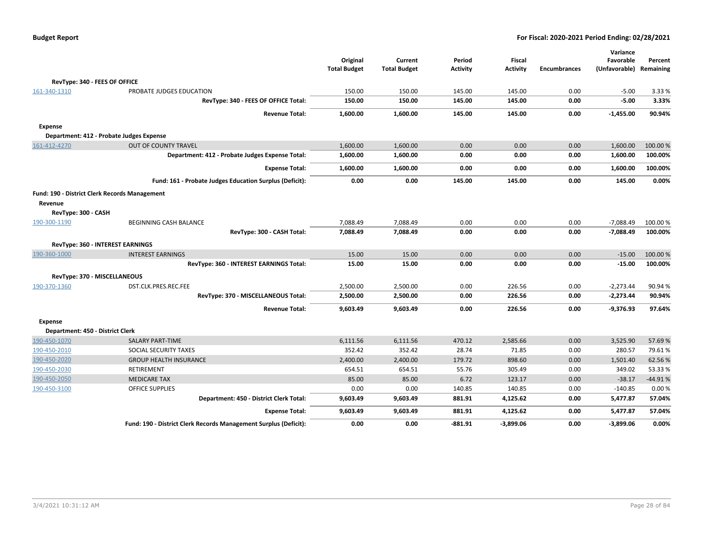| <b>Budget Report</b> |  |
|----------------------|--|
|----------------------|--|

|                                                      |                                                                  | Original            | Current             | Period          | <b>Fiscal</b>   |                     | Variance<br>Favorable | Percent   |
|------------------------------------------------------|------------------------------------------------------------------|---------------------|---------------------|-----------------|-----------------|---------------------|-----------------------|-----------|
|                                                      |                                                                  | <b>Total Budget</b> | <b>Total Budget</b> | <b>Activity</b> | <b>Activity</b> | <b>Encumbrances</b> | (Unfavorable)         | Remaining |
| RevType: 340 - FEES OF OFFICE                        |                                                                  |                     |                     |                 |                 |                     |                       |           |
| 161-340-1310                                         | PROBATE JUDGES EDUCATION                                         | 150.00              | 150.00              | 145.00          | 145.00          | 0.00                | $-5.00$               | 3.33 %    |
|                                                      | RevType: 340 - FEES OF OFFICE Total:                             | 150.00              | 150.00              | 145.00          | 145.00          | 0.00                | $-5.00$               | 3.33%     |
|                                                      | <b>Revenue Total:</b>                                            | 1,600.00            | 1,600.00            | 145.00          | 145.00          | 0.00                | $-1,455.00$           | 90.94%    |
| Expense                                              |                                                                  |                     |                     |                 |                 |                     |                       |           |
| Department: 412 - Probate Judges Expense             |                                                                  |                     |                     |                 |                 |                     |                       |           |
| 161-412-4270                                         | <b>OUT OF COUNTY TRAVEL</b>                                      | 1,600.00            | 1,600.00            | 0.00            | 0.00            | 0.00                | 1,600.00              | 100.00%   |
|                                                      | Department: 412 - Probate Judges Expense Total:                  | 1,600.00            | 1,600.00            | 0.00            | 0.00            | 0.00                | 1,600.00              | 100.00%   |
|                                                      | <b>Expense Total:</b>                                            | 1,600.00            | 1,600.00            | 0.00            | 0.00            | 0.00                | 1,600.00              | 100.00%   |
|                                                      | Fund: 161 - Probate Judges Education Surplus (Deficit):          | 0.00                | 0.00                | 145.00          | 145.00          | 0.00                | 145.00                | 0.00%     |
| <b>Fund: 190 - District Clerk Records Management</b> |                                                                  |                     |                     |                 |                 |                     |                       |           |
| Revenue                                              |                                                                  |                     |                     |                 |                 |                     |                       |           |
| RevType: 300 - CASH                                  |                                                                  |                     |                     |                 |                 |                     |                       |           |
| 190-300-1190                                         | BEGINNING CASH BALANCE                                           | 7,088.49            | 7,088.49            | 0.00            | 0.00            | 0.00                | $-7,088.49$           | 100.00 %  |
|                                                      | RevType: 300 - CASH Total:                                       | 7,088.49            | 7,088.49            | 0.00            | 0.00            | 0.00                | $-7,088.49$           | 100.00%   |
| RevType: 360 - INTEREST EARNINGS                     |                                                                  |                     |                     |                 |                 |                     |                       |           |
| 190-360-1000                                         | <b>INTEREST EARNINGS</b>                                         | 15.00               | 15.00               | 0.00            | 0.00            | 0.00                | $-15.00$              | 100.00%   |
|                                                      | RevType: 360 - INTEREST EARNINGS Total:                          | 15.00               | 15.00               | 0.00            | 0.00            | 0.00                | $-15.00$              | 100.00%   |
| RevType: 370 - MISCELLANEOUS                         |                                                                  |                     |                     |                 |                 |                     |                       |           |
| 190-370-1360                                         | DST.CLK.PRES.REC.FEE                                             | 2,500.00            | 2,500.00            | 0.00            | 226.56          | 0.00                | $-2,273.44$           | 90.94 %   |
|                                                      | RevType: 370 - MISCELLANEOUS Total:                              | 2,500.00            | 2,500.00            | 0.00            | 226.56          | 0.00                | $-2,273.44$           | 90.94%    |
|                                                      | <b>Revenue Total:</b>                                            | 9,603.49            | 9,603.49            | 0.00            | 226.56          | 0.00                | $-9,376.93$           | 97.64%    |
| <b>Expense</b>                                       |                                                                  |                     |                     |                 |                 |                     |                       |           |
| Department: 450 - District Clerk                     |                                                                  |                     |                     |                 |                 |                     |                       |           |
| 190-450-1070                                         | <b>SALARY PART-TIME</b>                                          | 6,111.56            | 6,111.56            | 470.12          | 2,585.66        | 0.00                | 3,525.90              | 57.69%    |
| 190-450-2010                                         | SOCIAL SECURITY TAXES                                            | 352.42              | 352.42              | 28.74           | 71.85           | 0.00                | 280.57                | 79.61%    |
| 190-450-2020                                         | <b>GROUP HEALTH INSURANCE</b>                                    | 2,400.00            | 2,400.00            | 179.72          | 898.60          | 0.00                | 1,501.40              | 62.56%    |
| 190-450-2030                                         | RETIREMENT                                                       | 654.51              | 654.51              | 55.76           | 305.49          | 0.00                | 349.02                | 53.33 %   |
| 190-450-2050                                         | <b>MEDICARE TAX</b>                                              | 85.00               | 85.00               | 6.72            | 123.17          | 0.00                | $-38.17$              | $-44.91%$ |
| 190-450-3100                                         | <b>OFFICE SUPPLIES</b>                                           | 0.00                | 0.00                | 140.85          | 140.85          | 0.00                | $-140.85$             | 0.00%     |
|                                                      | Department: 450 - District Clerk Total:                          | 9,603.49            | 9,603.49            | 881.91          | 4,125.62        | 0.00                | 5,477.87              | 57.04%    |
|                                                      | <b>Expense Total:</b>                                            | 9,603.49            | 9,603.49            | 881.91          | 4,125.62        | 0.00                | 5,477.87              | 57.04%    |
|                                                      | Fund: 190 - District Clerk Records Management Surplus (Deficit): | 0.00                | 0.00                | -881.91         | $-3,899.06$     | 0.00                | $-3,899.06$           | 0.00%     |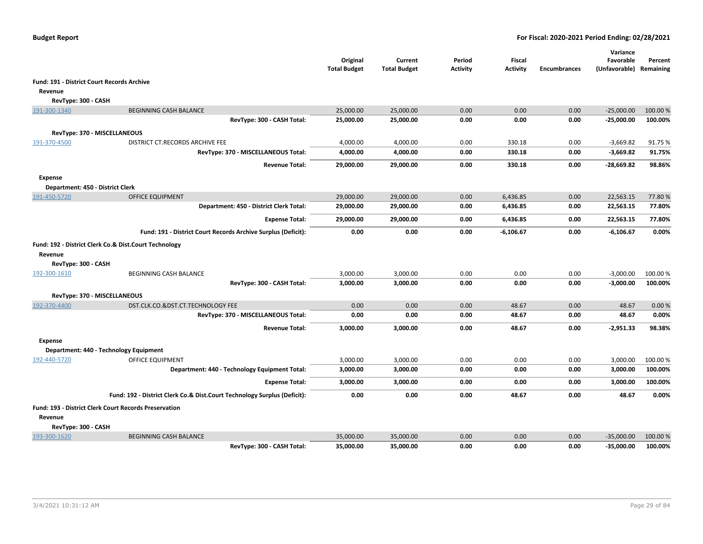|                                                  |                                                                          | Original<br><b>Total Budget</b> | Current<br><b>Total Budget</b> | Period<br><b>Activity</b> | Fiscal<br><b>Activity</b> | <b>Encumbrances</b> | Variance<br>Favorable<br>(Unfavorable) Remaining | Percent  |
|--------------------------------------------------|--------------------------------------------------------------------------|---------------------------------|--------------------------------|---------------------------|---------------------------|---------------------|--------------------------------------------------|----------|
|                                                  | <b>Fund: 191 - District Court Records Archive</b>                        |                                 |                                |                           |                           |                     |                                                  |          |
| Revenue                                          |                                                                          |                                 |                                |                           |                           |                     |                                                  |          |
| RevType: 300 - CASH                              |                                                                          |                                 |                                |                           |                           |                     |                                                  |          |
| 191-300-1340                                     | <b>BEGINNING CASH BALANCE</b>                                            | 25,000.00                       | 25,000.00                      | 0.00                      | 0.00                      | 0.00                | $-25,000.00$                                     | 100.00 % |
|                                                  | RevType: 300 - CASH Total:                                               | 25,000.00                       | 25,000.00                      | 0.00                      | 0.00                      | 0.00                | $-25,000.00$                                     | 100.00%  |
|                                                  | RevType: 370 - MISCELLANEOUS                                             |                                 |                                |                           |                           |                     |                                                  |          |
| 191-370-4500                                     | DISTRICT CT.RECORDS ARCHIVE FEE                                          | 4,000.00                        | 4,000.00                       | 0.00                      | 330.18                    | 0.00                | $-3,669.82$                                      | 91.75%   |
|                                                  | RevType: 370 - MISCELLANEOUS Total:                                      | 4,000.00                        | 4,000.00                       | 0.00                      | 330.18                    | 0.00                | $-3,669.82$                                      | 91.75%   |
|                                                  | <b>Revenue Total:</b>                                                    | 29,000.00                       | 29,000.00                      | 0.00                      | 330.18                    | 0.00                | -28,669.82                                       | 98.86%   |
|                                                  |                                                                          |                                 |                                |                           |                           |                     |                                                  |          |
| Expense                                          |                                                                          |                                 |                                |                           |                           |                     |                                                  |          |
| Department: 450 - District Clerk<br>191-450-5720 | <b>OFFICE EQUIPMENT</b>                                                  | 29,000.00                       | 29,000.00                      | 0.00                      | 6,436.85                  | 0.00                | 22,563.15                                        | 77.80%   |
|                                                  | Department: 450 - District Clerk Total:                                  | 29,000.00                       | 29,000.00                      | 0.00                      | 6,436.85                  | 0.00                | 22,563.15                                        | 77.80%   |
|                                                  |                                                                          |                                 |                                |                           |                           |                     |                                                  |          |
|                                                  | <b>Expense Total:</b>                                                    | 29,000.00                       | 29,000.00                      | 0.00                      | 6,436.85                  | 0.00                | 22,563.15                                        | 77.80%   |
|                                                  | Fund: 191 - District Court Records Archive Surplus (Deficit):            | 0.00                            | 0.00                           | 0.00                      | $-6,106.67$               | 0.00                | $-6,106.67$                                      | 0.00%    |
| Revenue                                          | Fund: 192 - District Clerk Co.& Dist.Court Technology                    |                                 |                                |                           |                           |                     |                                                  |          |
| RevType: 300 - CASH                              |                                                                          |                                 |                                |                           |                           |                     |                                                  |          |
| 192-300-1610                                     | BEGINNING CASH BALANCE                                                   | 3,000.00                        | 3,000.00                       | 0.00                      | 0.00                      | 0.00                | $-3,000.00$                                      | 100.00 % |
|                                                  | RevType: 300 - CASH Total:                                               | 3,000.00                        | 3,000.00                       | 0.00                      | 0.00                      | 0.00                | $-3,000.00$                                      | 100.00%  |
|                                                  | RevType: 370 - MISCELLANEOUS                                             |                                 |                                |                           |                           |                     |                                                  |          |
| 192-370-4400                                     | DST.CLK.CO.&DST.CT.TECHNOLOGY FEE                                        | 0.00                            | 0.00                           | 0.00                      | 48.67                     | 0.00                | 48.67                                            | 0.00%    |
|                                                  | RevType: 370 - MISCELLANEOUS Total:                                      | 0.00                            | 0.00                           | 0.00                      | 48.67                     | 0.00                | 48.67                                            | 0.00%    |
|                                                  | <b>Revenue Total:</b>                                                    | 3,000.00                        | 3,000.00                       | 0.00                      | 48.67                     | 0.00                | $-2,951.33$                                      | 98.38%   |
| <b>Expense</b>                                   |                                                                          |                                 |                                |                           |                           |                     |                                                  |          |
|                                                  | Department: 440 - Technology Equipment                                   |                                 |                                |                           |                           |                     |                                                  |          |
| 192-440-5720                                     | OFFICE EQUIPMENT                                                         | 3,000.00                        | 3,000.00                       | 0.00                      | 0.00                      | 0.00                | 3,000.00                                         | 100.00 % |
|                                                  | Department: 440 - Technology Equipment Total:                            | 3,000.00                        | 3,000.00                       | 0.00                      | 0.00                      | 0.00                | 3,000.00                                         | 100.00%  |
|                                                  | <b>Expense Total:</b>                                                    | 3,000.00                        | 3,000.00                       | 0.00                      | 0.00                      | 0.00                | 3,000.00                                         | 100.00%  |
|                                                  | Fund: 192 - District Clerk Co.& Dist.Court Technology Surplus (Deficit): | 0.00                            | 0.00                           | 0.00                      | 48.67                     | 0.00                | 48.67                                            | 0.00%    |
|                                                  | <b>Fund: 193 - District Clerk Court Records Preservation</b>             |                                 |                                |                           |                           |                     |                                                  |          |
| Revenue                                          |                                                                          |                                 |                                |                           |                           |                     |                                                  |          |
| RevType: 300 - CASH                              |                                                                          |                                 |                                |                           |                           |                     |                                                  |          |
| 193-300-1620                                     | <b>BEGINNING CASH BALANCE</b>                                            | 35,000.00                       | 35,000.00                      | 0.00                      | 0.00                      | 0.00                | $-35,000.00$                                     | 100.00%  |
|                                                  | RevTvpe: 300 - CASH Total:                                               | 35.000.00                       | 35.000.00                      | 0.00                      | 0.00                      | 0.00                | $-35,000.00$                                     | 100.00%  |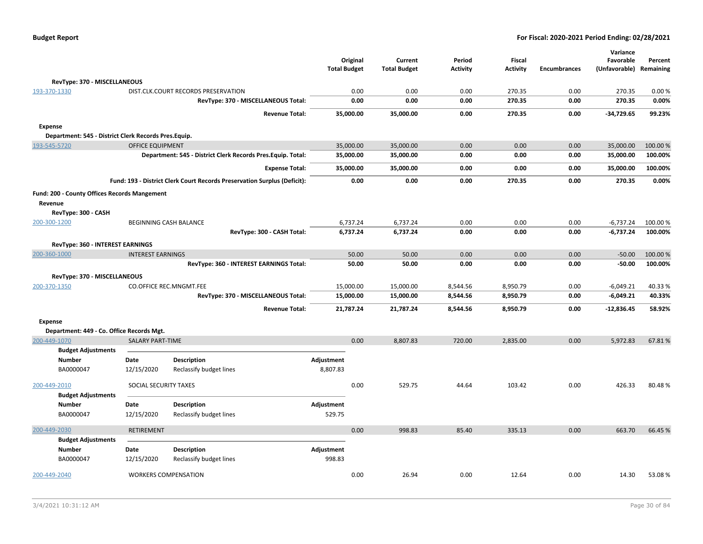| <b>Budget Report</b> |  |
|----------------------|--|
|----------------------|--|

|                                                      |                                |                                                                          |                     | Original  | Current             | Period          | <b>Fiscal</b>   |                     | Variance<br>Favorable | Percent   |
|------------------------------------------------------|--------------------------------|--------------------------------------------------------------------------|---------------------|-----------|---------------------|-----------------|-----------------|---------------------|-----------------------|-----------|
|                                                      |                                |                                                                          | <b>Total Budget</b> |           | <b>Total Budget</b> | <b>Activity</b> | <b>Activity</b> | <b>Encumbrances</b> | (Unfavorable)         | Remaining |
| RevType: 370 - MISCELLANEOUS                         |                                |                                                                          |                     |           |                     |                 |                 |                     |                       |           |
| 193-370-1330                                         |                                | DIST.CLK.COURT RECORDS PRESERVATION                                      |                     | 0.00      | 0.00                | 0.00            | 270.35          | 0.00                | 270.35                | 0.00%     |
|                                                      |                                | RevType: 370 - MISCELLANEOUS Total:                                      |                     | 0.00      | 0.00                | 0.00            | 270.35          | 0.00                | 270.35                | 0.00%     |
|                                                      |                                | <b>Revenue Total:</b>                                                    |                     | 35,000.00 | 35,000.00           | 0.00            | 270.35          | 0.00                | $-34,729.65$          | 99.23%    |
| <b>Expense</b>                                       |                                |                                                                          |                     |           |                     |                 |                 |                     |                       |           |
| Department: 545 - District Clerk Records Pres.Equip. |                                |                                                                          |                     |           |                     |                 |                 |                     |                       |           |
| 193-545-5720                                         | <b>OFFICE EQUIPMENT</b>        |                                                                          |                     | 35,000.00 | 35,000.00           | 0.00            | 0.00            | 0.00                | 35,000.00             | 100.00%   |
|                                                      |                                | Department: 545 - District Clerk Records Pres. Equip. Total:             |                     | 35,000.00 | 35,000.00           | 0.00            | 0.00            | 0.00                | 35,000.00             | 100.00%   |
|                                                      |                                | <b>Expense Total:</b>                                                    |                     | 35,000.00 | 35,000.00           | 0.00            | 0.00            | 0.00                | 35,000.00             | 100.00%   |
|                                                      |                                | Fund: 193 - District Clerk Court Records Preservation Surplus (Deficit): |                     | 0.00      | 0.00                | 0.00            | 270.35          | 0.00                | 270.35                | 0.00%     |
| Fund: 200 - County Offices Records Mangement         |                                |                                                                          |                     |           |                     |                 |                 |                     |                       |           |
| Revenue                                              |                                |                                                                          |                     |           |                     |                 |                 |                     |                       |           |
| RevType: 300 - CASH                                  |                                |                                                                          |                     |           |                     |                 |                 |                     |                       |           |
| 200-300-1200                                         | BEGINNING CASH BALANCE         |                                                                          |                     | 6,737.24  | 6,737.24            | 0.00            | 0.00            | 0.00                | $-6,737.24$           | 100.00 %  |
|                                                      |                                | RevType: 300 - CASH Total:                                               |                     | 6,737.24  | 6,737.24            | 0.00            | 0.00            | 0.00                | $-6,737.24$           | 100.00%   |
| RevType: 360 - INTEREST EARNINGS                     |                                |                                                                          |                     |           |                     |                 |                 |                     |                       |           |
| 200-360-1000                                         | <b>INTEREST EARNINGS</b>       |                                                                          |                     | 50.00     | 50.00               | 0.00            | 0.00            | 0.00                | $-50.00$              | 100.00 %  |
|                                                      |                                | RevType: 360 - INTEREST EARNINGS Total:                                  |                     | 50.00     | 50.00               | 0.00            | 0.00            | 0.00                | $-50.00$              | 100.00%   |
| RevType: 370 - MISCELLANEOUS                         |                                |                                                                          |                     |           |                     |                 |                 |                     |                       |           |
| 200-370-1350                                         | <b>CO.OFFICE REC.MNGMT.FEE</b> |                                                                          |                     | 15,000.00 | 15,000.00           | 8,544.56        | 8,950.79        | 0.00                | $-6,049.21$           | 40.33%    |
|                                                      |                                | RevType: 370 - MISCELLANEOUS Total:                                      |                     | 15,000.00 | 15,000.00           | 8,544.56        | 8,950.79        | 0.00                | $-6,049.21$           | 40.33%    |
|                                                      |                                | <b>Revenue Total:</b>                                                    |                     | 21,787.24 | 21,787.24           | 8,544.56        | 8,950.79        | 0.00                | $-12,836.45$          | 58.92%    |
| Expense                                              |                                |                                                                          |                     |           |                     |                 |                 |                     |                       |           |
| Department: 449 - Co. Office Records Mgt.            |                                |                                                                          |                     |           |                     |                 |                 |                     |                       |           |
| 200-449-1070                                         | <b>SALARY PART-TIME</b>        |                                                                          |                     | 0.00      | 8,807.83            | 720.00          | 2,835.00        | 0.00                | 5,972.83              | 67.81%    |
| <b>Budget Adjustments</b>                            |                                |                                                                          |                     |           |                     |                 |                 |                     |                       |           |
| <b>Number</b>                                        | Date                           | <b>Description</b>                                                       | Adjustment          |           |                     |                 |                 |                     |                       |           |
| BA0000047                                            | 12/15/2020                     | Reclassify budget lines                                                  | 8,807.83            |           |                     |                 |                 |                     |                       |           |
| 200-449-2010                                         | SOCIAL SECURITY TAXES          |                                                                          |                     | 0.00      | 529.75              | 44.64           | 103.42          | 0.00                | 426.33                | 80.48%    |
| <b>Budget Adjustments</b>                            |                                |                                                                          |                     |           |                     |                 |                 |                     |                       |           |
| <b>Number</b>                                        | Date                           | <b>Description</b>                                                       | Adjustment          |           |                     |                 |                 |                     |                       |           |
| BA0000047                                            | 12/15/2020                     | Reclassify budget lines                                                  | 529.75              |           |                     |                 |                 |                     |                       |           |
| 200-449-2030                                         | <b>RETIREMENT</b>              |                                                                          |                     | 0.00      | 998.83              | 85.40           | 335.13          | 0.00                | 663.70                | 66.45 %   |
| <b>Budget Adjustments</b>                            |                                |                                                                          |                     |           |                     |                 |                 |                     |                       |           |
| <b>Number</b>                                        | Date                           | <b>Description</b>                                                       | Adjustment          |           |                     |                 |                 |                     |                       |           |
| BA0000047                                            | 12/15/2020                     | Reclassify budget lines                                                  | 998.83              |           |                     |                 |                 |                     |                       |           |
| 200-449-2040                                         | <b>WORKERS COMPENSATION</b>    |                                                                          |                     | 0.00      | 26.94               | 0.00            | 12.64           | 0.00                | 14.30                 | 53.08%    |
|                                                      |                                |                                                                          |                     |           |                     |                 |                 |                     |                       |           |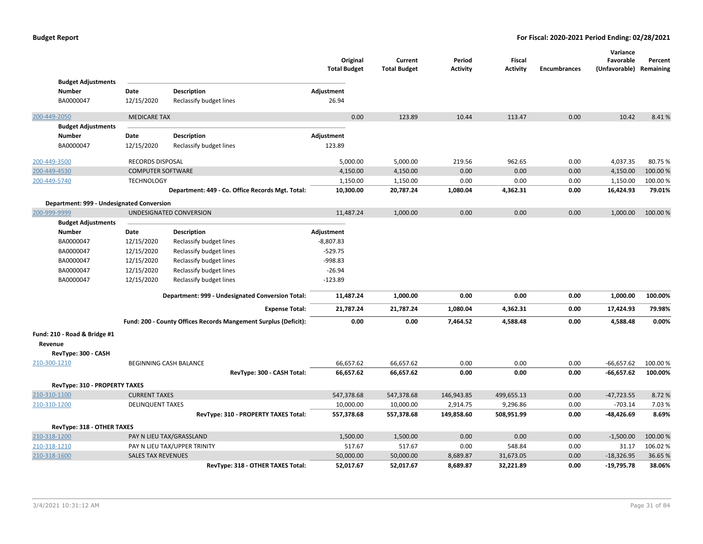|                                            |                           |                                                                 | Original<br><b>Total Budget</b> | Current<br><b>Total Budget</b> | Period<br><b>Activity</b> | <b>Fiscal</b><br><b>Activity</b> | <b>Encumbrances</b> | Variance<br>Favorable<br>(Unfavorable) Remaining | Percent  |
|--------------------------------------------|---------------------------|-----------------------------------------------------------------|---------------------------------|--------------------------------|---------------------------|----------------------------------|---------------------|--------------------------------------------------|----------|
| <b>Budget Adjustments</b><br><b>Number</b> | Date                      | <b>Description</b>                                              | Adjustment                      |                                |                           |                                  |                     |                                                  |          |
| BA0000047                                  | 12/15/2020                | Reclassify budget lines                                         | 26.94                           |                                |                           |                                  |                     |                                                  |          |
|                                            |                           |                                                                 |                                 |                                |                           |                                  |                     |                                                  |          |
| 200-449-2050                               | <b>MEDICARE TAX</b>       |                                                                 | 0.00                            | 123.89                         | 10.44                     | 113.47                           | 0.00                | 10.42                                            | 8.41%    |
| <b>Budget Adjustments</b>                  |                           |                                                                 |                                 |                                |                           |                                  |                     |                                                  |          |
| <b>Number</b>                              | Date                      | <b>Description</b>                                              | Adjustment                      |                                |                           |                                  |                     |                                                  |          |
| BA0000047                                  | 12/15/2020                | Reclassify budget lines                                         | 123.89                          |                                |                           |                                  |                     |                                                  |          |
| 200-449-3500                               | RECORDS DISPOSAL          |                                                                 | 5,000.00                        | 5,000.00                       | 219.56                    | 962.65                           | 0.00                | 4,037.35                                         | 80.75%   |
| 200-449-4530                               | <b>COMPUTER SOFTWARE</b>  |                                                                 | 4,150.00                        | 4,150.00                       | 0.00                      | 0.00                             | 0.00                | 4,150.00                                         | 100.00%  |
| 200-449-5740                               | <b>TECHNOLOGY</b>         |                                                                 | 1,150.00                        | 1,150.00                       | 0.00                      | 0.00                             | 0.00                | 1,150.00                                         | 100.00%  |
|                                            |                           | Department: 449 - Co. Office Records Mgt. Total:                | 10,300.00                       | 20,787.24                      | 1,080.04                  | 4,362.31                         | 0.00                | 16,424.93                                        | 79.01%   |
| Department: 999 - Undesignated Conversion  |                           |                                                                 |                                 |                                |                           |                                  |                     |                                                  |          |
| 200-999-9999                               |                           | UNDESIGNATED CONVERSION                                         | 11,487.24                       | 1,000.00                       | 0.00                      | 0.00                             | 0.00                | 1,000.00                                         | 100.00%  |
| <b>Budget Adjustments</b>                  |                           |                                                                 |                                 |                                |                           |                                  |                     |                                                  |          |
| <b>Number</b>                              | Date                      | <b>Description</b>                                              | Adjustment                      |                                |                           |                                  |                     |                                                  |          |
| BA0000047                                  | 12/15/2020                | Reclassify budget lines                                         | $-8,807.83$                     |                                |                           |                                  |                     |                                                  |          |
| BA0000047                                  | 12/15/2020                | Reclassify budget lines                                         | $-529.75$                       |                                |                           |                                  |                     |                                                  |          |
| BA0000047                                  | 12/15/2020                | Reclassify budget lines                                         | -998.83                         |                                |                           |                                  |                     |                                                  |          |
| BA0000047                                  | 12/15/2020                | Reclassify budget lines                                         | $-26.94$                        |                                |                           |                                  |                     |                                                  |          |
| BA0000047                                  | 12/15/2020                | Reclassify budget lines                                         | $-123.89$                       |                                |                           |                                  |                     |                                                  |          |
|                                            |                           | Department: 999 - Undesignated Conversion Total:                | 11,487.24                       | 1,000.00                       | 0.00                      | 0.00                             | 0.00                | 1,000.00                                         | 100.00%  |
|                                            |                           | <b>Expense Total:</b>                                           | 21,787.24                       | 21,787.24                      | 1,080.04                  | 4,362.31                         | 0.00                | 17,424.93                                        | 79.98%   |
|                                            |                           | Fund: 200 - County Offices Records Mangement Surplus (Deficit): | 0.00                            | 0.00                           | 7,464.52                  | 4,588.48                         | 0.00                | 4,588.48                                         | 0.00%    |
| Fund: 210 - Road & Bridge #1<br>Revenue    |                           |                                                                 |                                 |                                |                           |                                  |                     |                                                  |          |
| RevType: 300 - CASH                        |                           |                                                                 |                                 |                                |                           |                                  |                     |                                                  |          |
| 210-300-1210                               |                           | BEGINNING CASH BALANCE                                          | 66,657.62                       | 66,657.62                      | 0.00                      | 0.00                             | 0.00                | $-66,657.62$                                     | 100.00 % |
|                                            |                           | RevType: 300 - CASH Total:                                      | 66,657.62                       | 66,657.62                      | 0.00                      | 0.00                             | 0.00                | $-66,657.62$                                     | 100.00%  |
| RevType: 310 - PROPERTY TAXES              |                           |                                                                 |                                 |                                |                           |                                  |                     |                                                  |          |
| 210-310-1100                               | <b>CURRENT TAXES</b>      |                                                                 | 547,378.68                      | 547,378.68                     | 146,943.85                | 499,655.13                       | 0.00                | $-47,723.55$                                     | 8.72%    |
| 210-310-1200                               | <b>DELINQUENT TAXES</b>   |                                                                 | 10,000.00                       | 10,000.00                      | 2,914.75                  | 9,296.86                         | 0.00                | $-703.14$                                        | 7.03 %   |
|                                            |                           | RevType: 310 - PROPERTY TAXES Total:                            | 557,378.68                      | 557,378.68                     | 149,858.60                | 508,951.99                       | 0.00                | -48,426.69                                       | 8.69%    |
| RevType: 318 - OTHER TAXES                 |                           |                                                                 |                                 |                                |                           |                                  |                     |                                                  |          |
| 210-318-1200                               |                           | PAY N LIEU TAX/GRASSLAND                                        | 1,500.00                        | 1,500.00                       | 0.00                      | 0.00                             | 0.00                | $-1,500.00$                                      | 100.00%  |
| 210-318-1210                               |                           | PAY N LIEU TAX/UPPER TRINITY                                    | 517.67                          | 517.67                         | 0.00                      | 548.84                           | 0.00                | 31.17                                            | 106.02%  |
| 210-318-1600                               | <b>SALES TAX REVENUES</b> |                                                                 | 50,000.00                       | 50,000.00                      | 8,689.87                  | 31,673.05                        | 0.00                | $-18,326.95$                                     | 36.65%   |
|                                            |                           | RevType: 318 - OTHER TAXES Total:                               | 52,017.67                       | 52,017.67                      | 8,689.87                  | 32,221.89                        | 0.00                | $-19,795.78$                                     | 38.06%   |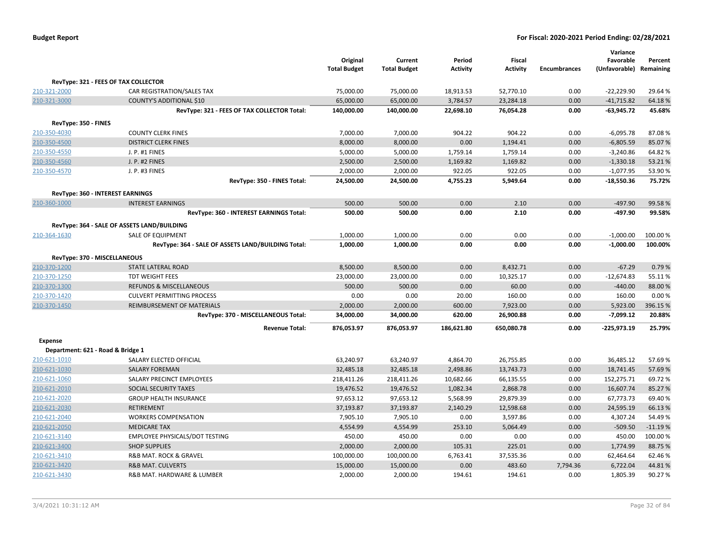|                                   |                                                        | Original<br><b>Total Budget</b> | Current<br><b>Total Budget</b> | Period<br><b>Activity</b> | Fiscal<br><b>Activity</b> | <b>Encumbrances</b> | Variance<br>Favorable<br>(Unfavorable) Remaining | Percent           |
|-----------------------------------|--------------------------------------------------------|---------------------------------|--------------------------------|---------------------------|---------------------------|---------------------|--------------------------------------------------|-------------------|
|                                   | RevType: 321 - FEES OF TAX COLLECTOR                   |                                 |                                |                           |                           |                     |                                                  |                   |
| 210-321-2000                      | CAR REGISTRATION/SALES TAX                             | 75,000.00                       | 75,000.00                      | 18,913.53                 | 52,770.10                 | 0.00                | $-22,229.90$                                     | 29.64%            |
| 210-321-3000                      | <b>COUNTY'S ADDITIONAL \$10</b>                        | 65,000.00                       | 65,000.00                      | 3,784.57                  | 23,284.18                 | 0.00                | $-41,715.82$                                     | 64.18%            |
|                                   | RevType: 321 - FEES OF TAX COLLECTOR Total:            | 140,000.00                      | 140,000.00                     | 22,698.10                 | 76,054.28                 | 0.00                | $-63,945.72$                                     | 45.68%            |
| RevType: 350 - FINES              |                                                        |                                 |                                |                           |                           |                     |                                                  |                   |
| 210-350-4030                      | <b>COUNTY CLERK FINES</b>                              | 7,000.00                        | 7,000.00                       | 904.22                    | 904.22                    | 0.00                | $-6,095.78$                                      | 87.08%            |
| 210-350-4500                      | <b>DISTRICT CLERK FINES</b>                            | 8,000.00                        | 8,000.00                       | 0.00                      | 1,194.41                  | 0.00                | $-6,805.59$                                      | 85.07%            |
| 210-350-4550                      | J. P. #1 FINES                                         | 5,000.00                        | 5,000.00                       | 1,759.14                  | 1,759.14                  | 0.00                | $-3,240.86$                                      | 64.82%            |
| 210-350-4560                      | J. P. #2 FINES                                         | 2,500.00                        | 2,500.00                       | 1,169.82                  | 1,169.82                  | 0.00                | $-1,330.18$                                      | 53.21%            |
| 210-350-4570                      | J. P. #3 FINES                                         | 2,000.00                        | 2,000.00                       | 922.05                    | 922.05                    | 0.00                | $-1,077.95$                                      | 53.90%            |
|                                   | RevType: 350 - FINES Total:                            | 24,500.00                       | 24,500.00                      | 4,755.23                  | 5,949.64                  | 0.00                | $-18,550.36$                                     | 75.72%            |
|                                   | RevType: 360 - INTEREST EARNINGS                       |                                 |                                |                           |                           |                     |                                                  |                   |
| 210-360-1000                      | <b>INTEREST EARNINGS</b>                               | 500.00                          | 500.00                         | 0.00                      | 2.10                      | 0.00                | $-497.90$                                        | 99.58%            |
|                                   | RevType: 360 - INTEREST EARNINGS Total:                | 500.00                          | 500.00                         | 0.00                      | 2.10                      | 0.00                | $-497.90$                                        | 99.58%            |
|                                   | RevType: 364 - SALE OF ASSETS LAND/BUILDING            |                                 |                                |                           |                           |                     |                                                  |                   |
| 210-364-1630                      | SALE OF EQUIPMENT                                      | 1,000.00                        | 1,000.00                       | 0.00                      | 0.00                      | 0.00                | $-1,000.00$                                      | 100.00%           |
|                                   | RevType: 364 - SALE OF ASSETS LAND/BUILDING Total:     | 1,000.00                        | 1,000.00                       | 0.00                      | 0.00                      | 0.00                | $-1,000.00$                                      | 100.00%           |
|                                   |                                                        |                                 |                                |                           |                           |                     |                                                  |                   |
| RevType: 370 - MISCELLANEOUS      |                                                        |                                 |                                |                           |                           |                     |                                                  |                   |
| 210-370-1200<br>210-370-1250      | STATE LATERAL ROAD                                     | 8,500.00                        | 8,500.00                       | 0.00                      | 8,432.71                  | 0.00<br>0.00        | $-67.29$                                         | 0.79%             |
|                                   | <b>TDT WEIGHT FEES</b><br>REFUNDS & MISCELLANEOUS      | 23,000.00<br>500.00             | 23,000.00<br>500.00            | 0.00<br>0.00              | 10,325.17<br>60.00        | 0.00                | $-12,674.83$<br>$-440.00$                        | 55.11%<br>88.00%  |
| 210-370-1300                      | <b>CULVERT PERMITTING PROCESS</b>                      | 0.00                            | 0.00                           | 20.00                     | 160.00                    | 0.00                | 160.00                                           | 0.00%             |
| 210-370-1420<br>210-370-1450      | REIMBURSEMENT OF MATERIALS                             | 2,000.00                        | 2,000.00                       | 600.00                    | 7,923.00                  | 0.00                | 5,923.00                                         | 396.15%           |
|                                   | RevType: 370 - MISCELLANEOUS Total:                    | 34,000.00                       | 34,000.00                      | 620.00                    | 26,900.88                 | 0.00                | $-7,099.12$                                      | 20.88%            |
|                                   |                                                        |                                 |                                |                           |                           |                     |                                                  |                   |
|                                   | <b>Revenue Total:</b>                                  | 876,053.97                      | 876,053.97                     | 186,621.80                | 650,080.78                | 0.00                | -225,973.19                                      | 25.79%            |
| <b>Expense</b>                    |                                                        |                                 |                                |                           |                           |                     |                                                  |                   |
| Department: 621 - Road & Bridge 1 |                                                        |                                 |                                |                           |                           |                     |                                                  |                   |
| 210-621-1010                      | SALARY ELECTED OFFICIAL                                | 63,240.97                       | 63,240.97                      | 4,864.70                  | 26,755.85                 | 0.00                | 36,485.12                                        | 57.69%            |
| 210-621-1030                      | <b>SALARY FOREMAN</b>                                  | 32,485.18                       | 32,485.18                      | 2,498.86                  | 13,743.73                 | 0.00                | 18,741.45                                        | 57.69%            |
| 210-621-1060                      | SALARY PRECINCT EMPLOYEES                              | 218,411.26                      | 218,411.26                     | 10,682.66                 | 66,135.55                 | 0.00                | 152,275.71                                       | 69.72%            |
| 210-621-2010                      | SOCIAL SECURITY TAXES                                  | 19,476.52                       | 19,476.52                      | 1,082.34                  | 2,868.78                  | 0.00                | 16,607.74                                        | 85.27%            |
| 210-621-2020                      | <b>GROUP HEALTH INSURANCE</b>                          | 97,653.12                       | 97,653.12                      | 5,568.99                  | 29,879.39                 | 0.00                | 67,773.73                                        | 69.40%            |
| 210-621-2030                      | RETIREMENT                                             | 37,193.87                       | 37,193.87                      | 2,140.29                  | 12,598.68                 | 0.00                | 24,595.19                                        | 66.13%            |
| 210-621-2040                      | <b>WORKERS COMPENSATION</b>                            | 7,905.10                        | 7,905.10                       | 0.00                      | 3,597.86                  | 0.00                | 4,307.24                                         | 54.49%            |
| 210-621-2050                      | <b>MEDICARE TAX</b>                                    | 4,554.99                        | 4,554.99                       | 253.10                    | 5,064.49                  | 0.00                | $-509.50$                                        | $-11.19%$         |
| 210-621-3140                      | EMPLOYEE PHYSICALS/DOT TESTING<br><b>SHOP SUPPLIES</b> | 450.00<br>2,000.00              | 450.00<br>2,000.00             | 0.00<br>105.31            | 0.00<br>225.01            | 0.00<br>0.00        | 450.00<br>1,774.99                               | 100.00%<br>88.75% |
| 210-621-3400<br>210-621-3410      | R&B MAT. ROCK & GRAVEL                                 | 100,000.00                      | 100,000.00                     | 6,763.41                  | 37,535.36                 | 0.00                | 62,464.64                                        | 62.46%            |
| 210-621-3420                      | <b>R&amp;B MAT. CULVERTS</b>                           | 15,000.00                       | 15,000.00                      | 0.00                      | 483.60                    | 7,794.36            | 6,722.04                                         | 44.81%            |
| 210-621-3430                      | R&B MAT. HARDWARE & LUMBER                             | 2,000.00                        | 2,000.00                       | 194.61                    | 194.61                    | 0.00                | 1,805.39                                         | 90.27%            |
|                                   |                                                        |                                 |                                |                           |                           |                     |                                                  |                   |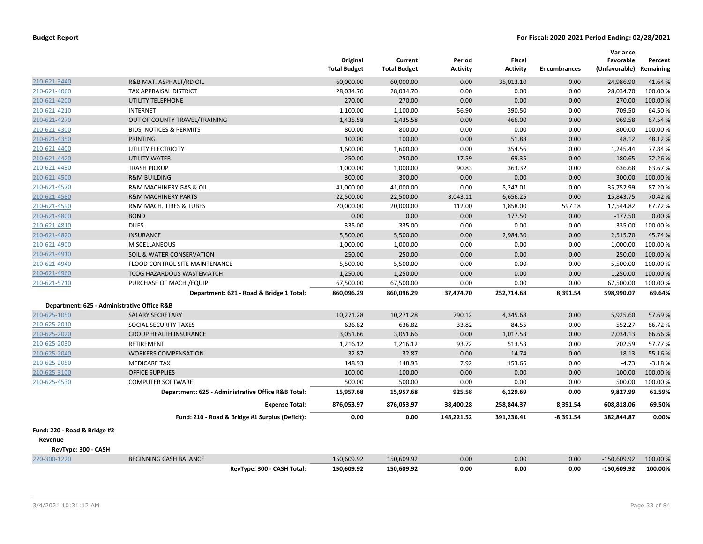|                                             |                                                    | Original<br><b>Total Budget</b> | Current<br><b>Total Budget</b> | Period<br><b>Activity</b> | <b>Fiscal</b><br><b>Activity</b> | <b>Encumbrances</b> | Variance<br>Favorable<br>(Unfavorable) Remaining | Percent  |
|---------------------------------------------|----------------------------------------------------|---------------------------------|--------------------------------|---------------------------|----------------------------------|---------------------|--------------------------------------------------|----------|
| 210-621-3440                                | R&B MAT. ASPHALT/RD OIL                            | 60.000.00                       | 60,000.00                      | 0.00                      | 35.013.10                        | 0.00                | 24,986.90                                        | 41.64%   |
| 210-621-4060                                | TAX APPRAISAL DISTRICT                             | 28,034.70                       | 28,034.70                      | 0.00                      | 0.00                             | 0.00                | 28,034.70                                        | 100.00%  |
| 210-621-4200                                | UTILITY TELEPHONE                                  | 270.00                          | 270.00                         | 0.00                      | 0.00                             | 0.00                | 270.00                                           | 100.00%  |
| 210-621-4210                                | <b>INTERNET</b>                                    | 1,100.00                        | 1,100.00                       | 56.90                     | 390.50                           | 0.00                | 709.50                                           | 64.50%   |
| 210-621-4270                                | OUT OF COUNTY TRAVEL/TRAINING                      | 1,435.58                        | 1,435.58                       | 0.00                      | 466.00                           | 0.00                | 969.58                                           | 67.54%   |
| 210-621-4300                                | <b>BIDS, NOTICES &amp; PERMITS</b>                 | 800.00                          | 800.00                         | 0.00                      | 0.00                             | 0.00                | 800.00                                           | 100.00%  |
| 210-621-4350                                | PRINTING                                           | 100.00                          | 100.00                         | 0.00                      | 51.88                            | 0.00                | 48.12                                            | 48.12%   |
| 210-621-4400                                | UTILITY ELECTRICITY                                | 1,600.00                        | 1,600.00                       | 0.00                      | 354.56                           | 0.00                | 1,245.44                                         | 77.84%   |
| 210-621-4420                                | <b>UTILITY WATER</b>                               | 250.00                          | 250.00                         | 17.59                     | 69.35                            | 0.00                | 180.65                                           | 72.26%   |
| 210-621-4430                                | <b>TRASH PICKUP</b>                                | 1,000.00                        | 1,000.00                       | 90.83                     | 363.32                           | 0.00                | 636.68                                           | 63.67%   |
| 210-621-4500                                | <b>R&amp;M BUILDING</b>                            | 300.00                          | 300.00                         | 0.00                      | 0.00                             | 0.00                | 300.00                                           | 100.00 % |
| 210-621-4570                                | R&M MACHINERY GAS & OIL                            | 41,000.00                       | 41,000.00                      | 0.00                      | 5,247.01                         | 0.00                | 35,752.99                                        | 87.20%   |
| 210-621-4580                                | <b>R&amp;M MACHINERY PARTS</b>                     | 22,500.00                       | 22,500.00                      | 3,043.11                  | 6,656.25                         | 0.00                | 15,843.75                                        | 70.42%   |
| 210-621-4590                                | R&M MACH. TIRES & TUBES                            | 20,000.00                       | 20,000.00                      | 112.00                    | 1,858.00                         | 597.18              | 17,544.82                                        | 87.72%   |
| 210-621-4800                                | <b>BOND</b>                                        | 0.00                            | 0.00                           | 0.00                      | 177.50                           | 0.00                | $-177.50$                                        | 0.00%    |
| 210-621-4810                                | <b>DUES</b>                                        | 335.00                          | 335.00                         | 0.00                      | 0.00                             | 0.00                | 335.00                                           | 100.00 % |
| 210-621-4820                                | <b>INSURANCE</b>                                   | 5,500.00                        | 5,500.00                       | 0.00                      | 2,984.30                         | 0.00                | 2,515.70                                         | 45.74%   |
| 210-621-4900                                | MISCELLANEOUS                                      | 1,000.00                        | 1,000.00                       | 0.00                      | 0.00                             | 0.00                | 1,000.00                                         | 100.00%  |
| 210-621-4910                                | SOIL & WATER CONSERVATION                          | 250.00                          | 250.00                         | 0.00                      | 0.00                             | 0.00                | 250.00                                           | 100.00 % |
| 210-621-4940                                | <b>FLOOD CONTROL SITE MAINTENANCE</b>              | 5,500.00                        | 5,500.00                       | 0.00                      | 0.00                             | 0.00                | 5,500.00                                         | 100.00%  |
| 210-621-4960                                | TCOG HAZARDOUS WASTEMATCH                          | 1,250.00                        | 1,250.00                       | 0.00                      | 0.00                             | 0.00                | 1,250.00                                         | 100.00 % |
| 210-621-5710                                | PURCHASE OF MACH./EQUIP                            | 67,500.00                       | 67,500.00                      | 0.00                      | 0.00                             | 0.00                | 67,500.00                                        | 100.00 % |
|                                             | Department: 621 - Road & Bridge 1 Total:           | 860,096.29                      | 860,096.29                     | 37,474.70                 | 252,714.68                       | 8,391.54            | 598,990.07                                       | 69.64%   |
| Department: 625 - Administrative Office R&B |                                                    |                                 |                                |                           |                                  |                     |                                                  |          |
| 210-625-1050                                | <b>SALARY SECRETARY</b>                            | 10,271.28                       | 10,271.28                      | 790.12                    | 4,345.68                         | 0.00                | 5.925.60                                         | 57.69%   |
| 210-625-2010                                | SOCIAL SECURITY TAXES                              | 636.82                          | 636.82                         | 33.82                     | 84.55                            | 0.00                | 552.27                                           | 86.72%   |
| 210-625-2020                                | <b>GROUP HEALTH INSURANCE</b>                      | 3,051.66                        | 3,051.66                       | 0.00                      | 1,017.53                         | 0.00                | 2,034.13                                         | 66.66%   |
| 210-625-2030                                | RETIREMENT                                         | 1,216.12                        | 1,216.12                       | 93.72                     | 513.53                           | 0.00                | 702.59                                           | 57.77%   |
| 210-625-2040                                | <b>WORKERS COMPENSATION</b>                        | 32.87                           | 32.87                          | 0.00                      | 14.74                            | 0.00                | 18.13                                            | 55.16%   |
| 210-625-2050                                | <b>MEDICARE TAX</b>                                | 148.93                          | 148.93                         | 7.92                      | 153.66                           | 0.00                | $-4.73$                                          | $-3.18%$ |
| 210-625-3100                                | <b>OFFICE SUPPLIES</b>                             | 100.00                          | 100.00                         | 0.00                      | 0.00                             | 0.00                | 100.00                                           | 100.00 % |
| 210-625-4530                                | <b>COMPUTER SOFTWARE</b>                           | 500.00                          | 500.00                         | 0.00                      | 0.00                             | 0.00                | 500.00                                           | 100.00%  |
|                                             | Department: 625 - Administrative Office R&B Total: | 15,957.68                       | 15,957.68                      | 925.58                    | 6,129.69                         | 0.00                | 9,827.99                                         | 61.59%   |
|                                             | <b>Expense Total:</b>                              | 876,053.97                      | 876,053.97                     | 38,400.28                 | 258,844.37                       | 8,391.54            | 608,818.06                                       | 69.50%   |
|                                             | Fund: 210 - Road & Bridge #1 Surplus (Deficit):    | 0.00                            | 0.00                           | 148,221.52                | 391,236.41                       | $-8,391.54$         | 382,844.87                                       | 0.00%    |
| Fund: 220 - Road & Bridge #2                |                                                    |                                 |                                |                           |                                  |                     |                                                  |          |
| Revenue                                     |                                                    |                                 |                                |                           |                                  |                     |                                                  |          |
| RevType: 300 - CASH                         |                                                    |                                 |                                |                           |                                  |                     |                                                  |          |
| 220-300-1220                                | <b>BEGINNING CASH BALANCE</b>                      | 150,609.92                      | 150,609.92                     | 0.00                      | 0.00                             | 0.00                | $-150,609.92$                                    | 100.00 % |
|                                             | RevType: 300 - CASH Total:                         | 150,609.92                      | 150,609.92                     | 0.00                      | 0.00                             | 0.00                | $-150.609.92$                                    | 100.00%  |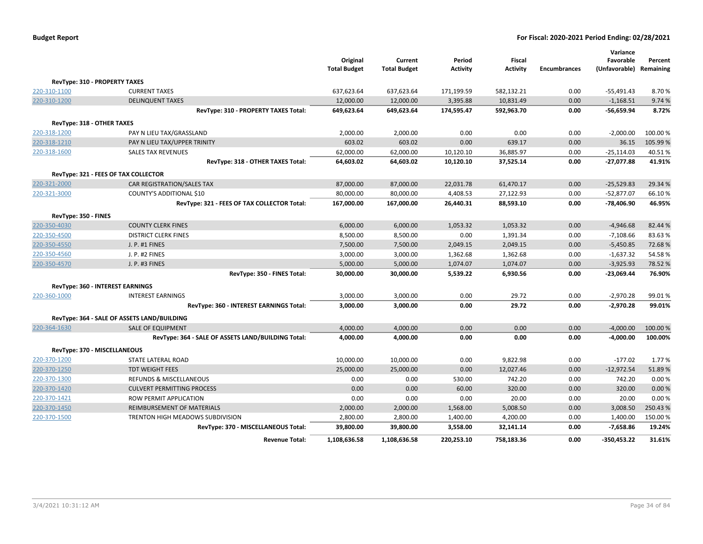|                      |                                                    | Original            | Current             | Period          | <b>Fiscal</b>   |                     | Variance<br>Favorable   |          |
|----------------------|----------------------------------------------------|---------------------|---------------------|-----------------|-----------------|---------------------|-------------------------|----------|
|                      |                                                    | <b>Total Budget</b> | <b>Total Budget</b> | <b>Activity</b> | <b>Activity</b> | <b>Encumbrances</b> | (Unfavorable) Remaining | Percent  |
|                      | RevType: 310 - PROPERTY TAXES                      |                     |                     |                 |                 |                     |                         |          |
| 220-310-1100         | <b>CURRENT TAXES</b>                               | 637,623.64          | 637,623.64          | 171,199.59      | 582,132.21      | 0.00                | $-55,491.43$            | 8.70%    |
| 220-310-1200         | <b>DELINQUENT TAXES</b>                            | 12,000.00           | 12,000.00           | 3,395.88        | 10,831.49       | 0.00                | $-1,168.51$             | 9.74 %   |
|                      | RevType: 310 - PROPERTY TAXES Total:               | 649,623.64          | 649,623.64          | 174,595.47      | 592,963.70      | 0.00                | $-56,659.94$            | 8.72%    |
|                      | RevType: 318 - OTHER TAXES                         |                     |                     |                 |                 |                     |                         |          |
| 220-318-1200         | PAY N LIEU TAX/GRASSLAND                           | 2,000.00            | 2,000.00            | 0.00            | 0.00            | 0.00                | $-2,000.00$             | 100.00 % |
| 220-318-1210         | PAY N LIEU TAX/UPPER TRINITY                       | 603.02              | 603.02              | 0.00            | 639.17          | 0.00                | 36.15                   | 105.99%  |
| 220-318-1600         | <b>SALES TAX REVENUES</b>                          | 62,000.00           | 62,000.00           | 10,120.10       | 36,885.97       | 0.00                | $-25,114.03$            | 40.51%   |
|                      | RevType: 318 - OTHER TAXES Total:                  | 64,603.02           | 64,603.02           | 10,120.10       | 37,525.14       | 0.00                | $-27,077.88$            | 41.91%   |
|                      | RevType: 321 - FEES OF TAX COLLECTOR               |                     |                     |                 |                 |                     |                         |          |
| 220-321-2000         | CAR REGISTRATION/SALES TAX                         | 87,000.00           | 87,000.00           | 22,031.78       | 61,470.17       | 0.00                | $-25,529.83$            | 29.34 %  |
| 220-321-3000         | COUNTY'S ADDITIONAL \$10                           | 80,000.00           | 80,000.00           | 4,408.53        | 27,122.93       | 0.00                | $-52,877.07$            | 66.10%   |
|                      | RevType: 321 - FEES OF TAX COLLECTOR Total:        | 167,000.00          | 167,000.00          | 26,440.31       | 88,593.10       | 0.00                | $-78,406.90$            | 46.95%   |
| RevType: 350 - FINES |                                                    |                     |                     |                 |                 |                     |                         |          |
| 220-350-4030         | <b>COUNTY CLERK FINES</b>                          | 6,000.00            | 6,000.00            | 1,053.32        | 1,053.32        | 0.00                | $-4,946.68$             | 82.44 %  |
| 220-350-4500         | <b>DISTRICT CLERK FINES</b>                        | 8,500.00            | 8,500.00            | 0.00            | 1,391.34        | 0.00                | $-7,108.66$             | 83.63%   |
| 220-350-4550         | J. P. #1 FINES                                     | 7,500.00            | 7,500.00            | 2,049.15        | 2,049.15        | 0.00                | $-5,450.85$             | 72.68%   |
| 220-350-4560         | J. P. #2 FINES                                     | 3,000.00            | 3,000.00            | 1,362.68        | 1,362.68        | 0.00                | $-1,637.32$             | 54.58%   |
| 220-350-4570         | J. P. #3 FINES                                     | 5,000.00            | 5,000.00            | 1,074.07        | 1,074.07        | 0.00                | $-3,925.93$             | 78.52%   |
|                      | RevType: 350 - FINES Total:                        | 30,000.00           | 30,000.00           | 5,539.22        | 6,930.56        | 0.00                | $-23,069.44$            | 76.90%   |
|                      | RevType: 360 - INTEREST EARNINGS                   |                     |                     |                 |                 |                     |                         |          |
| 220-360-1000         | <b>INTEREST EARNINGS</b>                           | 3,000.00            | 3,000.00            | 0.00            | 29.72           | 0.00                | $-2,970.28$             | 99.01%   |
|                      | RevType: 360 - INTEREST EARNINGS Total:            | 3,000.00            | 3,000.00            | 0.00            | 29.72           | 0.00                | $-2,970.28$             | 99.01%   |
|                      | RevType: 364 - SALE OF ASSETS LAND/BUILDING        |                     |                     |                 |                 |                     |                         |          |
| 220-364-1630         | <b>SALE OF EQUIPMENT</b>                           | 4,000.00            | 4,000.00            | 0.00            | 0.00            | 0.00                | $-4,000.00$             | 100.00 % |
|                      | RevType: 364 - SALE OF ASSETS LAND/BUILDING Total: | 4,000.00            | 4,000.00            | 0.00            | 0.00            | 0.00                | $-4,000.00$             | 100.00%  |
|                      | RevType: 370 - MISCELLANEOUS                       |                     |                     |                 |                 |                     |                         |          |
| 220-370-1200         | STATE LATERAL ROAD                                 | 10,000.00           | 10,000.00           | 0.00            | 9,822.98        | 0.00                | $-177.02$               | 1.77%    |
| 220-370-1250         | <b>TDT WEIGHT FEES</b>                             | 25,000.00           | 25,000.00           | 0.00            | 12,027.46       | 0.00                | $-12,972.54$            | 51.89%   |
| 220-370-1300         | REFUNDS & MISCELLANEOUS                            | 0.00                | 0.00                | 530.00          | 742.20          | 0.00                | 742.20                  | 0.00%    |
| 220-370-1420         | <b>CULVERT PERMITTING PROCESS</b>                  | 0.00                | 0.00                | 60.00           | 320.00          | 0.00                | 320.00                  | 0.00 %   |
| 220-370-1421         | <b>ROW PERMIT APPLICATION</b>                      | 0.00                | 0.00                | 0.00            | 20.00           | 0.00                | 20.00                   | 0.00%    |
| 220-370-1450         | REIMBURSEMENT OF MATERIALS                         | 2,000.00            | 2,000.00            | 1,568.00        | 5,008.50        | 0.00                | 3,008.50                | 250.43%  |
| 220-370-1500         | TRENTON HIGH MEADOWS SUBDIVISION                   | 2,800.00            | 2,800.00            | 1,400.00        | 4,200.00        | 0.00                | 1,400.00                | 150.00%  |
|                      | RevType: 370 - MISCELLANEOUS Total:                | 39,800.00           | 39,800.00           | 3,558.00        | 32,141.14       | 0.00                | $-7,658.86$             | 19.24%   |
|                      | <b>Revenue Total:</b>                              | 1,108,636.58        | 1,108,636.58        | 220,253.10      | 758,183.36      | 0.00                | -350,453.22             | 31.61%   |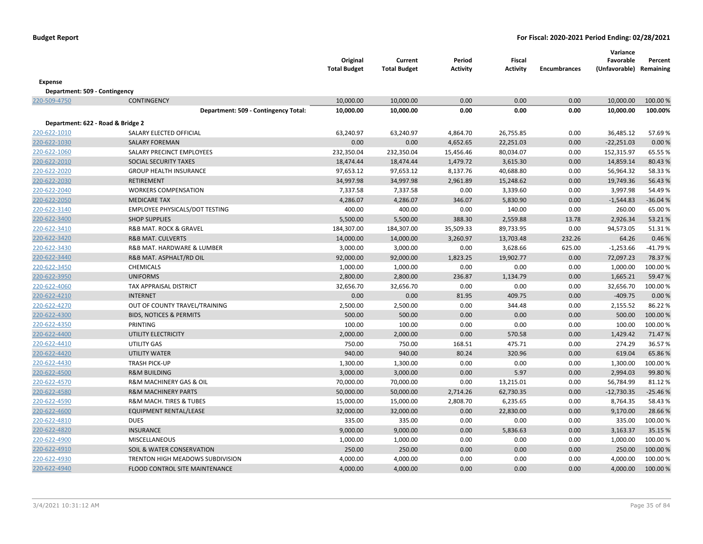|                                   |                                       | Original<br><b>Total Budget</b> | Current<br><b>Total Budget</b> | Period<br><b>Activity</b> | <b>Fiscal</b><br>Activity | <b>Encumbrances</b> | Variance<br>Favorable<br>(Unfavorable) Remaining | Percent   |
|-----------------------------------|---------------------------------------|---------------------------------|--------------------------------|---------------------------|---------------------------|---------------------|--------------------------------------------------|-----------|
| Expense                           |                                       |                                 |                                |                           |                           |                     |                                                  |           |
| Department: 509 - Contingency     |                                       |                                 |                                |                           |                           |                     |                                                  |           |
| 220-509-4750                      | <b>CONTINGENCY</b>                    | 10,000.00                       | 10,000.00                      | 0.00                      | 0.00                      | 0.00                | 10,000.00                                        | 100.00 %  |
|                                   | Department: 509 - Contingency Total:  | 10,000.00                       | 10,000.00                      | 0.00                      | 0.00                      | 0.00                | 10,000.00                                        | 100.00%   |
| Department: 622 - Road & Bridge 2 |                                       |                                 |                                |                           |                           |                     |                                                  |           |
| 220-622-1010                      | SALARY ELECTED OFFICIAL               | 63,240.97                       | 63,240.97                      | 4,864.70                  | 26,755.85                 | 0.00                | 36,485.12                                        | 57.69%    |
| 220-622-1030                      | <b>SALARY FOREMAN</b>                 | 0.00                            | 0.00                           | 4,652.65                  | 22,251.03                 | 0.00                | $-22,251.03$                                     | 0.00%     |
| 220-622-1060                      | SALARY PRECINCT EMPLOYEES             | 232,350.04                      | 232,350.04                     | 15,456.46                 | 80,034.07                 | 0.00                | 152,315.97                                       | 65.55 %   |
| 220-622-2010                      | SOCIAL SECURITY TAXES                 | 18,474.44                       | 18,474.44                      | 1,479.72                  | 3,615.30                  | 0.00                | 14,859.14                                        | 80.43%    |
| 220-622-2020                      | <b>GROUP HEALTH INSURANCE</b>         | 97,653.12                       | 97,653.12                      | 8,137.76                  | 40,688.80                 | 0.00                | 56,964.32                                        | 58.33 %   |
| 220-622-2030                      | <b>RETIREMENT</b>                     | 34,997.98                       | 34,997.98                      | 2,961.89                  | 15,248.62                 | 0.00                | 19,749.36                                        | 56.43%    |
| 220-622-2040                      | <b>WORKERS COMPENSATION</b>           | 7,337.58                        | 7,337.58                       | 0.00                      | 3,339.60                  | 0.00                | 3,997.98                                         | 54.49%    |
| 220-622-2050                      | <b>MEDICARE TAX</b>                   | 4,286.07                        | 4,286.07                       | 346.07                    | 5,830.90                  | 0.00                | $-1,544.83$                                      | $-36.04%$ |
| 220-622-3140                      | EMPLOYEE PHYSICALS/DOT TESTING        | 400.00                          | 400.00                         | 0.00                      | 140.00                    | 0.00                | 260.00                                           | 65.00%    |
| 220-622-3400                      | <b>SHOP SUPPLIES</b>                  | 5,500.00                        | 5,500.00                       | 388.30                    | 2,559.88                  | 13.78               | 2,926.34                                         | 53.21%    |
| 220-622-3410                      | <b>R&amp;B MAT. ROCK &amp; GRAVEL</b> | 184,307.00                      | 184,307.00                     | 35,509.33                 | 89,733.95                 | 0.00                | 94,573.05                                        | 51.31%    |
| 220-622-3420                      | <b>R&amp;B MAT. CULVERTS</b>          | 14,000.00                       | 14,000.00                      | 3,260.97                  | 13,703.48                 | 232.26              | 64.26                                            | 0.46%     |
| 220-622-3430                      | R&B MAT. HARDWARE & LUMBER            | 3,000.00                        | 3,000.00                       | 0.00                      | 3,628.66                  | 625.00              | $-1,253.66$                                      | $-41.79%$ |
| 220-622-3440                      | R&B MAT. ASPHALT/RD OIL               | 92,000.00                       | 92,000.00                      | 1,823.25                  | 19,902.77                 | 0.00                | 72,097.23                                        | 78.37%    |
| 220-622-3450                      | CHEMICALS                             | 1,000.00                        | 1,000.00                       | 0.00                      | 0.00                      | 0.00                | 1,000.00                                         | 100.00 %  |
| 220-622-3950                      | <b>UNIFORMS</b>                       | 2,800.00                        | 2,800.00                       | 236.87                    | 1,134.79                  | 0.00                | 1,665.21                                         | 59.47%    |
| 220-622-4060                      | TAX APPRAISAL DISTRICT                | 32,656.70                       | 32,656.70                      | 0.00                      | 0.00                      | 0.00                | 32,656.70                                        | 100.00%   |
| 220-622-4210                      | <b>INTERNET</b>                       | 0.00                            | 0.00                           | 81.95                     | 409.75                    | 0.00                | $-409.75$                                        | 0.00 %    |
| 220-622-4270                      | OUT OF COUNTY TRAVEL/TRAINING         | 2,500.00                        | 2,500.00                       | 0.00                      | 344.48                    | 0.00                | 2,155.52                                         | 86.22%    |
| 220-622-4300                      | <b>BIDS, NOTICES &amp; PERMITS</b>    | 500.00                          | 500.00                         | 0.00                      | 0.00                      | 0.00                | 500.00                                           | 100.00%   |
| 220-622-4350                      | PRINTING                              | 100.00                          | 100.00                         | 0.00                      | 0.00                      | 0.00                | 100.00                                           | 100.00 %  |
| 220-622-4400                      | UTILITY ELECTRICITY                   | 2,000.00                        | 2,000.00                       | 0.00                      | 570.58                    | 0.00                | 1,429.42                                         | 71.47%    |
| 220-622-4410                      | UTILITY GAS                           | 750.00                          | 750.00                         | 168.51                    | 475.71                    | 0.00                | 274.29                                           | 36.57%    |
| 220-622-4420                      | UTILITY WATER                         | 940.00                          | 940.00                         | 80.24                     | 320.96                    | 0.00                | 619.04                                           | 65.86%    |
| 220-622-4430                      | <b>TRASH PICK-UP</b>                  | 1,300.00                        | 1,300.00                       | 0.00                      | 0.00                      | 0.00                | 1,300.00                                         | 100.00%   |
| 220-622-4500                      | <b>R&amp;M BUILDING</b>               | 3,000.00                        | 3,000.00                       | 0.00                      | 5.97                      | 0.00                | 2,994.03                                         | 99.80%    |
| 220-622-4570                      | R&M MACHINERY GAS & OIL               | 70,000.00                       | 70,000.00                      | 0.00                      | 13,215.01                 | 0.00                | 56,784.99                                        | 81.12%    |
| 220-622-4580                      | <b>R&amp;M MACHINERY PARTS</b>        | 50,000.00                       | 50,000.00                      | 2,714.26                  | 62,730.35                 | 0.00                | $-12,730.35$                                     | $-25.46%$ |
| 220-622-4590                      | R&M MACH. TIRES & TUBES               | 15,000.00                       | 15,000.00                      | 2,808.70                  | 6,235.65                  | 0.00                | 8,764.35                                         | 58.43%    |
| 220-622-4600                      | EQUIPMENT RENTAL/LEASE                | 32,000.00                       | 32,000.00                      | 0.00                      | 22,830.00                 | 0.00                | 9,170.00                                         | 28.66%    |
| 220-622-4810                      | <b>DUES</b>                           | 335.00                          | 335.00                         | 0.00                      | 0.00                      | 0.00                | 335.00                                           | 100.00%   |
| 220-622-4820                      | <b>INSURANCE</b>                      | 9,000.00                        | 9,000.00                       | 0.00                      | 5,836.63                  | 0.00                | 3,163.37                                         | 35.15 %   |
| 220-622-4900                      | MISCELLANEOUS                         | 1,000.00                        | 1,000.00                       | 0.00                      | 0.00                      | 0.00                | 1,000.00                                         | 100.00 %  |
| 220-622-4910                      | SOIL & WATER CONSERVATION             | 250.00                          | 250.00                         | 0.00                      | 0.00                      | 0.00                | 250.00                                           | 100.00%   |
| 220-622-4930                      | TRENTON HIGH MEADOWS SUBDIVISION      | 4,000.00                        | 4,000.00                       | 0.00                      | 0.00                      | 0.00                | 4,000.00                                         | 100.00%   |
| 220-622-4940                      | FLOOD CONTROL SITE MAINTENANCE        | 4,000.00                        | 4,000.00                       | 0.00                      | 0.00                      | 0.00                | 4,000.00                                         | 100.00%   |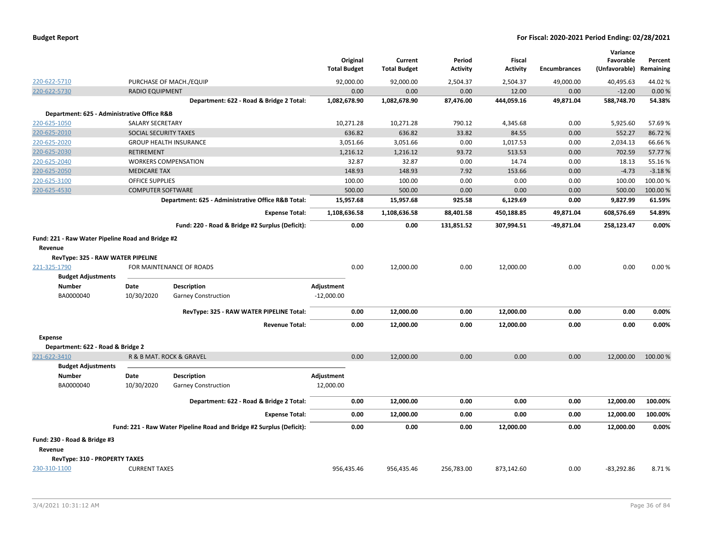|                                                                                                                         |                          |                                                                              | Original<br><b>Total Budget</b>    | Current<br><b>Total Budget</b> | Period<br><b>Activity</b> | <b>Fiscal</b><br><b>Activity</b> | <b>Encumbrances</b> | Variance<br>Favorable<br>(Unfavorable) | Percent<br>Remaining |
|-------------------------------------------------------------------------------------------------------------------------|--------------------------|------------------------------------------------------------------------------|------------------------------------|--------------------------------|---------------------------|----------------------------------|---------------------|----------------------------------------|----------------------|
| 220-622-5710                                                                                                            |                          | PURCHASE OF MACH./EQUIP                                                      | 92.000.00                          | 92,000.00                      | 2,504.37                  | 2,504.37                         | 49,000.00           | 40,495.63                              | 44.02%               |
| 220-622-5730                                                                                                            | <b>RADIO EQUIPMENT</b>   |                                                                              | 0.00                               | 0.00                           | 0.00                      | 12.00                            | 0.00                | $-12.00$                               | 0.00%                |
|                                                                                                                         |                          | Department: 622 - Road & Bridge 2 Total:                                     | 1,082,678.90                       | 1,082,678.90                   | 87,476.00                 | 444,059.16                       | 49,871.04           | 588,748.70                             | 54.38%               |
| Department: 625 - Administrative Office R&B                                                                             |                          |                                                                              |                                    |                                |                           |                                  |                     |                                        |                      |
| 220-625-1050                                                                                                            | <b>SALARY SECRETARY</b>  |                                                                              | 10,271.28                          | 10,271.28                      | 790.12                    | 4,345.68                         | 0.00                | 5,925.60                               | 57.69%               |
| 220-625-2010                                                                                                            | SOCIAL SECURITY TAXES    |                                                                              | 636.82                             | 636.82                         | 33.82                     | 84.55                            | 0.00                | 552.27                                 | 86.72%               |
| 220-625-2020                                                                                                            |                          | <b>GROUP HEALTH INSURANCE</b>                                                | 3,051.66                           | 3,051.66                       | 0.00                      | 1,017.53                         | 0.00                | 2,034.13                               | 66.66%               |
| 220-625-2030                                                                                                            | <b>RETIREMENT</b>        |                                                                              | 1,216.12                           | 1,216.12                       | 93.72                     | 513.53                           | 0.00                | 702.59                                 | 57.77%               |
| 220-625-2040                                                                                                            |                          | <b>WORKERS COMPENSATION</b>                                                  | 32.87                              | 32.87                          | 0.00                      | 14.74                            | 0.00                | 18.13                                  | 55.16%               |
| 220-625-2050                                                                                                            | <b>MEDICARE TAX</b>      |                                                                              | 148.93                             | 148.93                         | 7.92                      | 153.66                           | 0.00                | $-4.73$                                | $-3.18%$             |
| 220-625-3100                                                                                                            | <b>OFFICE SUPPLIES</b>   |                                                                              | 100.00                             | 100.00                         | 0.00                      | 0.00                             | 0.00                | 100.00                                 | 100.00 %             |
| 220-625-4530                                                                                                            | <b>COMPUTER SOFTWARE</b> |                                                                              | 500.00                             | 500.00                         | 0.00                      | 0.00                             | 0.00                | 500.00                                 | 100.00 %             |
|                                                                                                                         |                          | Department: 625 - Administrative Office R&B Total:                           | 15,957.68                          | 15,957.68                      | 925.58                    | 6,129.69                         | 0.00                | 9,827.99                               | 61.59%               |
|                                                                                                                         |                          | <b>Expense Total:</b>                                                        | 1,108,636.58                       | 1,108,636.58                   | 88,401.58                 | 450,188.85                       | 49,871.04           | 608,576.69                             | 54.89%               |
|                                                                                                                         |                          | Fund: 220 - Road & Bridge #2 Surplus (Deficit):                              | 0.00                               | 0.00                           | 131,851.52                | 307,994.51                       | -49,871.04          | 258,123.47                             | 0.00%                |
| Revenue<br>RevType: 325 - RAW WATER PIPELINE<br>221-325-1790<br><b>Budget Adjustments</b><br><b>Number</b><br>BA0000040 | Date<br>10/30/2020       | FOR MAINTENANCE OF ROADS<br><b>Description</b><br><b>Garney Construction</b> | 0.00<br>Adjustment<br>$-12,000.00$ | 12,000.00                      | 0.00                      | 12,000.00                        | 0.00                | 0.00                                   | 0.00%                |
|                                                                                                                         |                          | RevType: 325 - RAW WATER PIPELINE Total:                                     | 0.00                               | 12,000.00                      | 0.00                      | 12,000.00                        | 0.00                | 0.00                                   | 0.00%                |
|                                                                                                                         |                          | <b>Revenue Total:</b>                                                        | 0.00                               | 12,000.00                      | 0.00                      | 12,000.00                        | 0.00                | 0.00                                   | 0.00%                |
| <b>Expense</b>                                                                                                          |                          |                                                                              |                                    |                                |                           |                                  |                     |                                        |                      |
| Department: 622 - Road & Bridge 2                                                                                       |                          |                                                                              |                                    |                                |                           |                                  |                     |                                        |                      |
| 221-622-3410                                                                                                            |                          | R & B MAT. ROCK & GRAVEL                                                     | 0.00                               | 12,000.00                      | 0.00                      | 0.00                             | 0.00                | 12,000.00                              | 100.00 %             |
| <b>Budget Adjustments</b><br><b>Number</b>                                                                              | Date                     | <b>Description</b>                                                           | Adjustment                         |                                |                           |                                  |                     |                                        |                      |
| BA0000040                                                                                                               | 10/30/2020               | <b>Garney Construction</b>                                                   | 12,000.00                          |                                |                           |                                  |                     |                                        |                      |
|                                                                                                                         |                          | Department: 622 - Road & Bridge 2 Total:                                     | 0.00                               | 12,000.00                      | 0.00                      | 0.00                             | 0.00                | 12,000.00                              | 100.00%              |
|                                                                                                                         |                          | <b>Expense Total:</b>                                                        | 0.00                               | 12,000.00                      | 0.00                      | 0.00                             | 0.00                | 12,000.00                              | 100.00%              |
|                                                                                                                         |                          | Fund: 221 - Raw Water Pipeline Road and Bridge #2 Surplus (Deficit):         | 0.00                               | 0.00                           | 0.00                      | 12,000.00                        | 0.00                | 12,000.00                              | 0.00%                |
| Fund: 230 - Road & Bridge #3<br>Revenue<br>RevType: 310 - PROPERTY TAXES                                                |                          |                                                                              |                                    |                                |                           |                                  |                     |                                        |                      |
| 230-310-1100                                                                                                            | <b>CURRENT TAXES</b>     |                                                                              | 956,435.46                         | 956,435.46                     | 256,783.00                | 873,142.60                       | 0.00                | $-83,292.86$                           | 8.71%                |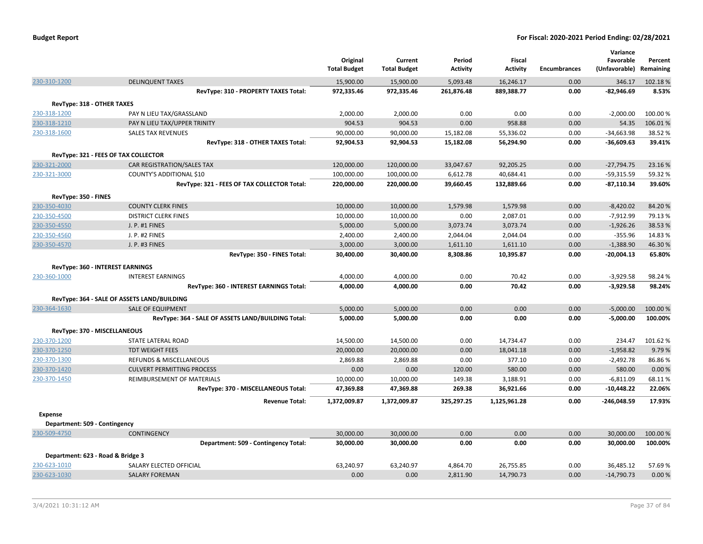|                                   |                                                    | Original<br><b>Total Budget</b> | Current<br><b>Total Budget</b> | Period<br><b>Activity</b> | Fiscal<br><b>Activity</b> | <b>Encumbrances</b> | Variance<br>Favorable<br>(Unfavorable) | Percent<br>Remaining |
|-----------------------------------|----------------------------------------------------|---------------------------------|--------------------------------|---------------------------|---------------------------|---------------------|----------------------------------------|----------------------|
| 230-310-1200                      | <b>DELINQUENT TAXES</b>                            | 15,900.00                       | 15,900.00                      | 5,093.48                  | 16,246.17                 | 0.00                | 346.17                                 | 102.18%              |
|                                   | RevType: 310 - PROPERTY TAXES Total:               | 972,335.46                      | 972,335.46                     | 261,876.48                | 889,388.77                | 0.00                | $-82,946.69$                           | 8.53%                |
| RevType: 318 - OTHER TAXES        |                                                    |                                 |                                |                           |                           |                     |                                        |                      |
| 230-318-1200                      | PAY N LIEU TAX/GRASSLAND                           | 2,000.00                        | 2,000.00                       | 0.00                      | 0.00                      | 0.00                | $-2,000.00$                            | 100.00%              |
| 230-318-1210                      | PAY N LIEU TAX/UPPER TRINITY                       | 904.53                          | 904.53                         | 0.00                      | 958.88                    | 0.00                | 54.35                                  | 106.01%              |
| 230-318-1600                      | <b>SALES TAX REVENUES</b>                          | 90,000.00                       | 90,000.00                      | 15,182.08                 | 55,336.02                 | 0.00                | $-34,663.98$                           | 38.52 %              |
|                                   | RevType: 318 - OTHER TAXES Total:                  | 92,904.53                       | 92,904.53                      | 15,182.08                 | 56,294.90                 | 0.00                | $-36,609.63$                           | 39.41%               |
|                                   | RevType: 321 - FEES OF TAX COLLECTOR               |                                 |                                |                           |                           |                     |                                        |                      |
| 230-321-2000                      | CAR REGISTRATION/SALES TAX                         | 120,000.00                      | 120,000.00                     | 33,047.67                 | 92,205.25                 | 0.00                | $-27,794.75$                           | 23.16 %              |
| 230-321-3000                      | COUNTY'S ADDITIONAL \$10                           | 100,000.00                      | 100,000.00                     | 6,612.78                  | 40,684.41                 | 0.00                | $-59,315.59$                           | 59.32 %              |
|                                   | RevType: 321 - FEES OF TAX COLLECTOR Total:        | 220,000.00                      | 220,000.00                     | 39,660.45                 | 132,889.66                | 0.00                | $-87,110.34$                           | 39.60%               |
| RevType: 350 - FINES              |                                                    |                                 |                                |                           |                           |                     |                                        |                      |
| 230-350-4030                      | <b>COUNTY CLERK FINES</b>                          | 10,000.00                       | 10,000.00                      | 1,579.98                  | 1,579.98                  | 0.00                | $-8,420.02$                            | 84.20%               |
| 230-350-4500                      | <b>DISTRICT CLERK FINES</b>                        | 10,000.00                       | 10,000.00                      | 0.00                      | 2,087.01                  | 0.00                | $-7,912.99$                            | 79.13%               |
| 230-350-4550                      | J. P. #1 FINES                                     | 5,000.00                        | 5,000.00                       | 3,073.74                  | 3,073.74                  | 0.00                | $-1,926.26$                            | 38.53%               |
| 230-350-4560                      | J. P. #2 FINES                                     | 2,400.00                        | 2,400.00                       | 2,044.04                  | 2,044.04                  | 0.00                | $-355.96$                              | 14.83%               |
| 230-350-4570                      | J. P. #3 FINES                                     | 3,000.00                        | 3,000.00                       | 1,611.10                  | 1,611.10                  | 0.00                | $-1,388.90$                            | 46.30%               |
|                                   | RevType: 350 - FINES Total:                        | 30,400.00                       | 30,400.00                      | 8,308.86                  | 10,395.87                 | 0.00                | $-20,004.13$                           | 65.80%               |
|                                   | <b>RevType: 360 - INTEREST EARNINGS</b>            |                                 |                                |                           |                           |                     |                                        |                      |
| 230-360-1000                      | <b>INTEREST EARNINGS</b>                           | 4,000.00                        | 4,000.00                       | 0.00                      | 70.42                     | 0.00                | $-3,929.58$                            | 98.24%               |
|                                   | RevType: 360 - INTEREST EARNINGS Total:            | 4,000.00                        | 4,000.00                       | 0.00                      | 70.42                     | 0.00                | $-3,929.58$                            | 98.24%               |
|                                   |                                                    |                                 |                                |                           |                           |                     |                                        |                      |
|                                   | RevType: 364 - SALE OF ASSETS LAND/BUILDING        |                                 |                                |                           |                           |                     |                                        |                      |
| 230-364-1630                      | <b>SALE OF EQUIPMENT</b>                           | 5,000.00                        | 5,000.00                       | 0.00                      | 0.00                      | 0.00                | $-5,000.00$                            | 100.00 %             |
|                                   | RevType: 364 - SALE OF ASSETS LAND/BUILDING Total: | 5,000.00                        | 5,000.00                       | 0.00                      | 0.00                      | 0.00                | $-5,000.00$                            | 100.00%              |
| RevType: 370 - MISCELLANEOUS      |                                                    |                                 |                                |                           |                           |                     |                                        |                      |
| 230-370-1200                      | STATE LATERAL ROAD                                 | 14,500.00                       | 14,500.00                      | 0.00                      | 14,734.47                 | 0.00                | 234.47                                 | 101.62%              |
| 230-370-1250                      | <b>TDT WEIGHT FEES</b>                             | 20,000.00                       | 20,000.00                      | 0.00                      | 18,041.18                 | 0.00                | $-1,958.82$                            | 9.79%                |
| 230-370-1300                      | <b>REFUNDS &amp; MISCELLANEOUS</b>                 | 2,869.88                        | 2,869.88                       | 0.00                      | 377.10                    | 0.00                | $-2,492.78$                            | 86.86%               |
| 230-370-1420                      | <b>CULVERT PERMITTING PROCESS</b>                  | 0.00                            | 0.00                           | 120.00                    | 580.00                    | 0.00                | 580.00                                 | 0.00%                |
| 230-370-1450                      | REIMBURSEMENT OF MATERIALS                         | 10,000.00                       | 10,000.00                      | 149.38                    | 3,188.91                  | 0.00                | $-6,811.09$                            | 68.11%               |
|                                   | RevType: 370 - MISCELLANEOUS Total:                | 47,369.88                       | 47,369.88                      | 269.38                    | 36,921.66                 | 0.00                | $-10,448.22$                           | 22.06%               |
|                                   | <b>Revenue Total:</b>                              | 1,372,009.87                    | 1,372,009.87                   | 325,297.25                | 1,125,961.28              | 0.00                | -246,048.59                            | 17.93%               |
| <b>Expense</b>                    |                                                    |                                 |                                |                           |                           |                     |                                        |                      |
| Department: 509 - Contingency     |                                                    |                                 |                                |                           |                           |                     |                                        |                      |
| 230-509-4750                      | CONTINGENCY                                        | 30,000.00                       | 30,000.00                      | 0.00                      | 0.00                      | 0.00                | 30,000.00                              | 100.00 %             |
|                                   | Department: 509 - Contingency Total:               | 30,000.00                       | 30,000.00                      | 0.00                      | 0.00                      | 0.00                | 30,000.00                              | 100.00%              |
| Department: 623 - Road & Bridge 3 |                                                    |                                 |                                |                           |                           |                     |                                        |                      |
| 230-623-1010                      | SALARY ELECTED OFFICIAL                            | 63,240.97                       | 63,240.97                      | 4,864.70                  | 26,755.85                 | 0.00                | 36,485.12                              | 57.69%               |
| 230-623-1030                      | <b>SALARY FOREMAN</b>                              | 0.00                            | 0.00                           | 2,811.90                  | 14,790.73                 | 0.00                | $-14,790.73$                           | 0.00%                |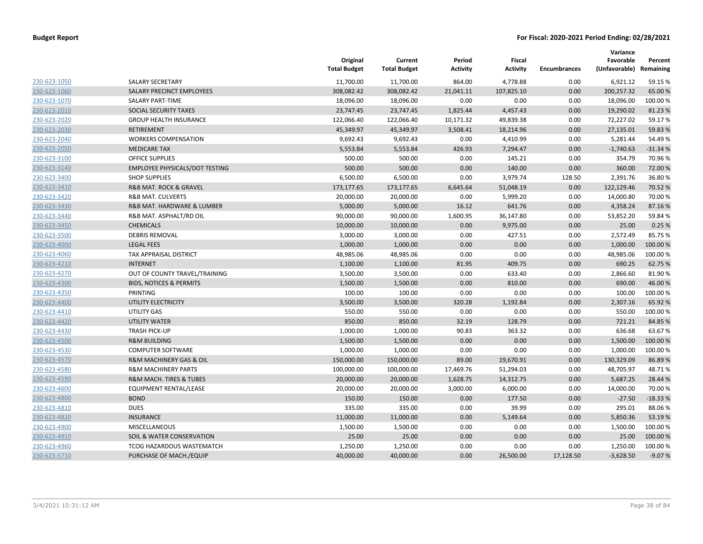|              |                                        | Original<br><b>Total Budget</b> | Current<br><b>Total Budget</b> | Period<br><b>Activity</b> | <b>Fiscal</b><br><b>Activity</b> | <b>Encumbrances</b> | Variance<br>Favorable<br>(Unfavorable) Remaining | Percent   |
|--------------|----------------------------------------|---------------------------------|--------------------------------|---------------------------|----------------------------------|---------------------|--------------------------------------------------|-----------|
| 230-623-1050 | <b>SALARY SECRETARY</b>                | 11,700.00                       | 11,700.00                      | 864.00                    | 4,778.88                         | 0.00                | 6,921.12                                         | 59.15 %   |
| 230-623-1060 | SALARY PRECINCT EMPLOYEES              | 308,082.42                      | 308,082.42                     | 21,041.11                 | 107,825.10                       | 0.00                | 200,257.32                                       | 65.00 %   |
| 230-623-1070 | <b>SALARY PART-TIME</b>                | 18,096.00                       | 18,096.00                      | 0.00                      | 0.00                             | 0.00                | 18,096.00                                        | 100.00%   |
| 230-623-2010 | SOCIAL SECURITY TAXES                  | 23,747.45                       | 23,747.45                      | 1,825.44                  | 4,457.43                         | 0.00                | 19,290.02                                        | 81.23%    |
| 230-623-2020 | <b>GROUP HEALTH INSURANCE</b>          | 122,066.40                      | 122,066.40                     | 10,171.32                 | 49,839.38                        | 0.00                | 72,227.02                                        | 59.17%    |
| 230-623-2030 | <b>RETIREMENT</b>                      | 45,349.97                       | 45,349.97                      | 3,508.41                  | 18,214.96                        | 0.00                | 27,135.01                                        | 59.83 %   |
| 230-623-2040 | <b>WORKERS COMPENSATION</b>            | 9,692.43                        | 9,692.43                       | 0.00                      | 4,410.99                         | 0.00                | 5,281.44                                         | 54.49%    |
| 230-623-2050 | <b>MEDICARE TAX</b>                    | 5,553.84                        | 5,553.84                       | 426.93                    | 7,294.47                         | 0.00                | $-1,740.63$                                      | $-31.34%$ |
| 230-623-3100 | <b>OFFICE SUPPLIES</b>                 | 500.00                          | 500.00                         | 0.00                      | 145.21                           | 0.00                | 354.79                                           | 70.96%    |
| 230-623-3140 | <b>EMPLOYEE PHYSICALS/DOT TESTING</b>  | 500.00                          | 500.00                         | 0.00                      | 140.00                           | 0.00                | 360.00                                           | 72.00 %   |
| 230-623-3400 | <b>SHOP SUPPLIES</b>                   | 6,500.00                        | 6,500.00                       | 0.00                      | 3,979.74                         | 128.50              | 2,391.76                                         | 36.80%    |
| 230-623-3410 | R&B MAT. ROCK & GRAVEL                 | 173,177.65                      | 173,177.65                     | 6,645.64                  | 51,048.19                        | 0.00                | 122,129.46                                       | 70.52 %   |
| 230-623-3420 | <b>R&amp;B MAT. CULVERTS</b>           | 20,000.00                       | 20,000.00                      | 0.00                      | 5,999.20                         | 0.00                | 14,000.80                                        | 70.00 %   |
| 230-623-3430 | R&B MAT. HARDWARE & LUMBER             | 5,000.00                        | 5,000.00                       | 16.12                     | 641.76                           | 0.00                | 4,358.24                                         | 87.16%    |
| 230-623-3440 | R&B MAT. ASPHALT/RD OIL                | 90,000.00                       | 90,000.00                      | 1,600.95                  | 36,147.80                        | 0.00                | 53,852.20                                        | 59.84 %   |
| 230-623-3450 | <b>CHEMICALS</b>                       | 10,000.00                       | 10,000.00                      | 0.00                      | 9,975.00                         | 0.00                | 25.00                                            | 0.25%     |
| 230-623-3500 | <b>DEBRIS REMOVAL</b>                  | 3,000.00                        | 3,000.00                       | 0.00                      | 427.51                           | 0.00                | 2,572.49                                         | 85.75 %   |
| 230-623-4000 | <b>LEGAL FEES</b>                      | 1,000.00                        | 1,000.00                       | 0.00                      | 0.00                             | 0.00                | 1,000.00                                         | 100.00%   |
| 230-623-4060 | TAX APPRAISAL DISTRICT                 | 48,985.06                       | 48,985.06                      | 0.00                      | 0.00                             | 0.00                | 48,985.06                                        | 100.00 %  |
| 230-623-4210 | <b>INTERNET</b>                        | 1,100.00                        | 1,100.00                       | 81.95                     | 409.75                           | 0.00                | 690.25                                           | 62.75 %   |
| 230-623-4270 | OUT OF COUNTY TRAVEL/TRAINING          | 3,500.00                        | 3,500.00                       | 0.00                      | 633.40                           | 0.00                | 2,866.60                                         | 81.90%    |
| 230-623-4300 | <b>BIDS, NOTICES &amp; PERMITS</b>     | 1,500.00                        | 1,500.00                       | 0.00                      | 810.00                           | 0.00                | 690.00                                           | 46.00%    |
| 230-623-4350 | PRINTING                               | 100.00                          | 100.00                         | 0.00                      | 0.00                             | 0.00                | 100.00                                           | 100.00%   |
| 230-623-4400 | UTILITY ELECTRICITY                    | 3,500.00                        | 3,500.00                       | 320.28                    | 1,192.84                         | 0.00                | 2,307.16                                         | 65.92 %   |
| 230-623-4410 | UTILITY GAS                            | 550.00                          | 550.00                         | 0.00                      | 0.00                             | 0.00                | 550.00                                           | 100.00%   |
| 230-623-4420 | <b>UTILITY WATER</b>                   | 850.00                          | 850.00                         | 32.19                     | 128.79                           | 0.00                | 721.21                                           | 84.85 %   |
| 230-623-4430 | <b>TRASH PICK-UP</b>                   | 1,000.00                        | 1,000.00                       | 90.83                     | 363.32                           | 0.00                | 636.68                                           | 63.67%    |
| 230-623-4500 | <b>R&amp;M BUILDING</b>                | 1,500.00                        | 1,500.00                       | 0.00                      | 0.00                             | 0.00                | 1,500.00                                         | 100.00 %  |
| 230-623-4530 | <b>COMPUTER SOFTWARE</b>               | 1,000.00                        | 1,000.00                       | 0.00                      | 0.00                             | 0.00                | 1,000.00                                         | 100.00 %  |
| 230-623-4570 | R&M MACHINERY GAS & OIL                | 150,000.00                      | 150,000.00                     | 89.00                     | 19,670.91                        | 0.00                | 130,329.09                                       | 86.89%    |
| 230-623-4580 | <b>R&amp;M MACHINERY PARTS</b>         | 100,000.00                      | 100,000.00                     | 17,469.76                 | 51,294.03                        | 0.00                | 48,705.97                                        | 48.71%    |
| 230-623-4590 | <b>R&amp;M MACH. TIRES &amp; TUBES</b> | 20,000.00                       | 20,000.00                      | 1,628.75                  | 14,312.75                        | 0.00                | 5,687.25                                         | 28.44 %   |
| 230-623-4600 | EQUIPMENT RENTAL/LEASE                 | 20,000.00                       | 20,000.00                      | 3,000.00                  | 6,000.00                         | 0.00                | 14,000.00                                        | 70.00%    |
| 230-623-4800 | <b>BOND</b>                            | 150.00                          | 150.00                         | 0.00                      | 177.50                           | 0.00                | $-27.50$                                         | $-18.33%$ |
| 230-623-4810 | <b>DUES</b>                            | 335.00                          | 335.00                         | 0.00                      | 39.99                            | 0.00                | 295.01                                           | 88.06%    |
| 230-623-4820 | <b>INSURANCE</b>                       | 11,000.00                       | 11,000.00                      | 0.00                      | 5,149.64                         | 0.00                | 5,850.36                                         | 53.19 %   |
| 230-623-4900 | <b>MISCELLANEOUS</b>                   | 1,500.00                        | 1,500.00                       | 0.00                      | 0.00                             | 0.00                | 1,500.00                                         | 100.00 %  |
| 230-623-4910 | <b>SOIL &amp; WATER CONSERVATION</b>   | 25.00                           | 25.00                          | 0.00                      | 0.00                             | 0.00                | 25.00                                            | 100.00%   |
| 230-623-4960 | TCOG HAZARDOUS WASTEMATCH              | 1,250.00                        | 1,250.00                       | 0.00                      | 0.00                             | 0.00                | 1,250.00                                         | 100.00%   |
| 230-623-5710 | PURCHASE OF MACH./EQUIP                | 40,000.00                       | 40.000.00                      | 0.00                      | 26.500.00                        | 17.128.50           | $-3,628.50$                                      | $-9.07%$  |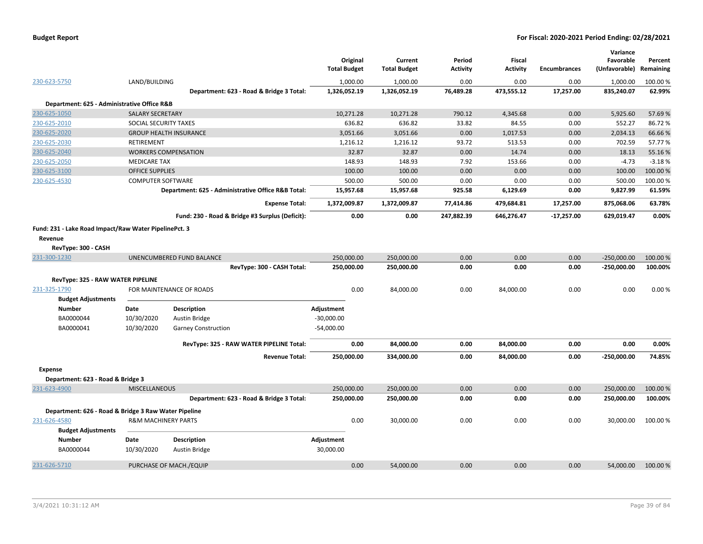|                |                                                       |                                |                                                    | Original<br><b>Total Budget</b> | Current<br><b>Total Budget</b> | Period<br><b>Activity</b> | <b>Fiscal</b><br><b>Activity</b> | <b>Encumbrances</b> | Variance<br>Favorable<br>(Unfavorable) | Percent<br>Remaining |
|----------------|-------------------------------------------------------|--------------------------------|----------------------------------------------------|---------------------------------|--------------------------------|---------------------------|----------------------------------|---------------------|----------------------------------------|----------------------|
| 230-623-5750   |                                                       | LAND/BUILDING                  |                                                    | 1,000.00                        | 1,000.00                       | 0.00                      | 0.00                             | 0.00                | 1,000.00                               | 100.00 %             |
|                |                                                       |                                | Department: 623 - Road & Bridge 3 Total:           | 1,326,052.19                    | 1,326,052.19                   | 76,489.28                 | 473,555.12                       | 17,257.00           | 835,240.07                             | 62.99%               |
|                | Department: 625 - Administrative Office R&B           |                                |                                                    |                                 |                                |                           |                                  |                     |                                        |                      |
| 230-625-1050   |                                                       | <b>SALARY SECRETARY</b>        |                                                    | 10,271.28                       | 10,271.28                      | 790.12                    | 4,345.68                         | 0.00                | 5,925.60                               | 57.69%               |
| 230-625-2010   |                                                       | SOCIAL SECURITY TAXES          |                                                    | 636.82                          | 636.82                         | 33.82                     | 84.55                            | 0.00                | 552.27                                 | 86.72%               |
| 230-625-2020   |                                                       |                                | <b>GROUP HEALTH INSURANCE</b>                      | 3,051.66                        | 3,051.66                       | 0.00                      | 1,017.53                         | 0.00                | 2,034.13                               | 66.66%               |
| 230-625-2030   |                                                       | <b>RETIREMENT</b>              |                                                    | 1,216.12                        | 1,216.12                       | 93.72                     | 513.53                           | 0.00                | 702.59                                 | 57.77%               |
| 230-625-2040   |                                                       | <b>WORKERS COMPENSATION</b>    |                                                    | 32.87                           | 32.87                          | 0.00                      | 14.74                            | 0.00                | 18.13                                  | 55.16%               |
| 230-625-2050   |                                                       | <b>MEDICARE TAX</b>            |                                                    | 148.93                          | 148.93                         | 7.92                      | 153.66                           | 0.00                | $-4.73$                                | $-3.18%$             |
| 230-625-3100   |                                                       | <b>OFFICE SUPPLIES</b>         |                                                    | 100.00                          | 100.00                         | 0.00                      | 0.00                             | 0.00                | 100.00                                 | 100.00 %             |
| 230-625-4530   |                                                       | <b>COMPUTER SOFTWARE</b>       |                                                    | 500.00                          | 500.00                         | 0.00                      | 0.00                             | 0.00                | 500.00                                 | 100.00%              |
|                |                                                       |                                | Department: 625 - Administrative Office R&B Total: | 15,957.68                       | 15,957.68                      | 925.58                    | 6,129.69                         | 0.00                | 9,827.99                               | 61.59%               |
|                |                                                       |                                | <b>Expense Total:</b>                              | 1,372,009.87                    | 1,372,009.87                   | 77,414.86                 | 479,684.81                       | 17,257.00           | 875,068.06                             | 63.78%               |
|                |                                                       |                                | Fund: 230 - Road & Bridge #3 Surplus (Deficit):    | 0.00                            | 0.00                           | 247,882.39                | 646,276.47                       | $-17,257.00$        | 629,019.47                             | 0.00%                |
| <b>Revenue</b> | Fund: 231 - Lake Road Impact/Raw Water PipelinePct. 3 |                                |                                                    |                                 |                                |                           |                                  |                     |                                        |                      |
|                | RevType: 300 - CASH                                   |                                |                                                    |                                 |                                |                           |                                  |                     |                                        |                      |
| 231-300-1230   |                                                       |                                | UNENCUMBERED FUND BALANCE                          | 250,000.00                      | 250,000.00                     | 0.00                      | 0.00                             | 0.00                | $-250,000.00$                          | 100.00 %             |
|                |                                                       |                                | RevType: 300 - CASH Total:                         | 250,000.00                      | 250,000.00                     | 0.00                      | 0.00                             | 0.00                | $-250,000.00$                          | 100.00%              |
|                | RevType: 325 - RAW WATER PIPELINE                     |                                | FOR MAINTENANCE OF ROADS                           | 0.00                            | 84,000.00                      | 0.00                      | 84,000.00                        | 0.00                | 0.00                                   | 0.00%                |
| 231-325-1790   | <b>Budget Adjustments</b>                             |                                |                                                    |                                 |                                |                           |                                  |                     |                                        |                      |
|                | Number                                                | Date                           | <b>Description</b>                                 | Adjustment                      |                                |                           |                                  |                     |                                        |                      |
|                | BA0000044                                             | 10/30/2020                     | Austin Bridge                                      | $-30,000.00$                    |                                |                           |                                  |                     |                                        |                      |
|                | BA0000041                                             | 10/30/2020                     | <b>Garney Construction</b>                         | $-54,000.00$                    |                                |                           |                                  |                     |                                        |                      |
|                |                                                       |                                | RevType: 325 - RAW WATER PIPELINE Total:           | 0.00                            | 84,000.00                      | 0.00                      | 84,000.00                        | 0.00                | 0.00                                   | 0.00%                |
|                |                                                       |                                | <b>Revenue Total:</b>                              | 250,000.00                      | 334,000.00                     | 0.00                      | 84,000.00                        | 0.00                | -250,000.00                            | 74.85%               |
| <b>Expense</b> |                                                       |                                |                                                    |                                 |                                |                           |                                  |                     |                                        |                      |
|                | Department: 623 - Road & Bridge 3                     |                                |                                                    |                                 |                                |                           |                                  |                     |                                        |                      |
| 231-623-4900   |                                                       | <b>MISCELLANEOUS</b>           |                                                    | 250,000.00                      | 250,000.00                     | 0.00                      | 0.00                             | 0.00                | 250,000.00                             | 100.00 %             |
|                |                                                       |                                | Department: 623 - Road & Bridge 3 Total:           | 250,000.00                      | 250,000.00                     | 0.00                      | 0.00                             | 0.00                | 250,000.00                             | 100.00%              |
|                | Department: 626 - Road & Bridge 3 Raw Water Pipeline  |                                |                                                    |                                 |                                |                           |                                  |                     |                                        |                      |
| 231-626-4580   |                                                       | <b>R&amp;M MACHINERY PARTS</b> |                                                    | 0.00                            | 30,000.00                      | 0.00                      | 0.00                             | 0.00                | 30,000.00                              | 100.00%              |
|                | <b>Budget Adjustments</b>                             |                                |                                                    |                                 |                                |                           |                                  |                     |                                        |                      |
|                | <b>Number</b>                                         | Date                           | <b>Description</b>                                 | Adjustment                      |                                |                           |                                  |                     |                                        |                      |
|                | BA0000044                                             | 10/30/2020                     | <b>Austin Bridge</b>                               | 30,000.00                       |                                |                           |                                  |                     |                                        |                      |
| 231-626-5710   |                                                       |                                | PURCHASE OF MACH./EQUIP                            | 0.00                            | 54,000.00                      | 0.00                      | 0.00                             | 0.00                | 54,000.00                              | 100.00 %             |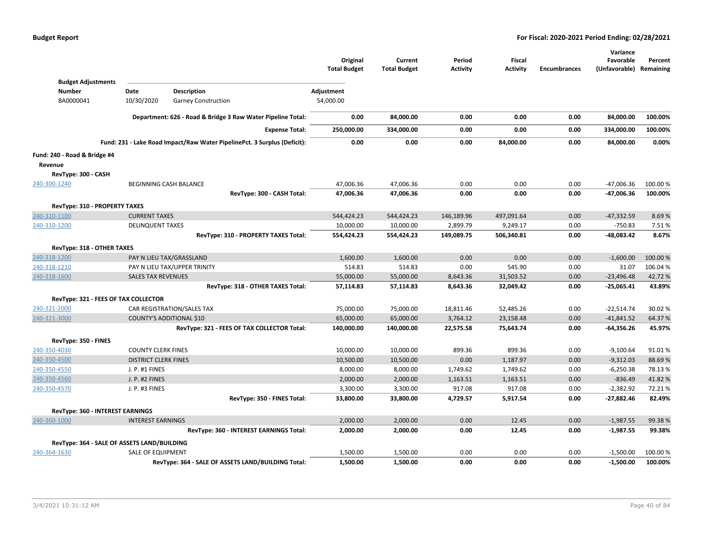|                                             |                             |                                                                          | Original<br><b>Total Budget</b> | Current<br><b>Total Budget</b> | Period<br><b>Activity</b> | Fiscal<br><b>Activity</b> | <b>Encumbrances</b> | Variance<br>Favorable<br>(Unfavorable) Remaining | Percent  |
|---------------------------------------------|-----------------------------|--------------------------------------------------------------------------|---------------------------------|--------------------------------|---------------------------|---------------------------|---------------------|--------------------------------------------------|----------|
| <b>Budget Adjustments</b><br><b>Number</b>  | Date                        |                                                                          |                                 |                                |                           |                           |                     |                                                  |          |
|                                             |                             | Description                                                              | Adjustment                      |                                |                           |                           |                     |                                                  |          |
| BA0000041                                   | 10/30/2020                  | <b>Garney Construction</b>                                               | 54,000.00                       |                                |                           |                           |                     |                                                  |          |
|                                             |                             | Department: 626 - Road & Bridge 3 Raw Water Pipeline Total:              | 0.00                            | 84,000.00                      | 0.00                      | 0.00                      | 0.00                | 84,000.00                                        | 100.00%  |
|                                             |                             | <b>Expense Total:</b>                                                    | 250,000.00                      | 334,000.00                     | 0.00                      | 0.00                      | 0.00                | 334,000.00                                       | 100.00%  |
|                                             |                             | Fund: 231 - Lake Road Impact/Raw Water PipelinePct. 3 Surplus (Deficit): | 0.00                            | 0.00                           | 0.00                      | 84,000.00                 | 0.00                | 84,000.00                                        | 0.00%    |
| Fund: 240 - Road & Bridge #4                |                             |                                                                          |                                 |                                |                           |                           |                     |                                                  |          |
| Revenue                                     |                             |                                                                          |                                 |                                |                           |                           |                     |                                                  |          |
| RevType: 300 - CASH                         |                             |                                                                          |                                 |                                |                           |                           |                     |                                                  |          |
| 240-300-1240                                |                             | BEGINNING CASH BALANCE                                                   | 47,006.36                       | 47,006.36                      | 0.00                      | 0.00                      | 0.00                | $-47,006.36$                                     | 100.00 % |
|                                             |                             | RevType: 300 - CASH Total:                                               | 47,006.36                       | 47,006.36                      | 0.00                      | 0.00                      | 0.00                | -47,006.36                                       | 100.00%  |
| <b>RevType: 310 - PROPERTY TAXES</b>        |                             |                                                                          |                                 |                                |                           |                           |                     |                                                  |          |
| 240-310-1100                                | <b>CURRENT TAXES</b>        |                                                                          | 544,424.23                      | 544,424.23                     | 146,189.96                | 497,091.64                | 0.00                | $-47,332.59$                                     | 8.69%    |
| 240-310-1200                                | <b>DELINQUENT TAXES</b>     |                                                                          | 10,000.00                       | 10,000.00                      | 2,899.79                  | 9,249.17                  | 0.00                | $-750.83$                                        | 7.51%    |
|                                             |                             | RevType: 310 - PROPERTY TAXES Total:                                     | 554,424.23                      | 554,424.23                     | 149,089.75                | 506,340.81                | 0.00                | -48,083.42                                       | 8.67%    |
| RevType: 318 - OTHER TAXES                  |                             |                                                                          |                                 |                                |                           |                           |                     |                                                  |          |
| 240-318-1200                                |                             | PAY N LIEU TAX/GRASSLAND                                                 | 1,600.00                        | 1,600.00                       | 0.00                      | 0.00                      | 0.00                | $-1,600.00$                                      | 100.00 % |
| 240-318-1210                                |                             | PAY N LIEU TAX/UPPER TRINITY                                             | 514.83                          | 514.83                         | 0.00                      | 545.90                    | 0.00                | 31.07                                            | 106.04%  |
| 240-318-1600                                | <b>SALES TAX REVENUES</b>   |                                                                          | 55,000.00                       | 55,000.00                      | 8,643.36                  | 31,503.52                 | 0.00                | $-23,496.48$                                     | 42.72%   |
|                                             |                             | RevType: 318 - OTHER TAXES Total:                                        | 57,114.83                       | 57,114.83                      | 8,643.36                  | 32,049.42                 | 0.00                | $-25,065.41$                                     | 43.89%   |
| RevType: 321 - FEES OF TAX COLLECTOR        |                             |                                                                          |                                 |                                |                           |                           |                     |                                                  |          |
| 240-321-2000                                |                             | CAR REGISTRATION/SALES TAX                                               | 75,000.00                       | 75,000.00                      | 18,811.46                 | 52,485.26                 | 0.00                | $-22,514.74$                                     | 30.02%   |
| 240-321-3000                                |                             | <b>COUNTY'S ADDITIONAL \$10</b>                                          | 65,000.00                       | 65,000.00                      | 3,764.12                  | 23,158.48                 | 0.00                | $-41,841.52$                                     | 64.37%   |
|                                             |                             | RevType: 321 - FEES OF TAX COLLECTOR Total:                              | 140,000.00                      | 140,000.00                     | 22,575.58                 | 75,643.74                 | 0.00                | $-64,356.26$                                     | 45.97%   |
| RevType: 350 - FINES                        |                             |                                                                          |                                 |                                |                           |                           |                     |                                                  |          |
| 240-350-4030                                | <b>COUNTY CLERK FINES</b>   |                                                                          | 10,000.00                       | 10,000.00                      | 899.36                    | 899.36                    | 0.00                | $-9,100.64$                                      | 91.01%   |
| 240-350-4500                                | <b>DISTRICT CLERK FINES</b> |                                                                          | 10,500.00                       | 10,500.00                      | 0.00                      | 1,187.97                  | 0.00                | $-9,312.03$                                      | 88.69%   |
| 240-350-4550                                | J. P. #1 FINES              |                                                                          | 8,000.00                        | 8,000.00                       | 1,749.62                  | 1,749.62                  | 0.00                | $-6,250.38$                                      | 78.13%   |
| 240-350-4560                                | J. P. #2 FINES              |                                                                          | 2,000.00                        | 2,000.00                       | 1,163.51                  | 1,163.51                  | 0.00                | $-836.49$                                        | 41.82%   |
| 240-350-4570                                | J. P. #3 FINES              |                                                                          | 3,300.00                        | 3,300.00                       | 917.08                    | 917.08                    | 0.00                | $-2,382.92$                                      | 72.21%   |
|                                             |                             | RevType: 350 - FINES Total:                                              | 33,800.00                       | 33,800.00                      | 4,729.57                  | 5,917.54                  | 0.00                | $-27,882.46$                                     | 82.49%   |
| RevType: 360 - INTEREST EARNINGS            |                             |                                                                          |                                 |                                |                           |                           |                     |                                                  |          |
| 240-360-1000                                | <b>INTEREST EARNINGS</b>    |                                                                          | 2,000.00                        | 2,000.00                       | 0.00                      | 12.45                     | 0.00                | $-1,987.55$                                      | 99.38%   |
|                                             |                             | RevType: 360 - INTEREST EARNINGS Total:                                  | 2,000.00                        | 2,000.00                       | 0.00                      | 12.45                     | 0.00                | $-1,987.55$                                      | 99.38%   |
| RevType: 364 - SALE OF ASSETS LAND/BUILDING |                             |                                                                          |                                 |                                |                           |                           |                     |                                                  |          |
| 240-364-1630                                | SALE OF EQUIPMENT           |                                                                          | 1,500.00                        | 1,500.00                       | 0.00                      | 0.00                      | 0.00                | $-1,500.00$                                      | 100.00 % |
|                                             |                             | RevType: 364 - SALE OF ASSETS LAND/BUILDING Total:                       | 1,500.00                        | 1,500.00                       | 0.00                      | 0.00                      | 0.00                | $-1,500.00$                                      | 100.00%  |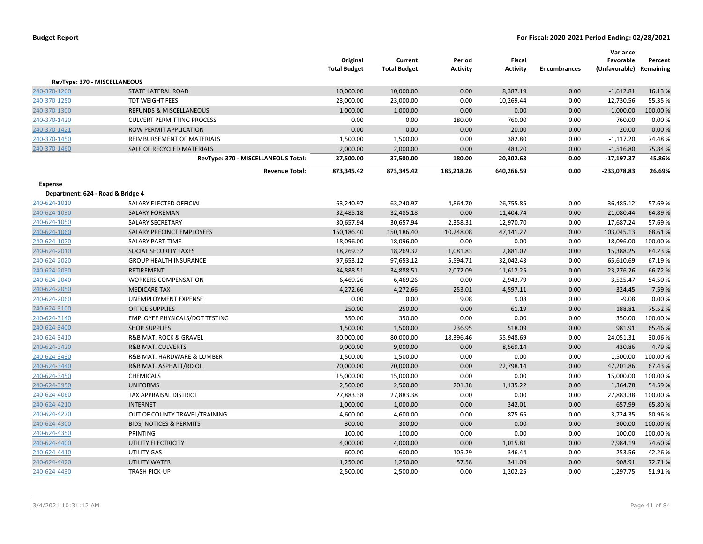|                                   |                                     | Original<br><b>Total Budget</b> | Current<br><b>Total Budget</b> | Period<br><b>Activity</b> | <b>Fiscal</b><br><b>Activity</b> | <b>Encumbrances</b> | Variance<br>Favorable<br>(Unfavorable) Remaining | Percent  |
|-----------------------------------|-------------------------------------|---------------------------------|--------------------------------|---------------------------|----------------------------------|---------------------|--------------------------------------------------|----------|
|                                   | RevType: 370 - MISCELLANEOUS        |                                 |                                |                           |                                  |                     |                                                  |          |
| 240-370-1200                      | STATE LATERAL ROAD                  | 10,000.00                       | 10,000.00                      | 0.00                      | 8,387.19                         | 0.00                | $-1,612.81$                                      | 16.13%   |
| 240-370-1250                      | TDT WEIGHT FEES                     | 23,000.00                       | 23,000.00                      | 0.00                      | 10,269.44                        | 0.00                | $-12,730.56$                                     | 55.35 %  |
| 240-370-1300                      | <b>REFUNDS &amp; MISCELLANEOUS</b>  | 1,000.00                        | 1,000.00                       | 0.00                      | 0.00                             | 0.00                | $-1,000.00$                                      | 100.00 % |
| 240-370-1420                      | <b>CULVERT PERMITTING PROCESS</b>   | 0.00                            | 0.00                           | 180.00                    | 760.00                           | 0.00                | 760.00                                           | 0.00%    |
| 240-370-1421                      | ROW PERMIT APPLICATION              | 0.00                            | 0.00                           | 0.00                      | 20.00                            | 0.00                | 20.00                                            | 0.00 %   |
| 240-370-1450                      | REIMBURSEMENT OF MATERIALS          | 1,500.00                        | 1,500.00                       | 0.00                      | 382.80                           | 0.00                | $-1,117.20$                                      | 74.48%   |
| 240-370-1460                      | SALE OF RECYCLED MATERIALS          | 2,000.00                        | 2,000.00                       | 0.00                      | 483.20                           | 0.00                | $-1,516.80$                                      | 75.84 %  |
|                                   | RevType: 370 - MISCELLANEOUS Total: | 37,500.00                       | 37,500.00                      | 180.00                    | 20,302.63                        | 0.00                | $-17,197.37$                                     | 45.86%   |
|                                   | <b>Revenue Total:</b>               | 873,345.42                      | 873,345.42                     | 185,218.26                | 640,266.59                       | 0.00                | -233,078.83                                      | 26.69%   |
| Expense                           |                                     |                                 |                                |                           |                                  |                     |                                                  |          |
| Department: 624 - Road & Bridge 4 |                                     |                                 |                                |                           |                                  |                     |                                                  |          |
| 240-624-1010                      | SALARY ELECTED OFFICIAL             | 63,240.97                       | 63,240.97                      | 4,864.70                  | 26,755.85                        | 0.00                | 36,485.12                                        | 57.69%   |
| 240-624-1030                      | <b>SALARY FOREMAN</b>               | 32,485.18                       | 32,485.18                      | 0.00                      | 11,404.74                        | 0.00                | 21,080.44                                        | 64.89%   |
| 240-624-1050                      | <b>SALARY SECRETARY</b>             | 30,657.94                       | 30,657.94                      | 2,358.31                  | 12,970.70                        | 0.00                | 17,687.24                                        | 57.69%   |
| 240-624-1060                      | SALARY PRECINCT EMPLOYEES           | 150,186.40                      | 150,186.40                     | 10,248.08                 | 47,141.27                        | 0.00                | 103,045.13                                       | 68.61%   |
| 240-624-1070                      | <b>SALARY PART-TIME</b>             | 18,096.00                       | 18,096.00                      | 0.00                      | 0.00                             | 0.00                | 18,096.00                                        | 100.00%  |
| 240-624-2010                      | SOCIAL SECURITY TAXES               | 18,269.32                       | 18,269.32                      | 1,081.83                  | 2,881.07                         | 0.00                | 15,388.25                                        | 84.23%   |
| 240-624-2020                      | <b>GROUP HEALTH INSURANCE</b>       | 97,653.12                       | 97,653.12                      | 5,594.71                  | 32,042.43                        | 0.00                | 65,610.69                                        | 67.19%   |
| 240-624-2030                      | <b>RETIREMENT</b>                   | 34,888.51                       | 34,888.51                      | 2,072.09                  | 11,612.25                        | 0.00                | 23,276.26                                        | 66.72%   |
| 240-624-2040                      | <b>WORKERS COMPENSATION</b>         | 6,469.26                        | 6,469.26                       | 0.00                      | 2,943.79                         | 0.00                | 3,525.47                                         | 54.50%   |
| 240-624-2050                      | <b>MEDICARE TAX</b>                 | 4,272.66                        | 4,272.66                       | 253.01                    | 4,597.11                         | 0.00                | $-324.45$                                        | $-7.59%$ |
| 240-624-2060                      | UNEMPLOYMENT EXPENSE                | 0.00                            | 0.00                           | 9.08                      | 9.08                             | 0.00                | $-9.08$                                          | 0.00%    |
| 240-624-3100                      | <b>OFFICE SUPPLIES</b>              | 250.00                          | 250.00                         | 0.00                      | 61.19                            | 0.00                | 188.81                                           | 75.52 %  |
| 240-624-3140                      | EMPLOYEE PHYSICALS/DOT TESTING      | 350.00                          | 350.00                         | 0.00                      | 0.00                             | 0.00                | 350.00                                           | 100.00%  |
| 240-624-3400                      | <b>SHOP SUPPLIES</b>                | 1,500.00                        | 1,500.00                       | 236.95                    | 518.09                           | 0.00                | 981.91                                           | 65.46%   |
| 240-624-3410                      | R&B MAT. ROCK & GRAVEL              | 80,000.00                       | 80,000.00                      | 18,396.46                 | 55,948.69                        | 0.00                | 24,051.31                                        | 30.06%   |
| 240-624-3420                      | <b>R&amp;B MAT. CULVERTS</b>        | 9,000.00                        | 9,000.00                       | 0.00                      | 8,569.14                         | 0.00                | 430.86                                           | 4.79%    |
| 240-624-3430                      | R&B MAT. HARDWARE & LUMBER          | 1,500.00                        | 1,500.00                       | 0.00                      | 0.00                             | 0.00                | 1,500.00                                         | 100.00%  |
| 240-624-3440                      | R&B MAT. ASPHALT/RD OIL             | 70,000.00                       | 70,000.00                      | 0.00                      | 22,798.14                        | 0.00                | 47,201.86                                        | 67.43 %  |
| 240-624-3450                      | <b>CHEMICALS</b>                    | 15,000.00                       | 15,000.00                      | 0.00                      | 0.00                             | 0.00                | 15,000.00                                        | 100.00%  |
| 240-624-3950                      | <b>UNIFORMS</b>                     | 2,500.00                        | 2,500.00                       | 201.38                    | 1,135.22                         | 0.00                | 1,364.78                                         | 54.59 %  |
| 240-624-4060                      | TAX APPRAISAL DISTRICT              | 27,883.38                       | 27,883.38                      | 0.00                      | 0.00                             | 0.00                | 27,883.38                                        | 100.00%  |
| 240-624-4210                      | <b>INTERNET</b>                     | 1,000.00                        | 1,000.00                       | 0.00                      | 342.01                           | 0.00                | 657.99                                           | 65.80%   |
| 240-624-4270                      | OUT OF COUNTY TRAVEL/TRAINING       | 4,600.00                        | 4,600.00                       | 0.00                      | 875.65                           | 0.00                | 3,724.35                                         | 80.96%   |
| 240-624-4300                      | <b>BIDS, NOTICES &amp; PERMITS</b>  | 300.00                          | 300.00                         | 0.00                      | 0.00                             | 0.00                | 300.00                                           | 100.00 % |
| 240-624-4350                      | PRINTING                            | 100.00                          | 100.00                         | 0.00                      | 0.00                             | 0.00                | 100.00                                           | 100.00%  |
| 240-624-4400                      | UTILITY ELECTRICITY                 | 4,000.00                        | 4,000.00                       | 0.00                      | 1,015.81                         | 0.00                | 2,984.19                                         | 74.60%   |
| 240-624-4410                      | <b>UTILITY GAS</b>                  | 600.00                          | 600.00                         | 105.29                    | 346.44                           | 0.00                | 253.56                                           | 42.26%   |
| 240-624-4420                      | <b>UTILITY WATER</b>                | 1,250.00                        | 1,250.00                       | 57.58                     | 341.09                           | 0.00                | 908.91                                           | 72.71%   |
| 240-624-4430                      | <b>TRASH PICK-UP</b>                | 2,500.00                        | 2,500.00                       | 0.00                      | 1,202.25                         | 0.00                | 1.297.75                                         | 51.91%   |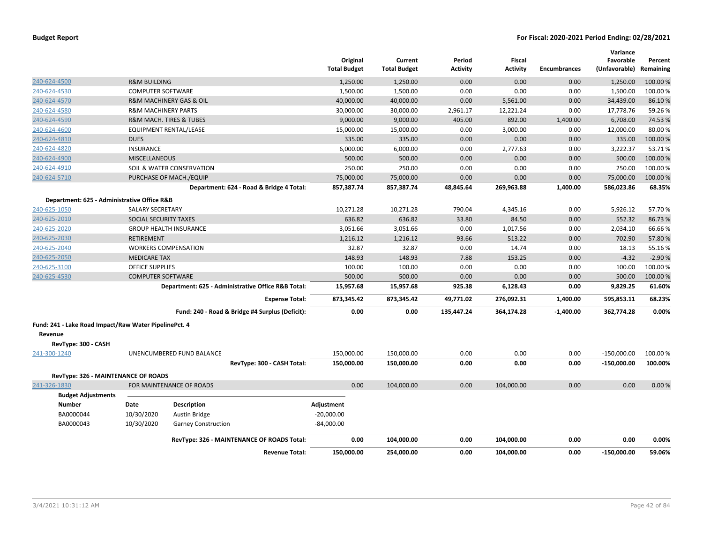|                                                                                         |                                |                                        |                                                    | Original<br><b>Total Budget</b> | Current<br><b>Total Budget</b> | Period<br>Activity | <b>Fiscal</b><br><b>Activity</b> | <b>Encumbrances</b> | Variance<br>Favorable<br>(Unfavorable) | Percent<br>Remaining |
|-----------------------------------------------------------------------------------------|--------------------------------|----------------------------------------|----------------------------------------------------|---------------------------------|--------------------------------|--------------------|----------------------------------|---------------------|----------------------------------------|----------------------|
| 240-624-4500                                                                            | <b>R&amp;M BUILDING</b>        |                                        |                                                    | 1,250.00                        | 1,250.00                       | 0.00               | 0.00                             | 0.00                | 1,250.00                               | 100.00%              |
| 240-624-4530                                                                            | <b>COMPUTER SOFTWARE</b>       |                                        |                                                    | 1,500.00                        | 1,500.00                       | 0.00               | 0.00                             | 0.00                | 1,500.00                               | 100.00 %             |
| 240-624-4570                                                                            |                                | <b>R&amp;M MACHINERY GAS &amp; OIL</b> |                                                    | 40,000.00                       | 40,000.00                      | 0.00               | 5,561.00                         | 0.00                | 34,439.00                              | 86.10%               |
| 240-624-4580                                                                            | <b>R&amp;M MACHINERY PARTS</b> |                                        |                                                    | 30,000.00                       | 30,000.00                      | 2,961.17           | 12,221.24                        | 0.00                | 17,778.76                              | 59.26%               |
| 240-624-4590                                                                            |                                | <b>R&amp;M MACH. TIRES &amp; TUBES</b> |                                                    | 9,000.00                        | 9,000.00                       | 405.00             | 892.00                           | 1,400.00            | 6,708.00                               | 74.53 %              |
| 240-624-4600                                                                            |                                | EQUIPMENT RENTAL/LEASE                 |                                                    | 15,000.00                       | 15,000.00                      | 0.00               | 3,000.00                         | 0.00                | 12,000.00                              | 80.00%               |
| 240-624-4810                                                                            | <b>DUES</b>                    |                                        |                                                    | 335.00                          | 335.00                         | 0.00               | 0.00                             | 0.00                | 335.00                                 | 100.00%              |
| 240-624-4820                                                                            | <b>INSURANCE</b>               |                                        |                                                    | 6,000.00                        | 6,000.00                       | 0.00               | 2,777.63                         | 0.00                | 3,222.37                               | 53.71%               |
| 240-624-4900                                                                            | <b>MISCELLANEOUS</b>           |                                        |                                                    | 500.00                          | 500.00                         | 0.00               | 0.00                             | 0.00                | 500.00                                 | 100.00 %             |
| 240-624-4910                                                                            |                                | SOIL & WATER CONSERVATION              |                                                    | 250.00                          | 250.00                         | 0.00               | 0.00                             | 0.00                | 250.00                                 | 100.00 %             |
| 240-624-5710                                                                            |                                | PURCHASE OF MACH./EQUIP                |                                                    | 75,000.00                       | 75,000.00                      | 0.00               | 0.00                             | 0.00                | 75,000.00                              | 100.00%              |
|                                                                                         |                                |                                        | Department: 624 - Road & Bridge 4 Total:           | 857,387.74                      | 857,387.74                     | 48,845.64          | 269,963.88                       | 1,400.00            | 586,023.86                             | 68.35%               |
| Department: 625 - Administrative Office R&B                                             |                                |                                        |                                                    |                                 |                                |                    |                                  |                     |                                        |                      |
| 240-625-1050                                                                            | <b>SALARY SECRETARY</b>        |                                        |                                                    | 10,271.28                       | 10,271.28                      | 790.04             | 4,345.16                         | 0.00                | 5,926.12                               | 57.70%               |
| 240-625-2010                                                                            | SOCIAL SECURITY TAXES          |                                        |                                                    | 636.82                          | 636.82                         | 33.80              | 84.50                            | 0.00                | 552.32                                 | 86.73%               |
| 240-625-2020                                                                            |                                | <b>GROUP HEALTH INSURANCE</b>          |                                                    | 3,051.66                        | 3,051.66                       | 0.00               | 1,017.56                         | 0.00                | 2,034.10                               | 66.66%               |
| 240-625-2030                                                                            | <b>RETIREMENT</b>              |                                        |                                                    | 1,216.12                        | 1,216.12                       | 93.66              | 513.22                           | 0.00                | 702.90                                 | 57.80%               |
| 240-625-2040                                                                            |                                | <b>WORKERS COMPENSATION</b>            |                                                    | 32.87                           | 32.87                          | 0.00               | 14.74                            | 0.00                | 18.13                                  | 55.16%               |
| 240-625-2050                                                                            | <b>MEDICARE TAX</b>            |                                        |                                                    | 148.93                          | 148.93                         | 7.88               | 153.25                           | 0.00                | $-4.32$                                | $-2.90%$             |
| 240-625-3100                                                                            | <b>OFFICE SUPPLIES</b>         |                                        |                                                    | 100.00                          | 100.00                         | 0.00               | 0.00                             | 0.00                | 100.00                                 | 100.00%              |
| 240-625-4530                                                                            | <b>COMPUTER SOFTWARE</b>       |                                        |                                                    | 500.00                          | 500.00                         | 0.00               | 0.00                             | 0.00                | 500.00                                 | 100.00%              |
|                                                                                         |                                |                                        | Department: 625 - Administrative Office R&B Total: | 15,957.68                       | 15,957.68                      | 925.38             | 6,128.43                         | 0.00                | 9,829.25                               | 61.60%               |
|                                                                                         |                                |                                        | <b>Expense Total:</b>                              | 873,345.42                      | 873,345.42                     | 49,771.02          | 276,092.31                       | 1,400.00            | 595,853.11                             | 68.23%               |
|                                                                                         |                                |                                        | Fund: 240 - Road & Bridge #4 Surplus (Deficit):    | 0.00                            | 0.00                           | 135,447.24         | 364,174.28                       | $-1,400.00$         | 362,774.28                             | 0.00%                |
| Fund: 241 - Lake Road Impact/Raw Water PipelinePct. 4<br>Revenue<br>RevType: 300 - CASH |                                |                                        |                                                    |                                 |                                |                    |                                  |                     |                                        |                      |
| 241-300-1240                                                                            |                                | UNENCUMBERED FUND BALANCE              |                                                    | 150,000.00                      | 150,000.00                     | 0.00               | 0.00                             | 0.00                | $-150,000.00$                          | 100.00 %             |
|                                                                                         |                                |                                        | RevType: 300 - CASH Total:                         | 150,000.00                      | 150,000.00                     | 0.00               | 0.00                             | 0.00                | $-150,000.00$                          | 100.00%              |
| RevType: 326 - MAINTENANCE OF ROADS                                                     |                                |                                        |                                                    |                                 |                                |                    |                                  |                     |                                        |                      |
| 241-326-1830                                                                            |                                | FOR MAINTENANCE OF ROADS               |                                                    | 0.00                            | 104,000.00                     | 0.00               | 104,000.00                       | 0.00                | 0.00                                   | 0.00%                |
| <b>Budget Adjustments</b>                                                               |                                |                                        |                                                    |                                 |                                |                    |                                  |                     |                                        |                      |
| <b>Number</b>                                                                           | Date                           | <b>Description</b>                     |                                                    | Adjustment                      |                                |                    |                                  |                     |                                        |                      |
| BA0000044                                                                               | 10/30/2020                     | Austin Bridge                          |                                                    | $-20,000.00$                    |                                |                    |                                  |                     |                                        |                      |
| BA0000043                                                                               | 10/30/2020                     | <b>Garney Construction</b>             |                                                    | $-84,000.00$                    |                                |                    |                                  |                     |                                        |                      |
|                                                                                         |                                |                                        | RevType: 326 - MAINTENANCE OF ROADS Total:         | 0.00                            | 104,000.00                     | 0.00               | 104,000.00                       | 0.00                | 0.00                                   | 0.00%                |
|                                                                                         |                                |                                        | <b>Revenue Total:</b>                              | 150.000.00                      | 254.000.00                     | 0.00               | 104.000.00                       | 0.00                | $-150.000.00$                          | 59.06%               |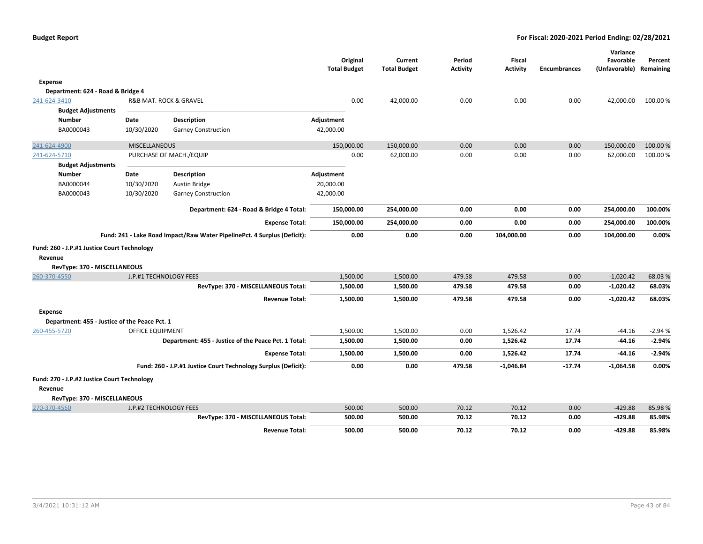|                                                        |                         |                                                                          | Original<br><b>Total Budget</b> |      | Current<br><b>Total Budget</b> | Period<br><b>Activity</b> | <b>Fiscal</b><br><b>Activity</b> | <b>Encumbrances</b> | Variance<br>Favorable<br>(Unfavorable) Remaining | Percent  |
|--------------------------------------------------------|-------------------------|--------------------------------------------------------------------------|---------------------------------|------|--------------------------------|---------------------------|----------------------------------|---------------------|--------------------------------------------------|----------|
| <b>Expense</b>                                         |                         |                                                                          |                                 |      |                                |                           |                                  |                     |                                                  |          |
| Department: 624 - Road & Bridge 4                      |                         |                                                                          |                                 |      |                                |                           |                                  |                     |                                                  |          |
| 241-624-3410<br><b>Budget Adjustments</b>              |                         | R&B MAT. ROCK & GRAVEL                                                   |                                 | 0.00 | 42,000.00                      | 0.00                      | 0.00                             | 0.00                | 42,000.00                                        | 100.00 % |
| <b>Number</b>                                          | Date                    | <b>Description</b>                                                       | Adjustment                      |      |                                |                           |                                  |                     |                                                  |          |
| BA0000043                                              | 10/30/2020              | <b>Garney Construction</b>                                               | 42,000.00                       |      |                                |                           |                                  |                     |                                                  |          |
| 241-624-4900                                           | <b>MISCELLANEOUS</b>    |                                                                          | 150,000.00                      |      | 150,000.00                     | 0.00                      | 0.00                             | 0.00                | 150,000.00                                       | 100.00 % |
| 241-624-5710<br><b>Budget Adjustments</b>              |                         | PURCHASE OF MACH./EQUIP                                                  |                                 | 0.00 | 62,000.00                      | 0.00                      | 0.00                             | 0.00                | 62,000.00                                        | 100.00 % |
| <b>Number</b>                                          | Date                    | <b>Description</b>                                                       | Adjustment                      |      |                                |                           |                                  |                     |                                                  |          |
| BA0000044                                              | 10/30/2020              | Austin Bridge                                                            | 20,000.00                       |      |                                |                           |                                  |                     |                                                  |          |
| BA0000043                                              | 10/30/2020              | <b>Garney Construction</b>                                               | 42,000.00                       |      |                                |                           |                                  |                     |                                                  |          |
|                                                        |                         | Department: 624 - Road & Bridge 4 Total:                                 | 150,000.00                      |      | 254,000.00                     | 0.00                      | 0.00                             | 0.00                | 254,000.00                                       | 100.00%  |
|                                                        |                         | <b>Expense Total:</b>                                                    | 150,000.00                      |      | 254,000.00                     | 0.00                      | 0.00                             | 0.00                | 254,000.00                                       | 100.00%  |
|                                                        |                         | Fund: 241 - Lake Road Impact/Raw Water PipelinePct. 4 Surplus (Deficit): |                                 | 0.00 | 0.00                           | 0.00                      | 104,000.00                       | 0.00                | 104,000.00                                       | 0.00%    |
| Fund: 260 - J.P.#1 Justice Court Technology            |                         |                                                                          |                                 |      |                                |                           |                                  |                     |                                                  |          |
| Revenue                                                |                         |                                                                          |                                 |      |                                |                           |                                  |                     |                                                  |          |
| RevType: 370 - MISCELLANEOUS                           |                         |                                                                          |                                 |      |                                |                           |                                  |                     |                                                  |          |
| 260-370-4550                                           | J.P.#1 TECHNOLOGY FEES  |                                                                          | 1,500.00                        |      | 1,500.00                       | 479.58                    | 479.58                           | 0.00                | $-1,020.42$                                      | 68.03%   |
|                                                        |                         | RevType: 370 - MISCELLANEOUS Total:                                      | 1,500.00                        |      | 1,500.00                       | 479.58                    | 479.58                           | 0.00                | $-1,020.42$                                      | 68.03%   |
|                                                        |                         | <b>Revenue Total:</b>                                                    | 1,500.00                        |      | 1,500.00                       | 479.58                    | 479.58                           | 0.00                | $-1,020.42$                                      | 68.03%   |
| Expense                                                |                         |                                                                          |                                 |      |                                |                           |                                  |                     |                                                  |          |
| Department: 455 - Justice of the Peace Pct. 1          |                         |                                                                          |                                 |      |                                |                           |                                  |                     |                                                  |          |
| 260-455-5720                                           | <b>OFFICE EQUIPMENT</b> |                                                                          | 1,500.00                        |      | 1,500.00                       | 0.00                      | 1,526.42                         | 17.74               | $-44.16$                                         | $-2.94%$ |
|                                                        |                         | Department: 455 - Justice of the Peace Pct. 1 Total:                     | 1,500.00                        |      | 1,500.00                       | 0.00                      | 1,526.42                         | 17.74               | $-44.16$                                         | $-2.94%$ |
|                                                        |                         | <b>Expense Total:</b>                                                    | 1,500.00                        |      | 1,500.00                       | 0.00                      | 1,526.42                         | 17.74               | -44.16                                           | $-2.94%$ |
|                                                        |                         | Fund: 260 - J.P.#1 Justice Court Technology Surplus (Deficit):           |                                 | 0.00 | 0.00                           | 479.58                    | $-1,046.84$                      | $-17.74$            | $-1,064.58$                                      | 0.00%    |
| Fund: 270 - J.P.#2 Justice Court Technology<br>Revenue |                         |                                                                          |                                 |      |                                |                           |                                  |                     |                                                  |          |
| RevType: 370 - MISCELLANEOUS                           |                         |                                                                          |                                 |      |                                |                           |                                  |                     |                                                  |          |
| 270-370-4560                                           | J.P.#2 TECHNOLOGY FEES  |                                                                          | 500.00                          |      | 500.00                         | 70.12                     | 70.12                            | 0.00                | $-429.88$                                        | 85.98%   |
|                                                        |                         | RevType: 370 - MISCELLANEOUS Total:                                      | 500.00                          |      | 500.00                         | 70.12                     | 70.12                            | 0.00                | $-429.88$                                        | 85.98%   |
|                                                        |                         | <b>Revenue Total:</b>                                                    | 500.00                          |      | 500.00                         | 70.12                     | 70.12                            | 0.00                | $-429.88$                                        | 85.98%   |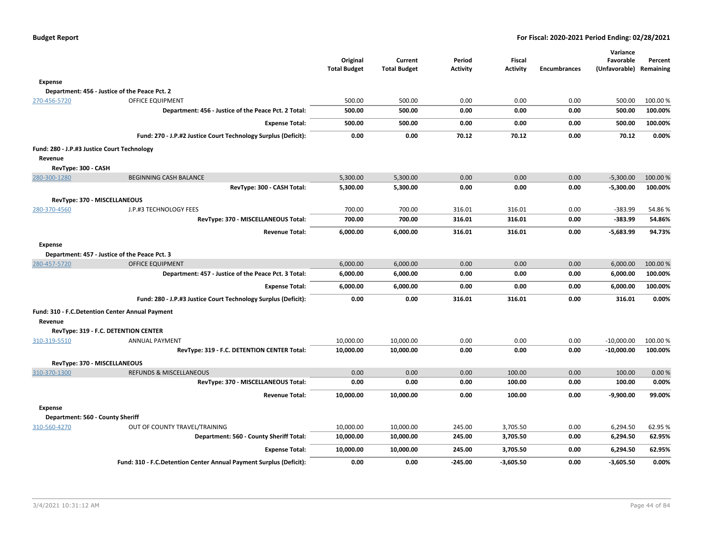| Budget Report |  |
|---------------|--|
|---------------|--|

|                                                 |                                                                    |                     |                     |                 |                 |                     | Variance      |           |
|-------------------------------------------------|--------------------------------------------------------------------|---------------------|---------------------|-----------------|-----------------|---------------------|---------------|-----------|
|                                                 |                                                                    | Original            | Current             | Period          | <b>Fiscal</b>   |                     | Favorable     | Percent   |
|                                                 |                                                                    | <b>Total Budget</b> | <b>Total Budget</b> | <b>Activity</b> | <b>Activity</b> | <b>Encumbrances</b> | (Unfavorable) | Remaining |
| <b>Expense</b>                                  |                                                                    |                     |                     |                 |                 |                     |               |           |
|                                                 | Department: 456 - Justice of the Peace Pct. 2                      |                     |                     |                 |                 |                     |               |           |
| 270-456-5720                                    | <b>OFFICE EQUIPMENT</b>                                            | 500.00              | 500.00              | 0.00            | 0.00            | 0.00                | 500.00        | 100.00%   |
|                                                 | Department: 456 - Justice of the Peace Pct. 2 Total:               | 500.00              | 500.00              | 0.00            | 0.00            | 0.00                | 500.00        | 100.00%   |
|                                                 | <b>Expense Total:</b>                                              | 500.00              | 500.00              | 0.00            | 0.00            | 0.00                | 500.00        | 100.00%   |
|                                                 | Fund: 270 - J.P.#2 Justice Court Technology Surplus (Deficit):     | 0.00                | 0.00                | 70.12           | 70.12           | 0.00                | 70.12         | 0.00%     |
| Fund: 280 - J.P.#3 Justice Court Technology     |                                                                    |                     |                     |                 |                 |                     |               |           |
| Revenue                                         |                                                                    |                     |                     |                 |                 |                     |               |           |
| RevType: 300 - CASH                             |                                                                    |                     |                     |                 |                 |                     |               |           |
| 280-300-1280                                    | <b>BEGINNING CASH BALANCE</b>                                      | 5,300.00            | 5,300.00            | 0.00            | 0.00            | 0.00                | $-5,300.00$   | 100.00%   |
|                                                 | RevType: 300 - CASH Total:                                         | 5,300.00            | 5,300.00            | 0.00            | 0.00            | 0.00                | $-5,300.00$   | 100.00%   |
| RevType: 370 - MISCELLANEOUS                    |                                                                    |                     |                     |                 |                 |                     |               |           |
| 280-370-4560                                    | J.P.#3 TECHNOLOGY FEES                                             | 700.00              | 700.00              | 316.01          | 316.01          | 0.00                | $-383.99$     | 54.86%    |
|                                                 | RevType: 370 - MISCELLANEOUS Total:                                | 700.00              | 700.00              | 316.01          | 316.01          | 0.00                | $-383.99$     | 54.86%    |
|                                                 | <b>Revenue Total:</b>                                              | 6,000.00            | 6,000.00            | 316.01          | 316.01          | 0.00                | $-5,683.99$   | 94.73%    |
| Expense                                         |                                                                    |                     |                     |                 |                 |                     |               |           |
|                                                 | Department: 457 - Justice of the Peace Pct. 3                      |                     |                     |                 |                 |                     |               |           |
| 280-457-5720                                    | <b>OFFICE EQUIPMENT</b>                                            | 6,000.00            | 6,000.00            | 0.00            | 0.00            | 0.00                | 6,000.00      | 100.00%   |
|                                                 | Department: 457 - Justice of the Peace Pct. 3 Total:               | 6,000.00            | 6,000.00            | 0.00            | 0.00            | 0.00                | 6,000.00      | 100.00%   |
|                                                 | <b>Expense Total:</b>                                              | 6,000.00            | 6,000.00            | 0.00            | 0.00            | 0.00                | 6,000.00      | 100.00%   |
|                                                 | Fund: 280 - J.P.#3 Justice Court Technology Surplus (Deficit):     | 0.00                | 0.00                | 316.01          | 316.01          | 0.00                | 316.01        | 0.00%     |
| Fund: 310 - F.C.Detention Center Annual Payment |                                                                    |                     |                     |                 |                 |                     |               |           |
| Revenue                                         |                                                                    |                     |                     |                 |                 |                     |               |           |
| RevType: 319 - F.C. DETENTION CENTER            |                                                                    |                     |                     |                 |                 |                     |               |           |
| 310-319-5510                                    | <b>ANNUAL PAYMENT</b>                                              | 10,000.00           | 10,000.00           | 0.00            | 0.00            | 0.00                | $-10,000.00$  | 100.00%   |
|                                                 | RevType: 319 - F.C. DETENTION CENTER Total:                        | 10,000.00           | 10,000.00           | 0.00            | 0.00            | 0.00                | $-10,000.00$  | 100.00%   |
| RevType: 370 - MISCELLANEOUS                    |                                                                    |                     |                     |                 |                 |                     |               |           |
| 310-370-1300                                    | <b>REFUNDS &amp; MISCELLANEOUS</b>                                 | 0.00                | 0.00                | 0.00            | 100.00          | 0.00                | 100.00        | 0.00%     |
|                                                 | RevType: 370 - MISCELLANEOUS Total:                                | 0.00                | 0.00                | 0.00            | 100.00          | 0.00                | 100.00        | 0.00%     |
|                                                 | <b>Revenue Total:</b>                                              | 10,000.00           | 10,000.00           | 0.00            | 100.00          | 0.00                | $-9,900.00$   | 99.00%    |
| Expense                                         |                                                                    |                     |                     |                 |                 |                     |               |           |
| Department: 560 - County Sheriff                |                                                                    |                     |                     |                 |                 |                     |               |           |
| 310-560-4270                                    | OUT OF COUNTY TRAVEL/TRAINING                                      | 10,000.00           | 10,000.00           | 245.00          | 3,705.50        | 0.00                | 6,294.50      | 62.95%    |
|                                                 | Department: 560 - County Sheriff Total:                            | 10,000.00           | 10,000.00           | 245.00          | 3,705.50        | 0.00                | 6,294.50      | 62.95%    |
|                                                 | <b>Expense Total:</b>                                              | 10,000.00           | 10,000.00           | 245.00          | 3,705.50        | 0.00                | 6,294.50      | 62.95%    |
|                                                 | Fund: 310 - F.C.Detention Center Annual Payment Surplus (Deficit): | 0.00                | 0.00                | $-245.00$       | $-3,605.50$     | 0.00                | $-3,605.50$   | 0.00%     |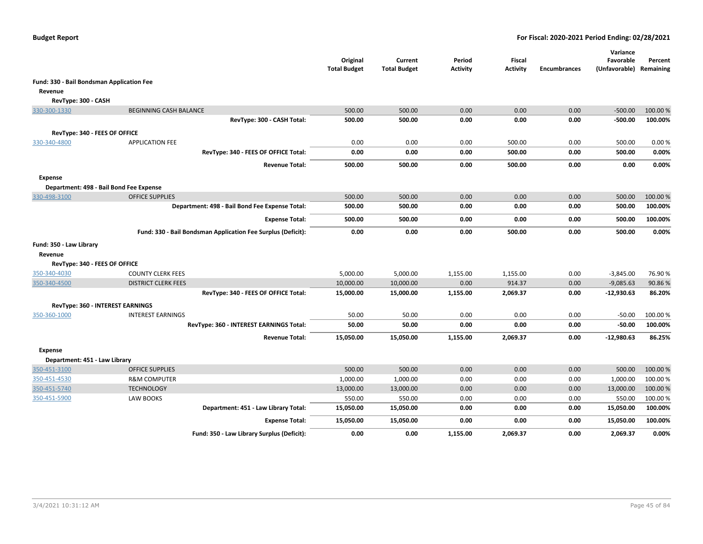|                                           |                                                              | Original<br><b>Total Budget</b> | Current<br><b>Total Budget</b> | Period<br><b>Activity</b> | Fiscal<br><b>Activity</b> | <b>Encumbrances</b> | Variance<br>Favorable<br>(Unfavorable) Remaining | Percent             |
|-------------------------------------------|--------------------------------------------------------------|---------------------------------|--------------------------------|---------------------------|---------------------------|---------------------|--------------------------------------------------|---------------------|
| Fund: 330 - Bail Bondsman Application Fee |                                                              |                                 |                                |                           |                           |                     |                                                  |                     |
| Revenue                                   |                                                              |                                 |                                |                           |                           |                     |                                                  |                     |
| RevType: 300 - CASH                       |                                                              |                                 |                                |                           |                           |                     |                                                  |                     |
| 330-300-1330                              | <b>BEGINNING CASH BALANCE</b>                                | 500.00                          | 500.00                         | 0.00                      | 0.00                      | 0.00                | $-500.00$                                        | 100.00%             |
|                                           | RevType: 300 - CASH Total:                                   | 500.00                          | 500.00                         | 0.00                      | 0.00                      | 0.00                | $-500.00$                                        | 100.00%             |
| RevType: 340 - FEES OF OFFICE             |                                                              |                                 |                                |                           |                           |                     |                                                  |                     |
| 330-340-4800                              | <b>APPLICATION FEE</b>                                       | 0.00                            | 0.00                           | 0.00                      | 500.00                    | 0.00                | 500.00                                           | 0.00%               |
|                                           | RevType: 340 - FEES OF OFFICE Total:                         | 0.00                            | 0.00                           | 0.00                      | 500.00                    | 0.00                | 500.00                                           | 0.00%               |
|                                           |                                                              |                                 |                                |                           |                           |                     |                                                  |                     |
|                                           | <b>Revenue Total:</b>                                        | 500.00                          | 500.00                         | 0.00                      | 500.00                    | 0.00                | 0.00                                             | 0.00%               |
| <b>Expense</b>                            |                                                              |                                 |                                |                           |                           |                     |                                                  |                     |
|                                           | Department: 498 - Bail Bond Fee Expense                      |                                 |                                |                           |                           |                     |                                                  |                     |
| 330-498-3100                              | <b>OFFICE SUPPLIES</b>                                       | 500.00                          | 500.00                         | 0.00                      | 0.00                      | 0.00                | 500.00                                           | 100.00 %            |
|                                           | Department: 498 - Bail Bond Fee Expense Total:               | 500.00                          | 500.00                         | 0.00                      | 0.00                      | 0.00                | 500.00                                           | 100.00%             |
|                                           | <b>Expense Total:</b>                                        | 500.00                          | 500.00                         | 0.00                      | 0.00                      | 0.00                | 500.00                                           | 100.00%             |
|                                           | Fund: 330 - Bail Bondsman Application Fee Surplus (Deficit): | 0.00                            | 0.00                           | 0.00                      | 500.00                    | 0.00                | 500.00                                           | 0.00%               |
| Fund: 350 - Law Library                   |                                                              |                                 |                                |                           |                           |                     |                                                  |                     |
| Revenue                                   |                                                              |                                 |                                |                           |                           |                     |                                                  |                     |
| RevType: 340 - FEES OF OFFICE             |                                                              |                                 |                                |                           |                           |                     |                                                  |                     |
| 350-340-4030                              | <b>COUNTY CLERK FEES</b>                                     | 5,000.00                        | 5,000.00                       | 1,155.00                  | 1,155.00                  | 0.00                | $-3,845.00$                                      | 76.90%              |
| 350-340-4500                              | <b>DISTRICT CLERK FEES</b>                                   | 10,000.00                       | 10,000.00                      | 0.00                      | 914.37                    | 0.00                | $-9,085.63$                                      | 90.86%              |
|                                           | RevType: 340 - FEES OF OFFICE Total:                         | 15,000.00                       | 15,000.00                      | 1,155.00                  | 2,069.37                  | 0.00                | $-12,930.63$                                     | 86.20%              |
|                                           | RevType: 360 - INTEREST EARNINGS                             |                                 |                                |                           |                           |                     |                                                  |                     |
| 350-360-1000                              | <b>INTEREST EARNINGS</b>                                     | 50.00                           | 50.00                          | 0.00                      | 0.00                      | 0.00                | $-50.00$                                         | 100.00%             |
|                                           | RevType: 360 - INTEREST EARNINGS Total:                      | 50.00                           | 50.00                          | 0.00                      | 0.00                      | 0.00                | $-50.00$                                         | 100.00%             |
|                                           | <b>Revenue Total:</b>                                        | 15,050.00                       | 15,050.00                      | 1,155.00                  | 2,069.37                  | 0.00                | $-12,980.63$                                     | 86.25%              |
|                                           |                                                              |                                 |                                |                           |                           |                     |                                                  |                     |
| Expense                                   |                                                              |                                 |                                |                           |                           |                     |                                                  |                     |
| Department: 451 - Law Library             |                                                              |                                 |                                |                           |                           |                     |                                                  |                     |
| 350-451-3100                              | <b>OFFICE SUPPLIES</b><br><b>R&amp;M COMPUTER</b>            | 500.00                          | 500.00                         | 0.00                      | 0.00<br>0.00              | 0.00<br>0.00        | 500.00                                           | 100.00%<br>100.00 % |
| 350-451-4530<br>350-451-5740              |                                                              | 1,000.00<br>13,000.00           | 1,000.00                       | 0.00<br>0.00              | 0.00                      | 0.00                | 1,000.00<br>13,000.00                            | 100.00 %            |
|                                           | <b>TECHNOLOGY</b>                                            |                                 | 13,000.00<br>550.00            |                           | 0.00                      | 0.00                |                                                  | 100.00 %            |
| 350-451-5900                              | LAW BOOKS<br>Department: 451 - Law Library Total:            | 550.00<br>15,050.00             | 15,050.00                      | 0.00<br>0.00              | 0.00                      | 0.00                | 550.00<br>15,050.00                              | 100.00%             |
|                                           |                                                              |                                 |                                |                           |                           |                     |                                                  |                     |
|                                           | <b>Expense Total:</b>                                        | 15,050.00                       | 15,050.00                      | 0.00                      | 0.00                      | 0.00                | 15,050.00                                        | 100.00%             |
|                                           | Fund: 350 - Law Library Surplus (Deficit):                   | 0.00                            | 0.00                           | 1,155.00                  | 2,069.37                  | 0.00                | 2,069.37                                         | 0.00%               |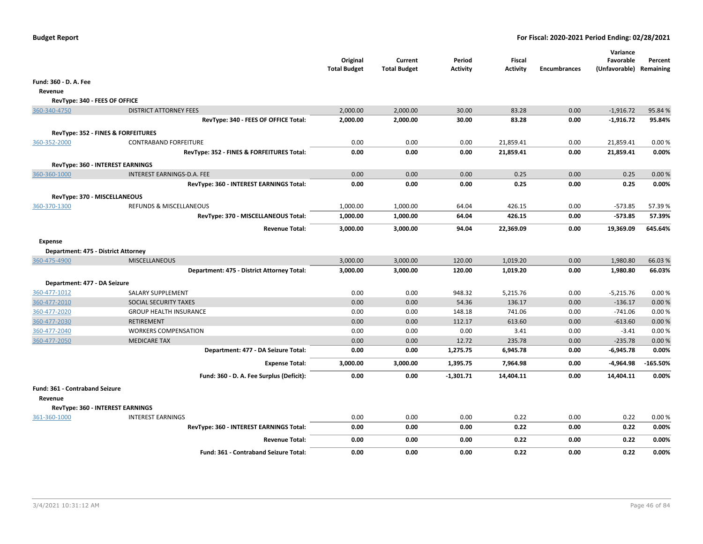|                                                                                    |                                              | Original<br><b>Total Budget</b> | Current<br><b>Total Budget</b> | Period<br><b>Activity</b> | Fiscal<br><b>Activity</b> | <b>Encumbrances</b> | Variance<br>Favorable<br>(Unfavorable) Remaining | Percent    |
|------------------------------------------------------------------------------------|----------------------------------------------|---------------------------------|--------------------------------|---------------------------|---------------------------|---------------------|--------------------------------------------------|------------|
| Fund: 360 - D. A. Fee                                                              |                                              |                                 |                                |                           |                           |                     |                                                  |            |
| Revenue                                                                            |                                              |                                 |                                |                           |                           |                     |                                                  |            |
| RevType: 340 - FEES OF OFFICE                                                      |                                              |                                 |                                |                           |                           |                     |                                                  |            |
| 360-340-4750<br><b>DISTRICT ATTORNEY FEES</b>                                      |                                              | 2,000.00                        | 2,000.00                       | 30.00                     | 83.28                     | 0.00                | $-1,916.72$                                      | 95.84 %    |
|                                                                                    | RevType: 340 - FEES OF OFFICE Total:         | 2,000.00                        | 2,000.00                       | 30.00                     | 83.28                     | 0.00                | $-1,916.72$                                      | 95.84%     |
|                                                                                    |                                              |                                 |                                |                           |                           |                     |                                                  |            |
| RevType: 352 - FINES & FORFEITURES<br>360-352-2000<br><b>CONTRABAND FORFEITURE</b> |                                              | 0.00                            | 0.00                           | 0.00                      | 21,859.41                 | 0.00                | 21,859.41                                        | 0.00%      |
|                                                                                    | RevType: 352 - FINES & FORFEITURES Total:    | 0.00                            | 0.00                           | 0.00                      | 21,859.41                 | 0.00                | 21,859.41                                        | 0.00%      |
|                                                                                    |                                              |                                 |                                |                           |                           |                     |                                                  |            |
| RevType: 360 - INTEREST EARNINGS                                                   |                                              |                                 |                                |                           |                           |                     |                                                  |            |
| INTEREST EARNINGS-D.A. FEE<br>360-360-1000                                         |                                              | 0.00                            | 0.00                           | 0.00                      | 0.25                      | 0.00                | 0.25                                             | 0.00%      |
|                                                                                    | RevType: 360 - INTEREST EARNINGS Total:      | 0.00                            | 0.00                           | 0.00                      | 0.25                      | 0.00                | 0.25                                             | 0.00%      |
| RevType: 370 - MISCELLANEOUS                                                       |                                              |                                 |                                |                           |                           |                     |                                                  |            |
| REFUNDS & MISCELLANEOUS<br>360-370-1300                                            |                                              | 1,000.00                        | 1,000.00                       | 64.04                     | 426.15                    | 0.00                | $-573.85$                                        | 57.39%     |
|                                                                                    | RevType: 370 - MISCELLANEOUS Total:          | 1,000.00                        | 1,000.00                       | 64.04                     | 426.15                    | 0.00                | -573.85                                          | 57.39%     |
|                                                                                    | <b>Revenue Total:</b>                        | 3,000.00                        | 3,000.00                       | 94.04                     | 22,369.09                 | 0.00                | 19,369.09                                        | 645.64%    |
| <b>Expense</b>                                                                     |                                              |                                 |                                |                           |                           |                     |                                                  |            |
| Department: 475 - District Attorney                                                |                                              |                                 |                                |                           |                           |                     |                                                  |            |
| 360-475-4900<br><b>MISCELLANEOUS</b>                                               |                                              | 3,000.00                        | 3,000.00                       | 120.00                    | 1,019.20                  | 0.00                | 1,980.80                                         | 66.03%     |
|                                                                                    | Department: 475 - District Attorney Total:   | 3,000.00                        | 3,000.00                       | 120.00                    | 1,019.20                  | 0.00                | 1,980.80                                         | 66.03%     |
| Department: 477 - DA Seizure                                                       |                                              |                                 |                                |                           |                           |                     |                                                  |            |
| 360-477-1012<br>SALARY SUPPLEMENT                                                  |                                              | 0.00                            | 0.00                           | 948.32                    | 5,215.76                  | 0.00                | $-5,215.76$                                      | 0.00%      |
| 360-477-2010<br>SOCIAL SECURITY TAXES                                              |                                              | 0.00                            | 0.00                           | 54.36                     | 136.17                    | 0.00                | $-136.17$                                        | 0.00%      |
| 360-477-2020<br><b>GROUP HEALTH INSURANCE</b>                                      |                                              | 0.00                            | 0.00                           | 148.18                    | 741.06                    | 0.00                | $-741.06$                                        | 0.00%      |
| 360-477-2030<br><b>RETIREMENT</b>                                                  |                                              | 0.00                            | 0.00                           | 112.17                    | 613.60                    | 0.00                | $-613.60$                                        | 0.00%      |
| 360-477-2040<br><b>WORKERS COMPENSATION</b>                                        |                                              | 0.00                            | 0.00                           | 0.00                      | 3.41                      | 0.00                | $-3.41$                                          | 0.00%      |
| 360-477-2050<br><b>MEDICARE TAX</b>                                                |                                              | 0.00                            | 0.00                           | 12.72                     | 235.78                    | 0.00                | $-235.78$                                        | 0.00%      |
|                                                                                    | Department: 477 - DA Seizure Total:          | 0.00                            | 0.00                           | 1,275.75                  | 6,945.78                  | 0.00                | $-6,945.78$                                      | 0.00%      |
|                                                                                    | <b>Expense Total:</b>                        | 3,000.00                        | 3,000.00                       | 1,395.75                  | 7,964.98                  | 0.00                | -4,964.98                                        | $-165.50%$ |
|                                                                                    | Fund: 360 - D. A. Fee Surplus (Deficit):     | 0.00                            | 0.00                           | $-1,301.71$               | 14,404.11                 | 0.00                | 14,404.11                                        | 0.00%      |
| Fund: 361 - Contraband Seizure                                                     |                                              |                                 |                                |                           |                           |                     |                                                  |            |
| Revenue                                                                            |                                              |                                 |                                |                           |                           |                     |                                                  |            |
| RevType: 360 - INTEREST EARNINGS                                                   |                                              |                                 |                                |                           |                           |                     |                                                  |            |
| <b>INTEREST EARNINGS</b><br>361-360-1000                                           |                                              | 0.00                            | 0.00                           | 0.00                      | 0.22                      | 0.00                | 0.22                                             | 0.00%      |
|                                                                                    | RevType: 360 - INTEREST EARNINGS Total:      | 0.00                            | 0.00                           | 0.00                      | 0.22                      | 0.00                | 0.22                                             | 0.00%      |
|                                                                                    | <b>Revenue Total:</b>                        | 0.00                            | 0.00                           | 0.00                      | 0.22                      | 0.00                | 0.22                                             | 0.00%      |
|                                                                                    | <b>Fund: 361 - Contraband Seizure Total:</b> | 0.00                            | 0.00                           | 0.00                      | 0.22                      | 0.00                | 0.22                                             | 0.00%      |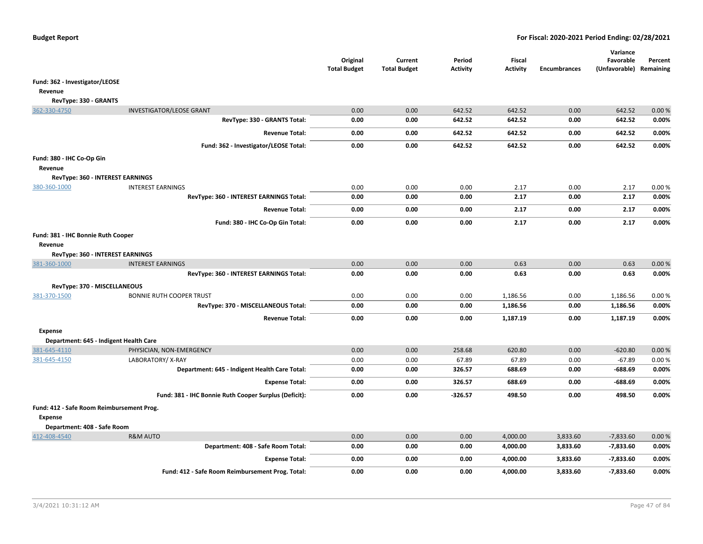|                                           |                                                       | Original<br><b>Total Budget</b> | Current<br><b>Total Budget</b> | Period<br><b>Activity</b> | Fiscal<br><b>Activity</b> | <b>Encumbrances</b> | Variance<br>Favorable<br>(Unfavorable) Remaining | Percent |
|-------------------------------------------|-------------------------------------------------------|---------------------------------|--------------------------------|---------------------------|---------------------------|---------------------|--------------------------------------------------|---------|
| Fund: 362 - Investigator/LEOSE            |                                                       |                                 |                                |                           |                           |                     |                                                  |         |
| Revenue                                   |                                                       |                                 |                                |                           |                           |                     |                                                  |         |
| RevType: 330 - GRANTS                     |                                                       |                                 |                                |                           |                           |                     |                                                  |         |
| 362-330-4750                              | <b>INVESTIGATOR/LEOSE GRANT</b>                       | 0.00                            | 0.00                           | 642.52                    | 642.52                    | 0.00                | 642.52                                           | 0.00%   |
|                                           | RevType: 330 - GRANTS Total:                          | 0.00                            | 0.00                           | 642.52                    | 642.52                    | 0.00                | 642.52                                           | 0.00%   |
|                                           | <b>Revenue Total:</b>                                 | 0.00                            | 0.00                           | 642.52                    | 642.52                    | 0.00                | 642.52                                           | 0.00%   |
|                                           | Fund: 362 - Investigator/LEOSE Total:                 | 0.00                            | 0.00                           | 642.52                    | 642.52                    | 0.00                | 642.52                                           | 0.00%   |
| Fund: 380 - IHC Co-Op Gin                 |                                                       |                                 |                                |                           |                           |                     |                                                  |         |
| Revenue                                   |                                                       |                                 |                                |                           |                           |                     |                                                  |         |
| RevType: 360 - INTEREST EARNINGS          |                                                       |                                 |                                |                           |                           |                     |                                                  |         |
| 380-360-1000                              | <b>INTEREST EARNINGS</b>                              | 0.00                            | 0.00                           | 0.00                      | 2.17                      | 0.00                | 2.17                                             | 0.00%   |
|                                           | RevType: 360 - INTEREST EARNINGS Total:               | 0.00                            | 0.00                           | 0.00                      | 2.17                      | 0.00                | 2.17                                             | 0.00%   |
|                                           | <b>Revenue Total:</b>                                 | 0.00                            | 0.00                           | 0.00                      | 2.17                      | 0.00                | 2.17                                             | 0.00%   |
|                                           | Fund: 380 - IHC Co-Op Gin Total:                      | 0.00                            | 0.00                           | 0.00                      | 2.17                      | 0.00                | 2.17                                             | 0.00%   |
| Fund: 381 - IHC Bonnie Ruth Cooper        |                                                       |                                 |                                |                           |                           |                     |                                                  |         |
| Revenue                                   |                                                       |                                 |                                |                           |                           |                     |                                                  |         |
| RevType: 360 - INTEREST EARNINGS          |                                                       |                                 |                                |                           |                           |                     |                                                  |         |
| 381-360-1000                              | <b>INTEREST EARNINGS</b>                              | 0.00                            | 0.00                           | 0.00                      | 0.63                      | 0.00                | 0.63                                             | 0.00%   |
|                                           | RevType: 360 - INTEREST EARNINGS Total:               | 0.00                            | 0.00                           | 0.00                      | 0.63                      | 0.00                | 0.63                                             | 0.00%   |
| RevType: 370 - MISCELLANEOUS              |                                                       |                                 |                                |                           |                           |                     |                                                  |         |
| 381-370-1500                              | <b>BONNIE RUTH COOPER TRUST</b>                       | 0.00                            | 0.00                           | 0.00                      | 1,186.56                  | 0.00                | 1,186.56                                         | 0.00%   |
|                                           | RevType: 370 - MISCELLANEOUS Total:                   | 0.00                            | 0.00                           | 0.00                      | 1,186.56                  | 0.00                | 1,186.56                                         | 0.00%   |
|                                           | <b>Revenue Total:</b>                                 | 0.00                            | 0.00                           | 0.00                      | 1,187.19                  | 0.00                | 1,187.19                                         | 0.00%   |
| Expense                                   |                                                       |                                 |                                |                           |                           |                     |                                                  |         |
| Department: 645 - Indigent Health Care    |                                                       |                                 |                                |                           |                           |                     |                                                  |         |
| 381-645-4110                              | PHYSICIAN, NON-EMERGENCY                              | 0.00                            | 0.00                           | 258.68                    | 620.80                    | 0.00                | $-620.80$                                        | 0.00%   |
| 381-645-4150                              | LABORATORY/X-RAY                                      | 0.00                            | 0.00                           | 67.89                     | 67.89                     | 0.00                | $-67.89$                                         | 0.00%   |
|                                           | Department: 645 - Indigent Health Care Total:         | 0.00                            | 0.00                           | 326.57                    | 688.69                    | 0.00                | $-688.69$                                        | 0.00%   |
|                                           | <b>Expense Total:</b>                                 | 0.00                            | 0.00                           | 326.57                    | 688.69                    | 0.00                | $-688.69$                                        | 0.00%   |
|                                           | Fund: 381 - IHC Bonnie Ruth Cooper Surplus (Deficit): | 0.00                            | 0.00                           | $-326.57$                 | 498.50                    | 0.00                | 498.50                                           | 0.00%   |
| Fund: 412 - Safe Room Reimbursement Prog. |                                                       |                                 |                                |                           |                           |                     |                                                  |         |
| <b>Expense</b>                            |                                                       |                                 |                                |                           |                           |                     |                                                  |         |
| Department: 408 - Safe Room               |                                                       |                                 |                                |                           |                           |                     |                                                  |         |
| 412-408-4540                              | <b>R&amp;M AUTO</b>                                   | 0.00                            | 0.00                           | 0.00                      | 4,000.00                  | 3,833.60            | $-7,833.60$                                      | 0.00%   |
|                                           | Department: 408 - Safe Room Total:                    | 0.00                            | 0.00                           | 0.00                      | 4,000.00                  | 3,833.60            | $-7,833.60$                                      | 0.00%   |
|                                           | <b>Expense Total:</b>                                 | 0.00                            | 0.00                           | 0.00                      | 4,000.00                  | 3,833.60            | $-7,833.60$                                      | 0.00%   |
|                                           | Fund: 412 - Safe Room Reimbursement Prog. Total:      | 0.00                            | 0.00                           | 0.00                      | 4,000.00                  | 3,833.60            | $-7,833.60$                                      | 0.00%   |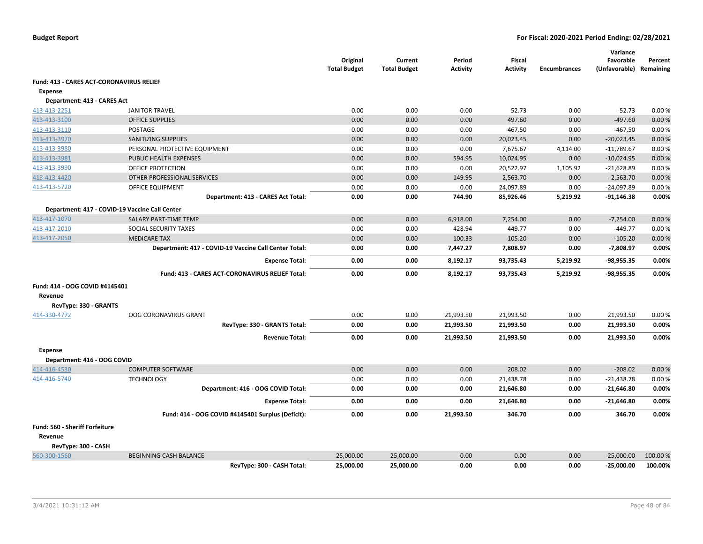|                                                 |                                                        | Original<br><b>Total Budget</b> | Current<br><b>Total Budget</b> | Period<br><b>Activity</b> | <b>Fiscal</b><br><b>Activity</b> | <b>Encumbrances</b> | Variance<br>Favorable<br>(Unfavorable) Remaining | Percent  |
|-------------------------------------------------|--------------------------------------------------------|---------------------------------|--------------------------------|---------------------------|----------------------------------|---------------------|--------------------------------------------------|----------|
| <b>Fund: 413 - CARES ACT-CORONAVIRUS RELIEF</b> |                                                        |                                 |                                |                           |                                  |                     |                                                  |          |
| <b>Expense</b>                                  |                                                        |                                 |                                |                           |                                  |                     |                                                  |          |
| Department: 413 - CARES Act                     |                                                        |                                 |                                |                           |                                  |                     |                                                  |          |
| 413-413-2251                                    | <b>JANITOR TRAVEL</b>                                  | 0.00                            | 0.00                           | 0.00                      | 52.73                            | 0.00                | $-52.73$                                         | 0.00%    |
| 413-413-3100                                    | <b>OFFICE SUPPLIES</b>                                 | 0.00                            | 0.00                           | 0.00                      | 497.60                           | 0.00                | $-497.60$                                        | 0.00%    |
| 413-413-3110                                    | POSTAGE                                                | 0.00                            | 0.00                           | 0.00                      | 467.50                           | 0.00                | $-467.50$                                        | 0.00%    |
| 413-413-3970                                    | <b>SANITIZING SUPPLIES</b>                             | 0.00                            | 0.00                           | 0.00                      | 20,023.45                        | 0.00                | $-20,023.45$                                     | 0.00%    |
| 413-413-3980                                    | PERSONAL PROTECTIVE EQUIPMENT                          | 0.00                            | 0.00                           | 0.00                      | 7,675.67                         | 4,114.00            | $-11,789.67$                                     | 0.00%    |
| 413-413-3981                                    | PUBLIC HEALTH EXPENSES                                 | 0.00                            | 0.00                           | 594.95                    | 10,024.95                        | 0.00                | $-10,024.95$                                     | 0.00%    |
| 413-413-3990                                    | <b>OFFICE PROTECTION</b>                               | 0.00                            | 0.00                           | 0.00                      | 20,522.97                        | 1,105.92            | $-21,628.89$                                     | 0.00%    |
| 413-413-4420                                    | OTHER PROFESSIONAL SERVICES                            | 0.00                            | 0.00                           | 149.95                    | 2,563.70                         | 0.00                | $-2,563.70$                                      | 0.00%    |
| 413-413-5720                                    | OFFICE EQUIPMENT                                       | 0.00                            | 0.00                           | 0.00                      | 24,097.89                        | 0.00                | $-24,097.89$                                     | 0.00%    |
|                                                 | Department: 413 - CARES Act Total:                     | 0.00                            | 0.00                           | 744.90                    | 85,926.46                        | 5,219.92            | $-91,146.38$                                     | 0.00%    |
|                                                 | Department: 417 - COVID-19 Vaccine Call Center         |                                 |                                |                           |                                  |                     |                                                  |          |
| 413-417-1070                                    | SALARY PART-TIME TEMP                                  | 0.00                            | 0.00                           | 6,918.00                  | 7,254.00                         | 0.00                | $-7,254.00$                                      | 0.00%    |
| 413-417-2010                                    | SOCIAL SECURITY TAXES                                  | 0.00                            | 0.00                           | 428.94                    | 449.77                           | 0.00                | $-449.77$                                        | 0.00%    |
| 413-417-2050                                    | <b>MEDICARE TAX</b>                                    | 0.00                            | 0.00                           | 100.33                    | 105.20                           | 0.00                | $-105.20$                                        | 0.00%    |
|                                                 | Department: 417 - COVID-19 Vaccine Call Center Total:  | 0.00                            | 0.00                           | 7,447.27                  | 7,808.97                         | 0.00                | $-7,808.97$                                      | 0.00%    |
|                                                 | <b>Expense Total:</b>                                  | 0.00                            | 0.00                           | 8,192.17                  | 93,735.43                        | 5,219.92            | $-98,955.35$                                     | 0.00%    |
|                                                 | <b>Fund: 413 - CARES ACT-CORONAVIRUS RELIEF Total:</b> | 0.00                            | 0.00                           | 8,192.17                  | 93,735.43                        | 5,219.92            | $-98,955.35$                                     | 0.00%    |
| Fund: 414 - OOG COVID #4145401                  |                                                        |                                 |                                |                           |                                  |                     |                                                  |          |
| Revenue                                         |                                                        |                                 |                                |                           |                                  |                     |                                                  |          |
| RevType: 330 - GRANTS                           |                                                        |                                 |                                |                           |                                  |                     |                                                  |          |
| 414-330-4772                                    | OOG CORONAVIRUS GRANT                                  | 0.00                            | 0.00                           | 21,993.50                 | 21,993.50                        | 0.00                | 21,993.50                                        | 0.00%    |
|                                                 | RevType: 330 - GRANTS Total:                           | 0.00                            | 0.00                           | 21,993.50                 | 21,993.50                        | 0.00                | 21,993.50                                        | 0.00%    |
|                                                 | <b>Revenue Total:</b>                                  | 0.00                            | 0.00                           | 21,993.50                 | 21,993.50                        | 0.00                | 21,993.50                                        | 0.00%    |
| <b>Expense</b>                                  |                                                        |                                 |                                |                           |                                  |                     |                                                  |          |
| Department: 416 - OOG COVID                     |                                                        |                                 |                                |                           |                                  |                     |                                                  |          |
| 414-416-4530                                    | <b>COMPUTER SOFTWARE</b>                               | 0.00                            | 0.00                           | 0.00                      | 208.02                           | 0.00                | $-208.02$                                        | 0.00%    |
| 414-416-5740                                    | <b>TECHNOLOGY</b>                                      | 0.00                            | 0.00                           | 0.00                      | 21,438.78                        | 0.00                | $-21,438.78$                                     | 0.00%    |
|                                                 | Department: 416 - OOG COVID Total:                     | 0.00                            | 0.00                           | 0.00                      | 21,646.80                        | 0.00                | $-21,646.80$                                     | 0.00%    |
|                                                 | <b>Expense Total:</b>                                  | 0.00                            | 0.00                           | 0.00                      | 21,646.80                        | 0.00                | $-21,646.80$                                     | 0.00%    |
|                                                 | Fund: 414 - OOG COVID #4145401 Surplus (Deficit):      | 0.00                            | 0.00                           | 21,993.50                 | 346.70                           | 0.00                | 346.70                                           | 0.00%    |
| Fund: 560 - Sheriff Forfeiture                  |                                                        |                                 |                                |                           |                                  |                     |                                                  |          |
| Revenue                                         |                                                        |                                 |                                |                           |                                  |                     |                                                  |          |
| RevType: 300 - CASH                             |                                                        |                                 |                                |                           |                                  |                     |                                                  |          |
| 560-300-1560                                    | <b>BEGINNING CASH BALANCE</b>                          | 25,000.00                       | 25,000.00                      | 0.00                      | 0.00                             | 0.00                | $-25,000.00$                                     | 100.00 % |
|                                                 | RevType: 300 - CASH Total:                             | 25,000.00                       | 25,000.00                      | 0.00                      | 0.00                             | 0.00                | $-25,000.00$                                     | 100.00%  |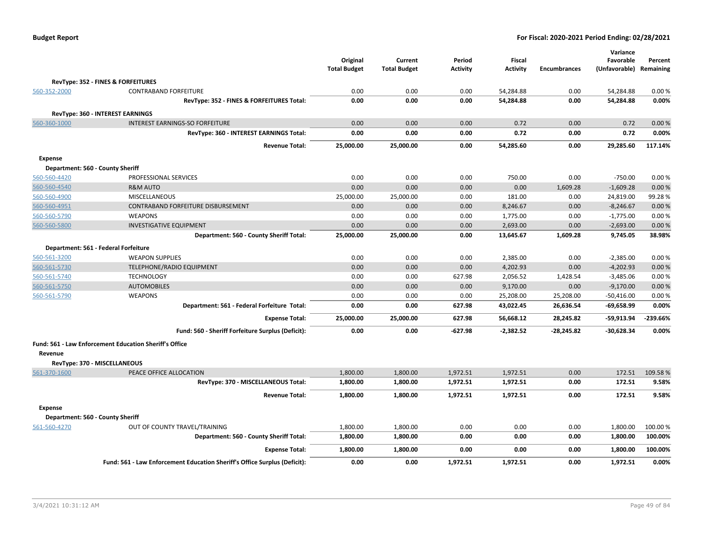| <b>Budget Report</b> |  |
|----------------------|--|
|----------------------|--|

|                |                                                                           | Original<br><b>Total Budget</b> | Current<br><b>Total Budget</b> | Period<br><b>Activity</b> | Fiscal<br><b>Activity</b> | <b>Encumbrances</b> | Variance<br>Favorable<br>(Unfavorable) Remaining | Percent    |
|----------------|---------------------------------------------------------------------------|---------------------------------|--------------------------------|---------------------------|---------------------------|---------------------|--------------------------------------------------|------------|
|                | RevType: 352 - FINES & FORFEITURES                                        |                                 |                                |                           |                           |                     |                                                  |            |
| 560-352-2000   | <b>CONTRABAND FORFEITURE</b>                                              | 0.00                            | 0.00                           | 0.00                      | 54,284.88                 | 0.00                | 54,284.88                                        | 0.00%      |
|                | RevType: 352 - FINES & FORFEITURES Total:                                 | 0.00                            | 0.00                           | 0.00                      | 54,284.88                 | 0.00                | 54,284.88                                        | 0.00%      |
|                | <b>RevType: 360 - INTEREST EARNINGS</b>                                   |                                 |                                |                           |                           |                     |                                                  |            |
| 560-360-1000   | <b>INTEREST EARNINGS-SO FORFEITURE</b>                                    | 0.00                            | 0.00                           | 0.00                      | 0.72                      | 0.00                | 0.72                                             | 0.00%      |
|                | RevType: 360 - INTEREST EARNINGS Total:                                   | 0.00                            | 0.00                           | 0.00                      | 0.72                      | 0.00                | 0.72                                             | 0.00%      |
|                | <b>Revenue Total:</b>                                                     | 25,000.00                       | 25,000.00                      | 0.00                      | 54,285.60                 | 0.00                | 29,285.60                                        | 117.14%    |
| <b>Expense</b> |                                                                           |                                 |                                |                           |                           |                     |                                                  |            |
|                | Department: 560 - County Sheriff                                          |                                 |                                |                           |                           |                     |                                                  |            |
| 560-560-4420   | PROFESSIONAL SERVICES                                                     | 0.00                            | 0.00                           | 0.00                      | 750.00                    | 0.00                | $-750.00$                                        | 0.00%      |
| 560-560-4540   | <b>R&amp;M AUTO</b>                                                       | 0.00                            | 0.00                           | 0.00                      | 0.00                      | 1,609.28            | $-1,609.28$                                      | 0.00%      |
| 560-560-4900   | <b>MISCELLANEOUS</b>                                                      | 25,000.00                       | 25,000.00                      | 0.00                      | 181.00                    | 0.00                | 24,819.00                                        | 99.28%     |
| 560-560-4951   | CONTRABAND FORFEITURE DISBURSEMENT                                        | 0.00                            | 0.00                           | 0.00                      | 8,246.67                  | 0.00                | $-8,246.67$                                      | 0.00%      |
| 560-560-5790   | <b>WEAPONS</b>                                                            | 0.00                            | 0.00                           | 0.00                      | 1,775.00                  | 0.00                | $-1,775.00$                                      | 0.00%      |
| 560-560-5800   | <b>INVESTIGATIVE EQUIPMENT</b>                                            | 0.00                            | 0.00                           | 0.00                      | 2,693.00                  | 0.00                | $-2,693.00$                                      | 0.00%      |
|                | Department: 560 - County Sheriff Total:                                   | 25,000.00                       | 25,000.00                      | 0.00                      | 13,645.67                 | 1,609.28            | 9,745.05                                         | 38.98%     |
|                | Department: 561 - Federal Forfeiture                                      |                                 |                                |                           |                           |                     |                                                  |            |
| 560-561-3200   | <b>WEAPON SUPPLIES</b>                                                    | 0.00                            | 0.00                           | 0.00                      | 2,385.00                  | 0.00                | $-2,385.00$                                      | 0.00%      |
| 560-561-5730   | TELEPHONE/RADIO EQUIPMENT                                                 | 0.00                            | 0.00                           | 0.00                      | 4,202.93                  | 0.00                | $-4,202.93$                                      | 0.00%      |
| 560-561-5740   | <b>TECHNOLOGY</b>                                                         | 0.00                            | 0.00                           | 627.98                    | 2,056.52                  | 1,428.54            | $-3,485.06$                                      | 0.00%      |
| 560-561-5750   | <b>AUTOMOBILES</b>                                                        | 0.00                            | 0.00                           | 0.00                      | 9,170.00                  | 0.00                | $-9,170.00$                                      | 0.00%      |
| 560-561-5790   | <b>WEAPONS</b>                                                            | 0.00                            | 0.00                           | 0.00                      | 25,208.00                 | 25,208.00           | $-50,416.00$                                     | 0.00%      |
|                | Department: 561 - Federal Forfeiture Total:                               | 0.00                            | 0.00                           | 627.98                    | 43,022.45                 | 26,636.54           | $-69,658.99$                                     | 0.00%      |
|                | <b>Expense Total:</b>                                                     | 25,000.00                       | 25,000.00                      | 627.98                    | 56,668.12                 | 28,245.82           | $-59,913.94$                                     | $-239.66%$ |
|                | Fund: 560 - Sheriff Forfeiture Surplus (Deficit):                         | 0.00                            | 0.00                           | $-627.98$                 | $-2,382.52$               | $-28,245.82$        | $-30,628.34$                                     | 0.00%      |
|                | Fund: 561 - Law Enforcement Education Sheriff's Office                    |                                 |                                |                           |                           |                     |                                                  |            |
| Revenue        |                                                                           |                                 |                                |                           |                           |                     |                                                  |            |
|                | RevType: 370 - MISCELLANEOUS                                              |                                 |                                |                           |                           |                     |                                                  |            |
| 561-370-1600   | PEACE OFFICE ALLOCATION                                                   | 1,800.00                        | 1,800.00                       | 1,972.51                  | 1,972.51                  | 0.00                | 172.51                                           | 109.58%    |
|                | RevType: 370 - MISCELLANEOUS Total:                                       | 1,800.00                        | 1,800.00                       | 1,972.51                  | 1,972.51                  | 0.00                | 172.51                                           | 9.58%      |
|                | <b>Revenue Total:</b>                                                     | 1,800.00                        | 1,800.00                       | 1,972.51                  | 1,972.51                  | 0.00                | 172.51                                           | 9.58%      |
| <b>Expense</b> |                                                                           |                                 |                                |                           |                           |                     |                                                  |            |
|                | Department: 560 - County Sheriff                                          |                                 |                                |                           |                           |                     |                                                  |            |
| 561-560-4270   | OUT OF COUNTY TRAVEL/TRAINING                                             | 1,800.00                        | 1,800.00                       | 0.00                      | 0.00                      | 0.00                | 1,800.00                                         | 100.00 %   |
|                | Department: 560 - County Sheriff Total:                                   | 1,800.00                        | 1,800.00                       | 0.00                      | 0.00                      | 0.00                | 1,800.00                                         | 100.00%    |
|                | <b>Expense Total:</b>                                                     | 1,800.00                        | 1,800.00                       | 0.00                      | 0.00                      | 0.00                | 1,800.00                                         | 100.00%    |
|                | Fund: 561 - Law Enforcement Education Sheriff's Office Surplus (Deficit): | 0.00                            | 0.00                           | 1,972.51                  | 1,972.51                  | 0.00                | 1,972.51                                         | 0.00%      |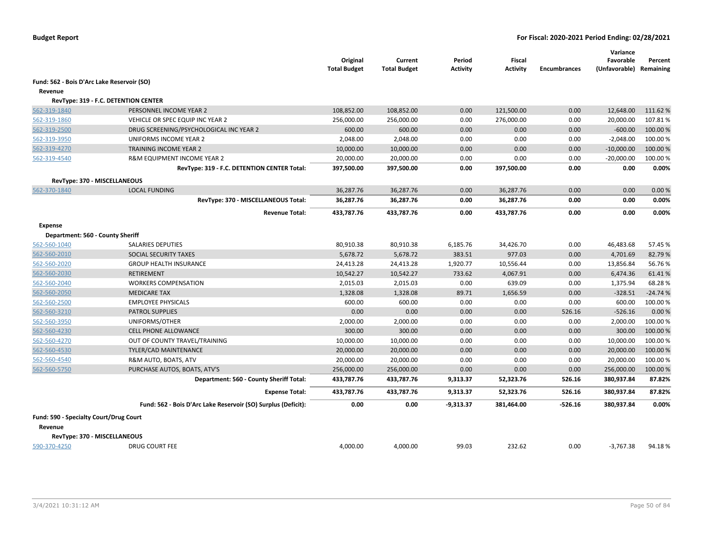|                                            |                                                               | Original<br><b>Total Budget</b> | Current<br><b>Total Budget</b> | Period<br>Activity | Fiscal<br>Activity | <b>Encumbrances</b> | Variance<br>Favorable<br>(Unfavorable) Remaining | Percent   |
|--------------------------------------------|---------------------------------------------------------------|---------------------------------|--------------------------------|--------------------|--------------------|---------------------|--------------------------------------------------|-----------|
| Fund: 562 - Bois D'Arc Lake Reservoir (SO) |                                                               |                                 |                                |                    |                    |                     |                                                  |           |
| Revenue                                    |                                                               |                                 |                                |                    |                    |                     |                                                  |           |
|                                            | RevType: 319 - F.C. DETENTION CENTER                          |                                 |                                |                    |                    |                     |                                                  |           |
| 562-319-1840                               | PERSONNEL INCOME YEAR 2                                       | 108,852.00                      | 108,852.00                     | 0.00               | 121,500.00         | 0.00                | 12,648.00                                        | 111.62%   |
| 562-319-1860                               | VEHICLE OR SPEC EQUIP INC YEAR 2                              | 256,000.00                      | 256,000.00                     | 0.00               | 276,000.00         | 0.00                | 20,000.00                                        | 107.81%   |
| 562-319-2500                               | DRUG SCREENING/PSYCHOLOGICAL INC YEAR 2                       | 600.00                          | 600.00                         | 0.00               | 0.00               | 0.00                | $-600.00$                                        | 100.00 %  |
| 562-319-3950                               | UNIFORMS INCOME YEAR 2                                        | 2,048.00                        | 2,048.00                       | 0.00               | 0.00               | 0.00                | $-2,048.00$                                      | 100.00 %  |
| 562-319-4270                               | TRAINING INCOME YEAR 2                                        | 10,000.00                       | 10,000.00                      | 0.00               | 0.00               | 0.00                | $-10,000.00$                                     | 100.00 %  |
| 562-319-4540                               | R&M EQUIPMENT INCOME YEAR 2                                   | 20,000.00                       | 20,000.00                      | 0.00               | 0.00               | 0.00                | $-20,000.00$                                     | 100.00%   |
|                                            | RevType: 319 - F.C. DETENTION CENTER Total:                   | 397,500.00                      | 397,500.00                     | 0.00               | 397,500.00         | 0.00                | 0.00                                             | 0.00%     |
| RevType: 370 - MISCELLANEOUS               |                                                               |                                 |                                |                    |                    |                     |                                                  |           |
| 562-370-1840                               | <b>LOCAL FUNDING</b>                                          | 36,287.76                       | 36,287.76                      | 0.00               | 36,287.76          | 0.00                | 0.00                                             | 0.00%     |
|                                            | RevType: 370 - MISCELLANEOUS Total:                           | 36,287.76                       | 36,287.76                      | 0.00               | 36,287.76          | 0.00                | 0.00                                             | 0.00%     |
|                                            | <b>Revenue Total:</b>                                         | 433,787.76                      | 433,787.76                     | 0.00               | 433,787.76         | 0.00                | 0.00                                             | 0.00%     |
| <b>Expense</b>                             |                                                               |                                 |                                |                    |                    |                     |                                                  |           |
| Department: 560 - County Sheriff           |                                                               |                                 |                                |                    |                    |                     |                                                  |           |
| 562-560-1040                               | <b>SALARIES DEPUTIES</b>                                      | 80,910.38                       | 80,910.38                      | 6,185.76           | 34,426.70          | 0.00                | 46,483.68                                        | 57.45 %   |
| 562-560-2010                               | SOCIAL SECURITY TAXES                                         | 5,678.72                        | 5,678.72                       | 383.51             | 977.03             | 0.00                | 4,701.69                                         | 82.79%    |
| 562-560-2020                               | <b>GROUP HEALTH INSURANCE</b>                                 | 24,413.28                       | 24,413.28                      | 1,920.77           | 10,556.44          | 0.00                | 13,856.84                                        | 56.76%    |
| 562-560-2030                               | <b>RETIREMENT</b>                                             | 10,542.27                       | 10,542.27                      | 733.62             | 4,067.91           | 0.00                | 6,474.36                                         | 61.41%    |
| 562-560-2040                               | <b>WORKERS COMPENSATION</b>                                   | 2,015.03                        | 2,015.03                       | 0.00               | 639.09             | 0.00                | 1,375.94                                         | 68.28%    |
| 562-560-2050                               | <b>MEDICARE TAX</b>                                           | 1,328.08                        | 1,328.08                       | 89.71              | 1,656.59           | 0.00                | $-328.51$                                        | $-24.74%$ |
| 562-560-2500                               | <b>EMPLOYEE PHYSICALS</b>                                     | 600.00                          | 600.00                         | 0.00               | 0.00               | 0.00                | 600.00                                           | 100.00 %  |
| 562-560-3210                               | <b>PATROL SUPPLIES</b>                                        | 0.00                            | 0.00                           | 0.00               | 0.00               | 526.16              | $-526.16$                                        | 0.00%     |
| 562-560-3950                               | UNIFORMS/OTHER                                                | 2,000.00                        | 2,000.00                       | 0.00               | 0.00               | 0.00                | 2,000.00                                         | 100.00 %  |
| 562-560-4230                               | <b>CELL PHONE ALLOWANCE</b>                                   | 300.00                          | 300.00                         | 0.00               | 0.00               | 0.00                | 300.00                                           | 100.00 %  |
| 562-560-4270                               | OUT OF COUNTY TRAVEL/TRAINING                                 | 10,000.00                       | 10,000.00                      | 0.00               | 0.00               | 0.00                | 10,000.00                                        | 100.00%   |
| 562-560-4530                               | TYLER/CAD MAINTENANCE                                         | 20,000.00                       | 20,000.00                      | 0.00               | 0.00               | 0.00                | 20,000.00                                        | 100.00 %  |
| 562-560-4540                               | R&M AUTO, BOATS, ATV                                          | 20,000.00                       | 20,000.00                      | 0.00               | 0.00               | 0.00                | 20,000.00                                        | 100.00%   |
| 562-560-5750                               | PURCHASE AUTOS, BOATS, ATV'S                                  | 256,000.00                      | 256,000.00                     | 0.00               | 0.00               | 0.00                | 256,000.00                                       | 100.00 %  |
|                                            | Department: 560 - County Sheriff Total:                       | 433,787.76                      | 433,787.76                     | 9,313.37           | 52,323.76          | 526.16              | 380,937.84                                       | 87.82%    |
|                                            | <b>Expense Total:</b>                                         | 433,787.76                      | 433,787.76                     | 9,313.37           | 52,323.76          | 526.16              | 380,937.84                                       | 87.82%    |
|                                            | Fund: 562 - Bois D'Arc Lake Reservoir (SO) Surplus (Deficit): | 0.00                            | 0.00                           | $-9,313.37$        | 381,464.00         | $-526.16$           | 380,937.84                                       | 0.00%     |
| Fund: 590 - Specialty Court/Drug Court     |                                                               |                                 |                                |                    |                    |                     |                                                  |           |
| Revenue                                    |                                                               |                                 |                                |                    |                    |                     |                                                  |           |
| RevType: 370 - MISCELLANEOUS               |                                                               |                                 |                                |                    |                    |                     |                                                  |           |
| 590-370-4250                               | <b>DRUG COURT FEE</b>                                         | 4.000.00                        | 4.000.00                       | 99.03              | 232.62             | 0.00                | $-3,767.38$                                      | 94.18%    |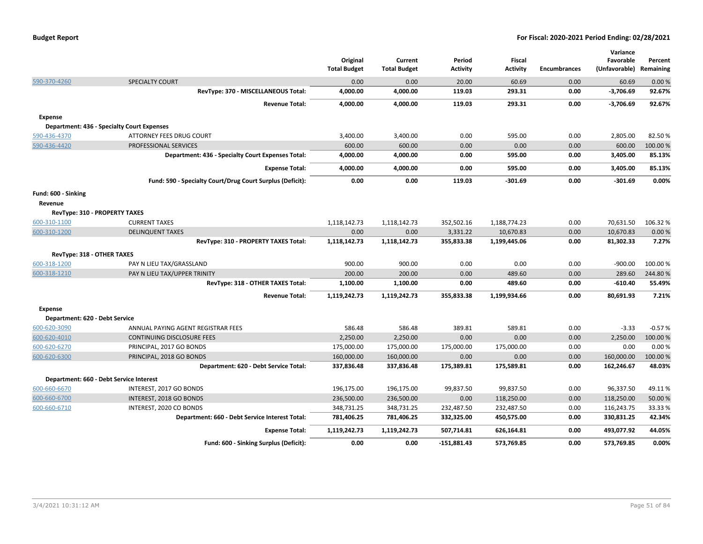|                                |                                                           | Original<br><b>Total Budget</b> | Current<br><b>Total Budget</b> | Period<br><b>Activity</b> | <b>Fiscal</b><br>Activity | <b>Encumbrances</b> | Variance<br>Favorable<br>(Unfavorable) | Percent<br>Remaining |
|--------------------------------|-----------------------------------------------------------|---------------------------------|--------------------------------|---------------------------|---------------------------|---------------------|----------------------------------------|----------------------|
| 590-370-4260                   | <b>SPECIALTY COURT</b>                                    | 0.00                            | 0.00                           | 20.00                     | 60.69                     | 0.00                | 60.69                                  | 0.00%                |
|                                | RevType: 370 - MISCELLANEOUS Total:                       | 4,000.00                        | 4,000.00                       | 119.03                    | 293.31                    | 0.00                | $-3,706.69$                            | 92.67%               |
|                                | <b>Revenue Total:</b>                                     | 4,000.00                        | 4,000.00                       | 119.03                    | 293.31                    | 0.00                | $-3,706.69$                            | 92.67%               |
| <b>Expense</b>                 |                                                           |                                 |                                |                           |                           |                     |                                        |                      |
|                                | <b>Department: 436 - Specialty Court Expenses</b>         |                                 |                                |                           |                           |                     |                                        |                      |
| 590-436-4370                   | ATTORNEY FEES DRUG COURT                                  | 3,400.00                        | 3,400.00                       | 0.00                      | 595.00                    | 0.00                | 2,805.00                               | 82.50%               |
| 590-436-4420                   | PROFESSIONAL SERVICES                                     | 600.00                          | 600.00                         | 0.00                      | 0.00                      | 0.00                | 600.00                                 | 100.00%              |
|                                | Department: 436 - Specialty Court Expenses Total:         | 4,000.00                        | 4,000.00                       | 0.00                      | 595.00                    | 0.00                | 3,405.00                               | 85.13%               |
|                                | <b>Expense Total:</b>                                     | 4,000.00                        | 4,000.00                       | 0.00                      | 595.00                    | 0.00                | 3,405.00                               | 85.13%               |
|                                | Fund: 590 - Specialty Court/Drug Court Surplus (Deficit): | 0.00                            | 0.00                           | 119.03                    | $-301.69$                 | 0.00                | $-301.69$                              | 0.00%                |
| Fund: 600 - Sinking<br>Revenue |                                                           |                                 |                                |                           |                           |                     |                                        |                      |
| RevType: 310 - PROPERTY TAXES  |                                                           |                                 |                                |                           |                           |                     |                                        |                      |
| 600-310-1100                   | <b>CURRENT TAXES</b>                                      | 1,118,142.73                    | 1,118,142.73                   | 352,502.16                | 1,188,774.23              | 0.00                | 70,631.50                              | 106.32%              |
| 600-310-1200                   | <b>DELINQUENT TAXES</b>                                   | 0.00                            | 0.00                           | 3,331.22                  | 10,670.83                 | 0.00                | 10,670.83                              | 0.00%                |
|                                | RevType: 310 - PROPERTY TAXES Total:                      | 1,118,142.73                    | 1,118,142.73                   | 355,833.38                | 1,199,445.06              | 0.00                | 81,302.33                              | 7.27%                |
| RevType: 318 - OTHER TAXES     |                                                           |                                 |                                |                           |                           |                     |                                        |                      |
| 600-318-1200                   | PAY N LIEU TAX/GRASSLAND                                  | 900.00                          | 900.00                         | 0.00                      | 0.00                      | 0.00                | $-900.00$                              | 100.00%              |
| 600-318-1210                   | PAY N LIEU TAX/UPPER TRINITY                              | 200.00                          | 200.00                         | 0.00                      | 489.60                    | 0.00                | 289.60                                 | 244.80%              |
|                                | RevType: 318 - OTHER TAXES Total:                         | 1,100.00                        | 1,100.00                       | 0.00                      | 489.60                    | 0.00                | $-610.40$                              | 55.49%               |
|                                | <b>Revenue Total:</b>                                     | 1,119,242.73                    | 1,119,242.73                   | 355,833.38                | 1,199,934.66              | 0.00                | 80,691.93                              | 7.21%                |
| <b>Expense</b>                 |                                                           |                                 |                                |                           |                           |                     |                                        |                      |
| Department: 620 - Debt Service |                                                           |                                 |                                |                           |                           |                     |                                        |                      |
| 600-620-3090                   | ANNUAL PAYING AGENT REGISTRAR FEES                        | 586.48                          | 586.48                         | 389.81                    | 589.81                    | 0.00                | $-3.33$                                | $-0.57%$             |
| 600-620-4010                   | CONTINUING DISCLOSURE FEES                                | 2,250.00                        | 2,250.00                       | 0.00                      | 0.00                      | 0.00                | 2,250.00                               | 100.00%              |
| 600-620-6270                   | PRINCIPAL, 2017 GO BONDS                                  | 175,000.00                      | 175,000.00                     | 175,000.00                | 175,000.00                | 0.00                | 0.00                                   | 0.00%                |
| 600-620-6300                   | PRINCIPAL, 2018 GO BONDS                                  | 160,000.00                      | 160,000.00                     | 0.00                      | 0.00                      | 0.00                | 160,000.00                             | 100.00%              |
|                                | Department: 620 - Debt Service Total:                     | 337,836.48                      | 337,836.48                     | 175,389.81                | 175,589.81                | 0.00                | 162,246.67                             | 48.03%               |
|                                | Department: 660 - Debt Service Interest                   |                                 |                                |                           |                           |                     |                                        |                      |
| 600-660-6670                   | INTEREST, 2017 GO BONDS                                   | 196,175.00                      | 196,175.00                     | 99,837.50                 | 99,837.50                 | 0.00                | 96,337.50                              | 49.11%               |
| 600-660-6700                   | INTEREST, 2018 GO BONDS                                   | 236,500.00                      | 236,500.00                     | 0.00                      | 118,250.00                | 0.00                | 118,250.00                             | 50.00 %              |
| 600-660-6710                   | INTEREST, 2020 CO BONDS                                   | 348,731.25                      | 348,731.25                     | 232,487.50                | 232,487.50                | 0.00                | 116,243.75                             | 33.33%               |
|                                | Department: 660 - Debt Service Interest Total:            | 781,406.25                      | 781,406.25                     | 332,325.00                | 450,575.00                | 0.00                | 330,831.25                             | 42.34%               |
|                                | <b>Expense Total:</b>                                     | 1,119,242.73                    | 1,119,242.73                   | 507,714.81                | 626,164.81                | 0.00                | 493.077.92                             | 44.05%               |
|                                | Fund: 600 - Sinking Surplus (Deficit):                    | 0.00                            | 0.00                           | $-151.881.43$             | 573.769.85                | 0.00                | 573.769.85                             | 0.00%                |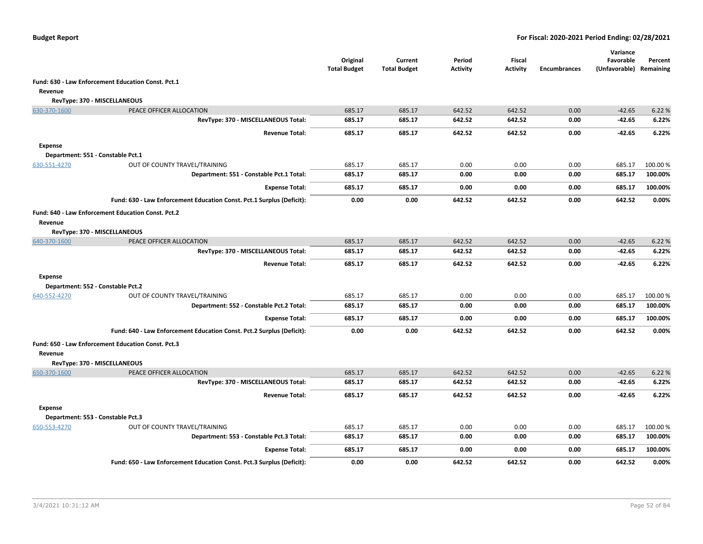|                |                                                                       | Original<br><b>Total Budget</b> | Current<br><b>Total Budget</b> | Period<br><b>Activity</b> | <b>Fiscal</b><br><b>Activity</b> | <b>Encumbrances</b> | Variance<br>Favorable<br>(Unfavorable) | Percent<br>Remaining |
|----------------|-----------------------------------------------------------------------|---------------------------------|--------------------------------|---------------------------|----------------------------------|---------------------|----------------------------------------|----------------------|
|                | Fund: 630 - Law Enforcement Education Const. Pct.1                    |                                 |                                |                           |                                  |                     |                                        |                      |
| Revenue        |                                                                       |                                 |                                |                           |                                  |                     |                                        |                      |
|                | RevType: 370 - MISCELLANEOUS                                          |                                 |                                |                           |                                  |                     |                                        |                      |
| 630-370-1600   | PEACE OFFICER ALLOCATION                                              | 685.17                          | 685.17                         | 642.52                    | 642.52                           | 0.00                | $-42.65$                               | 6.22 %               |
|                | RevType: 370 - MISCELLANEOUS Total:                                   | 685.17                          | 685.17                         | 642.52                    | 642.52                           | 0.00                | $-42.65$                               | 6.22%                |
|                | <b>Revenue Total:</b>                                                 | 685.17                          | 685.17                         | 642.52                    | 642.52                           | 0.00                | $-42.65$                               | 6.22%                |
| <b>Expense</b> | Department: 551 - Constable Pct.1                                     |                                 |                                |                           |                                  |                     |                                        |                      |
| 630-551-4270   | OUT OF COUNTY TRAVEL/TRAINING                                         | 685.17                          | 685.17                         | 0.00                      | 0.00                             | 0.00                | 685.17                                 | 100.00 %             |
|                | Department: 551 - Constable Pct.1 Total:                              | 685.17                          | 685.17                         | 0.00                      | 0.00                             | 0.00                | 685.17                                 | 100.00%              |
|                | <b>Expense Total:</b>                                                 | 685.17                          | 685.17                         | 0.00                      | 0.00                             | 0.00                | 685.17                                 | 100.00%              |
|                | Fund: 630 - Law Enforcement Education Const. Pct.1 Surplus (Deficit): | 0.00                            | 0.00                           | 642.52                    | 642.52                           | 0.00                | 642.52                                 | 0.00%                |
|                | Fund: 640 - Law Enforcement Education Const. Pct.2                    |                                 |                                |                           |                                  |                     |                                        |                      |
| Revenue        |                                                                       |                                 |                                |                           |                                  |                     |                                        |                      |
|                | RevType: 370 - MISCELLANEOUS                                          |                                 |                                |                           |                                  |                     |                                        |                      |
| 640-370-1600   | PEACE OFFICER ALLOCATION                                              | 685.17                          | 685.17                         | 642.52                    | 642.52                           | 0.00                | $-42.65$                               | 6.22%                |
|                | RevType: 370 - MISCELLANEOUS Total:                                   | 685.17                          | 685.17                         | 642.52                    | 642.52                           | 0.00                | $-42.65$                               | 6.22%                |
|                | <b>Revenue Total:</b>                                                 | 685.17                          | 685.17                         | 642.52                    | 642.52                           | 0.00                | $-42.65$                               | 6.22%                |
| <b>Expense</b> |                                                                       |                                 |                                |                           |                                  |                     |                                        |                      |
|                | Department: 552 - Constable Pct.2                                     |                                 |                                |                           |                                  |                     |                                        |                      |
| 640-552-4270   | OUT OF COUNTY TRAVEL/TRAINING                                         | 685.17                          | 685.17                         | 0.00                      | 0.00                             | 0.00                | 685.17                                 | 100.00%              |
|                | Department: 552 - Constable Pct.2 Total:                              | 685.17                          | 685.17                         | 0.00                      | 0.00                             | 0.00                | 685.17                                 | 100.00%              |
|                | <b>Expense Total:</b>                                                 | 685.17                          | 685.17                         | 0.00                      | 0.00                             | 0.00                | 685.17                                 | 100.00%              |
|                | Fund: 640 - Law Enforcement Education Const. Pct.2 Surplus (Deficit): | 0.00                            | 0.00                           | 642.52                    | 642.52                           | 0.00                | 642.52                                 | 0.00%                |
| Revenue        | Fund: 650 - Law Enforcement Education Const. Pct.3                    |                                 |                                |                           |                                  |                     |                                        |                      |
|                | RevType: 370 - MISCELLANEOUS                                          |                                 |                                |                           |                                  |                     |                                        |                      |
| 650-370-1600   | PEACE OFFICER ALLOCATION                                              | 685.17                          | 685.17                         | 642.52                    | 642.52                           | 0.00                | $-42.65$                               | 6.22 %               |
|                | RevType: 370 - MISCELLANEOUS Total:                                   | 685.17                          | 685.17                         | 642.52                    | 642.52                           | 0.00                | $-42.65$                               | 6.22%                |
|                | <b>Revenue Total:</b>                                                 | 685.17                          | 685.17                         | 642.52                    | 642.52                           | 0.00                | $-42.65$                               | 6.22%                |
| <b>Expense</b> | Department: 553 - Constable Pct.3                                     |                                 |                                |                           |                                  |                     |                                        |                      |
| 650-553-4270   | OUT OF COUNTY TRAVEL/TRAINING                                         | 685.17                          | 685.17                         | 0.00                      | 0.00                             | 0.00                | 685.17                                 | 100.00%              |
|                | Department: 553 - Constable Pct.3 Total:                              | 685.17                          | 685.17                         | 0.00                      | 0.00                             | 0.00                | 685.17                                 | 100.00%              |
|                | <b>Expense Total:</b>                                                 | 685.17                          | 685.17                         | 0.00                      | 0.00                             | 0.00                | 685.17                                 | 100.00%              |
|                | Fund: 650 - Law Enforcement Education Const. Pct.3 Surplus (Deficit): | 0.00                            | 0.00                           | 642.52                    | 642.52                           | 0.00                | 642.52                                 | 0.00%                |
|                |                                                                       |                                 |                                |                           |                                  |                     |                                        |                      |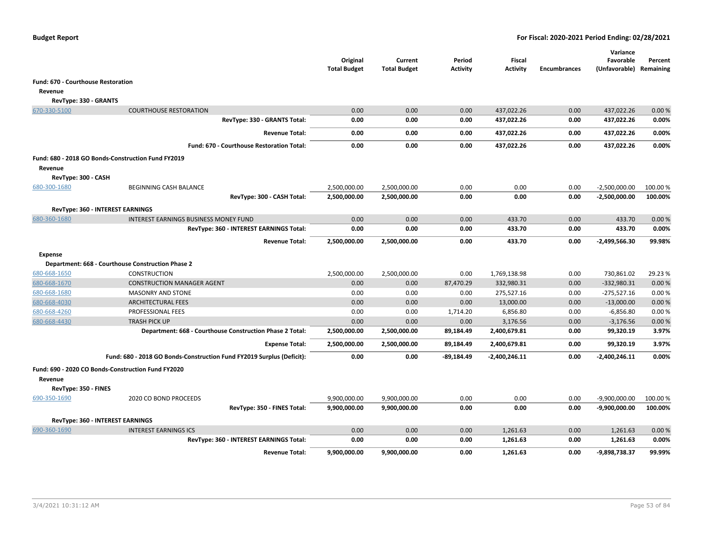|                                    |                                                                       | Original<br><b>Total Budget</b> | Current<br><b>Total Budget</b> | Period<br><b>Activity</b> | Fiscal<br><b>Activity</b> | <b>Encumbrances</b> | Variance<br>Favorable<br>(Unfavorable) | Percent<br>Remaining |
|------------------------------------|-----------------------------------------------------------------------|---------------------------------|--------------------------------|---------------------------|---------------------------|---------------------|----------------------------------------|----------------------|
| Fund: 670 - Courthouse Restoration |                                                                       |                                 |                                |                           |                           |                     |                                        |                      |
| Revenue                            |                                                                       |                                 |                                |                           |                           |                     |                                        |                      |
| RevType: 330 - GRANTS              |                                                                       |                                 |                                |                           |                           |                     |                                        |                      |
| 670-330-5100                       | <b>COURTHOUSE RESTORATION</b>                                         | 0.00                            | 0.00                           | 0.00                      | 437,022.26                | 0.00                | 437,022.26                             | 0.00%                |
|                                    | RevType: 330 - GRANTS Total:                                          | 0.00                            | 0.00                           | 0.00                      | 437,022.26                | 0.00                | 437,022.26                             | 0.00%                |
|                                    | <b>Revenue Total:</b>                                                 | 0.00                            | 0.00                           | 0.00                      | 437,022.26                | 0.00                | 437,022.26                             | 0.00%                |
|                                    | Fund: 670 - Courthouse Restoration Total:                             | 0.00                            | 0.00                           | 0.00                      | 437,022.26                | 0.00                | 437,022.26                             | 0.00%                |
|                                    | Fund: 680 - 2018 GO Bonds-Construction Fund FY2019                    |                                 |                                |                           |                           |                     |                                        |                      |
| Revenue                            |                                                                       |                                 |                                |                           |                           |                     |                                        |                      |
| RevType: 300 - CASH                |                                                                       |                                 |                                |                           |                           |                     |                                        |                      |
| 680-300-1680                       | BEGINNING CASH BALANCE                                                | 2,500,000.00                    | 2,500,000.00                   | 0.00                      | 0.00                      | 0.00                | $-2,500,000.00$                        | 100.00 %             |
|                                    | RevType: 300 - CASH Total:                                            | 2,500,000.00                    | 2,500,000.00                   | 0.00                      | 0.00                      | 0.00                | -2,500,000.00                          | 100.00%              |
|                                    | <b>RevType: 360 - INTEREST EARNINGS</b>                               |                                 |                                |                           |                           |                     |                                        |                      |
| 680-360-1680                       | <b>INTEREST EARNINGS BUSINESS MONEY FUND</b>                          | 0.00                            | 0.00                           | 0.00                      | 433.70                    | 0.00                | 433.70                                 | 0.00 %               |
|                                    | RevType: 360 - INTEREST EARNINGS Total:                               | 0.00                            | 0.00                           | 0.00                      | 433.70                    | 0.00                | 433.70                                 | 0.00%                |
|                                    | <b>Revenue Total:</b>                                                 | 2,500,000.00                    | 2,500,000.00                   | 0.00                      | 433.70                    | 0.00                | $-2,499,566.30$                        | 99.98%               |
| <b>Expense</b>                     |                                                                       |                                 |                                |                           |                           |                     |                                        |                      |
|                                    | Department: 668 - Courthouse Construction Phase 2                     |                                 |                                |                           |                           |                     |                                        |                      |
| 680-668-1650                       | CONSTRUCTION                                                          | 2,500,000.00                    | 2,500,000.00                   | 0.00                      | 1,769,138.98              | 0.00                | 730,861.02                             | 29.23 %              |
| 680-668-1670                       | <b>CONSTRUCTION MANAGER AGENT</b>                                     | 0.00                            | 0.00                           | 87,470.29                 | 332,980.31                | 0.00                | $-332,980.31$                          | 0.00%                |
| 680-668-1680                       | <b>MASONRY AND STONE</b>                                              | 0.00                            | 0.00                           | 0.00                      | 275,527.16                | 0.00                | $-275,527.16$                          | 0.00%                |
| 680-668-4030                       | <b>ARCHITECTURAL FEES</b>                                             | 0.00                            | 0.00                           | 0.00                      | 13,000.00                 | 0.00                | $-13,000.00$                           | 0.00%                |
| 680-668-4260                       | PROFESSIONAL FEES                                                     | 0.00                            | 0.00                           | 1,714.20                  | 6,856.80                  | 0.00                | $-6,856.80$                            | 0.00%                |
| 680-668-4430                       | <b>TRASH PICK UP</b>                                                  | 0.00                            | 0.00                           | 0.00                      | 3,176.56                  | 0.00                | $-3,176.56$                            | 0.00%                |
|                                    | Department: 668 - Courthouse Construction Phase 2 Total:              | 2,500,000.00                    | 2,500,000.00                   | 89,184.49                 | 2,400,679.81              | 0.00                | 99,320.19                              | 3.97%                |
|                                    | <b>Expense Total:</b>                                                 | 2,500,000.00                    | 2,500,000.00                   | 89,184.49                 | 2,400,679.81              | 0.00                | 99,320.19                              | 3.97%                |
|                                    | Fund: 680 - 2018 GO Bonds-Construction Fund FY2019 Surplus (Deficit): | 0.00                            | 0.00                           | -89,184.49                | $-2,400,246.11$           | 0.00                | -2,400,246.11                          | 0.00%                |
| Revenue                            | Fund: 690 - 2020 CO Bonds-Construction Fund FY2020                    |                                 |                                |                           |                           |                     |                                        |                      |
| RevType: 350 - FINES               |                                                                       |                                 |                                |                           |                           |                     |                                        |                      |
| 690-350-1690                       | 2020 CO BOND PROCEEDS                                                 | 9,900,000.00                    | 9,900,000.00                   | 0.00                      | 0.00                      | 0.00                | $-9,900,000.00$                        | 100.00%              |
|                                    | RevType: 350 - FINES Total:                                           | 9,900,000.00                    | 9,900,000.00                   | 0.00                      | 0.00                      | 0.00                | $-9,900,000.00$                        | 100.00%              |
|                                    | <b>RevType: 360 - INTEREST EARNINGS</b>                               |                                 |                                |                           |                           |                     |                                        |                      |
| 690-360-1690                       | <b>INTEREST EARNINGS ICS</b>                                          | 0.00                            | 0.00                           | 0.00                      | 1,261.63                  | 0.00                | 1,261.63                               | 0.00%                |
|                                    | RevType: 360 - INTEREST EARNINGS Total:                               | 0.00                            | 0.00                           | 0.00                      | 1,261.63                  | 0.00                | 1,261.63                               | 0.00%                |
|                                    | <b>Revenue Total:</b>                                                 | 9,900,000.00                    | 9,900,000.00                   | 0.00                      | 1,261.63                  | 0.00                | -9,898,738.37                          | 99.99%               |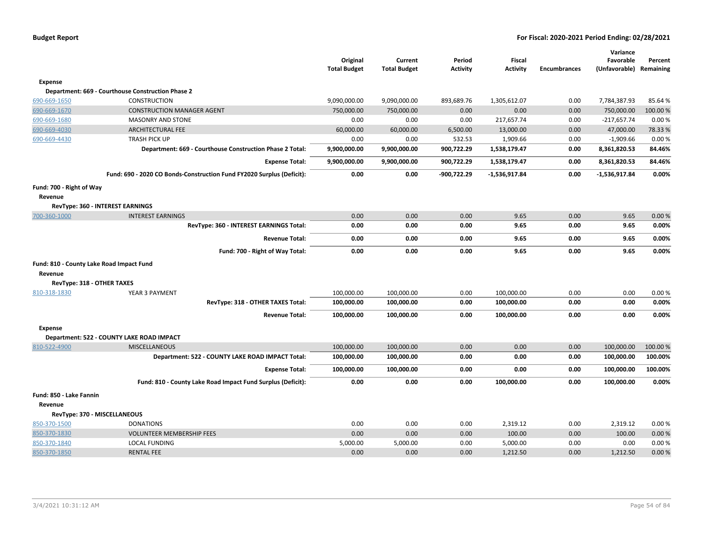|                                          |                                                                       | Original            | Current             | Period          | Fiscal          |                     | Variance<br>Favorable | Percent   |
|------------------------------------------|-----------------------------------------------------------------------|---------------------|---------------------|-----------------|-----------------|---------------------|-----------------------|-----------|
|                                          |                                                                       | <b>Total Budget</b> | <b>Total Budget</b> | <b>Activity</b> | <b>Activity</b> | <b>Encumbrances</b> | (Unfavorable)         | Remaining |
| Expense                                  |                                                                       |                     |                     |                 |                 |                     |                       |           |
|                                          | Department: 669 - Courthouse Construction Phase 2                     |                     |                     |                 |                 |                     |                       |           |
| 690-669-1650                             | <b>CONSTRUCTION</b>                                                   | 9,090,000.00        | 9,090,000.00        | 893,689.76      | 1,305,612.07    | 0.00                | 7,784,387.93          | 85.64%    |
| 690-669-1670                             | <b>CONSTRUCTION MANAGER AGENT</b>                                     | 750,000.00          | 750,000.00          | 0.00            | 0.00            | 0.00                | 750,000.00            | 100.00 %  |
| 690-669-1680                             | <b>MASONRY AND STONE</b>                                              | 0.00                | 0.00                | 0.00            | 217,657.74      | 0.00                | $-217,657.74$         | 0.00%     |
| 690-669-4030                             | <b>ARCHITECTURAL FEE</b>                                              | 60,000.00           | 60,000.00           | 6,500.00        | 13,000.00       | 0.00                | 47,000.00             | 78.33%    |
| 690-669-4430                             | <b>TRASH PICK UP</b>                                                  | 0.00                | 0.00                | 532.53          | 1,909.66        | 0.00                | $-1,909.66$           | 0.00%     |
|                                          | Department: 669 - Courthouse Construction Phase 2 Total:              | 9,900,000.00        | 9,900,000.00        | 900,722.29      | 1,538,179.47    | 0.00                | 8,361,820.53          | 84.46%    |
|                                          | <b>Expense Total:</b>                                                 | 9,900,000.00        | 9,900,000.00        | 900,722.29      | 1,538,179.47    | 0.00                | 8,361,820.53          | 84.46%    |
|                                          | Fund: 690 - 2020 CO Bonds-Construction Fund FY2020 Surplus (Deficit): | 0.00                | 0.00                | -900,722.29     | $-1,536,917.84$ | 0.00                | -1,536,917.84         | 0.00%     |
| Fund: 700 - Right of Way                 |                                                                       |                     |                     |                 |                 |                     |                       |           |
| Revenue                                  |                                                                       |                     |                     |                 |                 |                     |                       |           |
|                                          | <b>RevType: 360 - INTEREST EARNINGS</b>                               |                     |                     |                 |                 |                     |                       |           |
| 700-360-1000                             | <b>INTEREST EARNINGS</b>                                              | 0.00                | 0.00                | 0.00            | 9.65            | 0.00                | 9.65                  | 0.00%     |
|                                          | RevType: 360 - INTEREST EARNINGS Total:                               | 0.00                | 0.00                | 0.00            | 9.65            | 0.00                | 9.65                  | 0.00%     |
|                                          | <b>Revenue Total:</b>                                                 | 0.00                | 0.00                | 0.00            | 9.65            | 0.00                | 9.65                  | 0.00%     |
|                                          | Fund: 700 - Right of Way Total:                                       | 0.00                | 0.00                | 0.00            | 9.65            | 0.00                | 9.65                  | 0.00%     |
| Fund: 810 - County Lake Road Impact Fund |                                                                       |                     |                     |                 |                 |                     |                       |           |
| Revenue                                  |                                                                       |                     |                     |                 |                 |                     |                       |           |
| RevType: 318 - OTHER TAXES               |                                                                       |                     |                     |                 |                 |                     |                       |           |
| 810-318-1830                             | YEAR 3 PAYMENT                                                        | 100,000.00          | 100,000.00          | 0.00            | 100,000.00      | 0.00                | 0.00                  | 0.00%     |
|                                          | RevType: 318 - OTHER TAXES Total:                                     | 100,000.00          | 100,000.00          | 0.00            | 100,000.00      | 0.00                | 0.00                  | 0.00%     |
|                                          | <b>Revenue Total:</b>                                                 | 100,000.00          | 100,000.00          | 0.00            | 100,000.00      | 0.00                | 0.00                  | 0.00%     |
| <b>Expense</b>                           |                                                                       |                     |                     |                 |                 |                     |                       |           |
|                                          | Department: 522 - COUNTY LAKE ROAD IMPACT                             |                     |                     |                 |                 |                     |                       |           |
| 810-522-4900                             | <b>MISCELLANEOUS</b>                                                  | 100,000.00          | 100,000.00          | 0.00            | 0.00            | 0.00                | 100,000.00            | 100.00%   |
|                                          | Department: 522 - COUNTY LAKE ROAD IMPACT Total:                      | 100,000.00          | 100,000.00          | 0.00            | 0.00            | 0.00                | 100,000.00            | 100.00%   |
|                                          | <b>Expense Total:</b>                                                 | 100,000.00          | 100,000.00          | 0.00            | 0.00            | 0.00                | 100,000.00            | 100.00%   |
|                                          | Fund: 810 - County Lake Road Impact Fund Surplus (Deficit):           | 0.00                | 0.00                | 0.00            | 100,000.00      | 0.00                | 100,000.00            | 0.00%     |
| Fund: 850 - Lake Fannin                  |                                                                       |                     |                     |                 |                 |                     |                       |           |
| Revenue                                  |                                                                       |                     |                     |                 |                 |                     |                       |           |
|                                          | RevType: 370 - MISCELLANEOUS                                          |                     |                     |                 |                 |                     |                       |           |
| 850-370-1500                             | <b>DONATIONS</b>                                                      | 0.00                | 0.00                | 0.00            | 2,319.12        | 0.00                | 2,319.12              | 0.00%     |
| 850-370-1830                             | <b>VOLUNTEER MEMBERSHIP FEES</b>                                      | 0.00                | 0.00                | 0.00            | 100.00          | 0.00                | 100.00                | 0.00%     |
| 850-370-1840                             | <b>LOCAL FUNDING</b>                                                  | 5,000.00            | 5,000.00            | 0.00            | 5,000.00        | 0.00                | 0.00                  | 0.00%     |
| 850-370-1850                             | <b>RENTAL FEE</b>                                                     | 0.00                | 0.00                | 0.00            | 1,212.50        | 0.00                | 1,212.50              | 0.00%     |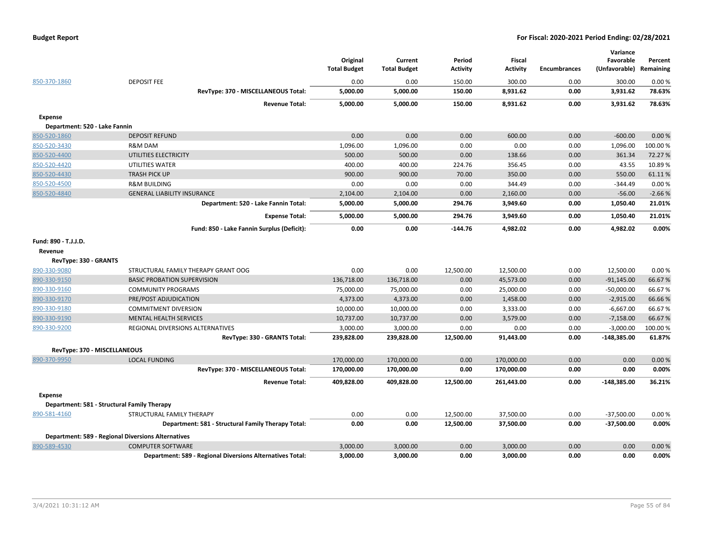| 850-370-1860                    | <b>DEPOSIT FEE</b><br>RevType: 370 - MISCELLANEOUS Total: | Original<br><b>Total Budget</b><br>0.00<br>5,000.00 | Current<br><b>Total Budget</b><br>0.00<br>5,000.00 | Period<br><b>Activity</b><br>150.00<br>150.00 | <b>Fiscal</b><br><b>Activity</b><br>300.00<br>8,931.62 | <b>Encumbrances</b><br>0.00<br>0.00 | Variance<br>Favorable<br>(Unfavorable) Remaining<br>300.00<br>3,931.62 | Percent<br>0.00%<br>78.63% |
|---------------------------------|-----------------------------------------------------------|-----------------------------------------------------|----------------------------------------------------|-----------------------------------------------|--------------------------------------------------------|-------------------------------------|------------------------------------------------------------------------|----------------------------|
|                                 | <b>Revenue Total:</b>                                     | 5,000.00                                            | 5,000.00                                           | 150.00                                        | 8,931.62                                               | 0.00                                | 3,931.62                                                               | 78.63%                     |
| <b>Expense</b>                  |                                                           |                                                     |                                                    |                                               |                                                        |                                     |                                                                        |                            |
| Department: 520 - Lake Fannin   |                                                           |                                                     |                                                    |                                               |                                                        |                                     |                                                                        |                            |
| 850-520-1860                    | <b>DEPOSIT REFUND</b>                                     | 0.00                                                | 0.00                                               | 0.00                                          | 600.00                                                 | 0.00                                | $-600.00$                                                              | 0.00%                      |
| 850-520-3430                    | R&M DAM                                                   | 1,096.00                                            | 1,096.00                                           | 0.00                                          | 0.00                                                   | 0.00                                | 1,096.00                                                               | 100.00%                    |
| 850-520-4400                    | UTILITIES ELECTRICITY                                     | 500.00                                              | 500.00                                             | 0.00                                          | 138.66                                                 | 0.00                                | 361.34                                                                 | 72.27 %                    |
| 850-520-4420                    | UTILITIES WATER                                           | 400.00                                              | 400.00                                             | 224.76                                        | 356.45                                                 | 0.00                                | 43.55                                                                  | 10.89%                     |
| 850-520-4430                    | <b>TRASH PICK UP</b>                                      | 900.00                                              | 900.00                                             | 70.00                                         | 350.00                                                 | 0.00                                | 550.00                                                                 | 61.11%                     |
| 850-520-4500                    | <b>R&amp;M BUILDING</b>                                   | 0.00                                                | 0.00                                               | 0.00                                          | 344.49                                                 | 0.00                                | $-344.49$                                                              | 0.00%                      |
| 850-520-4840                    | <b>GENERAL LIABILITY INSURANCE</b>                        | 2,104.00                                            | 2,104.00                                           | 0.00                                          | 2,160.00                                               | 0.00                                | $-56.00$                                                               | $-2.66%$                   |
|                                 | Department: 520 - Lake Fannin Total:                      | 5,000.00                                            | 5,000.00                                           | 294.76                                        | 3,949.60                                               | 0.00                                | 1,050.40                                                               | 21.01%                     |
|                                 | <b>Expense Total:</b>                                     | 5,000.00                                            | 5,000.00                                           | 294.76                                        | 3,949.60                                               | 0.00                                | 1,050.40                                                               | 21.01%                     |
|                                 | Fund: 850 - Lake Fannin Surplus (Deficit):                | 0.00                                                | 0.00                                               | -144.76                                       | 4,982.02                                               | 0.00                                | 4,982.02                                                               | 0.00%                      |
| Fund: 890 - T.J.J.D.<br>Revenue |                                                           |                                                     |                                                    |                                               |                                                        |                                     |                                                                        |                            |
| RevType: 330 - GRANTS           |                                                           |                                                     |                                                    |                                               |                                                        |                                     |                                                                        |                            |
| 890-330-9080                    | STRUCTURAL FAMILY THERAPY GRANT OOG                       | 0.00                                                | 0.00                                               | 12,500.00                                     | 12,500.00                                              | 0.00                                | 12,500.00                                                              | 0.00%                      |
| 890-330-9150                    | <b>BASIC PROBATION SUPERVISION</b>                        | 136,718.00                                          | 136,718.00                                         | 0.00                                          | 45,573.00                                              | 0.00                                | $-91,145.00$                                                           | 66.67%                     |
| 890-330-9160                    | <b>COMMUNITY PROGRAMS</b>                                 | 75,000.00                                           | 75,000.00                                          | 0.00                                          | 25,000.00                                              | 0.00                                | $-50,000.00$                                                           | 66.67%                     |
| 890-330-9170                    | PRE/POST ADJUDICATION                                     | 4,373.00                                            | 4,373.00                                           | 0.00                                          | 1,458.00                                               | 0.00                                | $-2,915.00$                                                            | 66.66%                     |
| 890-330-9180                    | <b>COMMITMENT DIVERSION</b>                               | 10,000.00                                           | 10,000.00                                          | 0.00                                          | 3,333.00                                               | 0.00                                | $-6,667.00$                                                            | 66.67%                     |
| 890-330-9190                    | <b>MENTAL HEALTH SERVICES</b>                             | 10,737.00                                           | 10,737.00                                          | 0.00                                          | 3,579.00                                               | 0.00                                | $-7,158.00$                                                            | 66.67%                     |
| 890-330-9200                    | REGIONAL DIVERSIONS ALTERNATIVES                          | 3,000.00                                            | 3,000.00                                           | 0.00                                          | 0.00                                                   | 0.00                                | $-3,000.00$                                                            | 100.00 %                   |
|                                 | RevType: 330 - GRANTS Total:                              | 239,828.00                                          | 239,828.00                                         | 12,500.00                                     | 91,443.00                                              | 0.00                                | $-148,385.00$                                                          | 61.87%                     |
| RevType: 370 - MISCELLANEOUS    |                                                           |                                                     |                                                    |                                               |                                                        |                                     |                                                                        |                            |
| 890-370-9950                    | <b>LOCAL FUNDING</b>                                      | 170,000.00                                          | 170,000.00                                         | 0.00                                          | 170,000.00                                             | 0.00                                | 0.00                                                                   | 0.00%                      |
|                                 | RevType: 370 - MISCELLANEOUS Total:                       | 170,000.00                                          | 170,000.00                                         | 0.00                                          | 170,000.00                                             | 0.00                                | 0.00                                                                   | 0.00%                      |
|                                 | <b>Revenue Total:</b>                                     | 409,828.00                                          | 409,828.00                                         | 12,500.00                                     | 261,443.00                                             | 0.00                                | $-148,385.00$                                                          | 36.21%                     |
| <b>Expense</b>                  |                                                           |                                                     |                                                    |                                               |                                                        |                                     |                                                                        |                            |
|                                 | Department: 581 - Structural Family Therapy               |                                                     |                                                    |                                               |                                                        |                                     |                                                                        |                            |
| 890-581-4160                    | STRUCTURAL FAMILY THERAPY                                 | 0.00                                                | 0.00                                               | 12,500.00                                     | 37,500.00                                              | 0.00                                | $-37,500.00$                                                           | 0.00%                      |
|                                 | Department: 581 - Structural Family Therapy Total:        | 0.00                                                | 0.00                                               | 12,500.00                                     | 37,500.00                                              | 0.00                                | $-37,500.00$                                                           | 0.00%                      |
|                                 | <b>Department: 589 - Regional Diversions Alternatives</b> |                                                     |                                                    |                                               |                                                        |                                     |                                                                        |                            |
| 890-589-4530                    | <b>COMPUTER SOFTWARE</b>                                  | 3,000.00                                            | 3,000.00                                           | 0.00                                          | 3,000.00                                               | 0.00                                | 0.00                                                                   | 0.00%                      |
|                                 | Department: 589 - Regional Diversions Alternatives Total: | 3,000.00                                            | 3.000.00                                           | 0.00                                          | 3,000.00                                               | 0.00                                | 0.00                                                                   | 0.00%                      |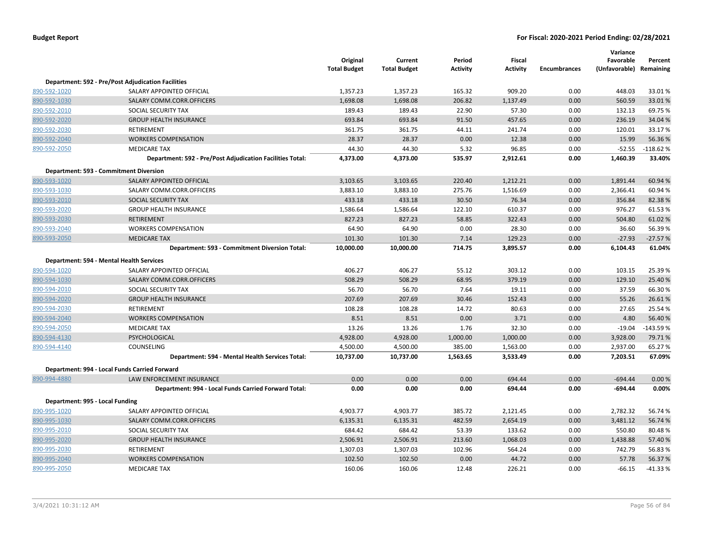|                                 |                                                           | Original<br><b>Total Budget</b> | Current<br><b>Total Budget</b> | Period<br>Activity | Fiscal<br><b>Activity</b> | <b>Encumbrances</b> | Variance<br>Favorable<br>(Unfavorable) Remaining | Percent    |
|---------------------------------|-----------------------------------------------------------|---------------------------------|--------------------------------|--------------------|---------------------------|---------------------|--------------------------------------------------|------------|
|                                 | <b>Department: 592 - Pre/Post Adjudication Facilities</b> |                                 |                                |                    |                           |                     |                                                  |            |
| 890-592-1020                    | SALARY APPOINTED OFFICIAL                                 | 1,357.23                        | 1,357.23                       | 165.32             | 909.20                    | 0.00                | 448.03                                           | 33.01%     |
| 890-592-1030                    | SALARY COMM.CORR.OFFICERS                                 | 1,698.08                        | 1,698.08                       | 206.82             | 1,137.49                  | 0.00                | 560.59                                           | 33.01%     |
| 890-592-2010                    | SOCIAL SECURITY TAX                                       | 189.43                          | 189.43                         | 22.90              | 57.30                     | 0.00                | 132.13                                           | 69.75%     |
| 890-592-2020                    | <b>GROUP HEALTH INSURANCE</b>                             | 693.84                          | 693.84                         | 91.50              | 457.65                    | 0.00                | 236.19                                           | 34.04%     |
| 890-592-2030                    | RETIREMENT                                                | 361.75                          | 361.75                         | 44.11              | 241.74                    | 0.00                | 120.01                                           | 33.17%     |
| 890-592-2040                    | <b>WORKERS COMPENSATION</b>                               | 28.37                           | 28.37                          | 0.00               | 12.38                     | 0.00                | 15.99                                            | 56.36%     |
| 890-592-2050                    | <b>MEDICARE TAX</b>                                       | 44.30                           | 44.30                          | 5.32               | 96.85                     | 0.00                | $-52.55$                                         | $-118.62%$ |
|                                 | Department: 592 - Pre/Post Adjudication Facilities Total: | 4,373.00                        | 4,373.00                       | 535.97             | 2,912.61                  | 0.00                | 1,460.39                                         | 33.40%     |
|                                 | Department: 593 - Commitment Diversion                    |                                 |                                |                    |                           |                     |                                                  |            |
| 890-593-1020                    | SALARY APPOINTED OFFICIAL                                 | 3,103.65                        | 3,103.65                       | 220.40             | 1,212.21                  | 0.00                | 1,891.44                                         | 60.94 %    |
| 890-593-1030                    | SALARY COMM.CORR.OFFICERS                                 | 3,883.10                        | 3,883.10                       | 275.76             | 1,516.69                  | 0.00                | 2,366.41                                         | 60.94 %    |
| 890-593-2010                    | SOCIAL SECURITY TAX                                       | 433.18                          | 433.18                         | 30.50              | 76.34                     | 0.00                | 356.84                                           | 82.38%     |
| 890-593-2020                    | <b>GROUP HEALTH INSURANCE</b>                             | 1,586.64                        | 1,586.64                       | 122.10             | 610.37                    | 0.00                | 976.27                                           | 61.53%     |
| 890-593-2030                    | <b>RETIREMENT</b>                                         | 827.23                          | 827.23                         | 58.85              | 322.43                    | 0.00                | 504.80                                           | 61.02%     |
| 890-593-2040                    | <b>WORKERS COMPENSATION</b>                               | 64.90                           | 64.90                          | 0.00               | 28.30                     | 0.00                | 36.60                                            | 56.39%     |
| 890-593-2050                    | <b>MEDICARE TAX</b>                                       | 101.30                          | 101.30                         | 7.14               | 129.23                    | 0.00                | $-27.93$                                         | $-27.57%$  |
|                                 | Department: 593 - Commitment Diversion Total:             | 10,000.00                       | 10,000.00                      | 714.75             | 3,895.57                  | 0.00                | 6,104.43                                         | 61.04%     |
|                                 | Department: 594 - Mental Health Services                  |                                 |                                |                    |                           |                     |                                                  |            |
| 890-594-1020                    | SALARY APPOINTED OFFICIAL                                 | 406.27                          | 406.27                         | 55.12              | 303.12                    | 0.00                | 103.15                                           | 25.39 %    |
| 890-594-1030                    | SALARY COMM.CORR.OFFICERS                                 | 508.29                          | 508.29                         | 68.95              | 379.19                    | 0.00                | 129.10                                           | 25.40 %    |
| 890-594-2010                    | SOCIAL SECURITY TAX                                       | 56.70                           | 56.70                          | 7.64               | 19.11                     | 0.00                | 37.59                                            | 66.30%     |
| 890-594-2020                    | <b>GROUP HEALTH INSURANCE</b>                             | 207.69                          | 207.69                         | 30.46              | 152.43                    | 0.00                | 55.26                                            | 26.61%     |
| 890-594-2030                    | RETIREMENT                                                | 108.28                          | 108.28                         | 14.72              | 80.63                     | 0.00                | 27.65                                            | 25.54 %    |
| 890-594-2040                    | <b>WORKERS COMPENSATION</b>                               | 8.51                            | 8.51                           | 0.00               | 3.71                      | 0.00                | 4.80                                             | 56.40%     |
| 890-594-2050                    | <b>MEDICARE TAX</b>                                       | 13.26                           | 13.26                          | 1.76               | 32.30                     | 0.00                | $-19.04$                                         | $-143.59%$ |
| 890-594-4130                    | PSYCHOLOGICAL                                             | 4,928.00                        | 4,928.00                       | 1,000.00           | 1,000.00                  | 0.00                | 3,928.00                                         | 79.71%     |
| 890-594-4140                    | COUNSELING                                                | 4,500.00                        | 4,500.00                       | 385.00             | 1,563.00                  | 0.00                | 2,937.00                                         | 65.27%     |
|                                 | Department: 594 - Mental Health Services Total:           | 10,737.00                       | 10,737.00                      | 1,563.65           | 3,533.49                  | 0.00                | 7,203.51                                         | 67.09%     |
|                                 | Department: 994 - Local Funds Carried Forward             |                                 |                                |                    |                           |                     |                                                  |            |
| 890-994-4880                    | LAW ENFORCEMENT INSURANCE                                 | 0.00                            | 0.00                           | 0.00               | 694.44                    | 0.00                | $-694.44$                                        | 0.00%      |
|                                 | Department: 994 - Local Funds Carried Forward Total:      | 0.00                            | 0.00                           | 0.00               | 694.44                    | 0.00                | $-694.44$                                        | 0.00%      |
| Department: 995 - Local Funding |                                                           |                                 |                                |                    |                           |                     |                                                  |            |
| 890-995-1020                    | SALARY APPOINTED OFFICIAL                                 | 4,903.77                        | 4,903.77                       | 385.72             | 2,121.45                  | 0.00                | 2,782.32                                         | 56.74 %    |
| 890-995-1030                    | SALARY COMM.CORR.OFFICERS                                 | 6,135.31                        | 6,135.31                       | 482.59             | 2,654.19                  | 0.00                | 3,481.12                                         | 56.74 %    |
| 890-995-2010                    | SOCIAL SECURITY TAX                                       | 684.42                          | 684.42                         | 53.39              | 133.62                    | 0.00                | 550.80                                           | 80.48%     |
| 890-995-2020                    | <b>GROUP HEALTH INSURANCE</b>                             | 2,506.91                        | 2,506.91                       | 213.60             | 1,068.03                  | 0.00                | 1,438.88                                         | 57.40%     |
| 890-995-2030                    | RETIREMENT                                                | 1,307.03                        | 1,307.03                       | 102.96             | 564.24                    | 0.00                | 742.79                                           | 56.83%     |
| 890-995-2040                    | <b>WORKERS COMPENSATION</b>                               | 102.50                          | 102.50                         | 0.00               | 44.72                     | 0.00                | 57.78                                            | 56.37%     |
| 890-995-2050                    | <b>MEDICARE TAX</b>                                       | 160.06                          | 160.06                         | 12.48              | 226.21                    | 0.00                | $-66.15$                                         | $-41.33%$  |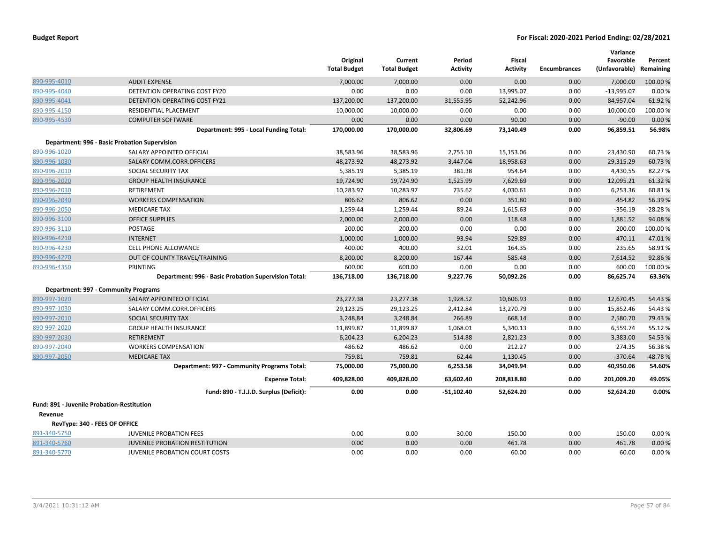|                                                   |                                                      | Original<br><b>Total Budget</b> | Current<br><b>Total Budget</b> | Period<br><b>Activity</b> | Fiscal<br><b>Activity</b> | <b>Encumbrances</b> | Variance<br>Favorable<br>(Unfavorable) Remaining | Percent   |
|---------------------------------------------------|------------------------------------------------------|---------------------------------|--------------------------------|---------------------------|---------------------------|---------------------|--------------------------------------------------|-----------|
| 890-995-4010                                      | <b>AUDIT EXPENSE</b>                                 | 7,000.00                        | 7,000.00                       | 0.00                      | 0.00                      | 0.00                | 7,000.00                                         | 100.00 %  |
| 890-995-4040                                      | DETENTION OPERATING COST FY20                        | 0.00                            | 0.00                           | 0.00                      | 13,995.07                 | 0.00                | $-13,995.07$                                     | 0.00%     |
| 890-995-4041                                      | DETENTION OPERATING COST FY21                        | 137,200.00                      | 137,200.00                     | 31,555.95                 | 52,242.96                 | 0.00                | 84,957.04                                        | 61.92 %   |
| 890-995-4150                                      | RESIDENTIAL PLACEMENT                                | 10,000.00                       | 10,000.00                      | 0.00                      | 0.00                      | 0.00                | 10,000.00                                        | 100.00 %  |
| 890-995-4530                                      | <b>COMPUTER SOFTWARE</b>                             | 0.00                            | 0.00                           | 0.00                      | 90.00                     | 0.00                | $-90.00$                                         | 0.00%     |
|                                                   | Department: 995 - Local Funding Total:               | 170,000.00                      | 170,000.00                     | 32,806.69                 | 73,140.49                 | 0.00                | 96,859.51                                        | 56.98%    |
|                                                   | Department: 996 - Basic Probation Supervision        |                                 |                                |                           |                           |                     |                                                  |           |
| 890-996-1020                                      | SALARY APPOINTED OFFICIAL                            | 38,583.96                       | 38,583.96                      | 2,755.10                  | 15,153.06                 | 0.00                | 23,430.90                                        | 60.73 %   |
| 890-996-1030                                      | SALARY COMM.CORR.OFFICERS                            | 48,273.92                       | 48,273.92                      | 3,447.04                  | 18,958.63                 | 0.00                | 29,315.29                                        | 60.73 %   |
| 890-996-2010                                      | SOCIAL SECURITY TAX                                  | 5,385.19                        | 5,385.19                       | 381.38                    | 954.64                    | 0.00                | 4,430.55                                         | 82.27%    |
| 890-996-2020                                      | <b>GROUP HEALTH INSURANCE</b>                        | 19,724.90                       | 19,724.90                      | 1,525.99                  | 7,629.69                  | 0.00                | 12,095.21                                        | 61.32 %   |
| 890-996-2030                                      | RETIREMENT                                           | 10,283.97                       | 10,283.97                      | 735.62                    | 4,030.61                  | 0.00                | 6,253.36                                         | 60.81%    |
| 890-996-2040                                      | <b>WORKERS COMPENSATION</b>                          | 806.62                          | 806.62                         | 0.00                      | 351.80                    | 0.00                | 454.82                                           | 56.39 %   |
| 890-996-2050                                      | <b>MEDICARE TAX</b>                                  | 1,259.44                        | 1,259.44                       | 89.24                     | 1,615.63                  | 0.00                | $-356.19$                                        | $-28.28%$ |
| 890-996-3100                                      | <b>OFFICE SUPPLIES</b>                               | 2,000.00                        | 2,000.00                       | 0.00                      | 118.48                    | 0.00                | 1,881.52                                         | 94.08%    |
| 890-996-3110                                      | POSTAGE                                              | 200.00                          | 200.00                         | 0.00                      | 0.00                      | 0.00                | 200.00                                           | 100.00%   |
| 890-996-4210                                      | <b>INTERNET</b>                                      | 1,000.00                        | 1,000.00                       | 93.94                     | 529.89                    | 0.00                | 470.11                                           | 47.01%    |
| 890-996-4230                                      | CELL PHONE ALLOWANCE                                 | 400.00                          | 400.00                         | 32.01                     | 164.35                    | 0.00                | 235.65                                           | 58.91%    |
| 890-996-4270                                      | OUT OF COUNTY TRAVEL/TRAINING                        | 8,200.00                        | 8,200.00                       | 167.44                    | 585.48                    | 0.00                | 7,614.52                                         | 92.86%    |
| 890-996-4350                                      | <b>PRINTING</b>                                      | 600.00                          | 600.00                         | 0.00                      | 0.00                      | 0.00                | 600.00                                           | 100.00%   |
|                                                   | Department: 996 - Basic Probation Supervision Total: | 136,718.00                      | 136,718.00                     | 9,227.76                  | 50,092.26                 | 0.00                | 86,625.74                                        | 63.36%    |
|                                                   | <b>Department: 997 - Community Programs</b>          |                                 |                                |                           |                           |                     |                                                  |           |
| 890-997-1020                                      | SALARY APPOINTED OFFICIAL                            | 23,277.38                       | 23,277.38                      | 1,928.52                  | 10,606.93                 | 0.00                | 12,670.45                                        | 54.43 %   |
| 890-997-1030                                      | SALARY COMM.CORR.OFFICERS                            | 29,123.25                       | 29,123.25                      | 2,412.84                  | 13,270.79                 | 0.00                | 15,852.46                                        | 54.43 %   |
| 890-997-2010                                      | SOCIAL SECURITY TAX                                  | 3,248.84                        | 3,248.84                       | 266.89                    | 668.14                    | 0.00                | 2,580.70                                         | 79.43 %   |
| 890-997-2020                                      | <b>GROUP HEALTH INSURANCE</b>                        | 11,899.87                       | 11,899.87                      | 1,068.01                  | 5,340.13                  | 0.00                | 6,559.74                                         | 55.12 %   |
| 890-997-2030                                      | <b>RETIREMENT</b>                                    | 6,204.23                        | 6,204.23                       | 514.88                    | 2,821.23                  | 0.00                | 3,383.00                                         | 54.53 %   |
| 890-997-2040                                      | <b>WORKERS COMPENSATION</b>                          | 486.62                          | 486.62                         | 0.00                      | 212.27                    | 0.00                | 274.35                                           | 56.38%    |
| 890-997-2050                                      | <b>MEDICARE TAX</b>                                  | 759.81                          | 759.81                         | 62.44                     | 1,130.45                  | 0.00                | $-370.64$                                        | $-48.78%$ |
|                                                   | Department: 997 - Community Programs Total:          | 75,000.00                       | 75,000.00                      | 6,253.58                  | 34,049.94                 | 0.00                | 40,950.06                                        | 54.60%    |
|                                                   | <b>Expense Total:</b>                                | 409,828.00                      | 409,828.00                     | 63,602.40                 | 208,818.80                | 0.00                | 201,009.20                                       | 49.05%    |
|                                                   | Fund: 890 - T.J.J.D. Surplus (Deficit):              | 0.00                            | 0.00                           | $-51,102.40$              | 52,624.20                 | 0.00                | 52,624.20                                        | 0.00%     |
| <b>Fund: 891 - Juvenile Probation-Restitution</b> |                                                      |                                 |                                |                           |                           |                     |                                                  |           |
| Revenue                                           |                                                      |                                 |                                |                           |                           |                     |                                                  |           |
| RevType: 340 - FEES OF OFFICE                     |                                                      |                                 |                                |                           |                           |                     |                                                  |           |
| 891-340-5750                                      | <b>JUVENILE PROBATION FEES</b>                       | 0.00                            | 0.00                           | 30.00                     | 150.00                    | 0.00                | 150.00                                           | 0.00%     |
| 891-340-5760                                      | JUVENILE PROBATION RESTITUTION                       | 0.00                            | 0.00                           | 0.00                      | 461.78                    | 0.00                | 461.78                                           | 0.00%     |
| 891-340-5770                                      | <b>JUVENILE PROBATION COURT COSTS</b>                | 0.00                            | 0.00                           | 0.00                      | 60.00                     | 0.00                | 60.00                                            | 0.00%     |
|                                                   |                                                      |                                 |                                |                           |                           |                     |                                                  |           |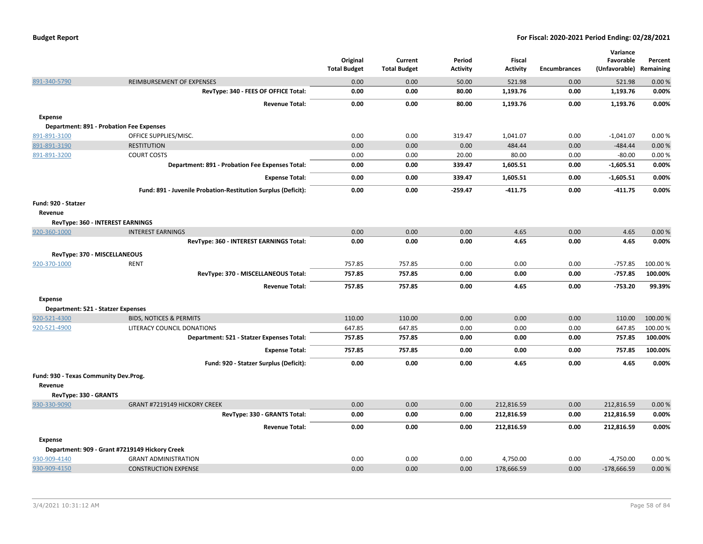|                                       |                                                               | Original<br><b>Total Budget</b> | Current<br><b>Total Budget</b> | Period<br><b>Activity</b> | <b>Fiscal</b><br><b>Activity</b> | <b>Encumbrances</b> | Variance<br>Favorable<br>(Unfavorable) Remaining | Percent  |
|---------------------------------------|---------------------------------------------------------------|---------------------------------|--------------------------------|---------------------------|----------------------------------|---------------------|--------------------------------------------------|----------|
| 891-340-5790                          | REIMBURSEMENT OF EXPENSES                                     | 0.00                            | 0.00                           | 50.00                     | 521.98                           | 0.00                | 521.98                                           | 0.00%    |
|                                       | RevType: 340 - FEES OF OFFICE Total:                          | 0.00                            | 0.00                           | 80.00                     | 1,193.76                         | 0.00                | 1,193.76                                         | 0.00%    |
|                                       | <b>Revenue Total:</b>                                         | 0.00                            | 0.00                           | 80.00                     | 1,193.76                         | 0.00                | 1,193.76                                         | 0.00%    |
| Expense                               |                                                               |                                 |                                |                           |                                  |                     |                                                  |          |
|                                       | <b>Department: 891 - Probation Fee Expenses</b>               |                                 |                                |                           |                                  |                     |                                                  |          |
| 891-891-3100                          | OFFICE SUPPLIES/MISC.                                         | 0.00                            | 0.00                           | 319.47                    | 1,041.07                         | 0.00                | $-1,041.07$                                      | 0.00%    |
| 891-891-3190                          | <b>RESTITUTION</b>                                            | 0.00                            | 0.00                           | 0.00                      | 484.44                           | 0.00                | $-484.44$                                        | 0.00%    |
| 891-891-3200                          | <b>COURT COSTS</b>                                            | 0.00                            | 0.00                           | 20.00                     | 80.00                            | 0.00                | $-80.00$                                         | 0.00%    |
|                                       | Department: 891 - Probation Fee Expenses Total:               | 0.00                            | 0.00                           | 339.47                    | 1,605.51                         | 0.00                | $-1,605.51$                                      | 0.00%    |
|                                       | <b>Expense Total:</b>                                         | 0.00                            | 0.00                           | 339.47                    | 1,605.51                         | 0.00                | $-1,605.51$                                      | 0.00%    |
|                                       | Fund: 891 - Juvenile Probation-Restitution Surplus (Deficit): | 0.00                            | 0.00                           | $-259.47$                 | $-411.75$                        | 0.00                | $-411.75$                                        | 0.00%    |
| Fund: 920 - Statzer                   |                                                               |                                 |                                |                           |                                  |                     |                                                  |          |
| Revenue                               |                                                               |                                 |                                |                           |                                  |                     |                                                  |          |
|                                       | <b>RevType: 360 - INTEREST EARNINGS</b>                       |                                 |                                |                           |                                  |                     |                                                  |          |
| 920-360-1000                          | <b>INTEREST EARNINGS</b>                                      | 0.00                            | 0.00                           | 0.00                      | 4.65                             | 0.00                | 4.65                                             | 0.00%    |
|                                       | RevType: 360 - INTEREST EARNINGS Total:                       | 0.00                            | 0.00                           | 0.00                      | 4.65                             | 0.00                | 4.65                                             | 0.00%    |
|                                       | RevType: 370 - MISCELLANEOUS                                  |                                 |                                |                           |                                  |                     |                                                  |          |
| 920-370-1000                          | <b>RENT</b>                                                   | 757.85                          | 757.85                         | 0.00                      | 0.00                             | 0.00                | $-757.85$                                        | 100.00 % |
|                                       | RevType: 370 - MISCELLANEOUS Total:                           | 757.85                          | 757.85                         | 0.00                      | 0.00                             | 0.00                | $-757.85$                                        | 100.00%  |
|                                       | <b>Revenue Total:</b>                                         | 757.85                          | 757.85                         | 0.00                      | 4.65                             | 0.00                | $-753.20$                                        | 99.39%   |
| Expense                               |                                                               |                                 |                                |                           |                                  |                     |                                                  |          |
| Department: 521 - Statzer Expenses    |                                                               |                                 |                                |                           |                                  |                     |                                                  |          |
| 920-521-4300                          | <b>BIDS, NOTICES &amp; PERMITS</b>                            | 110.00                          | 110.00                         | 0.00                      | 0.00                             | 0.00                | 110.00                                           | 100.00%  |
| 920-521-4900                          | LITERACY COUNCIL DONATIONS                                    | 647.85                          | 647.85                         | 0.00                      | 0.00                             | 0.00                | 647.85                                           | 100.00%  |
|                                       | Department: 521 - Statzer Expenses Total:                     | 757.85                          | 757.85                         | 0.00                      | 0.00                             | 0.00                | 757.85                                           | 100.00%  |
|                                       | <b>Expense Total:</b>                                         | 757.85                          | 757.85                         | 0.00                      | 0.00                             | 0.00                | 757.85                                           | 100.00%  |
|                                       | Fund: 920 - Statzer Surplus (Deficit):                        | 0.00                            | 0.00                           | 0.00                      | 4.65                             | 0.00                | 4.65                                             | 0.00%    |
| Fund: 930 - Texas Community Dev.Prog. |                                                               |                                 |                                |                           |                                  |                     |                                                  |          |
| Revenue                               |                                                               |                                 |                                |                           |                                  |                     |                                                  |          |
| RevType: 330 - GRANTS                 |                                                               |                                 |                                |                           |                                  |                     |                                                  |          |
| 930-330-9090                          | GRANT #7219149 HICKORY CREEK                                  | 0.00                            | 0.00                           | 0.00                      | 212,816.59                       | 0.00                | 212,816.59                                       | 0.00%    |
|                                       | RevType: 330 - GRANTS Total:                                  | 0.00                            | 0.00                           | 0.00                      | 212,816.59                       | 0.00                | 212,816.59                                       | 0.00%    |
|                                       | <b>Revenue Total:</b>                                         | 0.00                            | 0.00                           | 0.00                      | 212,816.59                       | 0.00                | 212,816.59                                       | 0.00%    |
| <b>Expense</b>                        |                                                               |                                 |                                |                           |                                  |                     |                                                  |          |
|                                       | Department: 909 - Grant #7219149 Hickory Creek                |                                 |                                |                           |                                  |                     |                                                  |          |
| 930-909-4140                          | <b>GRANT ADMINISTRATION</b>                                   | 0.00                            | 0.00                           | 0.00                      | 4,750.00                         | 0.00                | $-4,750.00$                                      | 0.00%    |
| 930-909-4150                          | <b>CONSTRUCTION EXPENSE</b>                                   | 0.00                            | 0.00                           | 0.00                      | 178,666.59                       | 0.00                | $-178,666.59$                                    | 0.00%    |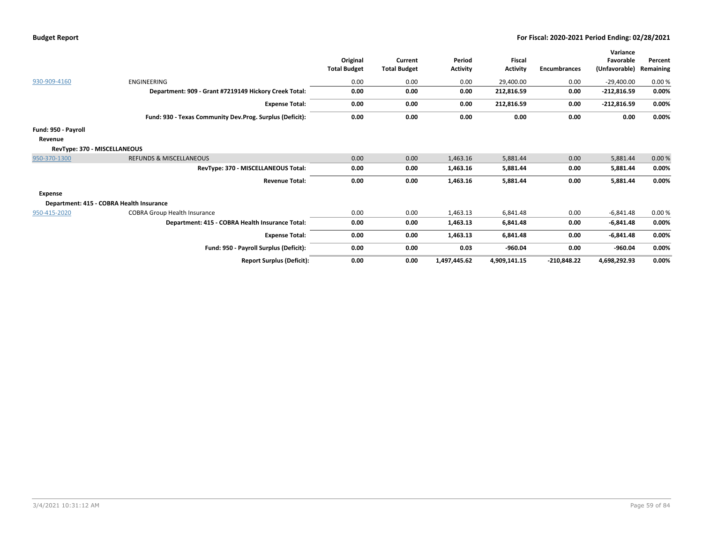|  | Budget Report |
|--|---------------|
|--|---------------|

|                              |                                                          | Original<br><b>Total Budget</b> | Current<br><b>Total Budget</b> | Period<br><b>Activity</b> | Fiscal<br><b>Activity</b> | <b>Encumbrances</b> | Variance<br>Favorable<br>(Unfavorable) | Percent<br>Remaining |
|------------------------------|----------------------------------------------------------|---------------------------------|--------------------------------|---------------------------|---------------------------|---------------------|----------------------------------------|----------------------|
| 930-909-4160                 | <b>ENGINEERING</b>                                       | 0.00                            | 0.00                           | 0.00                      | 29,400.00                 | 0.00                | $-29,400.00$                           | 0.00%                |
|                              | Department: 909 - Grant #7219149 Hickory Creek Total:    | 0.00                            | 0.00                           | 0.00                      | 212,816.59                | 0.00                | $-212,816.59$                          | 0.00%                |
|                              | <b>Expense Total:</b>                                    | 0.00                            | 0.00                           | 0.00                      | 212,816.59                | 0.00                | $-212,816.59$                          | 0.00%                |
|                              | Fund: 930 - Texas Community Dev.Prog. Surplus (Deficit): | 0.00                            | 0.00                           | 0.00                      | 0.00                      | 0.00                | 0.00                                   | 0.00%                |
| Fund: 950 - Payroll          |                                                          |                                 |                                |                           |                           |                     |                                        |                      |
| Revenue                      |                                                          |                                 |                                |                           |                           |                     |                                        |                      |
| RevType: 370 - MISCELLANEOUS |                                                          |                                 |                                |                           |                           |                     |                                        |                      |
| 950-370-1300                 | <b>REFUNDS &amp; MISCELLANEOUS</b>                       | 0.00                            | 0.00                           | 1,463.16                  | 5,881.44                  | 0.00                | 5,881.44                               | 0.00%                |
|                              | RevType: 370 - MISCELLANEOUS Total:                      | 0.00                            | 0.00                           | 1,463.16                  | 5,881.44                  | 0.00                | 5,881.44                               | 0.00%                |
|                              | <b>Revenue Total:</b>                                    | 0.00                            | 0.00                           | 1,463.16                  | 5,881.44                  | 0.00                | 5,881.44                               | 0.00%                |
| <b>Expense</b>               |                                                          |                                 |                                |                           |                           |                     |                                        |                      |
|                              | Department: 415 - COBRA Health Insurance                 |                                 |                                |                           |                           |                     |                                        |                      |
| 950-415-2020                 | <b>COBRA Group Health Insurance</b>                      | 0.00                            | 0.00                           | 1,463.13                  | 6,841.48                  | 0.00                | $-6,841.48$                            | 0.00%                |
|                              | Department: 415 - COBRA Health Insurance Total:          | 0.00                            | 0.00                           | 1,463.13                  | 6,841.48                  | 0.00                | $-6,841.48$                            | 0.00%                |
|                              | <b>Expense Total:</b>                                    | 0.00                            | 0.00                           | 1,463.13                  | 6,841.48                  | 0.00                | $-6,841.48$                            | 0.00%                |
|                              | Fund: 950 - Payroll Surplus (Deficit):                   | 0.00                            | 0.00                           | 0.03                      | $-960.04$                 | 0.00                | $-960.04$                              | 0.00%                |
|                              | <b>Report Surplus (Deficit):</b>                         | 0.00                            | 0.00                           | 1,497,445.62              | 4,909,141.15              | $-210,848.22$       | 4,698,292.93                           | 0.00%                |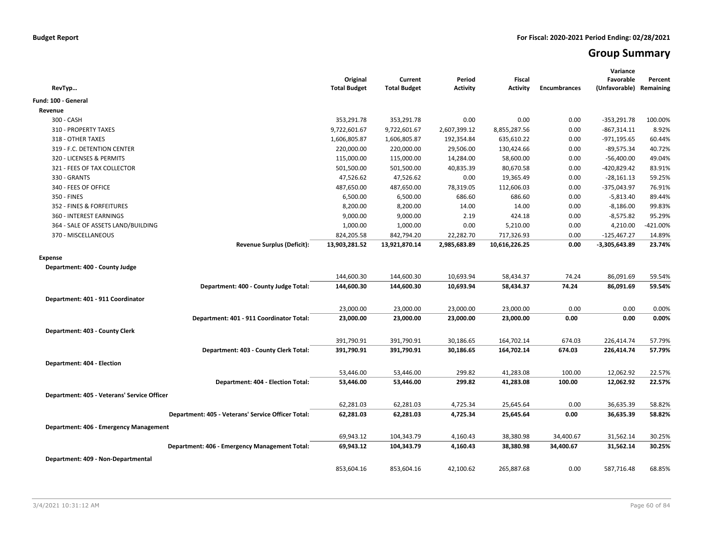# **Group Summary**

| RevTyp                                             | Original<br><b>Total Budget</b> | Current<br><b>Total Budget</b> | Period<br><b>Activity</b> | <b>Fiscal</b><br><b>Activity</b> | <b>Encumbrances</b> | Variance<br>Favorable<br>(Unfavorable) | Percent<br>Remaining |
|----------------------------------------------------|---------------------------------|--------------------------------|---------------------------|----------------------------------|---------------------|----------------------------------------|----------------------|
| Fund: 100 - General                                |                                 |                                |                           |                                  |                     |                                        |                      |
| Revenue                                            |                                 |                                |                           |                                  |                     |                                        |                      |
| 300 - CASH                                         | 353,291.78                      | 353,291.78                     | 0.00                      | 0.00                             | 0.00                | $-353,291.78$                          | 100.00%              |
| 310 - PROPERTY TAXES                               | 9,722,601.67                    | 9,722,601.67                   | 2,607,399.12              | 8,855,287.56                     | 0.00                | $-867,314.11$                          | 8.92%                |
| 318 - OTHER TAXES                                  | 1,606,805.87                    | 1,606,805.87                   | 192,354.84                | 635,610.22                       | 0.00                | -971,195.65                            | 60.44%               |
| 319 - F.C. DETENTION CENTER                        | 220,000.00                      | 220,000.00                     | 29,506.00                 | 130,424.66                       | 0.00                | $-89,575.34$                           | 40.72%               |
| 320 - LICENSES & PERMITS                           | 115,000.00                      | 115,000.00                     | 14,284.00                 | 58,600.00                        | 0.00                | $-56,400.00$                           | 49.04%               |
| 321 - FEES OF TAX COLLECTOR                        | 501,500.00                      | 501,500.00                     | 40,835.39                 | 80,670.58                        | 0.00                | $-420,829.42$                          | 83.91%               |
| 330 - GRANTS                                       | 47,526.62                       | 47,526.62                      | 0.00                      | 19,365.49                        | 0.00                | $-28,161.13$                           | 59.25%               |
| 340 - FEES OF OFFICE                               | 487,650.00                      | 487,650.00                     | 78,319.05                 | 112,606.03                       | 0.00                | -375,043.97                            | 76.91%               |
| 350 - FINES                                        | 6,500.00                        | 6,500.00                       | 686.60                    | 686.60                           | 0.00                | $-5,813.40$                            | 89.44%               |
| 352 - FINES & FORFEITURES                          | 8,200.00                        | 8,200.00                       | 14.00                     | 14.00                            | 0.00                | $-8,186.00$                            | 99.83%               |
| 360 - INTEREST EARNINGS                            | 9,000.00                        | 9,000.00                       | 2.19                      | 424.18                           | 0.00                | $-8,575.82$                            | 95.29%               |
| 364 - SALE OF ASSETS LAND/BUILDING                 | 1,000.00                        | 1,000.00                       | 0.00                      | 5,210.00                         | 0.00                | 4,210.00                               | -421.00%             |
| 370 - MISCELLANEOUS                                | 824,205.58                      | 842,794.20                     | 22,282.70                 | 717,326.93                       | 0.00                | $-125,467.27$                          | 14.89%               |
| <b>Revenue Surplus (Deficit):</b>                  | 13,903,281.52                   | 13,921,870.14                  | 2,985,683.89              | 10,616,226.25                    | 0.00                | -3,305,643.89                          | 23.74%               |
| <b>Expense</b>                                     |                                 |                                |                           |                                  |                     |                                        |                      |
| Department: 400 - County Judge                     |                                 |                                |                           |                                  |                     |                                        |                      |
|                                                    | 144,600.30                      | 144,600.30                     | 10,693.94                 | 58,434.37                        | 74.24               | 86,091.69                              | 59.54%               |
| Department: 400 - County Judge Total:              | 144,600.30                      | 144,600.30                     | 10,693.94                 | 58,434.37                        | 74.24               | 86,091.69                              | 59.54%               |
|                                                    |                                 |                                |                           |                                  |                     |                                        |                      |
| Department: 401 - 911 Coordinator                  |                                 |                                |                           |                                  |                     |                                        |                      |
|                                                    | 23,000.00                       | 23,000.00                      | 23,000.00                 | 23,000.00                        | 0.00                | 0.00                                   | 0.00%                |
| Department: 401 - 911 Coordinator Total:           | 23,000.00                       | 23,000.00                      | 23,000.00                 | 23,000.00                        | 0.00                | 0.00                                   | 0.00%                |
| Department: 403 - County Clerk                     |                                 |                                |                           |                                  |                     |                                        |                      |
|                                                    | 391,790.91                      | 391,790.91                     | 30,186.65                 | 164,702.14                       | 674.03              | 226,414.74                             | 57.79%               |
| Department: 403 - County Clerk Total:              | 391,790.91                      | 391,790.91                     | 30,186.65                 | 164,702.14                       | 674.03              | 226,414.74                             | 57.79%               |
| Department: 404 - Election                         |                                 |                                |                           |                                  |                     |                                        |                      |
|                                                    | 53,446.00                       | 53,446.00                      | 299.82                    | 41,283.08                        | 100.00              | 12,062.92                              | 22.57%               |
| Department: 404 - Election Total:                  | 53,446.00                       | 53,446.00                      | 299.82                    | 41,283.08                        | 100.00              | 12,062.92                              | 22.57%               |
|                                                    |                                 |                                |                           |                                  |                     |                                        |                      |
| Department: 405 - Veterans' Service Officer        |                                 |                                |                           |                                  |                     |                                        |                      |
|                                                    | 62,281.03                       | 62,281.03                      | 4,725.34                  | 25,645.64                        | 0.00                | 36,635.39                              | 58.82%               |
| Department: 405 - Veterans' Service Officer Total: | 62,281.03                       | 62,281.03                      | 4,725.34                  | 25,645.64                        | 0.00                | 36,635.39                              | 58.82%               |
| Department: 406 - Emergency Management             |                                 |                                |                           |                                  |                     |                                        |                      |
|                                                    | 69,943.12                       | 104,343.79                     | 4,160.43                  | 38,380.98                        | 34,400.67           | 31,562.14                              | 30.25%               |
| Department: 406 - Emergency Management Total:      | 69,943.12                       | 104,343.79                     | 4,160.43                  | 38,380.98                        | 34,400.67           | 31,562.14                              | 30.25%               |
| Department: 409 - Non-Departmental                 |                                 |                                |                           |                                  |                     |                                        |                      |
|                                                    | 853,604.16                      | 853,604.16                     | 42,100.62                 | 265,887.68                       | 0.00                | 587,716.48                             | 68.85%               |
|                                                    |                                 |                                |                           |                                  |                     |                                        |                      |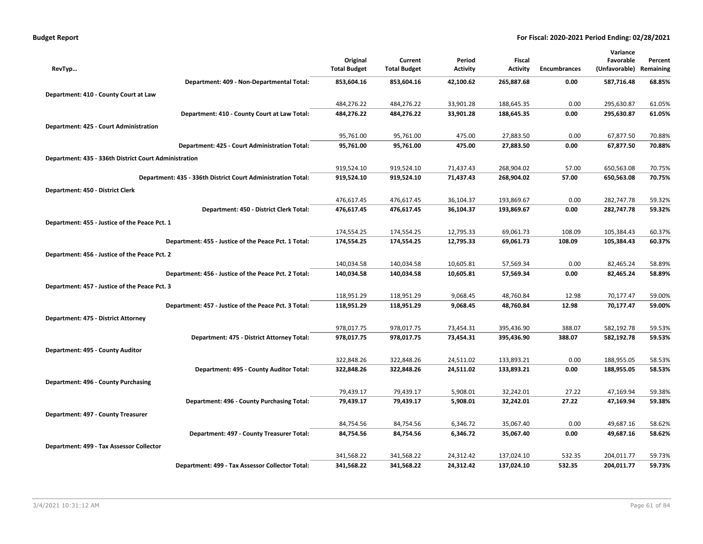| <b>Budget Report</b> |
|----------------------|
|----------------------|

|                                                              |                     |                     |                 |                 |                     | Variance      |           |
|--------------------------------------------------------------|---------------------|---------------------|-----------------|-----------------|---------------------|---------------|-----------|
|                                                              | Original            | Current             | Period          | Fiscal          |                     | Favorable     | Percent   |
| RevTyp                                                       | <b>Total Budget</b> | <b>Total Budget</b> | <b>Activity</b> | <b>Activity</b> | <b>Encumbrances</b> | (Unfavorable) | Remaining |
| Department: 409 - Non-Departmental Total:                    | 853,604.16          | 853,604.16          | 42,100.62       | 265,887.68      | 0.00                | 587,716.48    | 68.85%    |
| Department: 410 - County Court at Law                        |                     |                     |                 |                 |                     |               |           |
|                                                              | 484,276.22          | 484,276.22          | 33,901.28       | 188,645.35      | 0.00                | 295,630.87    | 61.05%    |
| Department: 410 - County Court at Law Total:                 | 484,276.22          | 484,276.22          | 33,901.28       | 188,645.35      | 0.00                | 295,630.87    | 61.05%    |
| Department: 425 - Court Administration                       |                     |                     |                 |                 |                     |               |           |
|                                                              | 95,761.00           | 95,761.00           | 475.00          | 27,883.50       | 0.00                | 67,877.50     | 70.88%    |
| Department: 425 - Court Administration Total:                | 95,761.00           | 95,761.00           | 475.00          | 27,883.50       | 0.00                | 67,877.50     | 70.88%    |
| Department: 435 - 336th District Court Administration        |                     |                     |                 |                 |                     |               |           |
|                                                              | 919,524.10          | 919,524.10          | 71,437.43       | 268,904.02      | 57.00               | 650,563.08    | 70.75%    |
| Department: 435 - 336th District Court Administration Total: | 919,524.10          | 919,524.10          | 71,437.43       | 268,904.02      | 57.00               | 650,563.08    | 70.75%    |
| Department: 450 - District Clerk                             |                     |                     |                 |                 |                     |               |           |
|                                                              | 476,617.45          | 476,617.45          | 36,104.37       | 193,869.67      | 0.00                | 282,747.78    | 59.32%    |
| Department: 450 - District Clerk Total:                      | 476,617.45          | 476,617.45          | 36,104.37       | 193,869.67      | 0.00                | 282,747.78    | 59.32%    |
| Department: 455 - Justice of the Peace Pct. 1                |                     |                     |                 |                 |                     |               |           |
|                                                              | 174,554.25          | 174,554.25          | 12,795.33       | 69,061.73       | 108.09              | 105,384.43    | 60.37%    |
| Department: 455 - Justice of the Peace Pct. 1 Total:         | 174,554.25          | 174,554.25          | 12,795.33       | 69,061.73       | 108.09              | 105,384.43    | 60.37%    |
| Department: 456 - Justice of the Peace Pct. 2                |                     |                     |                 |                 |                     |               |           |
|                                                              | 140,034.58          | 140,034.58          | 10,605.81       | 57,569.34       | 0.00                | 82,465.24     | 58.89%    |
| Department: 456 - Justice of the Peace Pct. 2 Total:         | 140,034.58          | 140,034.58          | 10,605.81       | 57,569.34       | 0.00                | 82,465.24     | 58.89%    |
| Department: 457 - Justice of the Peace Pct. 3                |                     |                     |                 |                 |                     |               |           |
|                                                              | 118,951.29          | 118,951.29          | 9,068.45        | 48,760.84       | 12.98               | 70,177.47     | 59.00%    |
| Department: 457 - Justice of the Peace Pct. 3 Total:         | 118,951.29          | 118,951.29          | 9,068.45        | 48,760.84       | 12.98               | 70,177.47     | 59.00%    |
| Department: 475 - District Attorney                          |                     |                     |                 |                 |                     |               |           |
|                                                              | 978,017.75          | 978,017.75          | 73,454.31       | 395,436.90      | 388.07              | 582,192.78    | 59.53%    |
| Department: 475 - District Attorney Total:                   | 978,017.75          | 978,017.75          | 73,454.31       | 395,436.90      | 388.07              | 582,192.78    | 59.53%    |
| Department: 495 - County Auditor                             |                     |                     |                 |                 |                     |               |           |
|                                                              | 322,848.26          | 322,848.26          | 24,511.02       | 133,893.21      | 0.00                | 188,955.05    | 58.53%    |
| Department: 495 - County Auditor Total:                      | 322,848.26          | 322,848.26          | 24,511.02       | 133,893.21      | 0.00                | 188,955.05    | 58.53%    |
| Department: 496 - County Purchasing                          |                     |                     |                 |                 |                     |               |           |
|                                                              | 79,439.17           | 79,439.17           | 5,908.01        | 32,242.01       | 27.22               | 47,169.94     | 59.38%    |
| Department: 496 - County Purchasing Total:                   | 79,439.17           | 79,439.17           | 5,908.01        | 32,242.01       | 27.22               | 47,169.94     | 59.38%    |
| Department: 497 - County Treasurer                           |                     |                     |                 |                 |                     |               |           |
|                                                              | 84,754.56           | 84,754.56           | 6,346.72        | 35,067.40       | 0.00                | 49,687.16     | 58.62%    |
| Department: 497 - County Treasurer Total:                    | 84,754.56           | 84,754.56           | 6,346.72        | 35,067.40       | 0.00                | 49,687.16     | 58.62%    |
| Department: 499 - Tax Assessor Collector                     |                     |                     |                 |                 |                     |               |           |
|                                                              | 341,568.22          | 341,568.22          | 24,312.42       | 137,024.10      | 532.35              | 204,011.77    | 59.73%    |
| Department: 499 - Tax Assessor Collector Total:              | 341,568.22          | 341,568.22          | 24,312.42       | 137,024.10      | 532.35              | 204,011.77    | 59.73%    |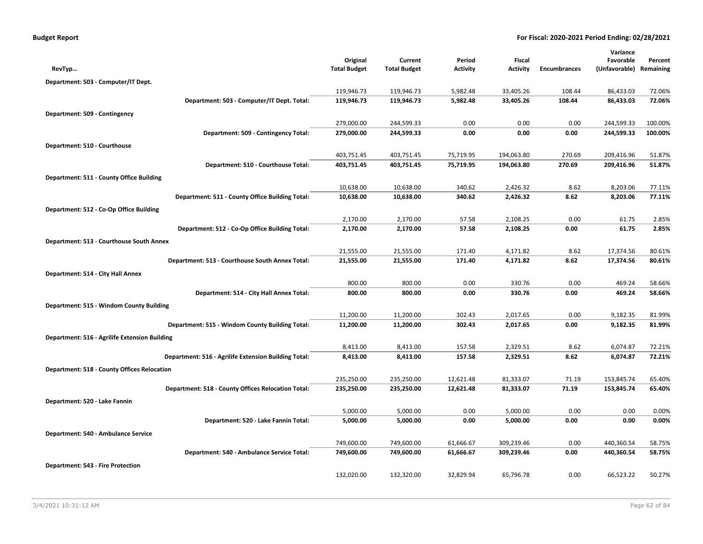| <b>Budget Report</b> |  |  |  |  |
|----------------------|--|--|--|--|
|----------------------|--|--|--|--|

|                                                      |                                 |                                |                           |                           |                     | Variance                   |                      |
|------------------------------------------------------|---------------------------------|--------------------------------|---------------------------|---------------------------|---------------------|----------------------------|----------------------|
|                                                      | Original<br><b>Total Budget</b> | Current<br><b>Total Budget</b> | Period<br><b>Activity</b> | Fiscal<br><b>Activity</b> | <b>Encumbrances</b> | Favorable<br>(Unfavorable) | Percent<br>Remaining |
| RevTyp                                               |                                 |                                |                           |                           |                     |                            |                      |
| Department: 503 - Computer/IT Dept.                  |                                 |                                |                           |                           |                     |                            |                      |
|                                                      | 119,946.73                      | 119,946.73                     | 5,982.48                  | 33,405.26                 | 108.44              | 86,433.03                  | 72.06%               |
| Department: 503 - Computer/IT Dept. Total:           | 119,946.73                      | 119,946.73                     | 5,982.48                  | 33,405.26                 | 108.44              | 86,433.03                  | 72.06%               |
| Department: 509 - Contingency                        |                                 |                                |                           |                           |                     |                            |                      |
|                                                      | 279,000.00                      | 244,599.33                     | 0.00                      | 0.00                      | 0.00                | 244,599.33                 | 100.00%              |
| Department: 509 - Contingency Total:                 | 279,000.00                      | 244,599.33                     | 0.00                      | 0.00                      | 0.00                | 244,599.33                 | 100.00%              |
| Department: 510 - Courthouse                         |                                 |                                |                           |                           |                     |                            |                      |
|                                                      | 403,751.45                      | 403,751.45                     | 75,719.95                 | 194,063.80                | 270.69              | 209,416.96                 | 51.87%               |
| Department: 510 - Courthouse Total:                  | 403,751.45                      | 403,751.45                     | 75,719.95                 | 194,063.80                | 270.69              | 209,416.96                 | 51.87%               |
| Department: 511 - County Office Building             |                                 |                                |                           |                           |                     |                            |                      |
|                                                      | 10,638.00                       | 10,638.00                      | 340.62                    | 2,426.32                  | 8.62                | 8,203.06                   | 77.11%               |
| Department: 511 - County Office Building Total:      | 10,638.00                       | 10,638.00                      | 340.62                    | 2,426.32                  | 8.62                | 8,203.06                   | 77.11%               |
| Department: 512 - Co-Op Office Building              |                                 |                                |                           |                           |                     |                            |                      |
|                                                      | 2,170.00                        | 2,170.00                       | 57.58                     | 2,108.25                  | 0.00                | 61.75                      | 2.85%                |
| Department: 512 - Co-Op Office Building Total:       | 2,170.00                        | 2,170.00                       | 57.58                     | 2,108.25                  | 0.00                | 61.75                      | 2.85%                |
| Department: 513 - Courthouse South Annex             |                                 |                                |                           |                           |                     |                            |                      |
|                                                      | 21,555.00                       | 21,555.00                      | 171.40                    | 4,171.82                  | 8.62                | 17,374.56                  | 80.61%               |
| Department: 513 - Courthouse South Annex Total:      | 21,555.00                       | 21,555.00                      | 171.40                    | 4,171.82                  | 8.62                | 17,374.56                  | 80.61%               |
| Department: 514 - City Hall Annex                    |                                 |                                |                           |                           |                     |                            |                      |
|                                                      | 800.00                          | 800.00                         | 0.00                      | 330.76                    | 0.00                | 469.24                     | 58.66%               |
| Department: 514 - City Hall Annex Total:             | 800.00                          | 800.00                         | 0.00                      | 330.76                    | 0.00                | 469.24                     | 58.66%               |
| Department: 515 - Windom County Building             |                                 |                                |                           |                           |                     |                            |                      |
|                                                      | 11,200.00                       | 11,200.00                      | 302.43                    | 2,017.65                  | 0.00                | 9,182.35                   | 81.99%               |
| Department: 515 - Windom County Building Total:      | 11,200.00                       | 11,200.00                      | 302.43                    | 2,017.65                  | 0.00                | 9,182.35                   | 81.99%               |
| Department: 516 - Agrilife Extension Building        |                                 |                                |                           |                           |                     |                            |                      |
|                                                      | 8,413.00                        | 8,413.00                       | 157.58                    | 2,329.51                  | 8.62                | 6,074.87                   | 72.21%               |
| Department: 516 - Agrilife Extension Building Total: | 8,413.00                        | 8,413.00                       | 157.58                    | 2,329.51                  | 8.62                | 6,074.87                   | 72.21%               |
| <b>Department: 518 - County Offices Relocation</b>   |                                 |                                |                           |                           |                     |                            |                      |
|                                                      | 235,250.00                      | 235,250.00                     | 12,621.48                 | 81,333.07                 | 71.19               | 153,845.74                 | 65.40%               |
| Department: 518 - County Offices Relocation Total:   | 235,250.00                      | 235,250.00                     | 12,621.48                 | 81,333.07                 | 71.19               | 153,845.74                 | 65.40%               |
| Department: 520 - Lake Fannin                        |                                 |                                |                           |                           |                     |                            |                      |
|                                                      | 5,000.00                        | 5,000.00                       | 0.00                      | 5,000.00                  | 0.00                | 0.00                       | 0.00%                |
| Department: 520 - Lake Fannin Total:                 | 5,000.00                        | 5,000.00                       | 0.00                      | 5,000.00                  | 0.00                | 0.00                       | 0.00%                |
| Department: 540 - Ambulance Service                  |                                 |                                |                           |                           |                     |                            |                      |
|                                                      | 749,600.00                      | 749,600.00                     | 61,666.67                 | 309,239.46                | 0.00                | 440,360.54                 | 58.75%               |
| Department: 540 - Ambulance Service Total:           | 749,600.00                      | 749,600.00                     | 61,666.67                 | 309,239.46                | 0.00                | 440,360.54                 | 58.75%               |
| Department: 543 - Fire Protection                    |                                 |                                |                           |                           |                     |                            |                      |
|                                                      | 132,020.00                      | 132,320.00                     | 32,829.94                 | 65,796.78                 | 0.00                | 66,523.22                  | 50.27%               |
|                                                      |                                 |                                |                           |                           |                     |                            |                      |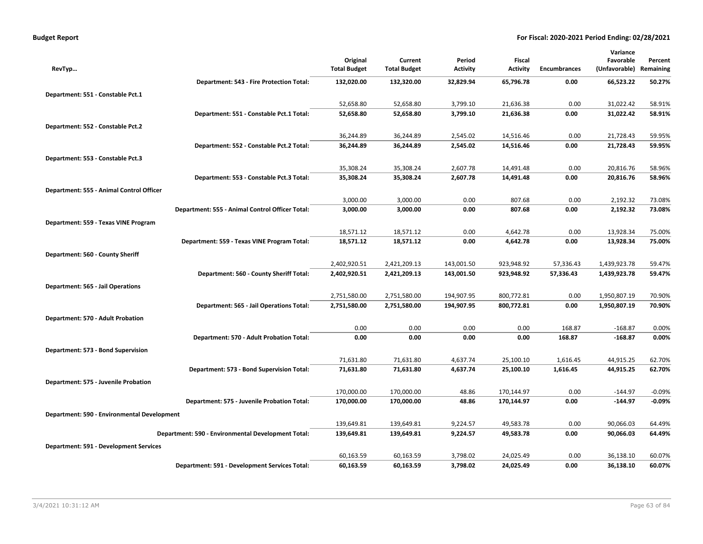|                                               |                                                    |                                 |                                |                           |                           |              | Variance                   |                      |
|-----------------------------------------------|----------------------------------------------------|---------------------------------|--------------------------------|---------------------------|---------------------------|--------------|----------------------------|----------------------|
| RevTyp                                        |                                                    | Original<br><b>Total Budget</b> | Current<br><b>Total Budget</b> | Period<br><b>Activity</b> | Fiscal<br><b>Activity</b> | Encumbrances | Favorable<br>(Unfavorable) | Percent<br>Remaining |
|                                               |                                                    |                                 |                                |                           |                           |              |                            |                      |
|                                               | Department: 543 - Fire Protection Total:           | 132,020.00                      | 132,320.00                     | 32,829.94                 | 65,796.78                 | 0.00         | 66,523.22                  | 50.27%               |
| Department: 551 - Constable Pct.1             |                                                    |                                 |                                |                           |                           |              |                            |                      |
|                                               |                                                    | 52,658.80                       | 52,658.80                      | 3,799.10                  | 21,636.38                 | 0.00         | 31,022.42                  | 58.91%               |
|                                               | Department: 551 - Constable Pct.1 Total:           | 52,658.80                       | 52,658.80                      | 3,799.10                  | 21,636.38                 | 0.00         | 31,022.42                  | 58.91%               |
| Department: 552 - Constable Pct.2             |                                                    |                                 |                                |                           |                           |              |                            |                      |
|                                               |                                                    | 36,244.89                       | 36,244.89                      | 2,545.02                  | 14,516.46                 | 0.00         | 21,728.43                  | 59.95%               |
|                                               | Department: 552 - Constable Pct.2 Total:           | 36,244.89                       | 36,244.89                      | 2,545.02                  | 14,516.46                 | 0.00         | 21,728.43                  | 59.95%               |
| Department: 553 - Constable Pct.3             |                                                    |                                 |                                |                           |                           |              |                            |                      |
|                                               |                                                    | 35,308.24                       | 35,308.24                      | 2,607.78                  | 14,491.48                 | 0.00         | 20,816.76                  | 58.96%               |
|                                               | Department: 553 - Constable Pct.3 Total:           | 35,308.24                       | 35,308.24                      | 2,607.78                  | 14,491.48                 | 0.00         | 20,816.76                  | 58.96%               |
| Department: 555 - Animal Control Officer      |                                                    |                                 |                                |                           |                           |              |                            |                      |
|                                               |                                                    | 3,000.00                        | 3,000.00                       | 0.00                      | 807.68                    | 0.00         | 2,192.32                   | 73.08%               |
|                                               | Department: 555 - Animal Control Officer Total:    | 3,000.00                        | 3,000.00                       | 0.00                      | 807.68                    | 0.00         | 2,192.32                   | 73.08%               |
| Department: 559 - Texas VINE Program          |                                                    |                                 |                                |                           |                           |              |                            |                      |
|                                               |                                                    | 18,571.12                       | 18,571.12                      | 0.00                      | 4,642.78                  | 0.00         | 13,928.34                  | 75.00%               |
|                                               | Department: 559 - Texas VINE Program Total:        | 18,571.12                       | 18,571.12                      | 0.00                      | 4,642.78                  | 0.00         | 13,928.34                  | 75.00%               |
| Department: 560 - County Sheriff              |                                                    |                                 |                                |                           |                           |              |                            |                      |
|                                               |                                                    | 2,402,920.51                    | 2,421,209.13                   | 143,001.50                | 923,948.92                | 57,336.43    | 1,439,923.78               | 59.47%               |
|                                               | Department: 560 - County Sheriff Total:            | 2,402,920.51                    | 2,421,209.13                   | 143,001.50                | 923,948.92                | 57,336.43    | 1,439,923.78               | 59.47%               |
| <b>Department: 565 - Jail Operations</b>      |                                                    |                                 |                                |                           |                           |              |                            |                      |
|                                               |                                                    | 2,751,580.00                    | 2,751,580.00                   | 194,907.95                | 800,772.81                | 0.00         | 1,950,807.19               | 70.90%               |
|                                               | Department: 565 - Jail Operations Total:           | 2,751,580.00                    | 2,751,580.00                   | 194,907.95                | 800,772.81                | 0.00         | 1,950,807.19               | 70.90%               |
| Department: 570 - Adult Probation             |                                                    |                                 |                                |                           |                           |              |                            |                      |
|                                               |                                                    | 0.00                            | 0.00                           | 0.00                      | 0.00                      | 168.87       | $-168.87$                  | 0.00%                |
|                                               | Department: 570 - Adult Probation Total:           | 0.00                            | 0.00                           | 0.00                      | 0.00                      | 168.87       | $-168.87$                  | 0.00%                |
| Department: 573 - Bond Supervision            |                                                    |                                 |                                |                           |                           |              |                            |                      |
|                                               |                                                    | 71,631.80                       | 71,631.80                      | 4,637.74                  | 25,100.10                 | 1,616.45     | 44,915.25                  | 62.70%               |
|                                               | Department: 573 - Bond Supervision Total:          | 71,631.80                       | 71,631.80                      | 4,637.74                  | 25,100.10                 | 1,616.45     | 44,915.25                  | 62.70%               |
| Department: 575 - Juvenile Probation          |                                                    |                                 |                                |                           |                           |              |                            |                      |
|                                               |                                                    | 170,000.00                      | 170,000.00                     | 48.86                     | 170,144.97                | 0.00         | $-144.97$                  | $-0.09%$             |
|                                               | Department: 575 - Juvenile Probation Total:        | 170,000.00                      | 170,000.00                     | 48.86                     | 170,144.97                | 0.00         | $-144.97$                  | $-0.09%$             |
| Department: 590 - Environmental Development   |                                                    |                                 |                                |                           |                           |              |                            |                      |
|                                               |                                                    | 139,649.81                      | 139,649.81                     | 9,224.57                  | 49,583.78                 | 0.00         | 90,066.03                  | 64.49%               |
|                                               | Department: 590 - Environmental Development Total: | 139,649.81                      | 139,649.81                     | 9,224.57                  | 49,583.78                 | 0.00         | 90,066.03                  | 64.49%               |
| <b>Department: 591 - Development Services</b> |                                                    |                                 |                                |                           |                           |              |                            |                      |
|                                               |                                                    | 60,163.59                       | 60,163.59                      | 3,798.02                  | 24,025.49                 | 0.00         | 36,138.10                  | 60.07%               |
|                                               | Department: 591 - Development Services Total:      | 60,163.59                       | 60,163.59                      | 3,798.02                  | 24,025.49                 | 0.00         | 36,138.10                  | 60.07%               |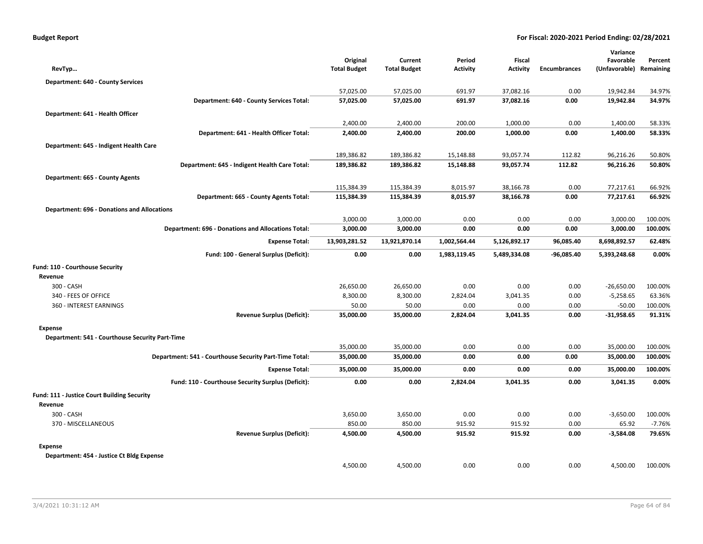| RevTyp                                                    | Original<br><b>Total Budget</b> | Current<br><b>Total Budget</b> | Period<br><b>Activity</b> | Fiscal<br><b>Activity</b> | <b>Encumbrances</b> | Variance<br>Favorable<br>(Unfavorable) | Percent<br>Remaining |
|-----------------------------------------------------------|---------------------------------|--------------------------------|---------------------------|---------------------------|---------------------|----------------------------------------|----------------------|
| <b>Department: 640 - County Services</b>                  |                                 |                                |                           |                           |                     |                                        |                      |
|                                                           | 57,025.00                       | 57,025.00                      | 691.97                    | 37,082.16                 | 0.00                | 19,942.84                              | 34.97%               |
| Department: 640 - County Services Total:                  | 57,025.00                       | 57,025.00                      | 691.97                    | 37,082.16                 | 0.00                | 19,942.84                              | 34.97%               |
| Department: 641 - Health Officer                          |                                 |                                |                           |                           |                     |                                        |                      |
|                                                           | 2,400.00                        | 2,400.00                       | 200.00                    | 1,000.00                  | 0.00                | 1,400.00                               | 58.33%               |
| Department: 641 - Health Officer Total:                   | 2,400.00                        | 2,400.00                       | 200.00                    | 1,000.00                  | 0.00                | 1,400.00                               | 58.33%               |
| Department: 645 - Indigent Health Care                    |                                 |                                |                           |                           |                     |                                        |                      |
|                                                           | 189,386.82                      | 189,386.82                     | 15,148.88                 | 93,057.74                 | 112.82              | 96,216.26                              | 50.80%               |
| Department: 645 - Indigent Health Care Total:             | 189,386.82                      | 189,386.82                     | 15,148.88                 | 93,057.74                 | 112.82              | 96,216.26                              | 50.80%               |
| Department: 665 - County Agents                           |                                 |                                |                           |                           |                     |                                        |                      |
|                                                           | 115,384.39                      | 115,384.39                     | 8,015.97                  | 38,166.78                 | 0.00                | 77,217.61                              | 66.92%               |
| Department: 665 - County Agents Total:                    | 115,384.39                      | 115,384.39                     | 8,015.97                  | 38,166.78                 | 0.00                | 77,217.61                              | 66.92%               |
|                                                           |                                 |                                |                           |                           |                     |                                        |                      |
| <b>Department: 696 - Donations and Allocations</b>        | 3,000.00                        | 3,000.00                       | 0.00                      | 0.00                      | 0.00                | 3,000.00                               | 100.00%              |
| <b>Department: 696 - Donations and Allocations Total:</b> | 3,000.00                        | 3,000.00                       | 0.00                      | 0.00                      | 0.00                | 3,000.00                               | 100.00%              |
|                                                           |                                 |                                |                           |                           |                     |                                        |                      |
| <b>Expense Total:</b>                                     | 13,903,281.52                   | 13,921,870.14                  | 1,002,564.44              | 5,126,892.17              | 96,085.40           | 8,698,892.57                           | 62.48%               |
| Fund: 100 - General Surplus (Deficit):                    | 0.00                            | 0.00                           | 1,983,119.45              | 5,489,334.08              | -96,085.40          | 5,393,248.68                           | 0.00%                |
| Fund: 110 - Courthouse Security                           |                                 |                                |                           |                           |                     |                                        |                      |
| Revenue                                                   |                                 |                                |                           |                           |                     |                                        |                      |
| 300 - CASH                                                | 26,650.00                       | 26,650.00                      | 0.00                      | 0.00                      | 0.00                | $-26,650.00$                           | 100.00%              |
| 340 - FEES OF OFFICE                                      | 8,300.00                        | 8,300.00                       | 2,824.04                  | 3,041.35                  | 0.00                | $-5,258.65$                            | 63.36%               |
| 360 - INTEREST EARNINGS                                   | 50.00                           | 50.00                          | 0.00                      | 0.00                      | 0.00                | $-50.00$                               | 100.00%              |
| <b>Revenue Surplus (Deficit):</b>                         | 35,000.00                       | 35,000.00                      | 2,824.04                  | 3,041.35                  | 0.00                | $-31,958.65$                           | 91.31%               |
| <b>Expense</b>                                            |                                 |                                |                           |                           |                     |                                        |                      |
| Department: 541 - Courthouse Security Part-Time           |                                 |                                |                           |                           |                     |                                        |                      |
|                                                           | 35,000.00                       | 35,000.00                      | 0.00                      | 0.00                      | 0.00                | 35,000.00                              | 100.00%              |
| Department: 541 - Courthouse Security Part-Time Total:    | 35,000.00                       | 35,000.00                      | 0.00                      | 0.00                      | 0.00                | 35,000.00                              | 100.00%              |
| <b>Expense Total:</b>                                     | 35,000.00                       | 35,000.00                      | 0.00                      | 0.00                      | 0.00                | 35,000.00                              | 100.00%              |
| Fund: 110 - Courthouse Security Surplus (Deficit):        | 0.00                            | 0.00                           | 2,824.04                  | 3,041.35                  | 0.00                | 3,041.35                               | 0.00%                |
| Fund: 111 - Justice Court Building Security               |                                 |                                |                           |                           |                     |                                        |                      |
| Revenue                                                   |                                 |                                |                           |                           |                     |                                        |                      |
| 300 - CASH                                                | 3,650.00                        | 3,650.00                       | 0.00                      | 0.00                      | 0.00                | $-3,650.00$                            | 100.00%              |
| 370 - MISCELLANEOUS                                       | 850.00                          | 850.00                         | 915.92                    | 915.92                    | 0.00                | 65.92                                  | $-7.76%$             |
| <b>Revenue Surplus (Deficit):</b>                         | 4,500.00                        | 4,500.00                       | 915.92                    | 915.92                    | 0.00                | $-3,584.08$                            | 79.65%               |
| <b>Expense</b>                                            |                                 |                                |                           |                           |                     |                                        |                      |
| Department: 454 - Justice Ct Bldg Expense                 |                                 |                                |                           |                           |                     |                                        |                      |
|                                                           | 4,500.00                        | 4,500.00                       | 0.00                      | 0.00                      | 0.00                | 4,500.00                               | 100.00%              |
|                                                           |                                 |                                |                           |                           |                     |                                        |                      |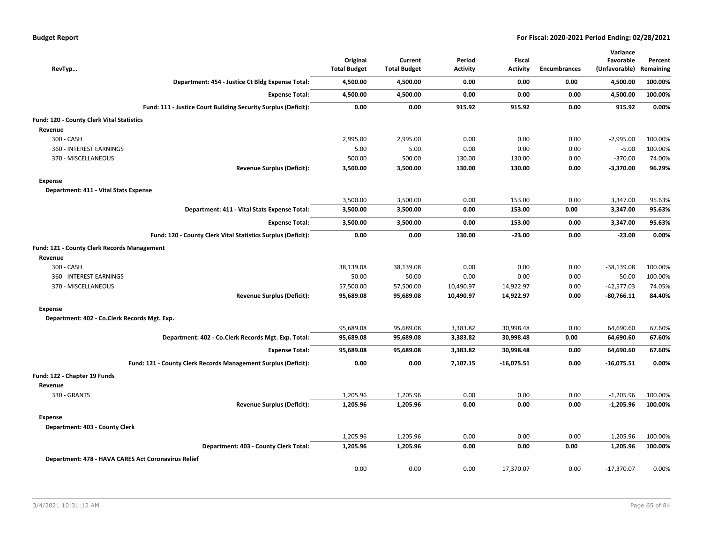| RevTyp                                              |                                                                | Original<br><b>Total Budget</b> | Current<br><b>Total Budget</b> | Period<br><b>Activity</b> | Fiscal<br><b>Activity</b> | <b>Encumbrances</b> | Variance<br>Favorable<br>(Unfavorable) | Percent<br>Remaining |
|-----------------------------------------------------|----------------------------------------------------------------|---------------------------------|--------------------------------|---------------------------|---------------------------|---------------------|----------------------------------------|----------------------|
|                                                     | Department: 454 - Justice Ct Bldg Expense Total:               | 4,500.00                        | 4,500.00                       | 0.00                      | 0.00                      | 0.00                | 4,500.00                               | 100.00%              |
|                                                     | <b>Expense Total:</b>                                          | 4,500.00                        | 4,500.00                       | 0.00                      | 0.00                      | 0.00                | 4,500.00                               | 100.00%              |
|                                                     | Fund: 111 - Justice Court Building Security Surplus (Deficit): | 0.00                            | 0.00                           | 915.92                    | 915.92                    | 0.00                | 915.92                                 | 0.00%                |
| Fund: 120 - County Clerk Vital Statistics           |                                                                |                                 |                                |                           |                           |                     |                                        |                      |
| Revenue                                             |                                                                |                                 |                                |                           |                           |                     |                                        |                      |
| 300 - CASH                                          |                                                                | 2,995.00                        | 2,995.00                       | 0.00                      | 0.00                      | 0.00                | $-2,995.00$                            | 100.00%              |
| 360 - INTEREST EARNINGS                             |                                                                | 5.00                            | 5.00                           | 0.00                      | 0.00                      | 0.00                | $-5.00$                                | 100.00%              |
| 370 - MISCELLANEOUS                                 |                                                                | 500.00                          | 500.00                         | 130.00                    | 130.00                    | 0.00                | $-370.00$                              | 74.00%               |
|                                                     | <b>Revenue Surplus (Deficit):</b>                              | 3,500.00                        | 3,500.00                       | 130.00                    | 130.00                    | 0.00                | $-3,370.00$                            | 96.29%               |
| Expense                                             |                                                                |                                 |                                |                           |                           |                     |                                        |                      |
| Department: 411 - Vital Stats Expense               |                                                                |                                 |                                |                           |                           |                     |                                        |                      |
|                                                     |                                                                | 3,500.00                        | 3,500.00                       | 0.00                      | 153.00                    | 0.00                | 3,347.00                               | 95.63%               |
|                                                     | Department: 411 - Vital Stats Expense Total:                   | 3,500.00                        | 3,500.00                       | 0.00                      | 153.00                    | 0.00                | 3,347.00                               | 95.63%               |
|                                                     | <b>Expense Total:</b>                                          | 3,500.00                        | 3,500.00                       | 0.00                      | 153.00                    | 0.00                | 3,347.00                               | 95.63%               |
|                                                     | Fund: 120 - County Clerk Vital Statistics Surplus (Deficit):   | 0.00                            | 0.00                           | 130.00                    | $-23.00$                  | 0.00                | $-23.00$                               | 0.00%                |
| Fund: 121 - County Clerk Records Management         |                                                                |                                 |                                |                           |                           |                     |                                        |                      |
| Revenue                                             |                                                                |                                 |                                |                           |                           |                     |                                        |                      |
| 300 - CASH                                          |                                                                | 38,139.08                       | 38,139.08                      | 0.00                      | 0.00                      | 0.00                | $-38,139.08$                           | 100.00%              |
| 360 - INTEREST EARNINGS                             |                                                                | 50.00                           | 50.00                          | 0.00                      | 0.00                      | 0.00                | $-50.00$                               | 100.00%              |
| 370 - MISCELLANEOUS                                 |                                                                | 57,500.00                       | 57,500.00                      | 10,490.97                 | 14,922.97                 | 0.00                | $-42,577.03$                           | 74.05%               |
|                                                     | <b>Revenue Surplus (Deficit):</b>                              | 95,689.08                       | 95,689.08                      | 10,490.97                 | 14,922.97                 | 0.00                | $-80,766.11$                           | 84.40%               |
| <b>Expense</b>                                      |                                                                |                                 |                                |                           |                           |                     |                                        |                      |
| Department: 402 - Co.Clerk Records Mgt. Exp.        |                                                                |                                 |                                |                           |                           |                     |                                        |                      |
|                                                     |                                                                | 95,689.08                       | 95,689.08                      | 3,383.82                  | 30,998.48                 | 0.00                | 64,690.60                              | 67.60%               |
|                                                     | Department: 402 - Co.Clerk Records Mgt. Exp. Total:            | 95,689.08                       | 95,689.08                      | 3,383.82                  | 30,998.48                 | 0.00                | 64,690.60                              | 67.60%               |
|                                                     | <b>Expense Total:</b>                                          | 95,689.08                       | 95,689.08                      | 3,383.82                  | 30,998.48                 | 0.00                | 64,690.60                              | 67.60%               |
|                                                     | Fund: 121 - County Clerk Records Management Surplus (Deficit): | 0.00                            | 0.00                           | 7,107.15                  | $-16,075.51$              | 0.00                | $-16,075.51$                           | 0.00%                |
| Fund: 122 - Chapter 19 Funds                        |                                                                |                                 |                                |                           |                           |                     |                                        |                      |
| Revenue                                             |                                                                |                                 |                                |                           |                           |                     |                                        |                      |
| 330 - GRANTS                                        |                                                                | 1,205.96                        | 1,205.96                       | 0.00                      | 0.00                      | 0.00                | $-1,205.96$                            | 100.00%              |
|                                                     | <b>Revenue Surplus (Deficit):</b>                              | 1,205.96                        | 1,205.96                       | 0.00                      | 0.00                      | 0.00                | $-1,205.96$                            | 100.00%              |
| <b>Expense</b>                                      |                                                                |                                 |                                |                           |                           |                     |                                        |                      |
| Department: 403 - County Clerk                      |                                                                |                                 |                                |                           |                           |                     |                                        |                      |
|                                                     |                                                                | 1,205.96                        | 1,205.96                       | 0.00                      | 0.00                      | 0.00                | 1,205.96                               | 100.00%              |
|                                                     | Department: 403 - County Clerk Total:                          | 1,205.96                        | 1,205.96                       | 0.00                      | 0.00                      | 0.00                | 1,205.96                               | 100.00%              |
| Department: 478 - HAVA CARES Act Coronavirus Relief |                                                                |                                 |                                |                           |                           |                     |                                        |                      |
|                                                     |                                                                | 0.00                            | 0.00                           | 0.00                      | 17,370.07                 | 0.00                | $-17,370.07$                           | 0.00%                |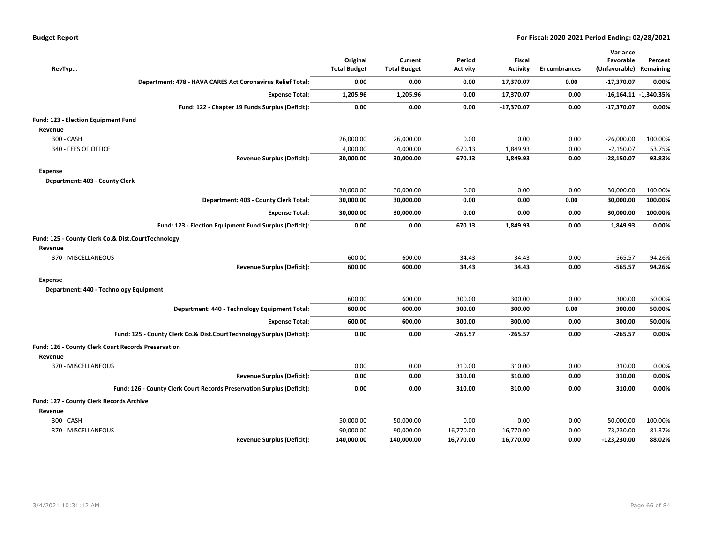| <b>Budget Report</b> |  |
|----------------------|--|
|----------------------|--|

| RevTyp                                                                 | Original<br><b>Total Budget</b> | Current<br><b>Total Budget</b> | Period<br><b>Activity</b> | <b>Fiscal</b><br><b>Activity</b> | <b>Encumbrances</b> | Variance<br>Favorable<br>(Unfavorable) Remaining | Percent                   |
|------------------------------------------------------------------------|---------------------------------|--------------------------------|---------------------------|----------------------------------|---------------------|--------------------------------------------------|---------------------------|
| Department: 478 - HAVA CARES Act Coronavirus Relief Total:             | 0.00                            | 0.00                           | 0.00                      | 17,370.07                        | 0.00                | $-17,370.07$                                     | 0.00%                     |
| <b>Expense Total:</b>                                                  | 1,205.96                        | 1,205.96                       | 0.00                      | 17,370.07                        | 0.00                |                                                  | $-16,164.11$ $-1,340.35%$ |
| Fund: 122 - Chapter 19 Funds Surplus (Deficit):                        | 0.00                            | 0.00                           | 0.00                      | $-17,370.07$                     | 0.00                | $-17,370.07$                                     | 0.00%                     |
| Fund: 123 - Election Equipment Fund                                    |                                 |                                |                           |                                  |                     |                                                  |                           |
| Revenue                                                                |                                 |                                |                           |                                  |                     |                                                  |                           |
| 300 - CASH                                                             | 26,000.00                       | 26,000.00                      | 0.00                      | 0.00                             | 0.00                | $-26,000.00$                                     | 100.00%                   |
| 340 - FEES OF OFFICE                                                   | 4,000.00                        | 4,000.00                       | 670.13                    | 1,849.93                         | 0.00                | $-2,150.07$                                      | 53.75%                    |
| <b>Revenue Surplus (Deficit):</b>                                      | 30,000.00                       | 30,000.00                      | 670.13                    | 1,849.93                         | 0.00                | $-28,150.07$                                     | 93.83%                    |
| <b>Expense</b>                                                         |                                 |                                |                           |                                  |                     |                                                  |                           |
| Department: 403 - County Clerk                                         |                                 |                                |                           |                                  |                     |                                                  |                           |
|                                                                        | 30,000.00                       | 30,000.00                      | 0.00                      | 0.00                             | 0.00                | 30,000.00                                        | 100.00%                   |
| Department: 403 - County Clerk Total:                                  | 30,000.00                       | 30,000.00                      | 0.00                      | 0.00                             | 0.00                | 30,000.00                                        | 100.00%                   |
| <b>Expense Total:</b>                                                  | 30,000.00                       | 30,000.00                      | 0.00                      | 0.00                             | 0.00                | 30,000.00                                        | 100.00%                   |
| Fund: 123 - Election Equipment Fund Surplus (Deficit):                 | 0.00                            | 0.00                           | 670.13                    | 1,849.93                         | 0.00                | 1,849.93                                         | 0.00%                     |
| Fund: 125 - County Clerk Co.& Dist.CourtTechnology                     |                                 |                                |                           |                                  |                     |                                                  |                           |
| Revenue                                                                |                                 |                                |                           |                                  |                     |                                                  |                           |
| 370 - MISCELLANEOUS                                                    | 600.00                          | 600.00                         | 34.43                     | 34.43                            | 0.00                | $-565.57$                                        | 94.26%                    |
| <b>Revenue Surplus (Deficit):</b>                                      | 600.00                          | 600.00                         | 34.43                     | 34.43                            | 0.00                | $-565.57$                                        | 94.26%                    |
| Expense                                                                |                                 |                                |                           |                                  |                     |                                                  |                           |
| Department: 440 - Technology Equipment                                 |                                 |                                |                           |                                  |                     |                                                  |                           |
|                                                                        | 600.00                          | 600.00                         | 300.00                    | 300.00                           | 0.00                | 300.00                                           | 50.00%                    |
| Department: 440 - Technology Equipment Total:                          | 600.00                          | 600.00                         | 300.00                    | 300.00                           | 0.00                | 300.00                                           | 50.00%                    |
| <b>Expense Total:</b>                                                  | 600.00                          | 600.00                         | 300.00                    | 300.00                           | 0.00                | 300.00                                           | 50.00%                    |
| Fund: 125 - County Clerk Co.& Dist.CourtTechnology Surplus (Deficit):  | 0.00                            | 0.00                           | $-265.57$                 | $-265.57$                        | 0.00                | $-265.57$                                        | 0.00%                     |
| <b>Fund: 126 - County Clerk Court Records Preservation</b>             |                                 |                                |                           |                                  |                     |                                                  |                           |
| Revenue                                                                |                                 |                                |                           |                                  |                     |                                                  |                           |
| 370 - MISCELLANEOUS                                                    | 0.00                            | 0.00                           | 310.00                    | 310.00                           | 0.00                | 310.00                                           | 0.00%                     |
| <b>Revenue Surplus (Deficit):</b>                                      | 0.00                            | 0.00                           | 310.00                    | 310.00                           | 0.00                | 310.00                                           | 0.00%                     |
| Fund: 126 - County Clerk Court Records Preservation Surplus (Deficit): | 0.00                            | 0.00                           | 310.00                    | 310.00                           | 0.00                | 310.00                                           | 0.00%                     |
| Fund: 127 - County Clerk Records Archive                               |                                 |                                |                           |                                  |                     |                                                  |                           |
| Revenue                                                                |                                 |                                |                           |                                  |                     |                                                  |                           |
| 300 - CASH                                                             | 50,000.00                       | 50,000.00                      | 0.00                      | 0.00                             | 0.00                | $-50,000.00$                                     | 100.00%                   |
| 370 - MISCELLANEOUS                                                    | 90,000.00                       | 90,000.00                      | 16,770.00                 | 16,770.00                        | 0.00                | $-73,230.00$                                     | 81.37%                    |
| <b>Revenue Surplus (Deficit):</b>                                      | 140,000.00                      | 140,000.00                     | 16,770.00                 | 16,770.00                        | 0.00                | $-123,230.00$                                    | 88.02%                    |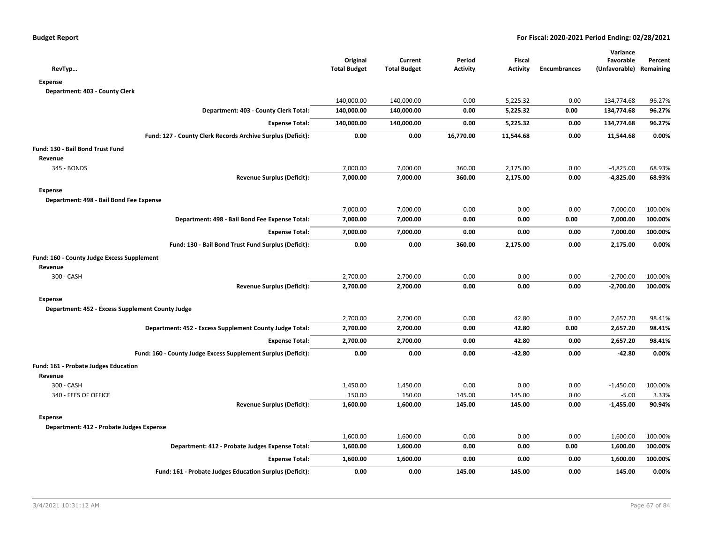| RevTyp                                                        | Original<br><b>Total Budget</b> | Current<br><b>Total Budget</b> | Period<br><b>Activity</b> | Fiscal<br><b>Activity</b> | <b>Encumbrances</b> | Variance<br>Favorable<br>(Unfavorable) Remaining | Percent |
|---------------------------------------------------------------|---------------------------------|--------------------------------|---------------------------|---------------------------|---------------------|--------------------------------------------------|---------|
| <b>Expense</b>                                                |                                 |                                |                           |                           |                     |                                                  |         |
| Department: 403 - County Clerk                                |                                 |                                |                           |                           |                     |                                                  |         |
|                                                               | 140,000.00                      | 140,000.00                     | 0.00                      | 5,225.32                  | 0.00                | 134,774.68                                       | 96.27%  |
| Department: 403 - County Clerk Total:                         | 140,000.00                      | 140,000.00                     | 0.00                      | 5,225.32                  | 0.00                | 134,774.68                                       | 96.27%  |
| <b>Expense Total:</b>                                         | 140,000.00                      | 140,000.00                     | 0.00                      | 5,225.32                  | 0.00                | 134,774.68                                       | 96.27%  |
| Fund: 127 - County Clerk Records Archive Surplus (Deficit):   | 0.00                            | 0.00                           | 16,770.00                 | 11,544.68                 | 0.00                | 11,544.68                                        | 0.00%   |
| Fund: 130 - Bail Bond Trust Fund                              |                                 |                                |                           |                           |                     |                                                  |         |
| Revenue                                                       |                                 |                                |                           |                           |                     |                                                  |         |
| 345 - BONDS                                                   | 7,000.00                        | 7,000.00                       | 360.00                    | 2,175.00                  | 0.00                | $-4,825.00$                                      | 68.93%  |
| <b>Revenue Surplus (Deficit):</b>                             | 7,000.00                        | 7,000.00                       | 360.00                    | 2,175.00                  | 0.00                | $-4,825.00$                                      | 68.93%  |
| <b>Expense</b>                                                |                                 |                                |                           |                           |                     |                                                  |         |
| Department: 498 - Bail Bond Fee Expense                       |                                 |                                |                           |                           |                     |                                                  |         |
|                                                               | 7,000.00                        | 7,000.00                       | 0.00                      | 0.00                      | 0.00                | 7,000.00                                         | 100.00% |
| Department: 498 - Bail Bond Fee Expense Total:                | 7,000.00                        | 7,000.00                       | 0.00                      | 0.00                      | 0.00                | 7,000.00                                         | 100.00% |
| <b>Expense Total:</b>                                         | 7,000.00                        | 7,000.00                       | 0.00                      | 0.00                      | 0.00                | 7,000.00                                         | 100.00% |
| Fund: 130 - Bail Bond Trust Fund Surplus (Deficit):           | 0.00                            | 0.00                           | 360.00                    | 2,175.00                  | 0.00                | 2,175.00                                         | 0.00%   |
| Fund: 160 - County Judge Excess Supplement                    |                                 |                                |                           |                           |                     |                                                  |         |
| Revenue                                                       |                                 |                                |                           |                           |                     |                                                  |         |
| 300 - CASH                                                    | 2,700.00                        | 2,700.00                       | 0.00                      | 0.00                      | 0.00                | $-2,700.00$                                      | 100.00% |
| <b>Revenue Surplus (Deficit):</b>                             | 2,700.00                        | 2,700.00                       | 0.00                      | 0.00                      | 0.00                | $-2,700.00$                                      | 100.00% |
| <b>Expense</b>                                                |                                 |                                |                           |                           |                     |                                                  |         |
| Department: 452 - Excess Supplement County Judge              |                                 |                                |                           |                           |                     |                                                  |         |
|                                                               | 2,700.00                        | 2,700.00                       | 0.00                      | 42.80                     | 0.00                | 2,657.20                                         | 98.41%  |
| Department: 452 - Excess Supplement County Judge Total:       | 2,700.00                        | 2,700.00                       | 0.00                      | 42.80                     | 0.00                | 2,657.20                                         | 98.41%  |
| <b>Expense Total:</b>                                         | 2,700.00                        | 2,700.00                       | 0.00                      | 42.80                     | 0.00                | 2,657.20                                         | 98.41%  |
| Fund: 160 - County Judge Excess Supplement Surplus (Deficit): | 0.00                            | 0.00                           | 0.00                      | $-42.80$                  | 0.00                | $-42.80$                                         | 0.00%   |
| <b>Fund: 161 - Probate Judges Education</b>                   |                                 |                                |                           |                           |                     |                                                  |         |
| Revenue                                                       |                                 |                                |                           |                           |                     |                                                  |         |
| 300 - CASH                                                    | 1,450.00                        | 1,450.00                       | 0.00                      | 0.00                      | 0.00                | $-1,450.00$                                      | 100.00% |
| 340 - FEES OF OFFICE                                          | 150.00                          | 150.00                         | 145.00                    | 145.00                    | 0.00                | $-5.00$                                          | 3.33%   |
| <b>Revenue Surplus (Deficit):</b>                             | 1,600.00                        | 1,600.00                       | 145.00                    | 145.00                    | 0.00                | $-1,455.00$                                      | 90.94%  |
| <b>Expense</b>                                                |                                 |                                |                           |                           |                     |                                                  |         |
| Department: 412 - Probate Judges Expense                      |                                 |                                |                           |                           |                     |                                                  |         |
|                                                               | 1,600.00                        | 1,600.00                       | 0.00                      | 0.00                      | 0.00                | 1,600.00                                         | 100.00% |
| Department: 412 - Probate Judges Expense Total:               | 1,600.00                        | 1,600.00                       | 0.00                      | 0.00                      | 0.00                | 1,600.00                                         | 100.00% |
| <b>Expense Total:</b>                                         | 1,600.00                        | 1,600.00                       | 0.00                      | 0.00                      | 0.00                | 1,600.00                                         | 100.00% |
| Fund: 161 - Probate Judges Education Surplus (Deficit):       | 0.00                            | 0.00                           | 145.00                    | 145.00                    | 0.00                | 145.00                                           | 0.00%   |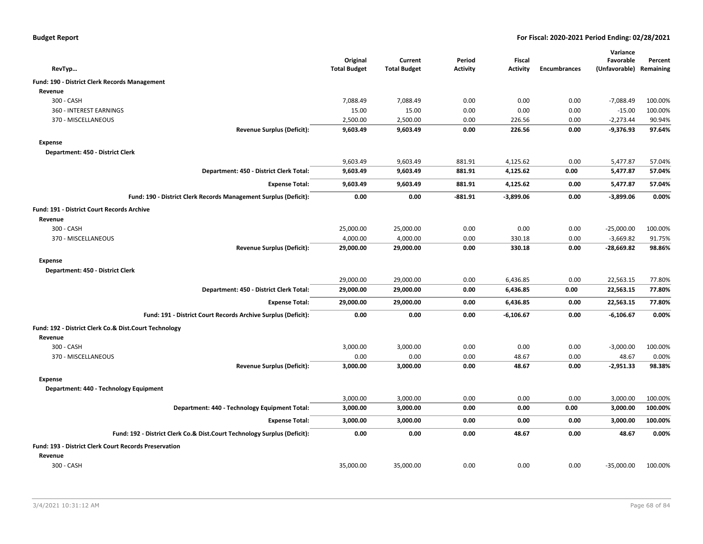|  |  |  | <b>Budget Report</b> |
|--|--|--|----------------------|
|--|--|--|----------------------|

|                                                                          |                     |                     |                 |                 |                     | Variance      |           |
|--------------------------------------------------------------------------|---------------------|---------------------|-----------------|-----------------|---------------------|---------------|-----------|
|                                                                          | Original            | Current             | Period          | <b>Fiscal</b>   |                     | Favorable     | Percent   |
| RevTyp                                                                   | <b>Total Budget</b> | <b>Total Budget</b> | <b>Activity</b> | <b>Activity</b> | <b>Encumbrances</b> | (Unfavorable) | Remaining |
| Fund: 190 - District Clerk Records Management                            |                     |                     |                 |                 |                     |               |           |
| Revenue                                                                  |                     |                     |                 |                 |                     |               |           |
| 300 - CASH                                                               | 7,088.49            | 7,088.49            | 0.00            | 0.00            | 0.00                | $-7,088.49$   | 100.00%   |
| 360 - INTEREST EARNINGS                                                  | 15.00               | 15.00               | 0.00            | 0.00            | 0.00                | $-15.00$      | 100.00%   |
| 370 - MISCELLANEOUS                                                      | 2,500.00            | 2,500.00            | 0.00            | 226.56          | 0.00                | $-2,273.44$   | 90.94%    |
| <b>Revenue Surplus (Deficit):</b>                                        | 9,603.49            | 9,603.49            | 0.00            | 226.56          | 0.00                | $-9,376.93$   | 97.64%    |
| <b>Expense</b>                                                           |                     |                     |                 |                 |                     |               |           |
| Department: 450 - District Clerk                                         |                     |                     |                 |                 |                     |               |           |
|                                                                          | 9,603.49            | 9,603.49            | 881.91          | 4,125.62        | 0.00                | 5,477.87      | 57.04%    |
| Department: 450 - District Clerk Total:                                  | 9,603.49            | 9,603.49            | 881.91          | 4,125.62        | 0.00                | 5,477.87      | 57.04%    |
| <b>Expense Total:</b>                                                    | 9,603.49            | 9,603.49            | 881.91          | 4,125.62        | 0.00                | 5,477.87      | 57.04%    |
| Fund: 190 - District Clerk Records Management Surplus (Deficit):         | 0.00                | 0.00                | $-881.91$       | $-3,899.06$     | 0.00                | $-3,899.06$   | 0.00%     |
| <b>Fund: 191 - District Court Records Archive</b>                        |                     |                     |                 |                 |                     |               |           |
| Revenue                                                                  |                     |                     |                 |                 |                     |               |           |
| 300 - CASH                                                               | 25,000.00           | 25,000.00           | 0.00            | 0.00            | 0.00                | $-25,000.00$  | 100.00%   |
| 370 - MISCELLANEOUS                                                      | 4,000.00            | 4,000.00            | 0.00            | 330.18          | 0.00                | $-3,669.82$   | 91.75%    |
| <b>Revenue Surplus (Deficit):</b>                                        | 29,000.00           | 29,000.00           | 0.00            | 330.18          | 0.00                | -28,669.82    | 98.86%    |
| <b>Expense</b>                                                           |                     |                     |                 |                 |                     |               |           |
| Department: 450 - District Clerk                                         |                     |                     |                 |                 |                     |               |           |
|                                                                          | 29,000.00           | 29,000.00           | 0.00            | 6,436.85        | 0.00                | 22,563.15     | 77.80%    |
| Department: 450 - District Clerk Total:                                  | 29,000.00           | 29,000.00           | 0.00            | 6,436.85        | 0.00                | 22,563.15     | 77.80%    |
| <b>Expense Total:</b>                                                    | 29,000.00           | 29,000.00           | 0.00            | 6,436.85        | 0.00                | 22,563.15     | 77.80%    |
| Fund: 191 - District Court Records Archive Surplus (Deficit):            | 0.00                | 0.00                | 0.00            | $-6,106.67$     | 0.00                | $-6,106.67$   | 0.00%     |
| Fund: 192 - District Clerk Co.& Dist.Court Technology                    |                     |                     |                 |                 |                     |               |           |
| Revenue                                                                  |                     |                     |                 |                 |                     |               |           |
| 300 - CASH                                                               | 3,000.00            | 3,000.00            | 0.00            | 0.00            | 0.00                | $-3,000.00$   | 100.00%   |
| 370 - MISCELLANEOUS                                                      | 0.00                | 0.00                | 0.00            | 48.67           | 0.00                | 48.67         | 0.00%     |
| <b>Revenue Surplus (Deficit):</b>                                        | 3,000.00            | 3,000.00            | 0.00            | 48.67           | 0.00                | $-2,951.33$   | 98.38%    |
| <b>Expense</b>                                                           |                     |                     |                 |                 |                     |               |           |
| Department: 440 - Technology Equipment                                   |                     |                     |                 |                 |                     |               |           |
|                                                                          | 3,000.00            | 3,000.00            | 0.00            | 0.00            | 0.00                | 3,000.00      | 100.00%   |
| Department: 440 - Technology Equipment Total:                            | 3,000.00            | 3,000.00            | 0.00            | 0.00            | 0.00                | 3,000.00      | 100.00%   |
| <b>Expense Total:</b>                                                    | 3,000.00            | 3,000.00            | 0.00            | 0.00            | 0.00                | 3,000.00      | 100.00%   |
| Fund: 192 - District Clerk Co.& Dist.Court Technology Surplus (Deficit): | 0.00                | 0.00                | 0.00            | 48.67           | 0.00                | 48.67         | 0.00%     |
| <b>Fund: 193 - District Clerk Court Records Preservation</b>             |                     |                     |                 |                 |                     |               |           |
| Revenue                                                                  |                     |                     |                 |                 |                     |               |           |
| 300 - CASH                                                               | 35,000.00           | 35,000.00           | 0.00            | 0.00            | 0.00                | $-35,000.00$  | 100.00%   |
|                                                                          |                     |                     |                 |                 |                     |               |           |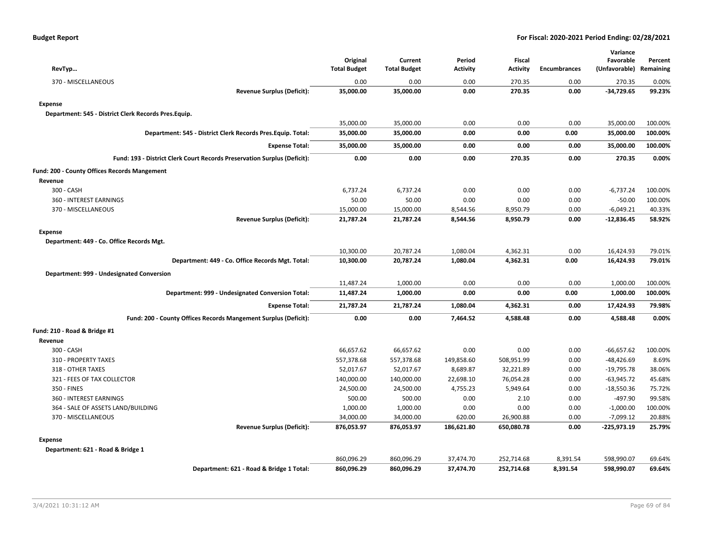| RevTyp                                                                   | Original<br><b>Total Budget</b> | Current<br><b>Total Budget</b> | Period<br><b>Activity</b> | <b>Fiscal</b><br><b>Activity</b> | <b>Encumbrances</b> | Variance<br>Favorable<br>(Unfavorable) Remaining | Percent |
|--------------------------------------------------------------------------|---------------------------------|--------------------------------|---------------------------|----------------------------------|---------------------|--------------------------------------------------|---------|
| 370 - MISCELLANEOUS                                                      | 0.00                            | 0.00                           | 0.00                      | 270.35                           | 0.00                | 270.35                                           | 0.00%   |
| <b>Revenue Surplus (Deficit):</b>                                        | 35,000.00                       | 35,000.00                      | 0.00                      | 270.35                           | 0.00                | $-34,729.65$                                     | 99.23%  |
| <b>Expense</b>                                                           |                                 |                                |                           |                                  |                     |                                                  |         |
| Department: 545 - District Clerk Records Pres.Equip.                     |                                 |                                |                           |                                  |                     |                                                  |         |
|                                                                          | 35,000.00                       | 35,000.00                      | 0.00                      | 0.00                             | 0.00                | 35,000.00                                        | 100.00% |
| Department: 545 - District Clerk Records Pres. Equip. Total:             | 35,000.00                       | 35,000.00                      | 0.00                      | 0.00                             | 0.00                | 35,000.00                                        | 100.00% |
| <b>Expense Total:</b>                                                    | 35,000.00                       | 35,000.00                      | 0.00                      | 0.00                             | 0.00                | 35,000.00                                        | 100.00% |
| Fund: 193 - District Clerk Court Records Preservation Surplus (Deficit): | 0.00                            | 0.00                           | 0.00                      | 270.35                           | 0.00                | 270.35                                           | 0.00%   |
| Fund: 200 - County Offices Records Mangement                             |                                 |                                |                           |                                  |                     |                                                  |         |
| Revenue                                                                  |                                 |                                |                           |                                  |                     |                                                  |         |
| 300 - CASH                                                               | 6,737.24                        | 6,737.24                       | 0.00                      | 0.00                             | 0.00                | $-6,737.24$                                      | 100.00% |
| 360 - INTEREST EARNINGS                                                  | 50.00                           | 50.00                          | 0.00                      | 0.00                             | 0.00                | $-50.00$                                         | 100.00% |
| 370 - MISCELLANEOUS                                                      | 15,000.00                       | 15,000.00                      | 8,544.56                  | 8,950.79                         | 0.00                | $-6,049.21$                                      | 40.33%  |
| <b>Revenue Surplus (Deficit):</b>                                        | 21,787.24                       | 21,787.24                      | 8,544.56                  | 8,950.79                         | 0.00                | $-12,836.45$                                     | 58.92%  |
| <b>Expense</b>                                                           |                                 |                                |                           |                                  |                     |                                                  |         |
| Department: 449 - Co. Office Records Mgt.                                |                                 |                                |                           |                                  |                     |                                                  |         |
|                                                                          | 10,300.00                       | 20,787.24                      | 1,080.04                  | 4,362.31                         | 0.00                | 16,424.93                                        | 79.01%  |
| Department: 449 - Co. Office Records Mgt. Total:                         | 10,300.00                       | 20,787.24                      | 1,080.04                  | 4,362.31                         | 0.00                | 16,424.93                                        | 79.01%  |
| Department: 999 - Undesignated Conversion                                |                                 |                                |                           |                                  |                     |                                                  |         |
|                                                                          | 11,487.24                       | 1,000.00                       | 0.00                      | 0.00                             | 0.00                | 1,000.00                                         | 100.00% |
| Department: 999 - Undesignated Conversion Total:                         | 11,487.24                       | 1,000.00                       | 0.00                      | 0.00                             | 0.00                | 1,000.00                                         | 100.00% |
| <b>Expense Total:</b>                                                    | 21,787.24                       | 21,787.24                      | 1,080.04                  | 4,362.31                         | 0.00                | 17,424.93                                        | 79.98%  |
| Fund: 200 - County Offices Records Mangement Surplus (Deficit):          | 0.00                            | 0.00                           | 7,464.52                  | 4,588.48                         | 0.00                | 4,588.48                                         | 0.00%   |
| Fund: 210 - Road & Bridge #1                                             |                                 |                                |                           |                                  |                     |                                                  |         |
| Revenue                                                                  |                                 |                                |                           |                                  |                     |                                                  |         |
| 300 - CASH                                                               | 66,657.62                       | 66,657.62                      | 0.00                      | 0.00                             | 0.00                | $-66,657.62$                                     | 100.00% |
| 310 - PROPERTY TAXES                                                     | 557,378.68                      | 557,378.68                     | 149,858.60                | 508,951.99                       | 0.00                | $-48,426.69$                                     | 8.69%   |
| 318 - OTHER TAXES                                                        | 52,017.67                       | 52,017.67                      | 8,689.87                  | 32,221.89                        | 0.00                | $-19,795.78$                                     | 38.06%  |
| 321 - FEES OF TAX COLLECTOR                                              | 140,000.00                      | 140,000.00                     | 22,698.10                 | 76,054.28                        | 0.00                | $-63,945.72$                                     | 45.68%  |
| 350 - FINES                                                              | 24,500.00                       | 24,500.00                      | 4,755.23                  | 5,949.64                         | 0.00                | $-18,550.36$                                     | 75.72%  |
| 360 - INTEREST EARNINGS                                                  | 500.00                          | 500.00                         | 0.00                      | 2.10                             | 0.00                | $-497.90$                                        | 99.58%  |
| 364 - SALE OF ASSETS LAND/BUILDING                                       | 1,000.00                        | 1,000.00                       | 0.00                      | 0.00                             | 0.00                | $-1,000.00$                                      | 100.00% |
| 370 - MISCELLANEOUS                                                      | 34,000.00                       | 34,000.00                      | 620.00                    | 26,900.88                        | 0.00                | $-7,099.12$                                      | 20.88%  |
| <b>Revenue Surplus (Deficit):</b>                                        | 876,053.97                      | 876,053.97                     | 186,621.80                | 650,080.78                       | 0.00                | -225,973.19                                      | 25.79%  |
| <b>Expense</b>                                                           |                                 |                                |                           |                                  |                     |                                                  |         |
| Department: 621 - Road & Bridge 1                                        |                                 |                                |                           |                                  |                     |                                                  |         |
|                                                                          | 860,096.29                      | 860,096.29                     | 37,474.70                 | 252,714.68                       | 8,391.54            | 598,990.07                                       | 69.64%  |
| Department: 621 - Road & Bridge 1 Total:                                 | 860,096.29                      | 860,096.29                     | 37,474.70                 | 252,714.68                       | 8,391.54            | 598,990.07                                       | 69.64%  |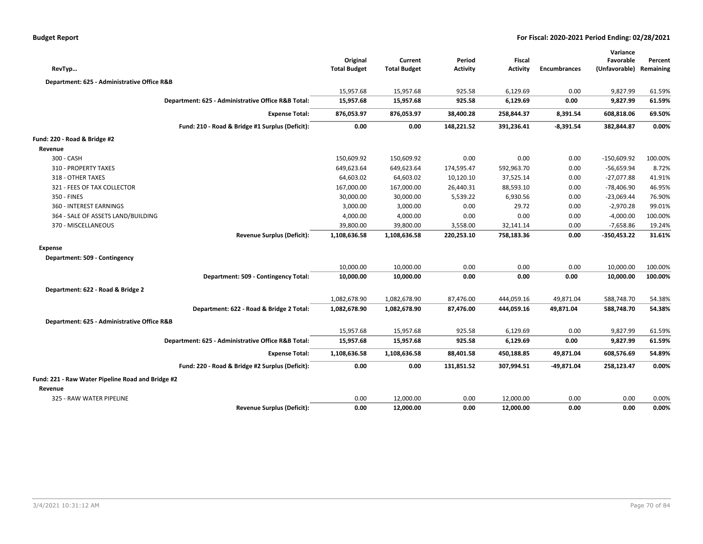| RevTyp                                            |                                                    | Original<br><b>Total Budget</b> | Current<br><b>Total Budget</b> | Period<br><b>Activity</b> | <b>Fiscal</b><br><b>Activity</b> | <b>Encumbrances</b> | Variance<br>Favorable<br>(Unfavorable) Remaining | Percent |
|---------------------------------------------------|----------------------------------------------------|---------------------------------|--------------------------------|---------------------------|----------------------------------|---------------------|--------------------------------------------------|---------|
| Department: 625 - Administrative Office R&B       |                                                    |                                 |                                |                           |                                  |                     |                                                  |         |
|                                                   |                                                    | 15,957.68                       | 15,957.68                      | 925.58                    | 6,129.69                         | 0.00                | 9,827.99                                         | 61.59%  |
|                                                   | Department: 625 - Administrative Office R&B Total: | 15,957.68                       | 15,957.68                      | 925.58                    | 6,129.69                         | 0.00                | 9,827.99                                         | 61.59%  |
|                                                   | <b>Expense Total:</b>                              | 876,053.97                      | 876,053.97                     | 38,400.28                 | 258,844.37                       | 8,391.54            | 608,818.06                                       | 69.50%  |
|                                                   | Fund: 210 - Road & Bridge #1 Surplus (Deficit):    | 0.00                            | 0.00                           | 148,221.52                | 391,236.41                       | -8,391.54           | 382,844.87                                       | 0.00%   |
| Fund: 220 - Road & Bridge #2                      |                                                    |                                 |                                |                           |                                  |                     |                                                  |         |
| Revenue                                           |                                                    |                                 |                                |                           |                                  |                     |                                                  |         |
| 300 - CASH                                        |                                                    | 150,609.92                      | 150,609.92                     | 0.00                      | 0.00                             | 0.00                | $-150,609.92$                                    | 100.00% |
| 310 - PROPERTY TAXES                              |                                                    | 649,623.64                      | 649,623.64                     | 174,595.47                | 592,963.70                       | 0.00                | -56,659.94                                       | 8.72%   |
| 318 - OTHER TAXES                                 |                                                    | 64,603.02                       | 64,603.02                      | 10,120.10                 | 37,525.14                        | 0.00                | $-27,077.88$                                     | 41.91%  |
| 321 - FEES OF TAX COLLECTOR                       |                                                    | 167,000.00                      | 167,000.00                     | 26,440.31                 | 88,593.10                        | 0.00                | $-78,406.90$                                     | 46.95%  |
| 350 - FINES                                       |                                                    | 30,000.00                       | 30,000.00                      | 5,539.22                  | 6,930.56                         | 0.00                |                                                  | 76.90%  |
| 360 - INTEREST EARNINGS                           |                                                    | 3,000.00                        | 3,000.00                       | 0.00                      | 29.72                            | 0.00                | $-23,069.44$<br>$-2,970.28$                      | 99.01%  |
| 364 - SALE OF ASSETS LAND/BUILDING                |                                                    | 4,000.00                        | 4,000.00                       | 0.00                      | 0.00                             | 0.00                | $-4,000.00$                                      | 100.00% |
| 370 - MISCELLANEOUS                               |                                                    | 39,800.00                       | 39,800.00                      | 3,558.00                  | 32,141.14                        | 0.00                | $-7,658.86$                                      | 19.24%  |
|                                                   | <b>Revenue Surplus (Deficit):</b>                  | 1,108,636.58                    | 1,108,636.58                   | 220,253.10                | 758,183.36                       | 0.00                | $-350,453.22$                                    | 31.61%  |
|                                                   |                                                    |                                 |                                |                           |                                  |                     |                                                  |         |
| <b>Expense</b>                                    |                                                    |                                 |                                |                           |                                  |                     |                                                  |         |
| Department: 509 - Contingency                     |                                                    |                                 |                                |                           |                                  |                     |                                                  |         |
|                                                   |                                                    | 10,000.00                       | 10,000.00                      | 0.00                      | 0.00                             | 0.00                | 10,000.00                                        | 100.00% |
|                                                   | Department: 509 - Contingency Total:               | 10,000.00                       | 10,000.00                      | 0.00                      | 0.00                             | 0.00                | 10,000.00                                        | 100.00% |
| Department: 622 - Road & Bridge 2                 |                                                    |                                 |                                |                           |                                  |                     |                                                  |         |
|                                                   |                                                    | 1,082,678.90                    | 1,082,678.90                   | 87,476.00                 | 444,059.16                       | 49,871.04           | 588,748.70                                       | 54.38%  |
|                                                   | Department: 622 - Road & Bridge 2 Total:           | 1,082,678.90                    | 1,082,678.90                   | 87,476.00                 | 444,059.16                       | 49,871.04           | 588,748.70                                       | 54.38%  |
| Department: 625 - Administrative Office R&B       |                                                    |                                 |                                |                           |                                  |                     |                                                  |         |
|                                                   |                                                    |                                 | 15,957.68                      | 925.58                    |                                  | 0.00                |                                                  |         |
|                                                   |                                                    | 15,957.68                       |                                |                           | 6,129.69                         |                     | 9,827.99                                         | 61.59%  |
|                                                   | Department: 625 - Administrative Office R&B Total: | 15,957.68                       | 15,957.68                      | 925.58                    | 6,129.69                         | 0.00                | 9,827.99                                         | 61.59%  |
|                                                   | <b>Expense Total:</b>                              | 1,108,636.58                    | 1,108,636.58                   | 88,401.58                 | 450,188.85                       | 49,871.04           | 608,576.69                                       | 54.89%  |
|                                                   | Fund: 220 - Road & Bridge #2 Surplus (Deficit):    | 0.00                            | 0.00                           | 131,851.52                | 307,994.51                       | -49,871.04          | 258,123.47                                       | 0.00%   |
| Fund: 221 - Raw Water Pipeline Road and Bridge #2 |                                                    |                                 |                                |                           |                                  |                     |                                                  |         |
| Revenue                                           |                                                    |                                 |                                |                           |                                  |                     |                                                  |         |
| 325 - RAW WATER PIPELINE                          |                                                    | 0.00                            | 12,000.00                      | 0.00                      | 12,000.00                        | 0.00                | 0.00                                             | 0.00%   |
|                                                   | <b>Revenue Surplus (Deficit):</b>                  | 0.00                            | 12,000.00                      | 0.00                      | 12,000.00                        | 0.00                | 0.00                                             | 0.00%   |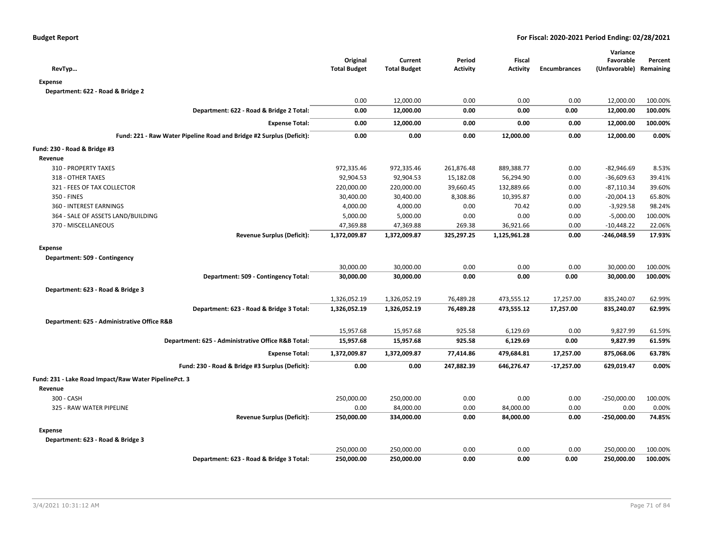| RevTyp                                                               |                                                    | Original<br><b>Total Budget</b> | Current<br><b>Total Budget</b> | Period<br><b>Activity</b> | Fiscal<br><b>Activity</b> | <b>Encumbrances</b> | Variance<br>Favorable<br>(Unfavorable) Remaining | Percent |
|----------------------------------------------------------------------|----------------------------------------------------|---------------------------------|--------------------------------|---------------------------|---------------------------|---------------------|--------------------------------------------------|---------|
| <b>Expense</b>                                                       |                                                    |                                 |                                |                           |                           |                     |                                                  |         |
| Department: 622 - Road & Bridge 2                                    |                                                    |                                 |                                |                           |                           |                     |                                                  |         |
|                                                                      |                                                    | 0.00                            | 12,000.00                      | 0.00                      | 0.00                      | 0.00                | 12,000.00                                        | 100.00% |
|                                                                      | Department: 622 - Road & Bridge 2 Total:           | 0.00                            | 12,000.00                      | 0.00                      | 0.00                      | 0.00                | 12,000.00                                        | 100.00% |
|                                                                      | <b>Expense Total:</b>                              | 0.00                            | 12,000.00                      | 0.00                      | 0.00                      | 0.00                | 12,000.00                                        | 100.00% |
| Fund: 221 - Raw Water Pipeline Road and Bridge #2 Surplus (Deficit): |                                                    | 0.00                            | 0.00                           | 0.00                      | 12,000.00                 | 0.00                | 12,000.00                                        | 0.00%   |
| Fund: 230 - Road & Bridge #3                                         |                                                    |                                 |                                |                           |                           |                     |                                                  |         |
| Revenue                                                              |                                                    |                                 |                                |                           |                           |                     |                                                  |         |
| 310 - PROPERTY TAXES                                                 |                                                    | 972,335.46                      | 972,335.46                     | 261,876.48                | 889,388.77                | 0.00                | $-82,946.69$                                     | 8.53%   |
| 318 - OTHER TAXES                                                    |                                                    | 92,904.53                       | 92,904.53                      | 15,182.08                 | 56,294.90                 | 0.00                | $-36,609.63$                                     | 39.41%  |
| 321 - FEES OF TAX COLLECTOR                                          |                                                    | 220,000.00                      | 220,000.00                     | 39,660.45                 | 132,889.66                | 0.00                | $-87,110.34$                                     | 39.60%  |
| 350 - FINES                                                          |                                                    | 30,400.00                       | 30,400.00                      | 8,308.86                  | 10,395.87                 | 0.00                | $-20,004.13$                                     | 65.80%  |
| 360 - INTEREST EARNINGS                                              |                                                    | 4,000.00                        | 4,000.00                       | 0.00                      | 70.42                     | 0.00                | $-3,929.58$                                      | 98.24%  |
| 364 - SALE OF ASSETS LAND/BUILDING                                   |                                                    | 5,000.00                        | 5,000.00                       | 0.00                      | 0.00                      | 0.00                | $-5,000.00$                                      | 100.00% |
| 370 - MISCELLANEOUS                                                  |                                                    | 47,369.88                       | 47,369.88                      | 269.38                    | 36,921.66                 | 0.00                | $-10,448.22$                                     | 22.06%  |
|                                                                      | <b>Revenue Surplus (Deficit):</b>                  | 1,372,009.87                    | 1,372,009.87                   | 325,297.25                | 1,125,961.28              | 0.00                | $-246,048.59$                                    | 17.93%  |
| <b>Expense</b>                                                       |                                                    |                                 |                                |                           |                           |                     |                                                  |         |
| Department: 509 - Contingency                                        |                                                    |                                 |                                |                           |                           |                     |                                                  |         |
|                                                                      |                                                    | 30,000.00                       | 30,000.00                      | 0.00                      | 0.00                      | 0.00                | 30,000.00                                        | 100.00% |
|                                                                      | Department: 509 - Contingency Total:               | 30,000.00                       | 30,000.00                      | 0.00                      | 0.00                      | 0.00                | 30,000.00                                        | 100.00% |
| Department: 623 - Road & Bridge 3                                    |                                                    |                                 |                                |                           |                           |                     |                                                  |         |
|                                                                      |                                                    | 1,326,052.19                    | 1,326,052.19                   | 76,489.28                 | 473,555.12                | 17,257.00           | 835,240.07                                       | 62.99%  |
|                                                                      | Department: 623 - Road & Bridge 3 Total:           | 1,326,052.19                    | 1,326,052.19                   | 76,489.28                 | 473,555.12                | 17,257.00           | 835,240.07                                       | 62.99%  |
| Department: 625 - Administrative Office R&B                          |                                                    |                                 |                                |                           |                           |                     |                                                  |         |
|                                                                      |                                                    | 15,957.68                       | 15,957.68                      | 925.58                    | 6,129.69                  | 0.00                | 9,827.99                                         | 61.59%  |
|                                                                      | Department: 625 - Administrative Office R&B Total: | 15,957.68                       | 15,957.68                      | 925.58                    | 6,129.69                  | 0.00                | 9,827.99                                         | 61.59%  |
|                                                                      | <b>Expense Total:</b>                              | 1,372,009.87                    | 1,372,009.87                   | 77,414.86                 | 479,684.81                | 17,257.00           | 875,068.06                                       | 63.78%  |
|                                                                      | Fund: 230 - Road & Bridge #3 Surplus (Deficit):    | 0.00                            | 0.00                           | 247,882.39                | 646,276.47                | $-17,257.00$        | 629,019.47                                       | 0.00%   |
| Fund: 231 - Lake Road Impact/Raw Water PipelinePct. 3                |                                                    |                                 |                                |                           |                           |                     |                                                  |         |
| Revenue                                                              |                                                    |                                 |                                |                           |                           |                     |                                                  |         |
| 300 - CASH                                                           |                                                    | 250,000.00                      | 250,000.00                     | 0.00                      | 0.00                      | 0.00                | $-250,000.00$                                    | 100.00% |
| 325 - RAW WATER PIPELINE                                             |                                                    | 0.00                            | 84,000.00                      | 0.00                      | 84,000.00                 | 0.00                | 0.00                                             | 0.00%   |
|                                                                      | <b>Revenue Surplus (Deficit):</b>                  | 250,000.00                      | 334,000.00                     | 0.00                      | 84,000.00                 | 0.00                | $-250,000.00$                                    | 74.85%  |
| <b>Expense</b>                                                       |                                                    |                                 |                                |                           |                           |                     |                                                  |         |
| Department: 623 - Road & Bridge 3                                    |                                                    |                                 |                                |                           |                           |                     |                                                  |         |
|                                                                      |                                                    | 250,000.00                      | 250,000.00                     | 0.00                      | 0.00                      | 0.00                | 250,000.00                                       | 100.00% |
|                                                                      | Department: 623 - Road & Bridge 3 Total:           | 250,000.00                      | 250,000.00                     | 0.00                      | 0.00                      | 0.00                | 250,000.00                                       | 100.00% |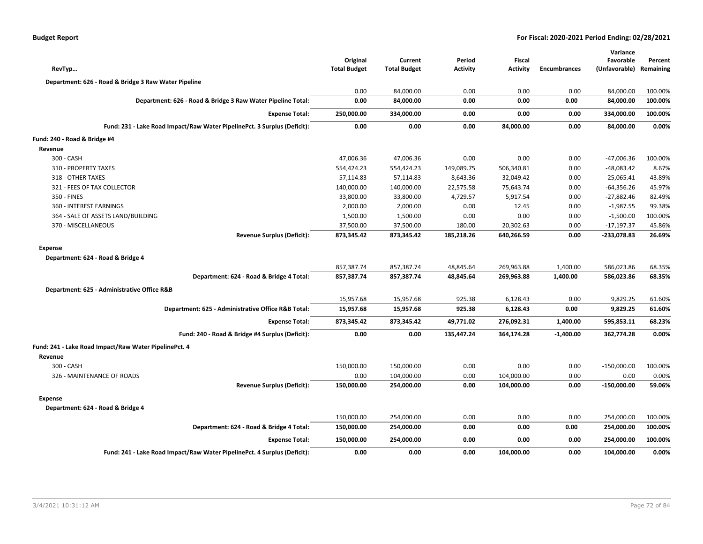| <b>Budget Report</b> |  |
|----------------------|--|
|----------------------|--|

| RevTyp                                                                   | Original<br><b>Total Budget</b> | Current<br><b>Total Budget</b> | Period<br><b>Activity</b> | <b>Fiscal</b><br><b>Activity</b> | <b>Encumbrances</b> | Variance<br>Favorable<br>(Unfavorable) | Percent<br>Remaining |
|--------------------------------------------------------------------------|---------------------------------|--------------------------------|---------------------------|----------------------------------|---------------------|----------------------------------------|----------------------|
| Department: 626 - Road & Bridge 3 Raw Water Pipeline                     |                                 |                                |                           |                                  |                     |                                        |                      |
|                                                                          | 0.00                            | 84,000.00                      | 0.00                      | 0.00                             | 0.00                | 84,000.00                              | 100.00%              |
| Department: 626 - Road & Bridge 3 Raw Water Pipeline Total:              | 0.00                            | 84,000.00                      | 0.00                      | 0.00                             | 0.00                | 84,000.00                              | 100.00%              |
| <b>Expense Total:</b>                                                    | 250,000.00                      | 334,000.00                     | 0.00                      | 0.00                             | 0.00                | 334,000.00                             | 100.00%              |
| Fund: 231 - Lake Road Impact/Raw Water PipelinePct. 3 Surplus (Deficit): | 0.00                            | 0.00                           | 0.00                      | 84,000.00                        | 0.00                | 84,000.00                              | 0.00%                |
| Fund: 240 - Road & Bridge #4                                             |                                 |                                |                           |                                  |                     |                                        |                      |
| Revenue                                                                  |                                 |                                |                           |                                  |                     |                                        |                      |
| 300 - CASH                                                               | 47,006.36                       | 47,006.36                      | 0.00                      | 0.00                             | 0.00                | $-47,006.36$                           | 100.00%              |
| 310 - PROPERTY TAXES                                                     | 554,424.23                      | 554,424.23                     | 149,089.75                | 506,340.81                       | 0.00                | $-48,083.42$                           | 8.67%                |
| 318 - OTHER TAXES                                                        | 57,114.83                       | 57,114.83                      | 8,643.36                  | 32,049.42                        | 0.00                | $-25,065.41$                           | 43.89%               |
| 321 - FEES OF TAX COLLECTOR                                              | 140,000.00                      | 140,000.00                     | 22,575.58                 | 75,643.74                        | 0.00                | $-64,356.26$                           | 45.97%               |
| 350 - FINES                                                              | 33,800.00                       | 33,800.00                      | 4,729.57                  | 5,917.54                         | 0.00                | $-27,882.46$                           | 82.49%               |
| 360 - INTEREST EARNINGS                                                  | 2,000.00                        | 2,000.00                       | 0.00                      | 12.45                            | 0.00                | $-1,987.55$                            | 99.38%               |
| 364 - SALE OF ASSETS LAND/BUILDING                                       | 1,500.00                        | 1,500.00                       | 0.00                      | 0.00                             | 0.00                | $-1,500.00$                            | 100.00%              |
| 370 - MISCELLANEOUS                                                      | 37,500.00                       | 37,500.00                      | 180.00                    | 20,302.63                        | 0.00                | $-17,197.37$                           | 45.86%               |
| <b>Revenue Surplus (Deficit):</b>                                        | 873,345.42                      | 873,345.42                     | 185,218.26                | 640,266.59                       | 0.00                | -233,078.83                            | 26.69%               |
| <b>Expense</b>                                                           |                                 |                                |                           |                                  |                     |                                        |                      |
| Department: 624 - Road & Bridge 4                                        |                                 |                                |                           |                                  |                     |                                        |                      |
|                                                                          | 857,387.74                      | 857,387.74                     | 48,845.64                 | 269,963.88                       | 1,400.00            | 586,023.86                             | 68.35%               |
| Department: 624 - Road & Bridge 4 Total:                                 | 857,387.74                      | 857,387.74                     | 48,845.64                 | 269,963.88                       | 1,400.00            | 586,023.86                             | 68.35%               |
| Department: 625 - Administrative Office R&B                              |                                 |                                |                           |                                  |                     |                                        |                      |
|                                                                          | 15,957.68                       | 15,957.68                      | 925.38                    | 6,128.43                         | 0.00                | 9,829.25                               | 61.60%               |
| Department: 625 - Administrative Office R&B Total:                       | 15,957.68                       | 15,957.68                      | 925.38                    | 6,128.43                         | 0.00                | 9,829.25                               | 61.60%               |
| <b>Expense Total:</b>                                                    | 873,345.42                      | 873,345.42                     | 49,771.02                 | 276,092.31                       | 1,400.00            | 595,853.11                             | 68.23%               |
| Fund: 240 - Road & Bridge #4 Surplus (Deficit):                          | 0.00                            | 0.00                           | 135,447.24                | 364,174.28                       | $-1,400.00$         | 362,774.28                             | 0.00%                |
| Fund: 241 - Lake Road Impact/Raw Water PipelinePct. 4                    |                                 |                                |                           |                                  |                     |                                        |                      |
| Revenue                                                                  |                                 |                                |                           |                                  |                     |                                        |                      |
| 300 - CASH                                                               | 150,000.00                      | 150,000.00                     | 0.00                      | 0.00                             | 0.00                | $-150,000.00$                          | 100.00%              |
| 326 - MAINTENANCE OF ROADS                                               | 0.00                            | 104,000.00                     | 0.00                      | 104,000.00                       | 0.00                | 0.00                                   | 0.00%                |
| <b>Revenue Surplus (Deficit):</b>                                        | 150,000.00                      | 254,000.00                     | 0.00                      | 104,000.00                       | 0.00                | $-150,000.00$                          | 59.06%               |
| <b>Expense</b>                                                           |                                 |                                |                           |                                  |                     |                                        |                      |
| Department: 624 - Road & Bridge 4                                        |                                 |                                |                           |                                  |                     |                                        |                      |
|                                                                          | 150,000.00                      | 254,000.00                     | 0.00                      | 0.00                             | 0.00                | 254,000.00                             | 100.00%              |
| Department: 624 - Road & Bridge 4 Total:                                 | 150,000.00                      | 254,000.00                     | 0.00                      | 0.00                             | 0.00                | 254,000.00                             | 100.00%              |
| <b>Expense Total:</b>                                                    | 150,000.00                      | 254,000.00                     | 0.00                      | 0.00                             | 0.00                | 254,000.00                             | 100.00%              |
| Fund: 241 - Lake Road Impact/Raw Water PipelinePct. 4 Surplus (Deficit): | 0.00                            | 0.00                           | 0.00                      | 104,000.00                       | 0.00                | 104,000.00                             | 0.00%                |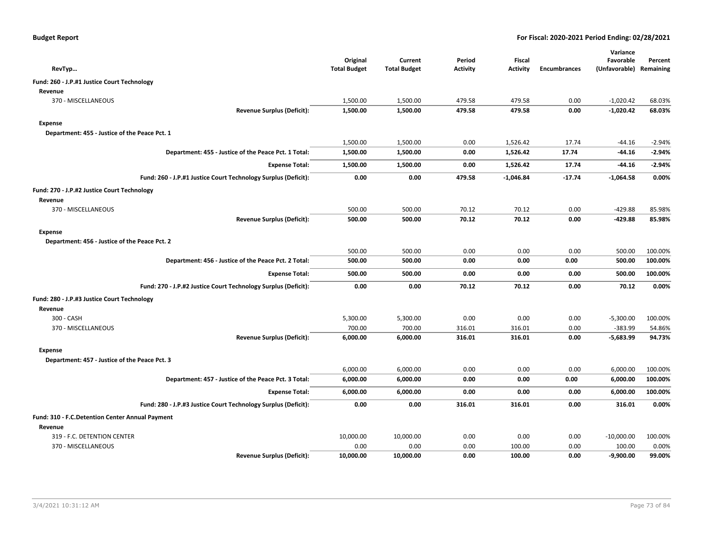| RevTyp                                          |                                                                | Original<br><b>Total Budget</b> | Current<br><b>Total Budget</b> | Period<br><b>Activity</b> | Fiscal<br><b>Activity</b> | <b>Encumbrances</b> | Variance<br>Favorable<br>(Unfavorable) Remaining | Percent  |
|-------------------------------------------------|----------------------------------------------------------------|---------------------------------|--------------------------------|---------------------------|---------------------------|---------------------|--------------------------------------------------|----------|
| Fund: 260 - J.P.#1 Justice Court Technology     |                                                                |                                 |                                |                           |                           |                     |                                                  |          |
| Revenue                                         |                                                                |                                 |                                |                           |                           |                     |                                                  |          |
| 370 - MISCELLANEOUS                             |                                                                | 1,500.00                        | 1,500.00                       | 479.58                    | 479.58                    | 0.00                | $-1,020.42$                                      | 68.03%   |
|                                                 | <b>Revenue Surplus (Deficit):</b>                              | 1,500.00                        | 1,500.00                       | 479.58                    | 479.58                    | 0.00                | $-1,020.42$                                      | 68.03%   |
| Expense                                         |                                                                |                                 |                                |                           |                           |                     |                                                  |          |
| Department: 455 - Justice of the Peace Pct. 1   |                                                                |                                 |                                |                           |                           |                     |                                                  |          |
|                                                 |                                                                | 1,500.00                        | 1,500.00                       | 0.00                      | 1,526.42                  | 17.74               | $-44.16$                                         | $-2.94%$ |
|                                                 | Department: 455 - Justice of the Peace Pct. 1 Total:           | 1,500.00                        | 1,500.00                       | 0.00                      | 1,526.42                  | 17.74               | -44.16                                           | $-2.94%$ |
|                                                 | <b>Expense Total:</b>                                          | 1,500.00                        | 1,500.00                       | 0.00                      | 1,526.42                  | 17.74               | -44.16                                           | $-2.94%$ |
|                                                 | Fund: 260 - J.P.#1 Justice Court Technology Surplus (Deficit): | 0.00                            | 0.00                           | 479.58                    | $-1,046.84$               | $-17.74$            | $-1,064.58$                                      | 0.00%    |
| Fund: 270 - J.P.#2 Justice Court Technology     |                                                                |                                 |                                |                           |                           |                     |                                                  |          |
| Revenue                                         |                                                                |                                 |                                |                           |                           |                     |                                                  |          |
| 370 - MISCELLANEOUS                             |                                                                | 500.00                          | 500.00                         | 70.12                     | 70.12                     | 0.00                | $-429.88$                                        | 85.98%   |
|                                                 | <b>Revenue Surplus (Deficit):</b>                              | 500.00                          | 500.00                         | 70.12                     | 70.12                     | 0.00                | $-429.88$                                        | 85.98%   |
| Expense                                         |                                                                |                                 |                                |                           |                           |                     |                                                  |          |
| Department: 456 - Justice of the Peace Pct. 2   |                                                                |                                 |                                |                           |                           |                     |                                                  |          |
|                                                 |                                                                | 500.00                          | 500.00                         | 0.00                      | 0.00                      | 0.00                | 500.00                                           | 100.00%  |
|                                                 | Department: 456 - Justice of the Peace Pct. 2 Total:           | 500.00                          | 500.00                         | 0.00                      | 0.00                      | 0.00                | 500.00                                           | 100.00%  |
|                                                 | <b>Expense Total:</b>                                          | 500.00                          | 500.00                         | 0.00                      | 0.00                      | 0.00                | 500.00                                           | 100.00%  |
|                                                 | Fund: 270 - J.P.#2 Justice Court Technology Surplus (Deficit): | 0.00                            | 0.00                           | 70.12                     | 70.12                     | 0.00                | 70.12                                            | 0.00%    |
| Fund: 280 - J.P.#3 Justice Court Technology     |                                                                |                                 |                                |                           |                           |                     |                                                  |          |
| Revenue                                         |                                                                |                                 |                                |                           |                           |                     |                                                  |          |
| 300 - CASH                                      |                                                                | 5,300.00                        | 5,300.00                       | 0.00                      | 0.00                      | 0.00                | $-5,300.00$                                      | 100.00%  |
| 370 - MISCELLANEOUS                             |                                                                | 700.00                          | 700.00                         | 316.01                    | 316.01                    | 0.00                | $-383.99$                                        | 54.86%   |
|                                                 | <b>Revenue Surplus (Deficit):</b>                              | 6,000.00                        | 6,000.00                       | 316.01                    | 316.01                    | 0.00                | $-5,683.99$                                      | 94.73%   |
| <b>Expense</b>                                  |                                                                |                                 |                                |                           |                           |                     |                                                  |          |
| Department: 457 - Justice of the Peace Pct. 3   |                                                                |                                 |                                |                           |                           |                     |                                                  |          |
|                                                 |                                                                | 6,000.00                        | 6,000.00                       | 0.00                      | 0.00                      | 0.00                | 6,000.00                                         | 100.00%  |
|                                                 | Department: 457 - Justice of the Peace Pct. 3 Total:           | 6,000.00                        | 6,000.00                       | 0.00                      | 0.00                      | 0.00                | 6,000.00                                         | 100.00%  |
|                                                 | <b>Expense Total:</b>                                          | 6,000.00                        | 6,000.00                       | 0.00                      | 0.00                      | 0.00                | 6,000.00                                         | 100.00%  |
|                                                 | Fund: 280 - J.P.#3 Justice Court Technology Surplus (Deficit): | 0.00                            | 0.00                           | 316.01                    | 316.01                    | 0.00                | 316.01                                           | 0.00%    |
| Fund: 310 - F.C.Detention Center Annual Payment |                                                                |                                 |                                |                           |                           |                     |                                                  |          |
| Revenue                                         |                                                                |                                 |                                |                           |                           |                     |                                                  |          |
| 319 - F.C. DETENTION CENTER                     |                                                                | 10,000.00                       | 10,000.00                      | 0.00                      | 0.00                      | 0.00                | $-10,000.00$                                     | 100.00%  |
| 370 - MISCELLANEOUS                             |                                                                | 0.00                            | 0.00                           | 0.00                      | 100.00                    | 0.00                | 100.00                                           | 0.00%    |
|                                                 | <b>Revenue Surplus (Deficit):</b>                              | 10,000.00                       | 10,000.00                      | 0.00                      | 100.00                    | 0.00                | $-9,900.00$                                      | 99.00%   |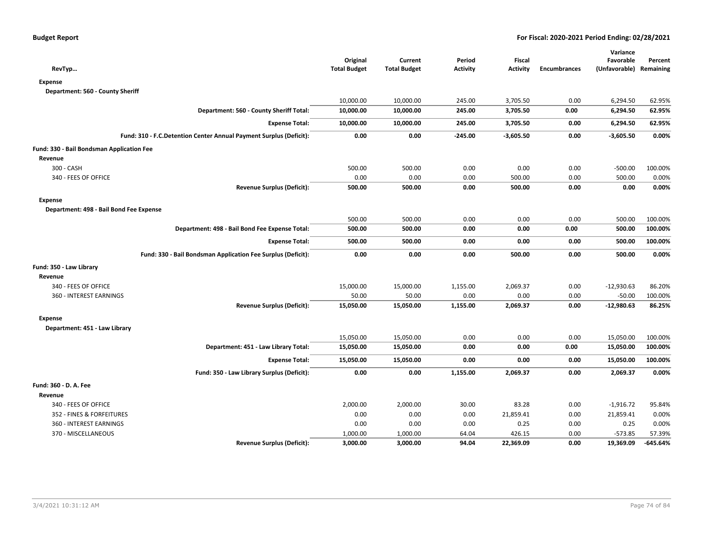| RevTyp                                                             | Original<br><b>Total Budget</b> | Current<br><b>Total Budget</b> | Period<br><b>Activity</b> | Fiscal<br><b>Activity</b> | <b>Encumbrances</b> | Variance<br>Favorable<br>(Unfavorable) Remaining | Percent  |
|--------------------------------------------------------------------|---------------------------------|--------------------------------|---------------------------|---------------------------|---------------------|--------------------------------------------------|----------|
| <b>Expense</b>                                                     |                                 |                                |                           |                           |                     |                                                  |          |
| Department: 560 - County Sheriff                                   |                                 |                                |                           |                           |                     |                                                  |          |
|                                                                    | 10,000.00                       | 10,000.00                      | 245.00                    | 3,705.50                  | 0.00                | 6,294.50                                         | 62.95%   |
| Department: 560 - County Sheriff Total:                            | 10,000.00                       | 10,000.00                      | 245.00                    | 3,705.50                  | 0.00                | 6,294.50                                         | 62.95%   |
| <b>Expense Total:</b>                                              | 10,000.00                       | 10,000.00                      | 245.00                    | 3,705.50                  | 0.00                | 6,294.50                                         | 62.95%   |
| Fund: 310 - F.C.Detention Center Annual Payment Surplus (Deficit): | 0.00                            | 0.00                           | $-245.00$                 | $-3,605.50$               | 0.00                | $-3,605.50$                                      | 0.00%    |
| Fund: 330 - Bail Bondsman Application Fee                          |                                 |                                |                           |                           |                     |                                                  |          |
| Revenue                                                            |                                 |                                |                           |                           |                     |                                                  |          |
| 300 - CASH                                                         | 500.00                          | 500.00                         | 0.00                      | 0.00                      | 0.00                | $-500.00$                                        | 100.00%  |
| 340 - FEES OF OFFICE                                               | 0.00                            | 0.00                           | 0.00                      | 500.00                    | 0.00                | 500.00                                           | 0.00%    |
| <b>Revenue Surplus (Deficit):</b>                                  | 500.00                          | 500.00                         | 0.00                      | 500.00                    | 0.00                | 0.00                                             | 0.00%    |
| <b>Expense</b>                                                     |                                 |                                |                           |                           |                     |                                                  |          |
| Department: 498 - Bail Bond Fee Expense                            |                                 |                                |                           |                           |                     |                                                  |          |
|                                                                    | 500.00                          | 500.00                         | 0.00                      | 0.00                      | 0.00                | 500.00                                           | 100.00%  |
| Department: 498 - Bail Bond Fee Expense Total:                     | 500.00                          | 500.00                         | 0.00                      | 0.00                      | 0.00                | 500.00                                           | 100.00%  |
| <b>Expense Total:</b>                                              | 500.00                          | 500.00                         | 0.00                      | 0.00                      | 0.00                | 500.00                                           | 100.00%  |
| Fund: 330 - Bail Bondsman Application Fee Surplus (Deficit):       | 0.00                            | 0.00                           | 0.00                      | 500.00                    | 0.00                | 500.00                                           | 0.00%    |
| Fund: 350 - Law Library                                            |                                 |                                |                           |                           |                     |                                                  |          |
| Revenue                                                            |                                 |                                |                           |                           |                     |                                                  |          |
| 340 - FEES OF OFFICE                                               | 15,000.00                       | 15,000.00                      | 1,155.00                  | 2,069.37                  | 0.00                | $-12,930.63$                                     | 86.20%   |
| 360 - INTEREST EARNINGS                                            | 50.00                           | 50.00                          | 0.00                      | 0.00                      | 0.00                | $-50.00$                                         | 100.00%  |
| <b>Revenue Surplus (Deficit):</b>                                  | 15,050.00                       | 15,050.00                      | 1,155.00                  | 2,069.37                  | 0.00                | $-12,980.63$                                     | 86.25%   |
| <b>Expense</b>                                                     |                                 |                                |                           |                           |                     |                                                  |          |
| Department: 451 - Law Library                                      |                                 |                                |                           |                           |                     |                                                  |          |
|                                                                    | 15,050.00                       | 15,050.00                      | 0.00                      | 0.00                      | 0.00                | 15,050.00                                        | 100.00%  |
| Department: 451 - Law Library Total:                               | 15,050.00                       | 15,050.00                      | 0.00                      | 0.00                      | 0.00                | 15,050.00                                        | 100.00%  |
| <b>Expense Total:</b>                                              | 15,050.00                       | 15,050.00                      | 0.00                      | 0.00                      | 0.00                | 15,050.00                                        | 100.00%  |
| Fund: 350 - Law Library Surplus (Deficit):                         | 0.00                            | 0.00                           | 1,155.00                  | 2,069.37                  | 0.00                | 2,069.37                                         | 0.00%    |
| Fund: 360 - D. A. Fee                                              |                                 |                                |                           |                           |                     |                                                  |          |
| Revenue                                                            |                                 |                                |                           |                           |                     |                                                  |          |
| 340 - FEES OF OFFICE                                               | 2,000.00                        | 2,000.00                       | 30.00                     | 83.28                     | 0.00                | $-1,916.72$                                      | 95.84%   |
| 352 - FINES & FORFEITURES                                          | 0.00                            | 0.00                           | 0.00                      | 21,859.41                 | 0.00                | 21,859.41                                        | 0.00%    |
| 360 - INTEREST EARNINGS                                            | 0.00                            | 0.00                           | 0.00                      | 0.25                      | 0.00                | 0.25                                             | 0.00%    |
| 370 - MISCELLANEOUS                                                | 1,000.00                        | 1,000.00                       | 64.04                     | 426.15                    | 0.00                | $-573.85$                                        | 57.39%   |
| <b>Revenue Surplus (Deficit):</b>                                  | 3,000.00                        | 3,000.00                       | 94.04                     | 22,369.09                 | 0.00                | 19,369.09                                        | -645.64% |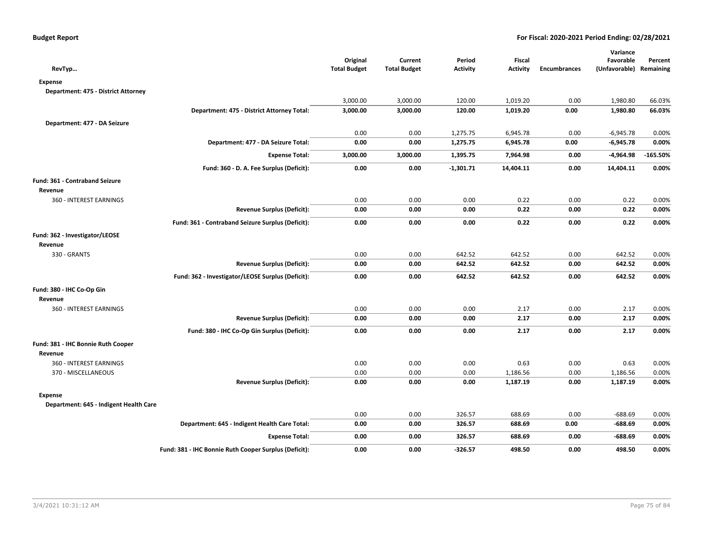| RevTyp                                 |                                                       | Original<br><b>Total Budget</b> | Current<br><b>Total Budget</b> | Period<br><b>Activity</b> | <b>Fiscal</b><br><b>Activity</b> | <b>Encumbrances</b> | Variance<br>Favorable<br>(Unfavorable) Remaining | Percent    |
|----------------------------------------|-------------------------------------------------------|---------------------------------|--------------------------------|---------------------------|----------------------------------|---------------------|--------------------------------------------------|------------|
| <b>Expense</b>                         |                                                       |                                 |                                |                           |                                  |                     |                                                  |            |
| Department: 475 - District Attorney    |                                                       |                                 |                                |                           |                                  |                     |                                                  |            |
|                                        |                                                       | 3,000.00                        | 3,000.00                       | 120.00                    | 1,019.20                         | 0.00                | 1,980.80                                         | 66.03%     |
|                                        | Department: 475 - District Attorney Total:            | 3,000.00                        | 3,000.00                       | 120.00                    | 1,019.20                         | 0.00                | 1,980.80                                         | 66.03%     |
| Department: 477 - DA Seizure           |                                                       |                                 |                                |                           |                                  |                     |                                                  |            |
|                                        |                                                       | 0.00                            | 0.00                           | 1,275.75                  | 6,945.78                         | 0.00                | $-6,945.78$                                      | 0.00%      |
|                                        | Department: 477 - DA Seizure Total:                   | 0.00                            | 0.00                           | 1,275.75                  | 6,945.78                         | 0.00                | $-6,945.78$                                      | 0.00%      |
|                                        | <b>Expense Total:</b>                                 | 3,000.00                        | 3,000.00                       | 1,395.75                  | 7,964.98                         | 0.00                | -4,964.98                                        | $-165.50%$ |
|                                        | Fund: 360 - D. A. Fee Surplus (Deficit):              | 0.00                            | 0.00                           | $-1,301.71$               | 14,404.11                        | 0.00                | 14,404.11                                        | 0.00%      |
| Fund: 361 - Contraband Seizure         |                                                       |                                 |                                |                           |                                  |                     |                                                  |            |
| Revenue                                |                                                       |                                 |                                |                           |                                  |                     |                                                  |            |
| 360 - INTEREST EARNINGS                |                                                       | 0.00                            | 0.00                           | 0.00                      | 0.22                             | 0.00                | 0.22                                             | 0.00%      |
|                                        | <b>Revenue Surplus (Deficit):</b>                     | 0.00                            | 0.00                           | 0.00                      | 0.22                             | 0.00                | 0.22                                             | 0.00%      |
|                                        | Fund: 361 - Contraband Seizure Surplus (Deficit):     | 0.00                            | 0.00                           | 0.00                      | 0.22                             | 0.00                | 0.22                                             | 0.00%      |
| Fund: 362 - Investigator/LEOSE         |                                                       |                                 |                                |                           |                                  |                     |                                                  |            |
| Revenue                                |                                                       |                                 |                                |                           |                                  |                     |                                                  |            |
| 330 - GRANTS                           |                                                       | 0.00                            | 0.00                           | 642.52                    | 642.52                           | 0.00                | 642.52                                           | 0.00%      |
|                                        | <b>Revenue Surplus (Deficit):</b>                     | 0.00                            | 0.00                           | 642.52                    | 642.52                           | 0.00                | 642.52                                           | 0.00%      |
|                                        | Fund: 362 - Investigator/LEOSE Surplus (Deficit):     | 0.00                            | 0.00                           | 642.52                    | 642.52                           | 0.00                | 642.52                                           | 0.00%      |
| Fund: 380 - IHC Co-Op Gin              |                                                       |                                 |                                |                           |                                  |                     |                                                  |            |
| Revenue                                |                                                       |                                 |                                |                           |                                  |                     |                                                  |            |
| 360 - INTEREST EARNINGS                |                                                       | 0.00                            | 0.00                           | 0.00                      | 2.17                             | 0.00                | 2.17                                             | 0.00%      |
|                                        | <b>Revenue Surplus (Deficit):</b>                     | 0.00                            | 0.00                           | 0.00                      | 2.17                             | 0.00                | 2.17                                             | 0.00%      |
|                                        | Fund: 380 - IHC Co-Op Gin Surplus (Deficit):          | 0.00                            | 0.00                           | 0.00                      | 2.17                             | 0.00                | 2.17                                             | 0.00%      |
| Fund: 381 - IHC Bonnie Ruth Cooper     |                                                       |                                 |                                |                           |                                  |                     |                                                  |            |
| Revenue                                |                                                       |                                 |                                |                           |                                  |                     |                                                  |            |
| 360 - INTEREST EARNINGS                |                                                       | 0.00                            | 0.00                           | 0.00                      | 0.63                             | 0.00                | 0.63                                             | 0.00%      |
| 370 - MISCELLANEOUS                    |                                                       | 0.00                            | 0.00                           | 0.00                      | 1,186.56                         | 0.00                | 1,186.56                                         | 0.00%      |
|                                        | <b>Revenue Surplus (Deficit):</b>                     | 0.00                            | 0.00                           | 0.00                      | 1,187.19                         | 0.00                | 1,187.19                                         | 0.00%      |
| <b>Expense</b>                         |                                                       |                                 |                                |                           |                                  |                     |                                                  |            |
| Department: 645 - Indigent Health Care |                                                       |                                 |                                |                           |                                  |                     |                                                  |            |
|                                        |                                                       | 0.00                            | 0.00                           | 326.57                    | 688.69                           | 0.00                | $-688.69$                                        | 0.00%      |
|                                        | Department: 645 - Indigent Health Care Total:         | 0.00                            | 0.00                           | 326.57                    | 688.69                           | 0.00                | $-688.69$                                        | 0.00%      |
|                                        | <b>Expense Total:</b>                                 | 0.00                            | 0.00                           | 326.57                    | 688.69                           | 0.00                | $-688.69$                                        | 0.00%      |
|                                        | Fund: 381 - IHC Bonnie Ruth Cooper Surplus (Deficit): | 0.00                            | 0.00                           | $-326.57$                 | 498.50                           | 0.00                | 498.50                                           | 0.00%      |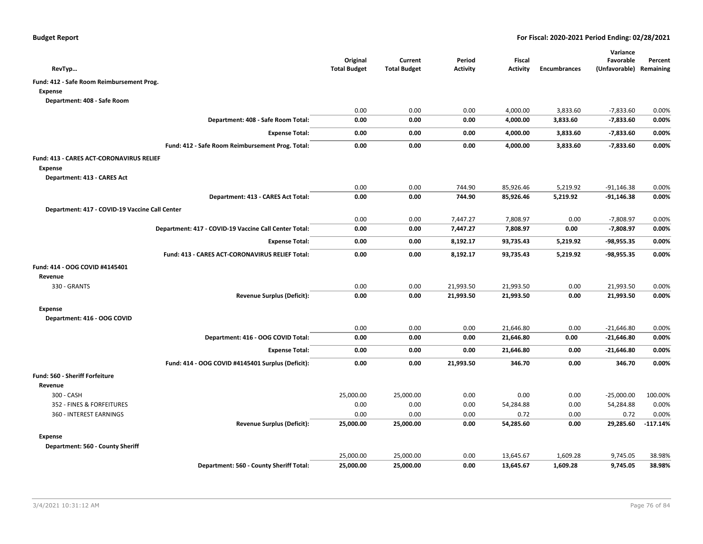| RevTyp                                                | Original<br><b>Total Budget</b> | Current<br><b>Total Budget</b> | Period<br><b>Activity</b> | <b>Fiscal</b><br><b>Activity</b> | <b>Encumbrances</b> | Variance<br>Favorable<br>(Unfavorable) Remaining | Percent    |
|-------------------------------------------------------|---------------------------------|--------------------------------|---------------------------|----------------------------------|---------------------|--------------------------------------------------|------------|
| Fund: 412 - Safe Room Reimbursement Prog.             |                                 |                                |                           |                                  |                     |                                                  |            |
| <b>Expense</b>                                        |                                 |                                |                           |                                  |                     |                                                  |            |
| Department: 408 - Safe Room                           |                                 |                                |                           |                                  |                     |                                                  |            |
|                                                       | 0.00                            | 0.00                           | 0.00                      | 4,000.00                         | 3,833.60            | $-7,833.60$                                      | 0.00%      |
| Department: 408 - Safe Room Total:                    | 0.00                            | 0.00                           | 0.00                      | 4,000.00                         | 3,833.60            | $-7,833.60$                                      | 0.00%      |
| <b>Expense Total:</b>                                 | 0.00                            | 0.00                           | 0.00                      | 4,000.00                         | 3,833.60            | $-7,833.60$                                      | 0.00%      |
| Fund: 412 - Safe Room Reimbursement Prog. Total:      | 0.00                            | 0.00                           | 0.00                      | 4,000.00                         | 3,833.60            | $-7,833.60$                                      | 0.00%      |
| <b>Fund: 413 - CARES ACT-CORONAVIRUS RELIEF</b>       |                                 |                                |                           |                                  |                     |                                                  |            |
| <b>Expense</b>                                        |                                 |                                |                           |                                  |                     |                                                  |            |
| Department: 413 - CARES Act                           |                                 |                                |                           |                                  |                     |                                                  |            |
|                                                       | 0.00                            | 0.00                           | 744.90                    | 85,926.46                        | 5,219.92            | $-91,146.38$                                     | 0.00%      |
| Department: 413 - CARES Act Total:                    | 0.00                            | 0.00                           | 744.90                    | 85,926.46                        | 5,219.92            | $-91,146.38$                                     | 0.00%      |
| Department: 417 - COVID-19 Vaccine Call Center        |                                 |                                |                           |                                  |                     |                                                  |            |
|                                                       | 0.00                            | 0.00                           | 7,447.27                  | 7,808.97                         | 0.00                | $-7,808.97$                                      | 0.00%      |
| Department: 417 - COVID-19 Vaccine Call Center Total: | 0.00                            | 0.00                           | 7,447.27                  | 7,808.97                         | 0.00                | $-7,808.97$                                      | 0.00%      |
| <b>Expense Total:</b>                                 | 0.00                            | 0.00                           | 8,192.17                  | 93,735.43                        | 5,219.92            | -98,955.35                                       | 0.00%      |
| Fund: 413 - CARES ACT-CORONAVIRUS RELIEF Total:       | 0.00                            | 0.00                           | 8,192.17                  | 93,735.43                        | 5,219.92            | $-98,955.35$                                     | 0.00%      |
| Fund: 414 - OOG COVID #4145401                        |                                 |                                |                           |                                  |                     |                                                  |            |
| Revenue                                               |                                 |                                |                           |                                  |                     |                                                  |            |
| 330 - GRANTS                                          | 0.00                            | 0.00                           | 21,993.50                 | 21,993.50                        | 0.00                | 21,993.50                                        | 0.00%      |
| <b>Revenue Surplus (Deficit):</b>                     | 0.00                            | 0.00                           | 21,993.50                 | 21,993.50                        | 0.00                | 21,993.50                                        | 0.00%      |
| <b>Expense</b>                                        |                                 |                                |                           |                                  |                     |                                                  |            |
| Department: 416 - OOG COVID                           |                                 |                                |                           |                                  |                     |                                                  |            |
|                                                       | 0.00                            | 0.00                           | 0.00                      | 21,646.80                        | 0.00                | $-21,646.80$                                     | 0.00%      |
| Department: 416 - OOG COVID Total:                    | 0.00                            | 0.00                           | 0.00                      | 21,646.80                        | 0.00                | $-21,646.80$                                     | 0.00%      |
| <b>Expense Total:</b>                                 | 0.00                            | 0.00                           | 0.00                      | 21,646.80                        | 0.00                | $-21,646.80$                                     | 0.00%      |
| Fund: 414 - OOG COVID #4145401 Surplus (Deficit):     | 0.00                            | 0.00                           | 21,993.50                 | 346.70                           | 0.00                | 346.70                                           | 0.00%      |
| <b>Fund: 560 - Sheriff Forfeiture</b>                 |                                 |                                |                           |                                  |                     |                                                  |            |
| Revenue                                               |                                 |                                |                           |                                  |                     |                                                  |            |
| 300 - CASH                                            | 25,000.00                       | 25,000.00                      | 0.00                      | 0.00                             | 0.00                | $-25,000.00$                                     | 100.00%    |
| 352 - FINES & FORFEITURES                             | 0.00                            | 0.00                           | 0.00                      | 54,284.88                        | 0.00                | 54,284.88                                        | 0.00%      |
| 360 - INTEREST EARNINGS                               | 0.00                            | 0.00                           | 0.00                      | 0.72                             | 0.00                | 0.72                                             | 0.00%      |
| <b>Revenue Surplus (Deficit):</b>                     | 25,000.00                       | 25,000.00                      | 0.00                      | 54,285.60                        | 0.00                | 29,285.60                                        | $-117.14%$ |
| <b>Expense</b>                                        |                                 |                                |                           |                                  |                     |                                                  |            |
| Department: 560 - County Sheriff                      |                                 |                                |                           |                                  |                     |                                                  |            |
|                                                       | 25,000.00                       | 25,000.00                      | 0.00                      | 13,645.67                        | 1,609.28            | 9,745.05                                         | 38.98%     |
| Department: 560 - County Sheriff Total:               | 25,000.00                       | 25,000.00                      | 0.00                      | 13,645.67                        | 1,609.28            | 9,745.05                                         | 38.98%     |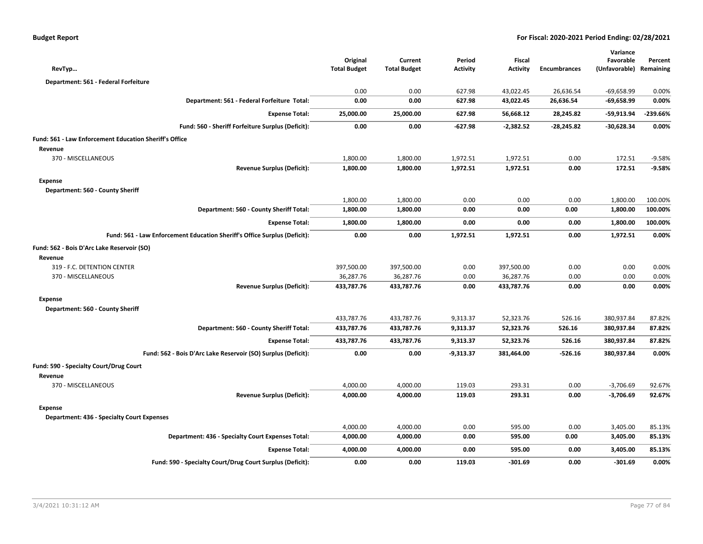| RevTyp                                                                    |                                   | Original<br><b>Total Budget</b> | Current<br><b>Total Budget</b> | Period<br><b>Activity</b> | Fiscal<br><b>Activity</b> | <b>Encumbrances</b> | Variance<br>Favorable<br>(Unfavorable) Remaining | Percent  |
|---------------------------------------------------------------------------|-----------------------------------|---------------------------------|--------------------------------|---------------------------|---------------------------|---------------------|--------------------------------------------------|----------|
| Department: 561 - Federal Forfeiture                                      |                                   |                                 |                                |                           |                           |                     |                                                  |          |
|                                                                           |                                   | 0.00                            | 0.00                           | 627.98                    | 43,022.45                 | 26,636.54           | $-69,658.99$                                     | 0.00%    |
| Department: 561 - Federal Forfeiture Total:                               |                                   | 0.00                            | 0.00                           | 627.98                    | 43,022.45                 | 26,636.54           | $-69,658.99$                                     | 0.00%    |
|                                                                           | <b>Expense Total:</b>             | 25,000.00                       | 25,000.00                      | 627.98                    | 56,668.12                 | 28,245.82           | -59,913.94                                       | -239.66% |
| Fund: 560 - Sheriff Forfeiture Surplus (Deficit):                         |                                   | 0.00                            | 0.00                           | $-627.98$                 | $-2,382.52$               | -28,245.82          | $-30,628.34$                                     | 0.00%    |
| Fund: 561 - Law Enforcement Education Sheriff's Office                    |                                   |                                 |                                |                           |                           |                     |                                                  |          |
| Revenue                                                                   |                                   |                                 |                                |                           |                           |                     |                                                  |          |
| 370 - MISCELLANEOUS                                                       |                                   | 1,800.00                        | 1,800.00                       | 1,972.51                  | 1,972.51                  | 0.00                | 172.51                                           | $-9.58%$ |
|                                                                           | <b>Revenue Surplus (Deficit):</b> | 1,800.00                        | 1,800.00                       | 1,972.51                  | 1,972.51                  | 0.00                | 172.51                                           | -9.58%   |
| <b>Expense</b>                                                            |                                   |                                 |                                |                           |                           |                     |                                                  |          |
| Department: 560 - County Sheriff                                          |                                   |                                 |                                |                           |                           |                     |                                                  |          |
|                                                                           |                                   | 1,800.00                        | 1,800.00                       | 0.00                      | 0.00                      | 0.00                | 1,800.00                                         | 100.00%  |
| Department: 560 - County Sheriff Total:                                   |                                   | 1,800.00                        | 1,800.00                       | 0.00                      | 0.00                      | 0.00                | 1,800.00                                         | 100.00%  |
|                                                                           | <b>Expense Total:</b>             | 1,800.00                        | 1,800.00                       | 0.00                      | 0.00                      | 0.00                | 1,800.00                                         | 100.00%  |
| Fund: 561 - Law Enforcement Education Sheriff's Office Surplus (Deficit): |                                   | 0.00                            | 0.00                           | 1,972.51                  | 1,972.51                  | 0.00                | 1,972.51                                         | 0.00%    |
| Fund: 562 - Bois D'Arc Lake Reservoir (SO)<br>Revenue                     |                                   |                                 |                                |                           |                           |                     |                                                  |          |
| 319 - F.C. DETENTION CENTER                                               |                                   | 397,500.00                      | 397,500.00                     | 0.00                      | 397,500.00                | 0.00                | 0.00                                             | 0.00%    |
| 370 - MISCELLANEOUS                                                       |                                   | 36,287.76                       | 36,287.76                      | 0.00                      | 36,287.76                 | 0.00                | 0.00                                             | 0.00%    |
|                                                                           | <b>Revenue Surplus (Deficit):</b> | 433,787.76                      | 433,787.76                     | 0.00                      | 433,787.76                | 0.00                | 0.00                                             | 0.00%    |
| <b>Expense</b>                                                            |                                   |                                 |                                |                           |                           |                     |                                                  |          |
| Department: 560 - County Sheriff                                          |                                   |                                 |                                |                           |                           |                     |                                                  |          |
|                                                                           |                                   | 433,787.76                      | 433,787.76                     | 9,313.37                  | 52,323.76                 | 526.16              | 380,937.84                                       | 87.82%   |
| Department: 560 - County Sheriff Total:                                   |                                   | 433,787.76                      | 433,787.76                     | 9,313.37                  | 52,323.76                 | 526.16              | 380,937.84                                       | 87.82%   |
|                                                                           | <b>Expense Total:</b>             | 433,787.76                      | 433,787.76                     | 9,313.37                  | 52,323.76                 | 526.16              | 380,937.84                                       | 87.82%   |
| Fund: 562 - Bois D'Arc Lake Reservoir (SO) Surplus (Deficit):             |                                   | 0.00                            | 0.00                           | $-9,313.37$               | 381,464.00                | $-526.16$           | 380,937.84                                       | 0.00%    |
| Fund: 590 - Specialty Court/Drug Court<br>Revenue                         |                                   |                                 |                                |                           |                           |                     |                                                  |          |
| 370 - MISCELLANEOUS                                                       |                                   | 4,000.00                        | 4,000.00                       | 119.03                    | 293.31                    | 0.00                | $-3,706.69$                                      | 92.67%   |
|                                                                           | <b>Revenue Surplus (Deficit):</b> | 4,000.00                        | 4,000.00                       | 119.03                    | 293.31                    | 0.00                | $-3,706.69$                                      | 92.67%   |
| <b>Expense</b>                                                            |                                   |                                 |                                |                           |                           |                     |                                                  |          |
| <b>Department: 436 - Specialty Court Expenses</b>                         |                                   |                                 |                                |                           |                           |                     |                                                  |          |
|                                                                           |                                   | 4,000.00                        | 4,000.00                       | 0.00                      | 595.00                    | 0.00                | 3,405.00                                         | 85.13%   |
| Department: 436 - Specialty Court Expenses Total:                         |                                   | 4,000.00                        | 4,000.00                       | 0.00                      | 595.00                    | 0.00                | 3,405.00                                         | 85.13%   |
|                                                                           | <b>Expense Total:</b>             | 4,000.00                        | 4,000.00                       | 0.00                      | 595.00                    | 0.00                | 3,405.00                                         | 85.13%   |
| Fund: 590 - Specialty Court/Drug Court Surplus (Deficit):                 |                                   | 0.00                            | 0.00                           | 119.03                    | $-301.69$                 | 0.00                | $-301.69$                                        | 0.00%    |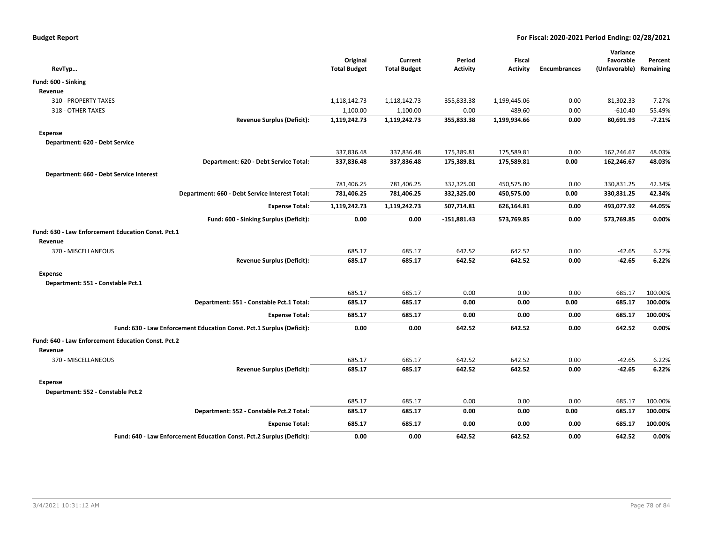|                                                                       | Original            | Current             | Period        | Fiscal          |                     | Variance<br>Favorable   | Percent  |
|-----------------------------------------------------------------------|---------------------|---------------------|---------------|-----------------|---------------------|-------------------------|----------|
| RevTyp                                                                | <b>Total Budget</b> | <b>Total Budget</b> | Activity      | <b>Activity</b> | <b>Encumbrances</b> | (Unfavorable) Remaining |          |
| Fund: 600 - Sinking                                                   |                     |                     |               |                 |                     |                         |          |
| Revenue                                                               |                     |                     |               |                 |                     |                         |          |
| 310 - PROPERTY TAXES                                                  | 1,118,142.73        | 1,118,142.73        | 355,833.38    | 1,199,445.06    | 0.00                | 81,302.33               | $-7.27%$ |
| 318 - OTHER TAXES                                                     | 1,100.00            | 1,100.00            | 0.00          | 489.60          | 0.00                | $-610.40$               | 55.49%   |
| <b>Revenue Surplus (Deficit):</b>                                     | 1,119,242.73        | 1,119,242.73        | 355,833.38    | 1,199,934.66    | 0.00                | 80,691.93               | $-7.21%$ |
| <b>Expense</b>                                                        |                     |                     |               |                 |                     |                         |          |
| Department: 620 - Debt Service                                        |                     |                     |               |                 |                     |                         |          |
|                                                                       | 337,836.48          | 337,836.48          | 175,389.81    | 175,589.81      | 0.00                | 162,246.67              | 48.03%   |
| Department: 620 - Debt Service Total:                                 | 337,836.48          | 337,836.48          | 175,389.81    | 175,589.81      | 0.00                | 162,246.67              | 48.03%   |
| Department: 660 - Debt Service Interest                               |                     |                     |               |                 |                     |                         |          |
|                                                                       | 781,406.25          | 781,406.25          | 332,325.00    | 450,575.00      | 0.00                | 330,831.25              | 42.34%   |
| Department: 660 - Debt Service Interest Total:                        | 781,406.25          | 781,406.25          | 332,325.00    | 450,575.00      | 0.00                | 330,831.25              | 42.34%   |
| <b>Expense Total:</b>                                                 | 1,119,242.73        | 1,119,242.73        | 507,714.81    | 626,164.81      | 0.00                | 493,077.92              | 44.05%   |
| Fund: 600 - Sinking Surplus (Deficit):                                | 0.00                | 0.00                | $-151,881.43$ | 573,769.85      | 0.00                | 573,769.85              | 0.00%    |
| Fund: 630 - Law Enforcement Education Const. Pct.1                    |                     |                     |               |                 |                     |                         |          |
| Revenue                                                               |                     |                     |               |                 |                     |                         |          |
| 370 - MISCELLANEOUS                                                   | 685.17              | 685.17              | 642.52        | 642.52          | 0.00                | $-42.65$                | 6.22%    |
| <b>Revenue Surplus (Deficit):</b>                                     | 685.17              | 685.17              | 642.52        | 642.52          | 0.00                | $-42.65$                | 6.22%    |
| <b>Expense</b>                                                        |                     |                     |               |                 |                     |                         |          |
| Department: 551 - Constable Pct.1                                     |                     |                     |               |                 |                     |                         |          |
|                                                                       | 685.17              | 685.17              | 0.00          | 0.00            | 0.00                | 685.17                  | 100.00%  |
| Department: 551 - Constable Pct.1 Total:                              | 685.17              | 685.17              | 0.00          | 0.00            | 0.00                | 685.17                  | 100.00%  |
| <b>Expense Total:</b>                                                 | 685.17              | 685.17              | 0.00          | 0.00            | 0.00                | 685.17                  | 100.00%  |
| Fund: 630 - Law Enforcement Education Const. Pct.1 Surplus (Deficit): | 0.00                | 0.00                | 642.52        | 642.52          | 0.00                | 642.52                  | 0.00%    |
| Fund: 640 - Law Enforcement Education Const. Pct.2                    |                     |                     |               |                 |                     |                         |          |
| Revenue                                                               |                     |                     |               |                 |                     |                         |          |
| 370 - MISCELLANEOUS                                                   | 685.17              | 685.17              | 642.52        | 642.52          | 0.00                | $-42.65$                | 6.22%    |
| <b>Revenue Surplus (Deficit):</b>                                     | 685.17              | 685.17              | 642.52        | 642.52          | 0.00                | $-42.65$                | 6.22%    |
| <b>Expense</b>                                                        |                     |                     |               |                 |                     |                         |          |
| Department: 552 - Constable Pct.2                                     |                     |                     |               |                 |                     |                         |          |
|                                                                       | 685.17              | 685.17              | 0.00          | 0.00            | 0.00                | 685.17                  | 100.00%  |
| Department: 552 - Constable Pct.2 Total:                              | 685.17              | 685.17              | 0.00          | 0.00            | 0.00                | 685.17                  | 100.00%  |
| <b>Expense Total:</b>                                                 | 685.17              | 685.17              | 0.00          | 0.00            | 0.00                | 685.17                  | 100.00%  |
| Fund: 640 - Law Enforcement Education Const. Pct.2 Surplus (Deficit): | 0.00                | 0.00                | 642.52        | 642.52          | 0.00                | 642.52                  | 0.00%    |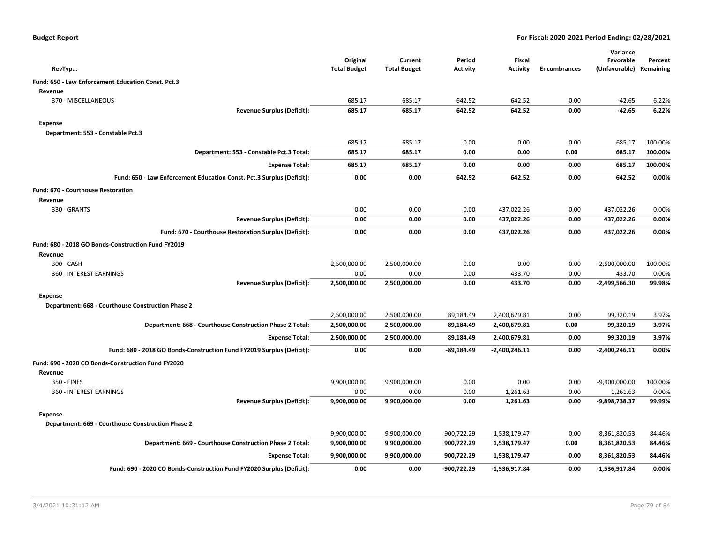|  |  |  | <b>Budget Report</b> |
|--|--|--|----------------------|
|--|--|--|----------------------|

| RevTyp                                                                | Original<br><b>Total Budget</b> | Current<br><b>Total Budget</b> | Period<br><b>Activity</b> | Fiscal<br><b>Activity</b> | <b>Encumbrances</b> | Variance<br>Favorable<br>(Unfavorable) | Percent<br>Remaining |
|-----------------------------------------------------------------------|---------------------------------|--------------------------------|---------------------------|---------------------------|---------------------|----------------------------------------|----------------------|
| Fund: 650 - Law Enforcement Education Const. Pct.3                    |                                 |                                |                           |                           |                     |                                        |                      |
| Revenue                                                               |                                 |                                |                           |                           |                     |                                        |                      |
| 370 - MISCELLANEOUS                                                   | 685.17                          | 685.17                         | 642.52                    | 642.52                    | 0.00                | $-42.65$                               | 6.22%                |
| <b>Revenue Surplus (Deficit):</b>                                     | 685.17                          | 685.17                         | 642.52                    | 642.52                    | 0.00                | $-42.65$                               | 6.22%                |
| <b>Expense</b>                                                        |                                 |                                |                           |                           |                     |                                        |                      |
| Department: 553 - Constable Pct.3                                     |                                 |                                |                           |                           |                     |                                        |                      |
|                                                                       | 685.17                          | 685.17                         | 0.00                      | 0.00                      | 0.00                | 685.17                                 | 100.00%              |
| Department: 553 - Constable Pct.3 Total:                              | 685.17                          | 685.17                         | 0.00                      | 0.00                      | 0.00                | 685.17                                 | 100.00%              |
| <b>Expense Total:</b>                                                 | 685.17                          | 685.17                         | 0.00                      | 0.00                      | 0.00                | 685.17                                 | 100.00%              |
| Fund: 650 - Law Enforcement Education Const. Pct.3 Surplus (Deficit): | 0.00                            | 0.00                           | 642.52                    | 642.52                    | 0.00                | 642.52                                 | 0.00%                |
| Fund: 670 - Courthouse Restoration                                    |                                 |                                |                           |                           |                     |                                        |                      |
| Revenue                                                               |                                 |                                |                           |                           |                     |                                        |                      |
| 330 - GRANTS                                                          | 0.00                            | 0.00                           | 0.00                      | 437,022.26                | 0.00                | 437,022.26                             | 0.00%                |
| <b>Revenue Surplus (Deficit):</b>                                     | 0.00                            | 0.00                           | 0.00                      | 437,022.26                | 0.00                | 437,022.26                             | 0.00%                |
| Fund: 670 - Courthouse Restoration Surplus (Deficit):                 | 0.00                            | 0.00                           | 0.00                      | 437,022.26                | 0.00                | 437,022.26                             | 0.00%                |
|                                                                       |                                 |                                |                           |                           |                     |                                        |                      |
| Fund: 680 - 2018 GO Bonds-Construction Fund FY2019                    |                                 |                                |                           |                           |                     |                                        |                      |
| Revenue<br>300 - CASH                                                 | 2,500,000.00                    | 2,500,000.00                   | 0.00                      | 0.00                      | 0.00                | $-2,500,000.00$                        | 100.00%              |
| 360 - INTEREST EARNINGS                                               | 0.00                            | 0.00                           | 0.00                      | 433.70                    | 0.00                | 433.70                                 | 0.00%                |
| <b>Revenue Surplus (Deficit):</b>                                     | 2,500,000.00                    | 2,500,000.00                   | 0.00                      | 433.70                    | 0.00                | $-2,499,566.30$                        | 99.98%               |
|                                                                       |                                 |                                |                           |                           |                     |                                        |                      |
| <b>Expense</b><br>Department: 668 - Courthouse Construction Phase 2   |                                 |                                |                           |                           |                     |                                        |                      |
|                                                                       | 2,500,000.00                    | 2,500,000.00                   | 89,184.49                 | 2,400,679.81              | 0.00                | 99,320.19                              | 3.97%                |
| Department: 668 - Courthouse Construction Phase 2 Total:              | 2,500,000.00                    | 2,500,000.00                   | 89,184.49                 | 2,400,679.81              | 0.00                | 99,320.19                              | 3.97%                |
| <b>Expense Total:</b>                                                 | 2,500,000.00                    | 2,500,000.00                   | 89,184.49                 | 2,400,679.81              | 0.00                | 99,320.19                              | 3.97%                |
| Fund: 680 - 2018 GO Bonds-Construction Fund FY2019 Surplus (Deficit): | 0.00                            | 0.00                           | $-89,184.49$              | $-2,400,246.11$           | 0.00                | $-2,400,246.11$                        | 0.00%                |
|                                                                       |                                 |                                |                           |                           |                     |                                        |                      |
| Fund: 690 - 2020 CO Bonds-Construction Fund FY2020                    |                                 |                                |                           |                           |                     |                                        |                      |
| Revenue<br>350 - FINES                                                |                                 |                                |                           | 0.00                      |                     |                                        |                      |
| 360 - INTEREST EARNINGS                                               | 9,900,000.00<br>0.00            | 9,900,000.00<br>0.00           | 0.00<br>0.00              | 1,261.63                  | 0.00<br>0.00        | $-9,900,000.00$<br>1,261.63            | 100.00%<br>0.00%     |
| <b>Revenue Surplus (Deficit):</b>                                     | 9,900,000.00                    | 9,900,000.00                   | 0.00                      | 1,261.63                  | 0.00                | -9,898,738.37                          | 99.99%               |
|                                                                       |                                 |                                |                           |                           |                     |                                        |                      |
| <b>Expense</b>                                                        |                                 |                                |                           |                           |                     |                                        |                      |
| Department: 669 - Courthouse Construction Phase 2                     | 9,900,000.00                    | 9,900,000.00                   | 900,722.29                | 1,538,179.47              | 0.00                | 8,361,820.53                           | 84.46%               |
| Department: 669 - Courthouse Construction Phase 2 Total:              | 9,900,000.00                    | 9,900,000.00                   | 900,722.29                | 1,538,179.47              | 0.00                | 8,361,820.53                           | 84.46%               |
|                                                                       | 9,900,000.00                    |                                | 900,722.29                | 1,538,179.47              | 0.00                | 8,361,820.53                           | 84.46%               |
| <b>Expense Total:</b>                                                 |                                 | 9,900,000.00                   |                           |                           |                     |                                        |                      |
| Fund: 690 - 2020 CO Bonds-Construction Fund FY2020 Surplus (Deficit): | 0.00                            | 0.00                           | -900,722.29               | $-1,536,917.84$           | 0.00                | $-1,536,917.84$                        | 0.00%                |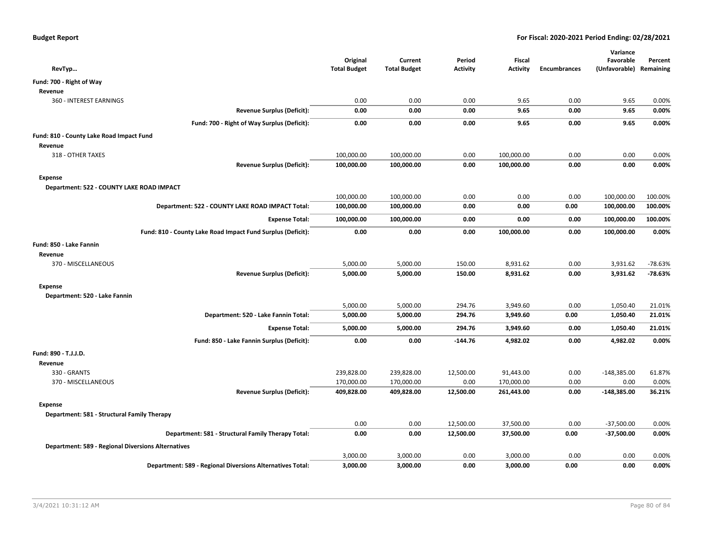| RevTyp                                                           | Original<br><b>Total Budget</b> | Current<br><b>Total Budget</b> | Period<br><b>Activity</b> | Fiscal<br><b>Activity</b> | <b>Encumbrances</b> | Variance<br>Favorable<br>(Unfavorable) Remaining | Percent   |
|------------------------------------------------------------------|---------------------------------|--------------------------------|---------------------------|---------------------------|---------------------|--------------------------------------------------|-----------|
| Fund: 700 - Right of Way                                         |                                 |                                |                           |                           |                     |                                                  |           |
| Revenue                                                          |                                 |                                |                           |                           |                     |                                                  |           |
| <b>360 - INTEREST EARNINGS</b>                                   | 0.00                            | 0.00                           | 0.00                      | 9.65                      | 0.00                | 9.65                                             | 0.00%     |
| <b>Revenue Surplus (Deficit):</b>                                | 0.00                            | 0.00                           | 0.00                      | 9.65                      | 0.00                | 9.65                                             | 0.00%     |
| Fund: 700 - Right of Way Surplus (Deficit):                      | 0.00                            | 0.00                           | 0.00                      | 9.65                      | 0.00                | 9.65                                             | 0.00%     |
| Fund: 810 - County Lake Road Impact Fund                         |                                 |                                |                           |                           |                     |                                                  |           |
| Revenue                                                          |                                 |                                |                           |                           |                     |                                                  |           |
| 318 - OTHER TAXES                                                | 100,000.00                      | 100,000.00                     | 0.00                      | 100,000.00                | 0.00                | 0.00                                             | 0.00%     |
| <b>Revenue Surplus (Deficit):</b>                                | 100,000.00                      | 100,000.00                     | 0.00                      | 100,000.00                | 0.00                | 0.00                                             | 0.00%     |
| <b>Expense</b>                                                   |                                 |                                |                           |                           |                     |                                                  |           |
| Department: 522 - COUNTY LAKE ROAD IMPACT                        |                                 |                                |                           |                           |                     |                                                  |           |
|                                                                  | 100,000.00                      | 100,000.00                     | 0.00                      | 0.00                      | 0.00                | 100,000.00                                       | 100.00%   |
| Department: 522 - COUNTY LAKE ROAD IMPACT Total:                 | 100,000.00                      | 100,000.00                     | 0.00                      | 0.00                      | 0.00                | 100,000.00                                       | 100.00%   |
| <b>Expense Total:</b>                                            | 100,000.00                      | 100,000.00                     | 0.00                      | 0.00                      | 0.00                | 100,000.00                                       | 100.00%   |
| Fund: 810 - County Lake Road Impact Fund Surplus (Deficit):      | 0.00                            | 0.00                           | 0.00                      | 100,000.00                | 0.00                | 100,000.00                                       | 0.00%     |
| Fund: 850 - Lake Fannin                                          |                                 |                                |                           |                           |                     |                                                  |           |
| Revenue                                                          |                                 |                                |                           |                           |                     |                                                  |           |
| 370 - MISCELLANEOUS                                              | 5,000.00                        | 5,000.00                       | 150.00                    | 8,931.62                  | 0.00                | 3,931.62                                         | $-78.63%$ |
| <b>Revenue Surplus (Deficit):</b>                                | 5,000.00                        | 5,000.00                       | 150.00                    | 8,931.62                  | 0.00                | 3,931.62                                         | $-78.63%$ |
| <b>Expense</b>                                                   |                                 |                                |                           |                           |                     |                                                  |           |
| Department: 520 - Lake Fannin                                    |                                 |                                |                           |                           |                     |                                                  |           |
|                                                                  | 5,000.00                        | 5,000.00                       | 294.76                    | 3,949.60                  | 0.00                | 1,050.40                                         | 21.01%    |
| Department: 520 - Lake Fannin Total:                             | 5,000.00                        | 5,000.00                       | 294.76                    | 3,949.60                  | 0.00                | 1,050.40                                         | 21.01%    |
| <b>Expense Total:</b>                                            | 5,000.00                        | 5,000.00                       | 294.76                    | 3,949.60                  | 0.00                | 1,050.40                                         | 21.01%    |
| Fund: 850 - Lake Fannin Surplus (Deficit):                       | 0.00                            | 0.00                           | $-144.76$                 | 4,982.02                  | 0.00                | 4,982.02                                         | 0.00%     |
| Fund: 890 - T.J.J.D.                                             |                                 |                                |                           |                           |                     |                                                  |           |
| Revenue                                                          |                                 |                                |                           |                           |                     |                                                  |           |
| 330 - GRANTS                                                     | 239,828.00                      | 239,828.00                     | 12,500.00                 | 91,443.00                 | 0.00                | $-148,385.00$                                    | 61.87%    |
| 370 - MISCELLANEOUS                                              | 170,000.00                      | 170,000.00                     | 0.00                      | 170,000.00                | 0.00                | 0.00                                             | 0.00%     |
| <b>Revenue Surplus (Deficit):</b>                                | 409,828.00                      | 409,828.00                     | 12,500.00                 | 261,443.00                | 0.00                | $-148,385.00$                                    | 36.21%    |
| Expense                                                          |                                 |                                |                           |                           |                     |                                                  |           |
| Department: 581 - Structural Family Therapy                      |                                 |                                |                           |                           |                     |                                                  |           |
|                                                                  | 0.00                            | 0.00                           | 12,500.00                 | 37,500.00                 | 0.00                | $-37,500.00$                                     | 0.00%     |
| Department: 581 - Structural Family Therapy Total:               | 0.00                            | 0.00                           | 12,500.00                 | 37,500.00                 | 0.00                | $-37,500.00$                                     | 0.00%     |
| <b>Department: 589 - Regional Diversions Alternatives</b>        |                                 |                                |                           |                           |                     |                                                  |           |
|                                                                  | 3,000.00                        | 3,000.00                       | 0.00                      | 3,000.00                  | 0.00                | 0.00                                             | 0.00%     |
| <b>Department: 589 - Regional Diversions Alternatives Total:</b> | 3,000.00                        | 3,000.00                       | 0.00                      | 3,000.00                  | 0.00                | 0.00                                             | 0.00%     |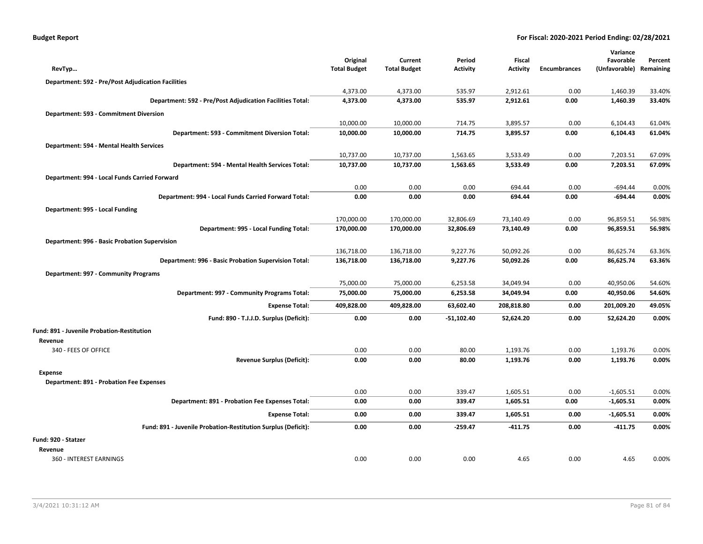| <b>Budget Report</b> |  |
|----------------------|--|
|----------------------|--|

|                                                               |                                 |                                |                           |                                  |                     | Variance                   |                      |
|---------------------------------------------------------------|---------------------------------|--------------------------------|---------------------------|----------------------------------|---------------------|----------------------------|----------------------|
| RevTyp                                                        | Original<br><b>Total Budget</b> | Current<br><b>Total Budget</b> | Period<br><b>Activity</b> | <b>Fiscal</b><br><b>Activity</b> | <b>Encumbrances</b> | Favorable<br>(Unfavorable) | Percent<br>Remaining |
| <b>Department: 592 - Pre/Post Adjudication Facilities</b>     |                                 |                                |                           |                                  |                     |                            |                      |
|                                                               | 4,373.00                        | 4,373.00                       | 535.97                    | 2,912.61                         | 0.00                | 1,460.39                   | 33.40%               |
| Department: 592 - Pre/Post Adjudication Facilities Total:     | 4,373.00                        | 4,373.00                       | 535.97                    | 2,912.61                         | 0.00                | 1,460.39                   | 33.40%               |
| Department: 593 - Commitment Diversion                        |                                 |                                |                           |                                  |                     |                            |                      |
|                                                               | 10,000.00                       | 10,000.00                      | 714.75                    | 3,895.57                         | 0.00                | 6,104.43                   | 61.04%               |
| Department: 593 - Commitment Diversion Total:                 | 10,000.00                       | 10,000.00                      | 714.75                    | 3,895.57                         | 0.00                | 6,104.43                   | 61.04%               |
| Department: 594 - Mental Health Services                      |                                 |                                |                           |                                  |                     |                            |                      |
|                                                               | 10,737.00                       | 10,737.00                      | 1,563.65                  | 3,533.49                         | 0.00                | 7,203.51                   | 67.09%               |
| Department: 594 - Mental Health Services Total:               | 10,737.00                       | 10,737.00                      | 1,563.65                  | 3,533.49                         | 0.00                | 7,203.51                   | 67.09%               |
| Department: 994 - Local Funds Carried Forward                 |                                 |                                |                           |                                  |                     |                            |                      |
|                                                               | 0.00                            | 0.00                           | 0.00                      | 694.44                           | 0.00                | $-694.44$                  | 0.00%                |
| Department: 994 - Local Funds Carried Forward Total:          | 0.00                            | 0.00                           | 0.00                      | 694.44                           | 0.00                | $-694.44$                  | 0.00%                |
| Department: 995 - Local Funding                               |                                 |                                |                           |                                  |                     |                            |                      |
|                                                               | 170,000.00                      | 170,000.00                     | 32,806.69                 | 73,140.49                        | 0.00                | 96,859.51                  | 56.98%               |
| Department: 995 - Local Funding Total:                        | 170,000.00                      | 170,000.00                     | 32,806.69                 | 73,140.49                        | 0.00                | 96,859.51                  | 56.98%               |
| Department: 996 - Basic Probation Supervision                 |                                 |                                |                           |                                  |                     |                            |                      |
|                                                               | 136,718.00                      | 136,718.00                     | 9,227.76                  | 50,092.26                        | 0.00                | 86,625.74                  | 63.36%               |
| Department: 996 - Basic Probation Supervision Total:          | 136,718.00                      | 136,718.00                     | 9,227.76                  | 50,092.26                        | 0.00                | 86,625.74                  | 63.36%               |
| Department: 997 - Community Programs                          |                                 |                                |                           |                                  |                     |                            |                      |
|                                                               | 75,000.00                       | 75,000.00                      | 6,253.58                  | 34,049.94                        | 0.00                | 40,950.06                  | 54.60%               |
| Department: 997 - Community Programs Total:                   | 75,000.00                       | 75,000.00                      | 6,253.58                  | 34,049.94                        | 0.00                | 40,950.06                  | 54.60%               |
| <b>Expense Total:</b>                                         | 409,828.00                      | 409,828.00                     | 63,602.40                 | 208,818.80                       | 0.00                | 201,009.20                 | 49.05%               |
| Fund: 890 - T.J.J.D. Surplus (Deficit):                       | 0.00                            | 0.00                           | $-51,102.40$              | 52,624.20                        | 0.00                | 52,624.20                  | 0.00%                |
| <b>Fund: 891 - Juvenile Probation-Restitution</b>             |                                 |                                |                           |                                  |                     |                            |                      |
| Revenue                                                       |                                 |                                |                           |                                  |                     |                            |                      |
| 340 - FEES OF OFFICE                                          | 0.00                            | 0.00                           | 80.00                     | 1,193.76                         | 0.00                | 1,193.76                   | 0.00%                |
| <b>Revenue Surplus (Deficit):</b>                             | 0.00                            | 0.00                           | 80.00                     | 1,193.76                         | 0.00                | 1,193.76                   | 0.00%                |
| Expense                                                       |                                 |                                |                           |                                  |                     |                            |                      |
| Department: 891 - Probation Fee Expenses                      | 0.00                            | 0.00                           | 339.47                    | 1,605.51                         | 0.00                | $-1,605.51$                | 0.00%                |
| Department: 891 - Probation Fee Expenses Total:               | 0.00                            | 0.00                           | 339.47                    | 1,605.51                         | 0.00                | $-1,605.51$                | 0.00%                |
| <b>Expense Total:</b>                                         |                                 |                                | 339.47                    |                                  |                     |                            | 0.00%                |
|                                                               | 0.00                            | 0.00                           |                           | 1,605.51                         | 0.00                | $-1,605.51$                |                      |
| Fund: 891 - Juvenile Probation-Restitution Surplus (Deficit): | 0.00                            | 0.00                           | -259.47                   | $-411.75$                        | 0.00                | $-411.75$                  | 0.00%                |
| Fund: 920 - Statzer                                           |                                 |                                |                           |                                  |                     |                            |                      |
| Revenue                                                       |                                 |                                |                           |                                  |                     |                            |                      |
| 360 - INTEREST EARNINGS                                       | 0.00                            | 0.00                           | 0.00                      | 4.65                             | 0.00                | 4.65                       | 0.00%                |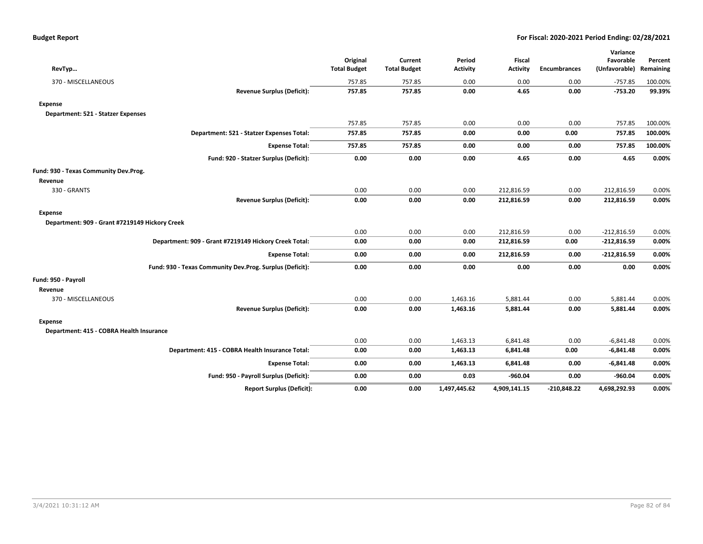|                                                          |                     |                     |                 |                 |                     | Variance      |           |
|----------------------------------------------------------|---------------------|---------------------|-----------------|-----------------|---------------------|---------------|-----------|
|                                                          | Original            | Current             | Period          | <b>Fiscal</b>   |                     | Favorable     | Percent   |
| RevTyp                                                   | <b>Total Budget</b> | <b>Total Budget</b> | <b>Activity</b> | <b>Activity</b> | <b>Encumbrances</b> | (Unfavorable) | Remaining |
| 370 - MISCELLANEOUS                                      | 757.85              | 757.85              | 0.00            | 0.00            | 0.00                | $-757.85$     | 100.00%   |
| <b>Revenue Surplus (Deficit):</b>                        | 757.85              | 757.85              | 0.00            | 4.65            | 0.00                | $-753.20$     | 99.39%    |
| <b>Expense</b>                                           |                     |                     |                 |                 |                     |               |           |
| Department: 521 - Statzer Expenses                       |                     |                     |                 |                 |                     |               |           |
|                                                          | 757.85              | 757.85              | 0.00            | 0.00            | 0.00                | 757.85        | 100.00%   |
| Department: 521 - Statzer Expenses Total:                | 757.85              | 757.85              | 0.00            | 0.00            | 0.00                | 757.85        | 100.00%   |
| <b>Expense Total:</b>                                    | 757.85              | 757.85              | 0.00            | 0.00            | 0.00                | 757.85        | 100.00%   |
| Fund: 920 - Statzer Surplus (Deficit):                   | 0.00                | 0.00                | 0.00            | 4.65            | 0.00                | 4.65          | 0.00%     |
| Fund: 930 - Texas Community Dev.Prog.                    |                     |                     |                 |                 |                     |               |           |
| Revenue                                                  |                     |                     |                 |                 |                     |               |           |
| 330 - GRANTS                                             | 0.00                | 0.00                | 0.00            | 212,816.59      | 0.00                | 212,816.59    | 0.00%     |
| <b>Revenue Surplus (Deficit):</b>                        | 0.00                | 0.00                | 0.00            | 212,816.59      | 0.00                | 212,816.59    | 0.00%     |
| <b>Expense</b>                                           |                     |                     |                 |                 |                     |               |           |
| Department: 909 - Grant #7219149 Hickory Creek           |                     |                     |                 |                 |                     |               |           |
|                                                          | 0.00                | 0.00                | 0.00            | 212,816.59      | 0.00                | $-212,816.59$ | 0.00%     |
| Department: 909 - Grant #7219149 Hickory Creek Total:    | 0.00                | 0.00                | 0.00            | 212,816.59      | 0.00                | $-212,816.59$ | 0.00%     |
| <b>Expense Total:</b>                                    | 0.00                | 0.00                | 0.00            | 212,816.59      | 0.00                | $-212,816.59$ | 0.00%     |
| Fund: 930 - Texas Community Dev.Prog. Surplus (Deficit): | 0.00                | 0.00                | 0.00            | 0.00            | 0.00                | 0.00          | 0.00%     |
| Fund: 950 - Payroll                                      |                     |                     |                 |                 |                     |               |           |
| Revenue                                                  |                     |                     |                 |                 |                     |               |           |
| 370 - MISCELLANEOUS                                      | 0.00                | 0.00                | 1,463.16        | 5,881.44        | 0.00                | 5,881.44      | 0.00%     |
| <b>Revenue Surplus (Deficit):</b>                        | 0.00                | 0.00                | 1,463.16        | 5,881.44        | 0.00                | 5,881.44      | 0.00%     |
| <b>Expense</b>                                           |                     |                     |                 |                 |                     |               |           |
| Department: 415 - COBRA Health Insurance                 |                     |                     |                 |                 |                     |               |           |
|                                                          | 0.00                | 0.00                | 1,463.13        | 6,841.48        | 0.00                | $-6,841.48$   | 0.00%     |
| Department: 415 - COBRA Health Insurance Total:          | 0.00                | 0.00                | 1,463.13        | 6,841.48        | 0.00                | $-6,841.48$   | 0.00%     |
| <b>Expense Total:</b>                                    | 0.00                | 0.00                | 1,463.13        | 6,841.48        | 0.00                | $-6,841.48$   | 0.00%     |
| Fund: 950 - Payroll Surplus (Deficit):                   | 0.00                | 0.00                | 0.03            | $-960.04$       | 0.00                | $-960.04$     | 0.00%     |
| <b>Report Surplus (Deficit):</b>                         | 0.00                | 0.00                | 1,497,445.62    | 4,909,141.15    | $-210,848.22$       | 4,698,292.93  | 0.00%     |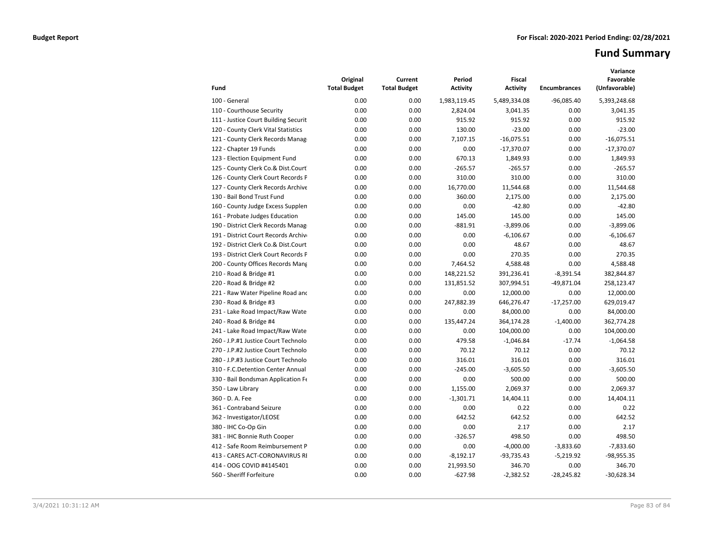# **Fund Summary**

| Fund                                 | Original<br><b>Total Budget</b> | Current<br><b>Total Budget</b> | Period<br>Activity | <b>Fiscal</b><br><b>Activity</b> | <b>Encumbrances</b> | Variance<br>Favorable<br>(Unfavorable) |
|--------------------------------------|---------------------------------|--------------------------------|--------------------|----------------------------------|---------------------|----------------------------------------|
| 100 - General                        | 0.00                            | 0.00                           | 1,983,119.45       | 5,489,334.08                     | $-96,085.40$        | 5,393,248.68                           |
| 110 - Courthouse Security            | 0.00                            | 0.00                           | 2,824.04           | 3,041.35                         | 0.00                | 3,041.35                               |
| 111 - Justice Court Building Securit | 0.00                            | 0.00                           | 915.92             | 915.92                           | 0.00                | 915.92                                 |
| 120 - County Clerk Vital Statistics  | 0.00                            | 0.00                           | 130.00             | $-23.00$                         | 0.00                | $-23.00$                               |
| 121 - County Clerk Records Manag     | 0.00                            | 0.00                           | 7,107.15           | $-16,075.51$                     | 0.00                | $-16,075.51$                           |
| 122 - Chapter 19 Funds               | 0.00                            | 0.00                           | 0.00               | $-17,370.07$                     | 0.00                | $-17,370.07$                           |
| 123 - Election Equipment Fund        | 0.00                            | 0.00                           | 670.13             | 1,849.93                         | 0.00                | 1,849.93                               |
| 125 - County Clerk Co.& Dist.Court   | 0.00                            | 0.00                           | $-265.57$          | $-265.57$                        | 0.00                | $-265.57$                              |
| 126 - County Clerk Court Records P   | 0.00                            | 0.00                           | 310.00             | 310.00                           | 0.00                | 310.00                                 |
| 127 - County Clerk Records Archive   | 0.00                            | 0.00                           | 16,770.00          | 11,544.68                        | 0.00                | 11,544.68                              |
| 130 - Bail Bond Trust Fund           | 0.00                            | 0.00                           | 360.00             | 2,175.00                         | 0.00                | 2,175.00                               |
| 160 - County Judge Excess Supplen    | 0.00                            | 0.00                           | 0.00               | $-42.80$                         | 0.00                | $-42.80$                               |
| 161 - Probate Judges Education       | 0.00                            | 0.00                           | 145.00             | 145.00                           | 0.00                | 145.00                                 |
| 190 - District Clerk Records Manag   | 0.00                            | 0.00                           | $-881.91$          | $-3,899.06$                      | 0.00                | $-3,899.06$                            |
| 191 - District Court Records Archive | 0.00                            | 0.00                           | 0.00               | $-6,106.67$                      | 0.00                | $-6,106.67$                            |
| 192 - District Clerk Co.& Dist.Court | 0.00                            | 0.00                           | 0.00               | 48.67                            | 0.00                | 48.67                                  |
| 193 - District Clerk Court Records F | 0.00                            | 0.00                           | 0.00               | 270.35                           | 0.00                | 270.35                                 |
| 200 - County Offices Records Mang    | 0.00                            | 0.00                           | 7,464.52           | 4,588.48                         | 0.00                | 4,588.48                               |
| 210 - Road & Bridge #1               | 0.00                            | 0.00                           | 148,221.52         | 391,236.41                       | $-8,391.54$         | 382,844.87                             |
| 220 - Road & Bridge #2               | 0.00                            | 0.00                           | 131,851.52         | 307,994.51                       | $-49,871.04$        | 258,123.47                             |
| 221 - Raw Water Pipeline Road and    | 0.00                            | 0.00                           | 0.00               | 12,000.00                        | 0.00                | 12,000.00                              |
| 230 - Road & Bridge #3               | 0.00                            | 0.00                           | 247,882.39         | 646,276.47                       | $-17,257.00$        | 629,019.47                             |
| 231 - Lake Road Impact/Raw Wate      | 0.00                            | 0.00                           | 0.00               | 84,000.00                        | 0.00                | 84,000.00                              |
| 240 - Road & Bridge #4               | 0.00                            | 0.00                           | 135,447.24         | 364,174.28                       | $-1,400.00$         | 362,774.28                             |
| 241 - Lake Road Impact/Raw Wate      | 0.00                            | 0.00                           | 0.00               | 104,000.00                       | 0.00                | 104,000.00                             |
| 260 - J.P.#1 Justice Court Technolo  | 0.00                            | 0.00                           | 479.58             | $-1,046.84$                      | $-17.74$            | $-1,064.58$                            |
| 270 - J.P.#2 Justice Court Technolo  | 0.00                            | 0.00                           | 70.12              | 70.12                            | 0.00                | 70.12                                  |
| 280 - J.P.#3 Justice Court Technolo  | 0.00                            | 0.00                           | 316.01             | 316.01                           | 0.00                | 316.01                                 |
| 310 - F.C.Detention Center Annual    | 0.00                            | 0.00                           | $-245.00$          | $-3,605.50$                      | 0.00                | $-3,605.50$                            |
| 330 - Bail Bondsman Application Fe   | 0.00                            | 0.00                           | 0.00               | 500.00                           | 0.00                | 500.00                                 |
| 350 - Law Library                    | 0.00                            | 0.00                           | 1,155.00           | 2,069.37                         | 0.00                | 2.069.37                               |
| 360 - D. A. Fee                      | 0.00                            | 0.00                           | $-1,301.71$        | 14,404.11                        | 0.00                | 14,404.11                              |
| 361 - Contraband Seizure             | 0.00                            | 0.00                           | 0.00               | 0.22                             | 0.00                | 0.22                                   |
| 362 - Investigator/LEOSE             | 0.00                            | 0.00                           | 642.52             | 642.52                           | 0.00                | 642.52                                 |
| 380 - IHC Co-Op Gin                  | 0.00                            | 0.00                           | 0.00               | 2.17                             | 0.00                | 2.17                                   |
| 381 - IHC Bonnie Ruth Cooper         | 0.00                            | 0.00                           | $-326.57$          | 498.50                           | 0.00                | 498.50                                 |
| 412 - Safe Room Reimbursement P      | 0.00                            | 0.00                           | 0.00               | $-4,000.00$                      | $-3,833.60$         | $-7,833.60$                            |
| 413 - CARES ACT-CORONAVIRUS RI       | 0.00                            | 0.00                           | $-8,192.17$        | $-93,735.43$                     | $-5,219.92$         | -98,955.35                             |
| 414 - OOG COVID #4145401             | 0.00                            | 0.00                           | 21,993.50          | 346.70                           | 0.00                | 346.70                                 |
| 560 - Sheriff Forfeiture             | 0.00                            | 0.00                           | $-627.98$          | $-2,382.52$                      | $-28,245.82$        | $-30,628.34$                           |